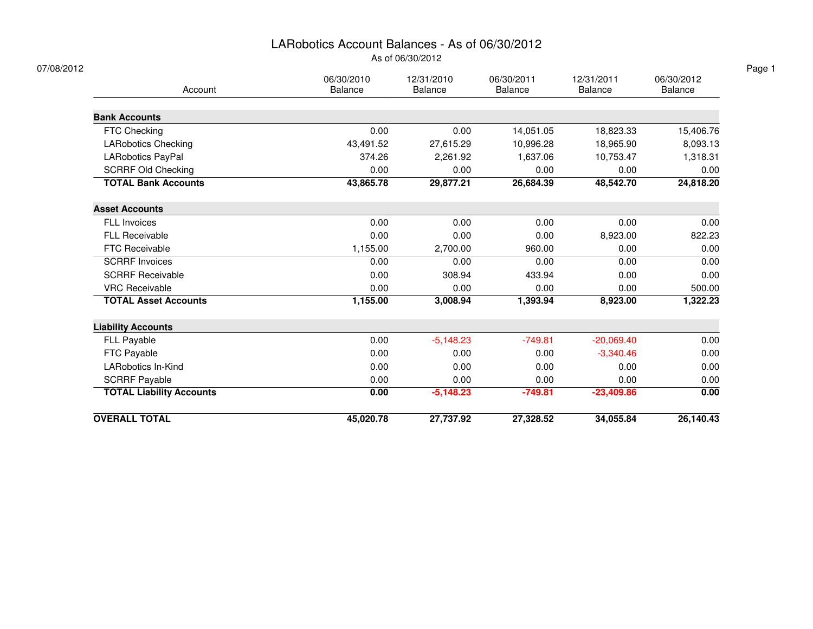### LARobotics Account Balances - As of 06/30/2012

As of 06/30/2012

| 07/08/2012                      |                              |                              |                              |                       |                              |
|---------------------------------|------------------------------|------------------------------|------------------------------|-----------------------|------------------------------|
| Account                         | 06/30/2010<br><b>Balance</b> | 12/31/2010<br><b>Balance</b> | 06/30/2011<br><b>Balance</b> | 12/31/2011<br>Balance | 06/30/2012<br><b>Balance</b> |
| <b>Bank Accounts</b>            |                              |                              |                              |                       |                              |
| FTC Checking                    | 0.00                         | 0.00                         | 14,051.05                    | 18,823.33             | 15,406.76                    |
| <b>LARobotics Checking</b>      | 43,491.52                    | 27,615.29                    | 10,996.28                    | 18,965.90             | 8,093.13                     |
| LARobotics PayPal               | 374.26                       | 2,261.92                     | 1,637.06                     | 10,753.47             | 1,318.31                     |
| <b>SCRRF Old Checking</b>       | 0.00                         | 0.00                         | 0.00                         | 0.00                  | 0.00                         |
| <b>TOTAL Bank Accounts</b>      | 43,865.78                    | 29,877.21                    | 26,684.39                    | 48,542.70             | 24,818.20                    |
| <b>Asset Accounts</b>           |                              |                              |                              |                       |                              |
| <b>FLL Invoices</b>             | 0.00                         | 0.00                         | 0.00                         | 0.00                  | 0.00                         |
| FLL Receivable                  | 0.00                         | 0.00                         | 0.00                         | 8,923.00              | 822.23                       |
| <b>FTC Receivable</b>           | 1,155.00                     | 2,700.00                     | 960.00                       | 0.00                  | 0.00                         |
| <b>SCRRF Invoices</b>           | 0.00                         | 0.00                         | 0.00                         | 0.00                  | 0.00                         |
| <b>SCRRF Receivable</b>         | 0.00                         | 308.94                       | 433.94                       | 0.00                  | 0.00                         |
| <b>VRC Receivable</b>           | 0.00                         | 0.00                         | 0.00                         | 0.00                  | 500.00                       |
| <b>TOTAL Asset Accounts</b>     | 1,155.00                     | 3,008.94                     | 1,393.94                     | 8,923.00              | 1,322.23                     |
| <b>Liability Accounts</b>       |                              |                              |                              |                       |                              |
| FLL Payable                     | 0.00                         | $-5,148.23$                  | $-749.81$                    | $-20,069.40$          | 0.00                         |
| FTC Payable                     | 0.00                         | 0.00                         | 0.00                         | $-3,340.46$           | 0.00                         |
| <b>LARobotics In-Kind</b>       | 0.00                         | 0.00                         | 0.00                         | 0.00                  | 0.00                         |
| <b>SCRRF Payable</b>            | 0.00                         | 0.00                         | 0.00                         | 0.00                  | 0.00                         |
| <b>TOTAL Liability Accounts</b> | 0.00                         | $-5,148.23$                  | $-749.81$                    | $-23,409.86$          | 0.00                         |
| <b>OVERALL TOTAL</b>            | 45,020.78                    | 27,737.92                    | 27,328.52                    | 34,055.84             | 26,140.43                    |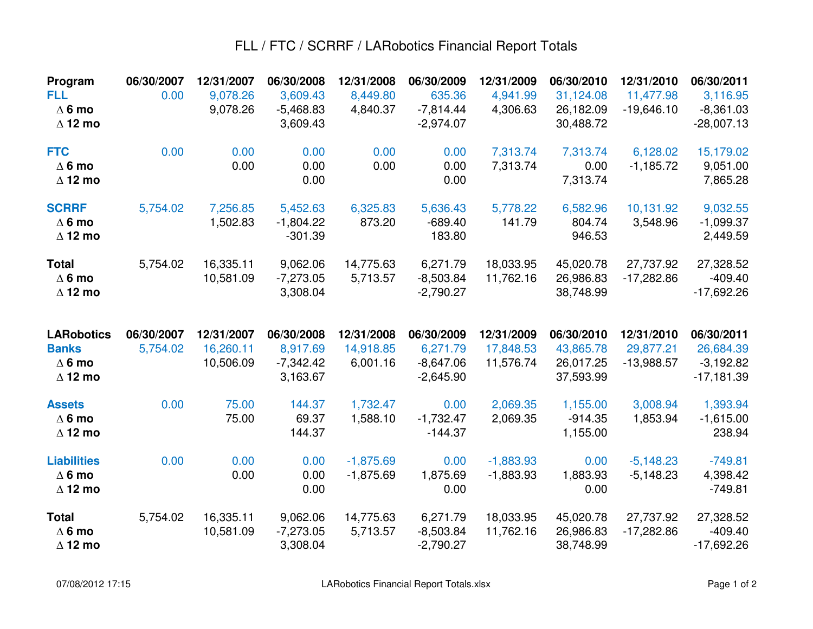### FLL / FTC / SCRRF / LARobotics Financial Report Totals

| Program<br><b>FLL</b><br>$\Delta$ 6 mo<br>$\Delta$ 12 mo             | 06/30/2007<br>0.00     | 12/31/2007<br>9,078.26<br>9,078.26   | 06/30/2008<br>3,609.43<br>$-5,468.83$<br>3,609.43 | 12/31/2008<br>8,449.80<br>4,840.37  | 06/30/2009<br>635.36<br>$-7,814.44$<br>$-2,974.07$   | 12/31/2009<br>4,941.99<br>4,306.63   | 06/30/2010<br>31,124.08<br>26,182.09<br>30,488.72 | 12/31/2010<br>11,477.98<br>$-19,646.10$ | 06/30/2011<br>3,116.95<br>$-8,361.03$<br>$-28,007.13$  |
|----------------------------------------------------------------------|------------------------|--------------------------------------|---------------------------------------------------|-------------------------------------|------------------------------------------------------|--------------------------------------|---------------------------------------------------|-----------------------------------------|--------------------------------------------------------|
| <b>FTC</b><br>$\Delta$ 6 mo<br>$\Delta$ 12 mo                        | 0.00                   | 0.00<br>0.00                         | 0.00<br>0.00<br>0.00                              | 0.00<br>0.00                        | 0.00<br>0.00<br>0.00                                 | 7,313.74<br>7,313.74                 | 7,313.74<br>0.00<br>7,313.74                      | 6,128.02<br>$-1,185.72$                 | 15,179.02<br>9,051.00<br>7,865.28                      |
| <b>SCRRF</b><br>$\Delta$ 6 mo<br>$\Delta$ 12 mo                      | 5,754.02               | 7,256.85<br>1,502.83                 | 5,452.63<br>$-1,804.22$<br>$-301.39$              | 6,325.83<br>873.20                  | 5,636.43<br>$-689.40$<br>183.80                      | 5,778.22<br>141.79                   | 6,582.96<br>804.74<br>946.53                      | 10,131.92<br>3,548.96                   | 9,032.55<br>$-1,099.37$<br>2,449.59                    |
| <b>Total</b><br>$\Delta$ 6 mo<br>$\Delta$ 12 mo                      | 5,754.02               | 16,335.11<br>10,581.09               | 9,062.06<br>$-7,273.05$<br>3,308.04               | 14,775.63<br>5,713.57               | 6,271.79<br>$-8,503.84$<br>$-2,790.27$               | 18,033.95<br>11,762.16               | 45,020.78<br>26,986.83<br>38,748.99               | 27,737.92<br>$-17,282.86$               | 27,328.52<br>$-409.40$<br>$-17,692.26$                 |
|                                                                      |                        |                                      |                                                   |                                     |                                                      |                                      |                                                   |                                         |                                                        |
| <b>LARobotics</b><br><b>Banks</b><br>$\Delta$ 6 mo<br>$\Delta$ 12 mo | 06/30/2007<br>5,754.02 | 12/31/2007<br>16,260.11<br>10,506.09 | 06/30/2008<br>8,917.69<br>$-7,342.42$<br>3,163.67 | 12/31/2008<br>14,918.85<br>6,001.16 | 06/30/2009<br>6,271.79<br>$-8,647.06$<br>$-2,645.90$ | 12/31/2009<br>17,848.53<br>11,576.74 | 06/30/2010<br>43,865.78<br>26,017.25<br>37,593.99 | 12/31/2010<br>29,877.21<br>$-13,988.57$ | 06/30/2011<br>26,684.39<br>$-3,192.82$<br>$-17,181.39$ |
| <b>Assets</b><br>$\Delta$ 6 mo<br>$\Delta$ 12 mo                     | 0.00                   | 75.00<br>75.00                       | 144.37<br>69.37<br>144.37                         | 1,732.47<br>1,588.10                | 0.00<br>$-1,732.47$<br>$-144.37$                     | 2,069.35<br>2,069.35                 | 1,155.00<br>$-914.35$<br>1,155.00                 | 3,008.94<br>1,853.94                    | 1,393.94<br>$-1,615.00$<br>238.94                      |
| <b>Liabilities</b><br>$\Delta$ 6 mo<br>$\Delta$ 12 mo                | 0.00                   | 0.00<br>0.00                         | 0.00<br>0.00<br>0.00                              | $-1,875.69$<br>$-1,875.69$          | 0.00<br>1,875.69<br>0.00                             | $-1,883.93$<br>$-1,883.93$           | 0.00<br>1,883.93<br>0.00                          | $-5,148.23$<br>$-5,148.23$              | $-749.81$<br>4,398.42<br>$-749.81$                     |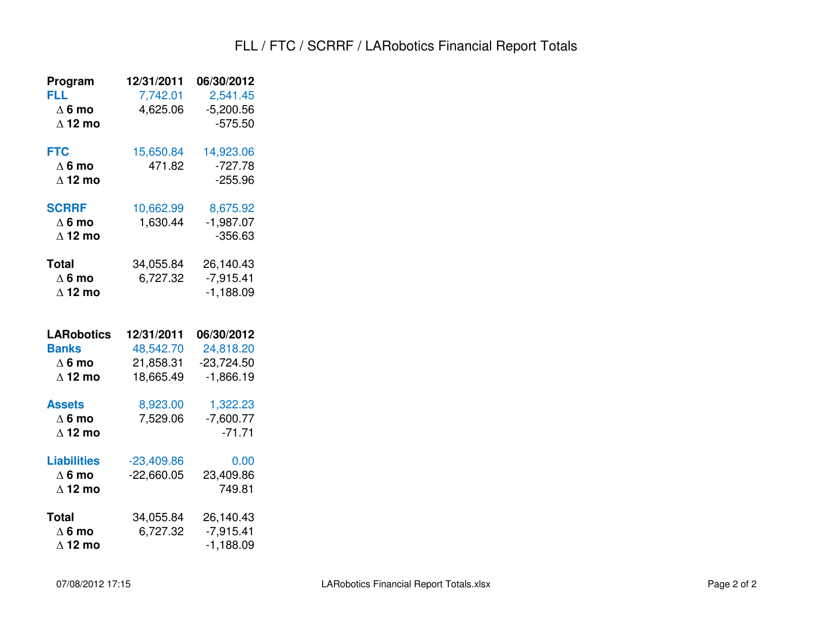### FLL / FTC / SCRRF / LARobotics Financial Report Totals

| Program                                                              | 12/31/2011                                        | 06/30/2012                                             |
|----------------------------------------------------------------------|---------------------------------------------------|--------------------------------------------------------|
| FLL<br>$\Delta$ 6 mo<br>$\Delta$ 12 mo                               | 7,742.01<br>4,625.06                              | 2,541.45<br>$-5,200.56$<br>$-575.50$                   |
| <b>FTC</b><br>$\Delta$ 6 mo<br>$\Delta$ 12 mo                        | 15,650.84<br>471.82                               | 14,923.06<br>$-727.78$<br>$-255.96$                    |
| <b>SCRRF</b><br>$\Delta$ 6 mo<br>$\Delta$ 12 mo                      | 10,662.99<br>1,630.44                             | 8,675.92<br>$-1,987.07$<br>$-356.63$                   |
| <b>Total</b><br>$\Delta$ 6 mo<br>$\Delta$ 12 mo                      | 34,055.84<br>6,727.32                             | 26,140.43<br>$-7,915.41$<br>$-1,188.09$                |
| <b>LARobotics</b><br><b>Banks</b><br>$\Delta$ 6 mo<br>$\Delta$ 12 mo | 12/31/2011<br>48,542.70<br>21,858.31<br>18,665.49 | 06/30/2012<br>24,818.20<br>$-23,724.50$<br>$-1,866.19$ |
| <b>Assets</b><br>$\Delta$ 6 mo<br>$\Delta$ 12 mo                     | 8,923.00<br>7,529.06                              | 1,322.23<br>$-7,600.77$<br>$-71.71$                    |
| <b>Liabilities</b><br>$\Delta$ 6 mo<br>$\Delta$ 12 mo                | $-23,409.86$<br>$-22,660.05$                      | 0.00<br>23,409.86<br>749.81                            |
| <b>Total</b>                                                         | 34,055.84                                         | 26,140.43                                              |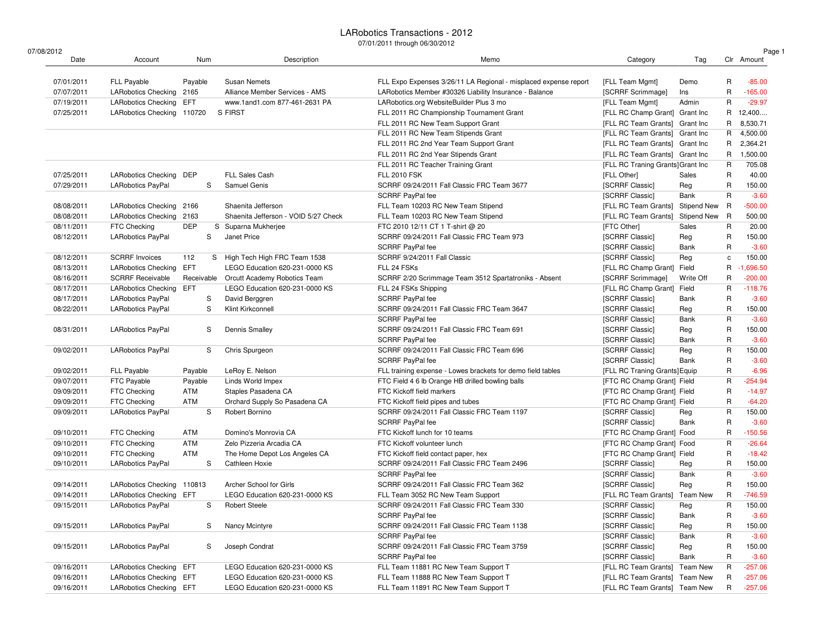| 07/08/2012               |                                   |                |                                      |                                                                  |                                                             |                 |              | Page 1      |
|--------------------------|-----------------------------------|----------------|--------------------------------------|------------------------------------------------------------------|-------------------------------------------------------------|-----------------|--------------|-------------|
| Date                     | Account                           | Num            | Description                          | Memo                                                             | Category                                                    | Tag             |              | Clr Amount  |
| 07/01/2011               | <b>FLL Payable</b>                | Payable        | <b>Susan Nemets</b>                  | FLL Expo Expenses 3/26/11 LA Regional - misplaced expense report | [FLL Team Mgmt]                                             | Demo            | R            | $-85.00$    |
| 07/07/2011               | <b>LARobotics Checking</b>        | 2165           | Alliance Member Services - AMS       | LARobotics Member #30326 Liability Insurance - Balance           | [SCRRF Scrimmage]                                           | Ins             | R            | $-165.00$   |
| 07/19/2011               | <b>LARobotics Checking</b>        | EFT            | www.1and1.com 877-461-2631 PA        | LARobotics.org WebsiteBuilder Plus 3 mo                          | [FLL Team Mgmt]                                             | Admin           | R            | $-29.97$    |
| 07/25/2011               | <b>LARobotics Checking</b>        | 110720         | S FIRST                              | FLL 2011 RC Championship Tournament Grant                        | [FLL RC Champ Grant] Grant Inc                              |                 | R            | 12,400      |
|                          |                                   |                |                                      | FLL 2011 RC New Team Support Grant                               | [FLL RC Team Grants] Grant Inc                              |                 | R            | 8,530.71    |
|                          |                                   |                |                                      | FLL 2011 RC New Team Stipends Grant                              | [FLL RC Team Grants] Grant Inc                              |                 | R            | 4,500.00    |
|                          |                                   |                |                                      | FLL 2011 RC 2nd Year Team Support Grant                          | [FLL RC Team Grants] Grant Inc                              |                 | R            | 2,364.21    |
|                          |                                   |                |                                      | FLL 2011 RC 2nd Year Stipends Grant                              | [FLL RC Team Grants] Grant Inc                              |                 | R            | 1,500.00    |
|                          |                                   |                |                                      | FLL 2011 RC Teacher Training Grant                               | [FLL RC Traning Grants] Grant Inc                           |                 | R            | 705.08      |
| 07/25/2011               | <b>LARobotics Checking</b>        | DEP            | <b>FLL Sales Cash</b>                | <b>FLL 2010 FSK</b>                                              | [FLL Other]                                                 | Sales           | R            | 40.00       |
| 07/29/2011               | <b>LARobotics PayPal</b>          | S              | <b>Samuel Genis</b>                  | SCRRF 09/24/2011 Fall Classic FRC Team 3677                      | [SCRRF Classic]                                             | Reg             | R            | 150.00      |
|                          |                                   |                |                                      | <b>SCRRF PayPal fee</b>                                          | [SCRRF Classic]                                             | Bank            | R            | $-3.60$     |
| 08/08/2011               | <b>LARobotics Checking</b>        | 2166           | Shaenita Jefferson                   | FLL Team 10203 RC New Team Stipend                               | [FLL RC Team Grants]                                        | Stipend New     | R            | $-500.00$   |
| 08/08/2011               | <b>LARobotics Checking</b>        | 2163           | Shaenita Jefferson - VOID 5/27 Check | FLL Team 10203 RC New Team Stipend                               | [FLL RC Team Grants]                                        | Stipend New     | - R          | 500.00      |
| 08/11/2011               | FTC Checking                      | <b>DEP</b>     | S Suparna Mukherjee                  | FTC 2010 12/11 CT 1 T-shirt @ 20                                 | [FTC Other]                                                 | Sales           | R            | 20.00       |
| 08/12/2011               | <b>LARobotics PayPal</b>          | S              | Janet Price                          | SCRRF 09/24/2011 Fall Classic FRC Team 973                       | [SCRRF Classic]                                             | Reg             | R            | 150.00      |
|                          |                                   |                |                                      | SCRRF PayPal fee                                                 | [SCRRF Classic]                                             | Bank            | R            | $-3.60$     |
| 08/12/2011               | <b>SCRRF</b> Invoices             | 112            | S High Tech High FRC Team 1538       | SCRRF 9/24/2011 Fall Classic                                     | [SCRRF Classic]                                             | Reg             | $\mathtt{C}$ | 150.00      |
| 08/13/2011               | <b>LARobotics Checking</b>        | EFT            | LEGO Education 620-231-0000 KS       | FLL 24 FSKs                                                      | [FLL RC Champ Grant]                                        | Field           | R            | $-1,696.50$ |
| 08/16/2011               | <b>SCRRF Receivable</b>           | Receivable     | Orcutt Academy Robotics Team         | SCRRF 2/20 Scrimmage Team 3512 Spartatroniks - Absent            | [SCRRF Scrimmage]                                           | Write Off       | R            | $-200.00$   |
| 08/17/2011               | <b>LARobotics Checking</b>        | EFT            | LEGO Education 620-231-0000 KS       | FLL 24 FSKs Shipping                                             | [FLL RC Champ Grant]                                        | Field           | R            | $-118.76$   |
| 08/17/2011               | <b>LARobotics PayPal</b>          | S              | David Berggren                       | SCRRF PayPal fee                                                 | [SCRRF Classic]                                             | Bank            | R            | $-3.60$     |
| 08/22/2011               | <b>LARobotics PayPal</b>          | S              | Klint Kirkconnell                    | SCRRF 09/24/2011 Fall Classic FRC Team 3647                      | [SCRRF Classic]                                             | Reg             | R            | 150.00      |
|                          |                                   |                |                                      | SCRRF PayPal fee                                                 | [SCRRF Classic]                                             | Bank            | R            | $-3.60$     |
| 08/31/2011               | <b>LARobotics PayPal</b>          | S              | <b>Dennis Smalley</b>                | SCRRF 09/24/2011 Fall Classic FRC Team 691                       | [SCRRF Classic]                                             | Reg             | R            | 150.00      |
|                          |                                   |                |                                      | SCRRF PayPal fee                                                 | [SCRRF Classic]                                             | Bank            | R            | $-3.60$     |
| 09/02/2011               | <b>LARobotics PayPal</b>          | S              | Chris Spurgeon                       | SCRRF 09/24/2011 Fall Classic FRC Team 696                       | [SCRRF Classic]                                             | Reg             | R            | 150.00      |
|                          |                                   |                |                                      | SCRRF PayPal fee                                                 | [SCRRF Classic]                                             | Bank            | R            | $-3.60$     |
|                          |                                   |                | LeRoy E. Nelson                      | FLL training expense - Lowes brackets for demo field tables      |                                                             |                 | R            | $-6.96$     |
| 09/02/2011<br>09/07/2011 | <b>FLL Payable</b><br>FTC Payable | Payable        | Linds World Impex                    | FTC Field 4 6 lb Orange HB drilled bowling balls                 | [FLL RC Traning Grants] Equip<br>[FTC RC Champ Grant] Field |                 | R            | $-254.94$   |
| 09/09/2011               |                                   | Payable<br>ATM |                                      | FTC Kickoff field markers                                        |                                                             |                 | R            | $-14.97$    |
|                          | FTC Checking                      |                | Staples Pasadena CA                  |                                                                  | [FTC RC Champ Grant] Field                                  |                 |              |             |
| 09/09/2011               | FTC Checking                      | ATM            | Orchard Supply So Pasadena CA        | FTC Kickoff field pipes and tubes                                | [FTC RC Champ Grant] Field                                  |                 | R            | $-64.20$    |
| 09/09/2011               | <b>LARobotics PayPal</b>          | S              | Robert Bornino                       | SCRRF 09/24/2011 Fall Classic FRC Team 1197                      | [SCRRF Classic]                                             | Reg             | $\mathsf{R}$ | 150.00      |
|                          |                                   |                |                                      | SCRRF PayPal fee                                                 | [SCRRF Classic]                                             | Bank            | R            | $-3.60$     |
| 09/10/2011               | FTC Checking                      | ATM            | Domino's Monrovia CA                 | FTC Kickoff lunch for 10 teams                                   | [FTC RC Champ Grant] Food                                   |                 | R            | $-150.56$   |
| 09/10/2011               | FTC Checking                      | ATM            | Zelo Pizzeria Arcadia CA             | FTC Kickoff volunteer lunch                                      | [FTC RC Champ Grant] Food                                   |                 | R            | $-26.64$    |
| 09/10/2011               | FTC Checking                      | ATM            | The Home Depot Los Angeles CA        | FTC Kickoff field contact paper, hex                             | [FTC RC Champ Grant] Field                                  |                 | R            | $-18.42$    |
| 09/10/2011               | <b>LARobotics PayPal</b>          | S              | Cathleen Hoxie                       | SCRRF 09/24/2011 Fall Classic FRC Team 2496                      | [SCRRF Classic]                                             | Reg             | R            | 150.00      |
|                          |                                   |                |                                      | SCRRF PayPal fee                                                 | [SCRRF Classic]                                             | Bank            | $\mathsf{R}$ | $-3.60$     |
| 09/14/2011               | <b>LARobotics Checking</b>        | 110813         | Archer School for Girls              | SCRRF 09/24/2011 Fall Classic FRC Team 362                       | [SCRRF Classic]                                             | Reg             | R            | 150.00      |
| 09/14/2011               | LARobotics Checking EFT           |                | LEGO Education 620-231-0000 KS       | FLL Team 3052 RC New Team Support                                | [FLL RC Team Grants]                                        | Team New        | R            | $-746.59$   |
| 09/15/2011               | LARobotics PayPal                 | S              | <b>Robert Steele</b>                 | SCRRF 09/24/2011 Fall Classic FRC Team 330                       | [SCRRF Classic]                                             | Reg             | R            | 150.00      |
|                          |                                   |                |                                      | SCRRF PayPal fee                                                 | [SCRRF Classic]                                             | Bank            | R            | $-3.60$     |
| 09/15/2011               | <b>LARobotics PayPal</b>          | S              | Nancy Mcintyre                       | SCRRF 09/24/2011 Fall Classic FRC Team 1138                      | [SCRRF Classic]                                             | Reg             | R            | 150.00      |
|                          |                                   |                |                                      | SCRRF PayPal fee                                                 | [SCRRF Classic]                                             | Bank            | R            | $-3.60$     |
| 09/15/2011               | <b>LARobotics PayPal</b>          | S              | Joseph Condrat                       | SCRRF 09/24/2011 Fall Classic FRC Team 3759                      | [SCRRF Classic]                                             | Reg             | R            | 150.00      |
|                          |                                   |                |                                      | SCRRF PayPal fee                                                 | [SCRRF Classic]                                             | Bank            | R            | $-3.60$     |
| 09/16/2011               | <b>LARobotics Checking</b>        | EFT            | LEGO Education 620-231-0000 KS       | FLL Team 11881 RC New Team Support T                             | [FLL RC Team Grants]                                        | Team New        | R            | $-257.06$   |
| 09/16/2011               | <b>LARobotics Checking</b>        | EFT            | LEGO Education 620-231-0000 KS       | FLL Team 11888 RC New Team Support T                             | [FLL RC Team Grants]                                        | <b>Team New</b> | R            | $-257.06$   |
| 09/16/2011               | LARobotics Checking EFT           |                | LEGO Education 620-231-0000 KS       | FLL Team 11891 RC New Team Support T                             | [FLL RC Team Grants] Team New                               |                 | R            | $-257.06$   |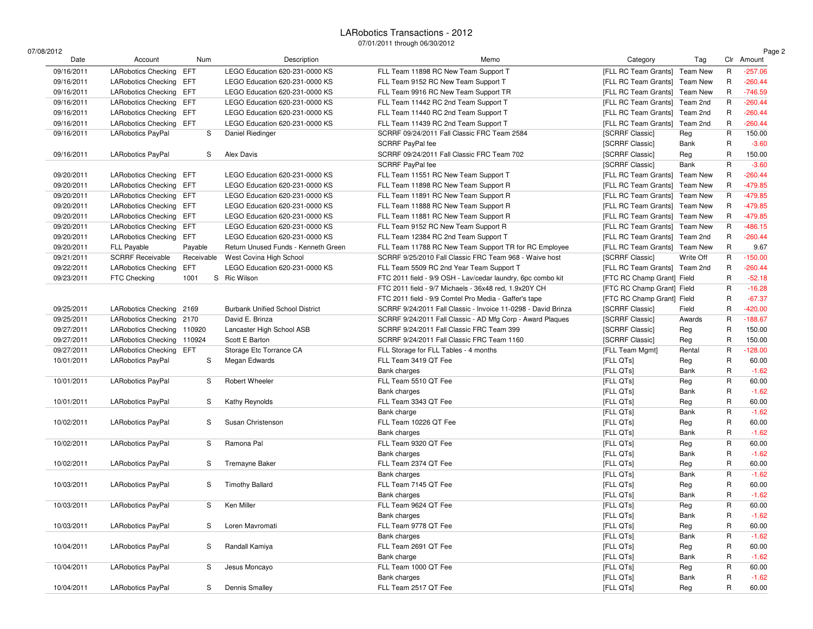| 07/08/2012 |                            |            |                                        |                                                               |                               |                 |          | Page 2     |
|------------|----------------------------|------------|----------------------------------------|---------------------------------------------------------------|-------------------------------|-----------------|----------|------------|
| Date       | Account                    | Num        | Description                            | Memo                                                          | Category                      | Tag             |          | Clr Amount |
| 09/16/2011 | LARobotics Checking        | EFT        | LEGO Education 620-231-0000 KS         | FLL Team 11898 RC New Team Support T                          | [FLL RC Team Grants]          | Team New        | R        | $-257.06$  |
| 09/16/2011 | <b>LARobotics Checking</b> | EFT.       | LEGO Education 620-231-0000 KS         | FLL Team 9152 RC New Team Support T                           | [FLL RC Team Grants]          | Team New        | R        | $-260.44$  |
| 09/16/2011 | LARobotics Checking EFT    |            | LEGO Education 620-231-0000 KS         | FLL Team 9916 RC New Team Support TR                          | [FLL RC Team Grants] Team New |                 | R        | $-746.59$  |
| 09/16/2011 | <b>LARobotics Checking</b> | EFT        | LEGO Education 620-231-0000 KS         | FLL Team 11442 RC 2nd Team Support T                          | [FLL RC Team Grants]          | Team 2nd        | R        | $-260.44$  |
| 09/16/2011 | <b>LARobotics Checking</b> | EFT        | LEGO Education 620-231-0000 KS         | FLL Team 11440 RC 2nd Team Support T                          | [FLL RC Team Grants] Team 2nd |                 | R        | $-260.44$  |
| 09/16/2011 | LARobotics Checking EFT    |            | LEGO Education 620-231-0000 KS         | FLL Team 11439 RC 2nd Team Support T                          | [FLL RC Team Grants]          | Team 2nd        | R        | $-260.44$  |
| 09/16/2011 | <b>LARobotics PayPal</b>   | S          | Daniel Riedinger                       | SCRRF 09/24/2011 Fall Classic FRC Team 2584                   | [SCRRF Classic]               | Reg             | R        | 150.00     |
|            |                            |            |                                        | SCRRF PayPal fee                                              | [SCRRF Classic]               | Bank            | R        | $-3.60$    |
| 09/16/2011 | <b>LARobotics PayPal</b>   | S          | Alex Davis                             | SCRRF 09/24/2011 Fall Classic FRC Team 702                    | [SCRRF Classic]               | Reg             | R        | 150.00     |
|            |                            |            |                                        | SCRRF PayPal fee                                              | [SCRRF Classic]               | Bank            | R        | $-3.60$    |
| 09/20/2011 | <b>LARobotics Checking</b> | EFT        | LEGO Education 620-231-0000 KS         | FLL Team 11551 RC New Team Support T                          | [FLL RC Team Grants] Team New |                 | R        | $-260.44$  |
| 09/20/2011 | LARobotics Checking EFT    |            | LEGO Education 620-231-0000 KS         | FLL Team 11898 RC New Team Support R                          | [FLL RC Team Grants]          | <b>Team New</b> | R        | $-479.85$  |
| 09/20/2011 | <b>LARobotics Checking</b> | EFT        | LEGO Education 620-231-0000 KS         | FLL Team 11891 RC New Team Support R                          | [FLL RC Team Grants]          | <b>Team New</b> | R        | $-479.85$  |
| 09/20/2011 | <b>LARobotics Checking</b> | EFT        | LEGO Education 620-231-0000 KS         | FLL Team 11888 RC New Team Support R                          | [FLL RC Team Grants] Team New |                 | R        | $-479.85$  |
| 09/20/2011 | <b>LARobotics Checking</b> | EFT        | LEGO Education 620-231-0000 KS         | FLL Team 11881 RC New Team Support R                          | [FLL RC Team Grants]          | Team New        | R        | $-479.85$  |
| 09/20/2011 | <b>LARobotics Checking</b> | EFT        | LEGO Education 620-231-0000 KS         | FLL Team 9152 RC New Team Support R                           | [FLL RC Team Grants]          | <b>Team New</b> | R        | $-486.15$  |
| 09/20/2011 | <b>LARobotics Checking</b> | EFT        | LEGO Education 620-231-0000 KS         | FLL Team 12384 RC 2nd Team Support T                          | [FLL RC Team Grants]          | Team 2nd        | R        | $-260.44$  |
| 09/20/2011 | <b>FLL Payable</b>         | Payable    | Return Unused Funds - Kenneth Green    | FLL Team 11788 RC New Team Support TR for RC Employee         | [FLL RC Team Grants]          | Team New        | R        | 9.67       |
| 09/21/2011 | <b>SCRRF Receivable</b>    | Receivable | West Covina High School                | SCRRF 9/25/2010 Fall Classic FRC Team 968 - Waive host        | [SCRRF Classic]               | Write Off       | R        | $-150.00$  |
| 09/22/2011 | <b>LARobotics Checking</b> | EFT        | LEGO Education 620-231-0000 KS         | FLL Team 5509 RC 2nd Year Team Support T                      | [FLL RC Team Grants] Team 2nd |                 | R        | $-260.44$  |
| 09/23/2011 | FTC Checking               | 1001       | S Ric Wilson                           | FTC 2011 field - 9/9 OSH - Lav/cedar laundry, 6pc combo kit   | [FTC RC Champ Grant] Field    |                 | R        | $-52.18$   |
|            |                            |            |                                        | FTC 2011 field - 9/7 Michaels - 36x48 red, 1.9x20Y CH         | [FTC RC Champ Grant] Field    |                 | R        | $-16.28$   |
|            |                            |            |                                        | FTC 2011 field - 9/9 Comtel Pro Media - Gaffer's tape         | [FTC RC Champ Grant] Field    |                 | R        | $-67.37$   |
| 09/25/2011 | <b>LARobotics Checking</b> | 2169       | <b>Burbank Unified School District</b> | SCRRF 9/24/2011 Fall Classic - Invoice 11-0298 - David Brinza | <b>ISCRRF Classic1</b>        | Field           | R        | $-420.00$  |
| 09/25/2011 | LARobotics Checking 2170   |            | David E. Brinza                        | SCRRF 9/24/2011 Fall Classic - AD Mfg Corp - Award Plaques    | [SCRRF Classic]               | Awards          | R        | $-188.67$  |
| 09/27/2011 | LARobotics Checking 110920 |            | Lancaster High School ASB              | SCRRF 9/24/2011 Fall Classic FRC Team 399                     | <b>ISCRRF Classic1</b>        | Reg             | R        | 150.00     |
| 09/27/2011 | LARobotics Checking 110924 |            | Scott E Barton                         | SCRRF 9/24/2011 Fall Classic FRC Team 1160                    | [SCRRF Classic]               | Reg             | R        | 150.00     |
| 09/27/2011 | LARobotics Checking EFT    |            | Storage Etc Torrance CA                | FLL Storage for FLL Tables - 4 months                         | [FLL Team Mgmt]               | Rental          | R        | $-128.00$  |
| 10/01/2011 | <b>LARobotics PayPal</b>   | S          | Megan Edwards                          | FLL Team 3419 QT Fee                                          | [FLL QTs]                     | Reg             | R        | 60.00      |
|            |                            |            |                                        | Bank charges                                                  | [FLL QTs]                     | Bank            | R        | $-1.62$    |
| 10/01/2011 | <b>LARobotics PayPal</b>   | S          | Robert Wheeler                         | FLL Team 5510 QT Fee                                          | [FLL QTs]                     | Reg             | R        | 60.00      |
|            |                            |            |                                        | Bank charges                                                  | [FLL QTs]                     | Bank            | R        | $-1.62$    |
| 10/01/2011 | <b>LARobotics PayPal</b>   | S          | Kathy Reynolds                         | FLL Team 3343 QT Fee                                          | [FLL QTs]                     | Reg             | R        | 60.00      |
|            |                            |            |                                        | Bank charge                                                   | [FLL QTs]                     | Bank            | R        | $-1.62$    |
| 10/02/2011 | <b>LARobotics PayPal</b>   | S          | Susan Christenson                      | FLL Team 10226 QT Fee                                         | [FLL QTs]                     | Reg             | R        | 60.00      |
|            |                            |            |                                        | Bank charges                                                  | [FLL QTs]                     | Bank            | R        | $-1.62$    |
| 10/02/2011 | <b>LARobotics PayPal</b>   | S          | Ramona Pal                             | FLL Team 9320 QT Fee                                          | [FLL QTs]                     |                 | R        | 60.00      |
|            |                            |            |                                        |                                                               |                               | Reg             |          |            |
|            |                            |            |                                        | Bank charges                                                  | [FLL QTs]                     | Bank            | R        | $-1.62$    |
| 10/02/2011 | <b>LARobotics PayPal</b>   | S          | <b>Tremayne Baker</b>                  | FLL Team 2374 QT Fee                                          | [FLL QTs]                     | Reg             | R        | 60.00      |
|            |                            |            |                                        | Bank charges                                                  | [FLL QTs]                     | Bank            | R        | $-1.62$    |
| 10/03/2011 | <b>LARobotics PayPal</b>   | S          | <b>Timothy Ballard</b>                 | FLL Team 7145 QT Fee                                          | [FLL QTs]                     | Reg             | R        | 60.00      |
|            |                            |            |                                        | Bank charges                                                  | [FLL QTs]                     | Bank            | R        | $-1.62$    |
| 10/03/2011 | LARobotics PayPal          | S          | Ken Miller                             | FLL Team 9624 QT Fee                                          | [FLL QTs]                     | Reg             | <b>R</b> | 60.00      |
|            |                            |            |                                        | Bank charges                                                  | [FLL QTs]                     | Bank            | R        | $-1.62$    |
| 10/03/2011 | LARobotics PayPal          | S          | Loren Mavromati                        | FLL Team 9778 QT Fee                                          | [FLL QTs]                     | Reg             | R        | 60.00      |
|            |                            |            |                                        | Bank charges                                                  | [FLL QTs]                     | Bank            | R        | $-1.62$    |
| 10/04/2011 | LARobotics PayPal          | S          | Randall Kamiya                         | FLL Team 2691 QT Fee                                          | [FLL QTs]                     | Reg             | R        | 60.00      |
|            |                            |            |                                        | Bank charge                                                   | [FLL QTs]                     | Bank            | R        | $-1.62$    |
| 10/04/2011 | <b>LARobotics PayPal</b>   | S          | Jesus Moncayo                          | FLL Team 1000 QT Fee                                          | [FLL QTs]                     | Reg             | R        | 60.00      |
|            |                            |            |                                        | Bank charges                                                  | [FLL QTs]                     | Bank            | R        | $-1.62$    |
| 10/04/2011 | LARobotics PayPal          | S          | Dennis Smalley                         | FLL Team 2517 QT Fee                                          | [FLL QTs]                     | Reg             | R        | 60.00      |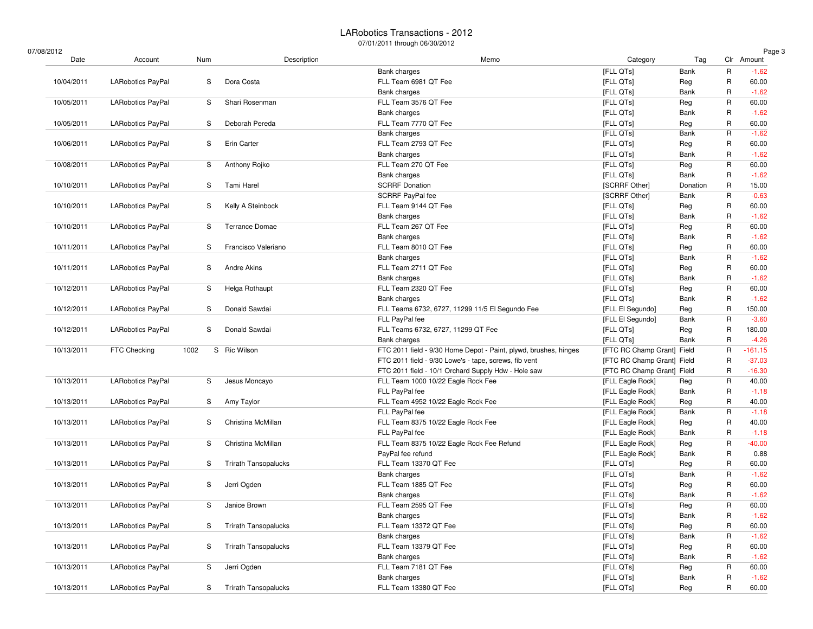$07/$ 

| /08/2012   |                          |      |                             |                                                                  |                            |          |              | Page 3     |
|------------|--------------------------|------|-----------------------------|------------------------------------------------------------------|----------------------------|----------|--------------|------------|
| Date       | Account                  | Num  | Description                 | Memo                                                             | Category                   | Tag      |              | Clr Amount |
|            |                          |      |                             | <b>Bank charges</b>                                              | [FLL QTs]                  | Bank     | $\mathsf R$  | $-1.62$    |
| 10/04/2011 | LARobotics PayPal        | S    | Dora Costa                  | FLL Team 6981 QT Fee                                             | [FLL QTs]                  | Reg      | R            | 60.00      |
|            |                          |      |                             | Bank charges                                                     | [FLL QTs]                  | Bank     | R            | $-1.62$    |
| 10/05/2011 | LARobotics PayPal        | S    | Shari Rosenman              | FLL Team 3576 QT Fee                                             | [FLL QTs]                  | Reg      | R            | 60.00      |
|            |                          |      |                             | Bank charges                                                     | [FLL QTs]                  | Bank     | R            | $-1.62$    |
| 10/05/2011 | LARobotics PayPal        | S    | Deborah Pereda              | FLL Team 7770 QT Fee                                             | [FLL QTs]                  | Reg      | R            | 60.00      |
|            |                          |      |                             | Bank charges                                                     | [FLL QTs]                  | Bank     | R            | $-1.62$    |
| 10/06/2011 | LARobotics PayPal        | S    | Erin Carter                 | FLL Team 2793 QT Fee                                             | [FLL QTs]                  | Reg      | R            | 60.00      |
|            |                          |      |                             | Bank charges                                                     | [FLL QTs]                  | Bank     | R            | $-1.62$    |
| 10/08/2011 | LARobotics PayPal        | S    | Anthony Rojko               | FLL Team 270 QT Fee                                              | [FLL QTs]                  | Reg      | $\mathsf{R}$ | 60.00      |
|            |                          |      |                             | Bank charges                                                     | [FLL QTs]                  | Bank     | R            | $-1.62$    |
| 10/10/2011 | LARobotics PayPal        | S    | Tami Harel                  | <b>SCRRF Donation</b>                                            | [SCRRF Other]              | Donation | R            | 15.00      |
|            |                          |      |                             | SCRRF PayPal fee                                                 | [SCRRF Other]              | Bank     | R            | $-0.63$    |
| 10/10/2011 | <b>LARobotics PayPal</b> | S    | Kelly A Steinbock           | FLL Team 9144 QT Fee                                             | [FLL QTs]                  | Reg      | R            | 60.00      |
|            |                          |      |                             | Bank charges                                                     | [FLL QTs]                  | Bank     | R            | $-1.62$    |
| 10/10/2011 | LARobotics PayPal        | S    | <b>Terrance Domae</b>       | FLL Team 267 QT Fee                                              | [FLL QTs]                  | Reg      | R            | 60.00      |
|            |                          |      |                             | Bank charges                                                     | [FLL QTs]                  | Bank     | R            | $-1.62$    |
| 10/11/2011 | LARobotics PayPal        | S    | Francisco Valeriano         | FLL Team 8010 QT Fee                                             | [FLL QTs]                  | Reg      | R            | 60.00      |
|            |                          |      |                             | Bank charges                                                     | [FLL QTs]                  | Bank     | R            | $-1.62$    |
| 10/11/2011 | LARobotics PayPal        | S    | Andre Akins                 | FLL Team 2711 QT Fee                                             | [FLL QTs]                  | Reg      | R            | 60.00      |
|            |                          |      |                             | <b>Bank charges</b>                                              | [FLL QTs]                  | Bank     | R            | $-1.62$    |
| 10/12/2011 | <b>LARobotics PayPal</b> | S    | Helga Rothaupt              | FLL Team 2320 QT Fee                                             | [FLL QTs]                  | Reg      | R            | 60.00      |
|            |                          |      |                             | Bank charges                                                     | [FLL QTs]                  | Bank     | R            | $-1.62$    |
| 10/12/2011 | LARobotics PayPal        | S    | Donald Sawdai               | FLL Teams 6732, 6727, 11299 11/5 El Segundo Fee                  | [FLL El Segundo]           | Reg      | R            | 150.00     |
|            |                          |      |                             | FLL PayPal fee                                                   | [FLL El Segundo]           | Bank     | R            | $-3.60$    |
| 10/12/2011 | LARobotics PayPal        | S    | Donald Sawdai               | FLL Teams 6732, 6727, 11299 QT Fee                               | [FLL QTs]                  | Reg      | R            | 180.00     |
|            |                          |      |                             | Bank charges                                                     | [FLL QTs]                  | Bank     | R            | $-4.26$    |
| 10/13/2011 | FTC Checking             | 1002 | S Ric Wilson                | FTC 2011 field - 9/30 Home Depot - Paint, plywd, brushes, hinges | [FTC RC Champ Grant] Field |          | R            | $-161.15$  |
|            |                          |      |                             | FTC 2011 field - 9/30 Lowe's - tape, screws, fib vent            | [FTC RC Champ Grant] Field |          | R            | $-37.03$   |
|            |                          |      |                             | FTC 2011 field - 10/1 Orchard Supply Hdw - Hole saw              | [FTC RC Champ Grant] Field |          | R            | $-16.30$   |
| 10/13/2011 | LARobotics PayPal        | S    | Jesus Moncayo               | FLL Team 1000 10/22 Eagle Rock Fee                               | [FLL Eagle Rock]           | Reg      | R            | 40.00      |
|            |                          |      |                             | FLL PayPal fee                                                   |                            | Bank     | R            | $-1.18$    |
|            |                          |      |                             |                                                                  | [FLL Eagle Rock]           |          | R            |            |
| 10/13/2011 | LARobotics PayPal        | S    | Amy Taylor                  | FLL Team 4952 10/22 Eagle Rock Fee                               | [FLL Eagle Rock]           | Reg      | R            | 40.00      |
|            |                          |      |                             | FLL PayPal fee                                                   | [FLL Eagle Rock]           | Bank     |              | $-1.18$    |
| 10/13/2011 | LARobotics PayPal        | S    | Christina McMillan          | FLL Team 8375 10/22 Eagle Rock Fee                               | [FLL Eagle Rock]           | Reg      | $\mathsf R$  | 40.00      |
|            |                          |      |                             | FLL PayPal fee                                                   | [FLL Eagle Rock]           | Bank     | R            | $-1.18$    |
| 10/13/2011 | LARobotics PayPal        | S    | Christina McMillan          | FLL Team 8375 10/22 Eagle Rock Fee Refund                        | [FLL Eagle Rock]           | Reg      | R            | $-40.00$   |
|            |                          |      |                             | PayPal fee refund                                                | [FLL Eagle Rock]           | Bank     | R            | 0.88       |
| 10/13/2011 | LARobotics PayPal        | S    | <b>Trirath Tansopalucks</b> | FLL Team 13370 QT Fee                                            | [FLL QTs]                  | Reg      | R            | 60.00      |
|            |                          |      |                             | Bank charges                                                     | [FLL QTs]                  | Bank     | R            | $-1.62$    |
| 10/13/2011 | LARobotics PayPal        | S    | Jerri Ogden                 | FLL Team 1885 QT Fee                                             | [FLL QTs]                  | Reg      | R            | 60.00      |
|            |                          |      |                             | <b>Bank charges</b>                                              | [FLL QTs]                  | Bank     | R            | $-1.62$    |
| 10/13/2011 | LARobotics PayPal        | S    | Janice Brown                | FLL Team 2595 QT Fee                                             | [FLL QTs]                  | Reg      | $\mathsf R$  | 60.00      |
|            |                          |      |                             | Bank charges                                                     | [FLL QTs]                  | Bank     | R            | $-1.62$    |
| 10/13/2011 | LARobotics PayPal        | S    | <b>Trirath Tansopalucks</b> | FLL Team 13372 QT Fee                                            | [FLL QTs]                  | Reg      | R            | 60.00      |
|            |                          |      |                             | Bank charges                                                     | [FLL QTs]                  | Bank     | $\mathsf R$  | $-1.62$    |
| 10/13/2011 | <b>LARobotics PayPal</b> | S    | <b>Trirath Tansopalucks</b> | FLL Team 13379 QT Fee                                            | [FLL QTs]                  | Reg      | R            | 60.00      |
|            |                          |      |                             | Bank charges                                                     | [FLL QTs]                  | Bank     | R            | $-1.62$    |
| 10/13/2011 | <b>LARobotics PayPal</b> | S    | Jerri Ogden                 | FLL Team 7181 QT Fee                                             | [FLL QTs]                  | Reg      | R            | 60.00      |
|            |                          |      |                             | Bank charges                                                     | [FLL QTs]                  | Bank     | R            | $-1.62$    |
| 10/13/2011 | LARobotics PayPal        | S    | <b>Trirath Tansopalucks</b> | FLL Team 13380 QT Fee                                            | [FLL QTs]                  | Reg      | R            | 60.00      |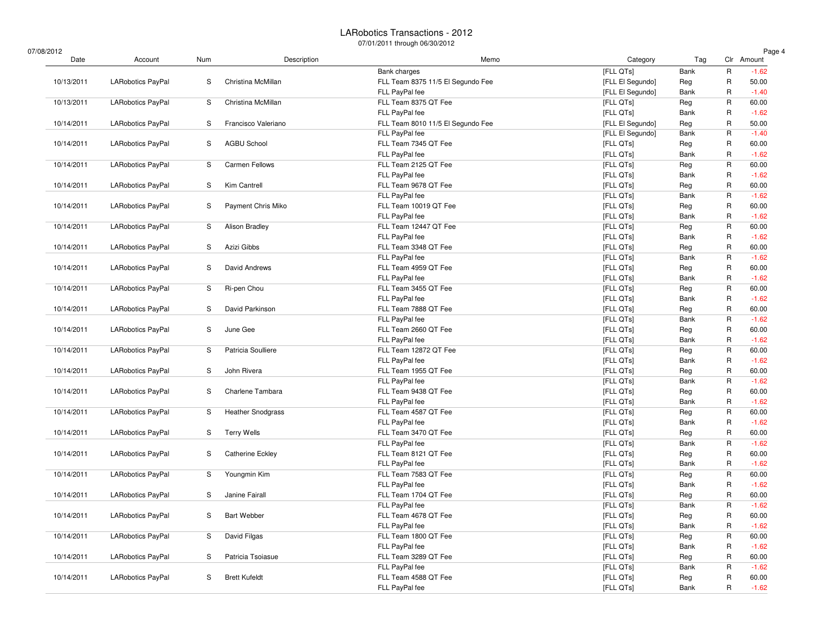07/08/2012

| /08/2012   |                          |     |                          |                                   |                  |      |              | Page 4           |
|------------|--------------------------|-----|--------------------------|-----------------------------------|------------------|------|--------------|------------------|
| Date       | Account                  | Num | Description              | Memo                              | Category         | Tag  |              | Clr Amount       |
|            |                          |     |                          | Bank charges                      | [FLL QTs]        | Bank | $\mathsf{R}$ | $-1.62$          |
| 10/13/2011 | LARobotics PayPal        | S   | Christina McMillan       | FLL Team 8375 11/5 El Segundo Fee | [FLL El Segundo] | Reg  | R            | 50.00            |
|            |                          |     |                          | FLL PayPal fee                    | [FLL El Segundo] | Bank | R            | $-1.40$          |
| 10/13/2011 | LARobotics PayPal        | S   | Christina McMillan       | FLL Team 8375 QT Fee              | [FLL QTs]        | Reg  | $\mathsf{R}$ | 60.00            |
|            |                          |     |                          | FLL PayPal fee                    | [FLL QTs]        | Bank | R            | $-1.62$          |
| 10/14/2011 | LARobotics PayPal        | S   | Francisco Valeriano      | FLL Team 8010 11/5 El Segundo Fee | [FLL El Segundo] | Reg  | R            | 50.00            |
|            |                          |     |                          | FLL PayPal fee                    | [FLL El Segundo] | Bank | $\mathsf{R}$ | $-1.40$          |
| 10/14/2011 | <b>LARobotics PayPal</b> | S   | <b>AGBU School</b>       | FLL Team 7345 QT Fee              | [FLL QTs]        | Reg  | R            | 60.00            |
|            |                          |     |                          | FLL PayPal fee                    | [FLL QTs]        | Bank | R            | $-1.62$          |
| 10/14/2011 | LARobotics PayPal        | S   | <b>Carmen Fellows</b>    | FLL Team 2125 QT Fee              | [FLL QTs]        | Reg  | $\mathsf{R}$ | 60.00            |
|            |                          |     |                          | FLL PayPal fee                    | [FLL QTs]        | Bank | R            | $-1.62$          |
| 10/14/2011 | LARobotics PayPal        | S   | Kim Cantrell             | FLL Team 9678 QT Fee              | [FLL QTs]        | Reg  | R            | 60.00            |
|            |                          |     |                          | FLL PayPal fee                    | [FLL QTs]        | Bank | $\mathsf{R}$ | $-1.62$          |
| 10/14/2011 | <b>LARobotics PayPal</b> | S   | Payment Chris Miko       | FLL Team 10019 QT Fee             | [FLL QTs]        | Reg  | R            | 60.00            |
|            |                          |     |                          | FLL PayPal fee                    | [FLL QTs]        | Bank | R            | $-1.62$          |
| 10/14/2011 | LARobotics PayPal        | S   | Alison Bradley           | FLL Team 12447 QT Fee             | [FLL QTs]        | Reg  | $\mathsf{R}$ | 60.00            |
|            |                          |     |                          | FLL PayPal fee                    | [FLL QTs]        | Bank | R            | $-1.62$          |
| 10/14/2011 | LARobotics PayPal        | S   | Azizi Gibbs              | FLL Team 3348 QT Fee              | [FLL QTs]        | Reg  | R            | 60.00            |
|            |                          |     |                          | FLL PayPal fee                    | [FLL QTs]        | Bank | $\mathsf R$  | $-1.62$          |
| 10/14/2011 | LARobotics PayPal        | S   | David Andrews            | FLL Team 4959 QT Fee              | [FLL QTs]        | Reg  | R            | 60.00            |
|            |                          |     |                          | FLL PayPal fee                    | [FLL QTs]        | Bank | R            | $-1.62$          |
| 10/14/2011 | <b>LARobotics PayPal</b> | S   | Ri-pen Chou              | FLL Team 3455 QT Fee              | [FLL QTs]        | Reg  | R            | 60.00            |
|            |                          |     |                          | FLL PayPal fee                    | [FLL QTs]        | Bank | R            | $-1.62$          |
| 10/14/2011 | LARobotics PayPal        | S   | David Parkinson          | FLL Team 7888 QT Fee              | [FLL QTs]        | Reg  | R            | 60.00            |
|            |                          |     |                          | FLL PayPal fee                    | [FLL QTs]        | Bank | R            | $-1.62$          |
| 10/14/2011 | LARobotics PayPal        | S   | June Gee                 | FLL Team 2660 QT Fee              | [FLL QTs]        | Reg  | R            | 60.00            |
|            |                          |     |                          | FLL PayPal fee                    | [FLL QTs]        | Bank | R            | $-1.62$          |
| 10/14/2011 | <b>LARobotics PayPal</b> | S   | Patricia Soulliere       | FLL Team 12872 QT Fee             | [FLL QTs]        | Reg  | R            | 60.00            |
|            |                          |     |                          | FLL PayPal fee                    | [FLL QTs]        | Bank | R            | $-1.62$          |
| 10/14/2011 | LARobotics PayPal        | S   | John Rivera              | FLL Team 1955 QT Fee              | [FLL QTs]        | Reg  | R            | 60.00            |
|            |                          |     |                          | FLL PayPal fee                    | [FLL QTs]        | Bank | R            | $-1.62$          |
| 10/14/2011 | LARobotics PayPal        | S   | Charlene Tambara         | FLL Team 9438 QT Fee              | [FLL QTs]        | Reg  | $\mathsf R$  | 60.00            |
|            |                          |     |                          | FLL PayPal fee                    | [FLL QTs]        | Bank | R            | $-1.62$          |
| 10/14/2011 | LARobotics PayPal        | S   | <b>Heather Snodgrass</b> | FLL Team 4587 QT Fee              | [FLL QTs]        | Reg  | R            | 60.00            |
|            |                          |     |                          | FLL PayPal fee                    | [FLL QTs]        | Bank | $\mathsf R$  | $-1.62$          |
| 10/14/2011 | LARobotics PayPal        | S   | <b>Terry Wells</b>       | FLL Team 3470 QT Fee              | [FLL QTs]        | Reg  | R            | 60.00            |
|            |                          |     |                          | FLL PayPal fee                    | [FLL QTs]        | Bank | R            | $-1.62$          |
| 10/14/2011 | LARobotics PayPal        | S   | <b>Catherine Eckley</b>  | FLL Team 8121 QT Fee              | [FLL QTs]        | Reg  | R            | 60.00            |
|            |                          |     |                          | FLL PayPal fee                    | [FLL QTs]        | Bank | R            | $-1.62$          |
| 10/14/2011 | LARobotics PayPal        | S   | Youngmin Kim             | FLL Team 7583 QT Fee              | [FLL QTs]        | Reg  | R            | 60.00            |
|            |                          |     |                          | FLL PayPal fee                    | [FLL QTs]        | Bank | $\mathsf R$  | $-1.62$          |
|            | <b>LARobotics PayPal</b> |     | Janine Fairall           | FLL Team 1704 QT Fee              |                  |      | R            |                  |
| 10/14/2011 |                          | S   |                          |                                   | [FLL QTs]        | Reg  | $\mathsf R$  | 60.00<br>$-1.62$ |
|            |                          |     |                          | FLL PayPal fee                    | [FLL QTs]        | Bank |              |                  |
| 10/14/2011 | LARobotics PayPal        | S   | <b>Bart Webber</b>       | FLL Team 4678 QT Fee              | [FLL QTs]        | Reg  | R            | 60.00            |
|            |                          |     |                          | FLL PayPal fee                    | [FLL QTs]        | Bank | R            | $-1.62$          |
| 10/14/2011 | LARobotics PayPal        | S   | David Filgas             | FLL Team 1800 QT Fee              | [FLL QTs]        | Reg  | $\mathsf R$  | 60.00            |
|            |                          |     |                          | FLL PayPal fee                    | [FLL QTs]        | Bank | R            | $-1.62$          |
| 10/14/2011 | <b>LARobotics PayPal</b> | S   | Patricia Tsoiasue        | FLL Team 3289 QT Fee              | [FLL QTs]        | Reg  | R            | 60.00            |
|            |                          |     |                          | FLL PayPal fee                    | [FLL QTs]        | Bank | R            | $-1.62$          |
| 10/14/2011 | LARobotics PayPal        | S   | <b>Brett Kufeldt</b>     | FLL Team 4588 QT Fee              | [FLL QTs]        | Reg  | R            | 60.00            |
|            |                          |     |                          | FLL PayPal fee                    | [FLL QTs]        | Bank | R            | $-1.62$          |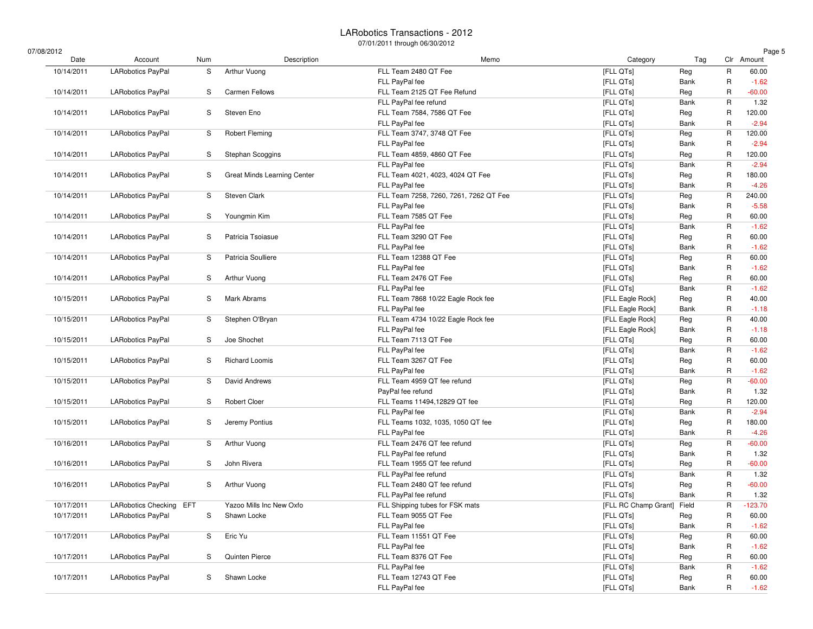07

| 7/08/2012  |                          |     |                             |                                        |                            |      |             | Page 5     |
|------------|--------------------------|-----|-----------------------------|----------------------------------------|----------------------------|------|-------------|------------|
| Date       | Account                  | Num | Description                 | Memo                                   | Category                   | Tag  |             | Clr Amount |
| 10/14/2011 | LARobotics PayPal        | S   | Arthur Vuong                | FLL Team 2480 QT Fee                   | [FLL QTs]                  | Reg  | R           | 60.00      |
|            |                          |     |                             | FLL PayPal fee                         | [FLL QTs]                  | Bank | R           | $-1.62$    |
| 10/14/2011 | LARobotics PayPal        | S   | <b>Carmen Fellows</b>       | FLL Team 2125 QT Fee Refund            | [FLL QTs]                  | Reg  | R           | $-60.00$   |
|            |                          |     |                             | FLL PayPal fee refund                  | [FLL QTs]                  | Bank | R           | 1.32       |
| 10/14/2011 | <b>LARobotics PayPal</b> | S   | Steven Eno                  | FLL Team 7584, 7586 QT Fee             | [FLL QTs]                  | Reg  | R           | 120.00     |
|            |                          |     |                             | FLL PayPal fee                         | [FLL QTs]                  | Bank | R           | $-2.94$    |
| 10/14/2011 | LARobotics PayPal        | S   | <b>Robert Fleming</b>       | FLL Team 3747, 3748 QT Fee             | [FLL QTs]                  | Reg  | R           | 120.00     |
|            |                          |     |                             | FLL PayPal fee                         | [FLL QTs]                  | Bank | R           | $-2.94$    |
| 10/14/2011 | <b>LARobotics PayPal</b> | S   | Stephan Scoggins            | FLL Team 4859, 4860 QT Fee             | [FLL QTs]                  | Reg  | R           | 120.00     |
|            |                          |     |                             | FLL PayPal fee                         | [FLL QTs]                  | Bank | R           | $-2.94$    |
| 10/14/2011 | <b>LARobotics PayPal</b> | S   | Great Minds Learning Center | FLL Team 4021, 4023, 4024 QT Fee       | [FLL QTs]                  | Reg  | R           | 180.00     |
|            |                          |     |                             | FLL PayPal fee                         | [FLL QTs]                  | Bank | R           | $-4.26$    |
| 10/14/2011 | LARobotics PayPal        | S   | Steven Clark                | FLL Team 7258, 7260, 7261, 7262 QT Fee | [FLL QTs]                  | Reg  | R           | 240.00     |
|            |                          |     |                             | FLL PayPal fee                         | [FLL QTs]                  | Bank | R           | $-5.58$    |
| 10/14/2011 | <b>LARobotics PayPal</b> | S   | Youngmin Kim                | FLL Team 7585 QT Fee                   | [FLL QTs]                  | Reg  | R           | 60.00      |
|            |                          |     |                             | FLL PayPal fee                         | [FLL QTs]                  | Bank | R           | $-1.62$    |
| 10/14/2011 | LARobotics PayPal        | S   | Patricia Tsoiasue           | FLL Team 3290 QT Fee                   | [FLL QTs]                  | Reg  | R           | 60.00      |
|            |                          |     |                             | FLL PayPal fee                         | [FLL QTs]                  | Bank | R           | $-1.62$    |
| 10/14/2011 | <b>LARobotics PayPal</b> | S   | Patricia Soulliere          | FLL Team 12388 QT Fee                  | [FLL QTs]                  | Reg  | R           | 60.00      |
|            |                          |     |                             | FLL PayPal fee                         | [FLL QTs]                  | Bank | R           | $-1.62$    |
| 10/14/2011 | <b>LARobotics PayPal</b> | S   | Arthur Vuong                | FLL Team 2476 QT Fee                   | [FLL QTs]                  | Reg  | R           | 60.00      |
|            |                          |     |                             | FLL PayPal fee                         | [FLL QTs]                  | Bank | R           | $-1.62$    |
| 10/15/2011 | LARobotics PayPal        | S   | Mark Abrams                 | FLL Team 7868 10/22 Eagle Rock fee     | [FLL Eagle Rock]           | Reg  | R           | 40.00      |
|            |                          |     |                             | FLL PayPal fee                         | [FLL Eagle Rock]           | Bank | R           | $-1.18$    |
| 10/15/2011 | <b>LARobotics PayPal</b> | S   | Stephen O'Bryan             | FLL Team 4734 10/22 Eagle Rock fee     | [FLL Eagle Rock]           | Reg  | R           | 40.00      |
|            |                          |     |                             | FLL PayPal fee                         | [FLL Eagle Rock]           | Bank | R           | $-1.18$    |
| 10/15/2011 | LARobotics PayPal        | S   | Joe Shochet                 | FLL Team 7113 QT Fee                   | [FLL QTs]                  | Reg  | R           | 60.00      |
|            |                          |     |                             | FLL PayPal fee                         | [FLL QTs]                  | Bank | R           | $-1.62$    |
| 10/15/2011 | LARobotics PayPal        | S   | <b>Richard Loomis</b>       | FLL Team 3267 QT Fee                   | [FLL QTs]                  | Reg  | R           | 60.00      |
|            |                          |     |                             | FLL PayPal fee                         | [FLL QTs]                  | Bank | R           | $-1.62$    |
| 10/15/2011 | LARobotics PayPal        | S   | David Andrews               | FLL Team 4959 QT fee refund            | [FLL QTs]                  | Reg  | R           | $-60.00$   |
|            |                          |     |                             | PayPal fee refund                      | [FLL QTs]                  | Bank | R           | 1.32       |
| 10/15/2011 | LARobotics PayPal        | S   | <b>Robert Cloer</b>         | FLL Teams 11494,12829 QT fee           | [FLL QTs]                  | Reg  | R           | 120.00     |
|            |                          |     |                             | FLL PayPal fee                         | [FLL QTs]                  | Bank | R           | $-2.94$    |
| 10/15/2011 | LARobotics PayPal        | S   | Jeremy Pontius              | FLL Teams 1032, 1035, 1050 QT fee      | [FLL QTs]                  | Reg  | R           | 180.00     |
|            |                          |     |                             | FLL PayPal fee                         | [FLL QTs]                  | Bank | R           | $-4.26$    |
| 10/16/2011 | LARobotics PayPal        | S   | Arthur Vuong                | FLL Team 2476 QT fee refund            | [FLL QTs]                  | Reg  | R           | $-60.00$   |
|            |                          |     |                             | FLL PayPal fee refund                  | [FLL QTs]                  | Bank | R           | 1.32       |
| 10/16/2011 | LARobotics PayPal        | S   | John Rivera                 | FLL Team 1955 QT fee refund            | [FLL QTs]                  | Reg  | R           | $-60.00$   |
|            |                          |     |                             | FLL PayPal fee refund                  | [FLL QTs]                  | Bank | R           | 1.32       |
| 10/16/2011 | LARobotics PayPal        | S   | Arthur Vuong                | FLL Team 2480 QT fee refund            | [FLL QTs]                  | Reg  | R           | $-60.00$   |
|            |                          |     |                             | FLL PayPal fee refund                  | [FLL QTs]                  | Bank | R           | 1.32       |
| 10/17/2011 | LARobotics Checking EFT  |     | Yazoo Mills Inc New Oxfo    | FLL Shipping tubes for FSK mats        | [FLL RC Champ Grant] Field |      | R           | $-123.70$  |
| 10/17/2011 | LARobotics PayPal        | S   | Shawn Locke                 | FLL Team 9055 QT Fee                   | [FLL QTs]                  | Reg  | R           | 60.00      |
|            |                          |     |                             | FLL PayPal fee                         | [FLL QTs]                  | Bank | R           | $-1.62$    |
| 10/17/2011 | LARobotics PayPal        | S   | Eric Yu                     | FLL Team 11551 QT Fee                  | [FLL QTs]                  | Reg  | $\mathsf R$ | 60.00      |
|            |                          |     |                             | FLL PayPal fee                         | [FLL QTs]                  | Bank | R           | $-1.62$    |
| 10/17/2011 | LARobotics PayPal        | S   | Quinten Pierce              | FLL Team 8376 QT Fee                   | [FLL QTs]                  | Reg  | R           | 60.00      |
|            |                          |     |                             | FLL PayPal fee                         | [FLL QTs]                  | Bank | R           | $-1.62$    |
| 10/17/2011 | <b>LARobotics PayPal</b> | S   | Shawn Locke                 | FLL Team 12743 QT Fee                  | [FLL QTs]                  | Reg  | R           | 60.00      |
|            |                          |     |                             | FLL PayPal fee                         | [FLL QTs]                  | Bank | R           | $-1.62$    |
|            |                          |     |                             |                                        |                            |      |             |            |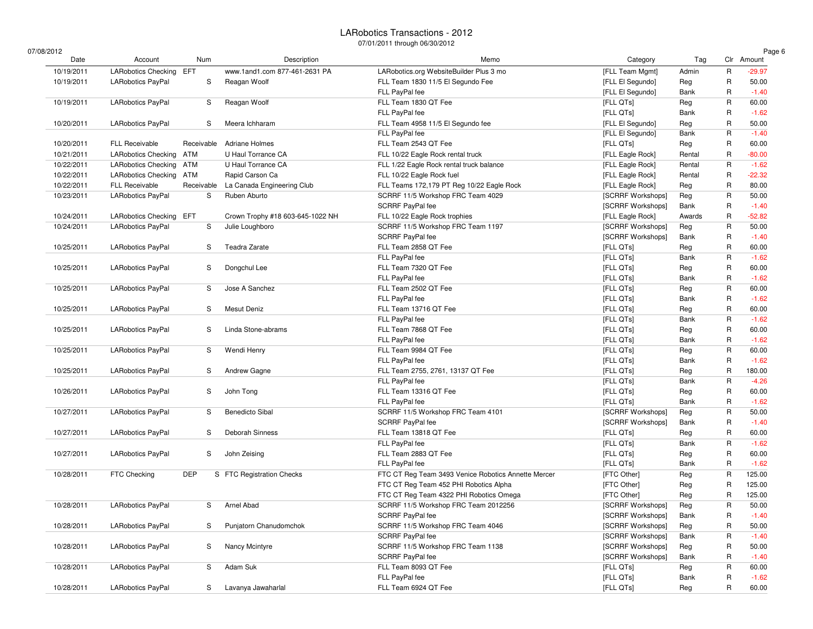$07/0$ 

| 08/2012    |                            |            |                                  |                                                     |                   |             |              | Page 6     |
|------------|----------------------------|------------|----------------------------------|-----------------------------------------------------|-------------------|-------------|--------------|------------|
| Date       | Account                    | Num        | Description                      | Memo                                                | Category          | Tag         |              | Clr Amount |
| 10/19/2011 | LARobotics Checking EFT    |            | www.1and1.com 877-461-2631 PA    | LARobotics.org WebsiteBuilder Plus 3 mo             | [FLL Team Mgmt]   | Admin       | $\mathsf{R}$ | $-29.97$   |
| 10/19/2011 | LARobotics PayPal          | S          | Reagan Woolf                     | FLL Team 1830 11/5 El Segundo Fee                   | [FLL El Segundo]  | Reg         | R            | 50.00      |
|            |                            |            |                                  | FLL PayPal fee                                      | [FLL El Segundo]  | Bank        | R            | $-1.40$    |
| 10/19/2011 | <b>LARobotics PayPal</b>   | S          | Reagan Woolf                     | FLL Team 1830 QT Fee                                | [FLL QTs]         | Reg         | $\mathsf{R}$ | 60.00      |
|            |                            |            |                                  | FLL PayPal fee                                      | [FLL QTs]         | Bank        | $\mathsf{R}$ | $-1.62$    |
| 10/20/2011 | <b>LARobotics PayPal</b>   | S          | Meera Ichharam                   | FLL Team 4958 11/5 El Segundo fee                   | [FLL El Segundo]  | Reg         | R            | 50.00      |
|            |                            |            |                                  | FLL PayPal fee                                      | [FLL El Segundo]  | Bank        | $\mathsf{R}$ | $-1.40$    |
| 10/20/2011 | <b>FLL Receivable</b>      | Receivable | <b>Adriane Holmes</b>            | FLL Team 2543 QT Fee                                | [FLL QTs]         | Reg         | R            | 60.00      |
| 10/21/2011 | LARobotics Checking ATM    |            | U Haul Torrance CA               | FLL 10/22 Eagle Rock rental truck                   | [FLL Eagle Rock]  | Rental      | R            | $-80.00$   |
| 10/22/2011 | <b>LARobotics Checking</b> | ATM        | U Haul Torrance CA               | FLL 1/22 Eagle Rock rental truck balance            | [FLL Eagle Rock]  | Rental      | $\mathsf{R}$ | $-1.62$    |
| 10/22/2011 | <b>LARobotics Checking</b> | ATM        | Rapid Carson Ca                  | FLL 10/22 Eagle Rock fuel                           | [FLL Eagle Rock]  | Rental      | R            | $-22.32$   |
| 10/22/2011 | FLL Receivable             | Receivable | La Canada Engineering Club       | FLL Teams 172,179 PT Reg 10/22 Eagle Rock           | [FLL Eagle Rock]  | Reg         | R            | 80.00      |
| 10/23/2011 | LARobotics PayPal          | S          | Ruben Aburto                     | SCRRF 11/5 Workshop FRC Team 4029                   | [SCRRF Workshops] | Reg         | $\mathsf{R}$ | 50.00      |
|            |                            |            |                                  | SCRRF PayPal fee                                    | [SCRRF Workshops] | Bank        | R            | $-1.40$    |
| 10/24/2011 | LARobotics Checking EFT    |            | Crown Trophy #18 603-645-1022 NH | FLL 10/22 Eagle Rock trophies                       | [FLL Eagle Rock]  | Awards      | R            | $-52.82$   |
| 10/24/2011 | <b>LARobotics PayPal</b>   | S          | Julie Loughboro                  | SCRRF 11/5 Workshop FRC Team 1197                   | [SCRRF Workshops] | Reg         | R            | 50.00      |
|            |                            |            |                                  | SCRRF PayPal fee                                    | [SCRRF Workshops] | Bank        | R            | $-1.40$    |
| 10/25/2011 | LARobotics PayPal          | S          | Teadra Zarate                    | FLL Team 2858 QT Fee                                | [FLL QTs]         | Reg         | R            | 60.00      |
|            |                            |            |                                  | FLL PayPal fee                                      | [FLL QTs]         | Bank        | $\mathsf{R}$ | $-1.62$    |
| 10/25/2011 | LARobotics PayPal          | S          | Dongchul Lee                     | FLL Team 7320 QT Fee                                | [FLL QTs]         | Reg         | R            | 60.00      |
|            |                            |            |                                  | FLL PayPal fee                                      | [FLL QTs]         | Bank        | R            | $-1.62$    |
| 10/25/2011 | LARobotics PayPal          | S          | Jose A Sanchez                   | FLL Team 2502 QT Fee                                | [FLL QTs]         | Reg         | R            | 60.00      |
|            |                            |            |                                  | FLL PayPal fee                                      | [FLL QTs]         | Bank        | $\mathsf{R}$ | $-1.62$    |
| 10/25/2011 | <b>LARobotics PayPal</b>   | S          | <b>Mesut Deniz</b>               | FLL Team 13716 QT Fee                               | [FLL QTs]         | Reg         | R            | 60.00      |
|            |                            |            |                                  | FLL PayPal fee                                      | [FLL QTs]         | Bank        | R            | $-1.62$    |
| 10/25/2011 | <b>LARobotics PayPal</b>   | S          | Linda Stone-abrams               | FLL Team 7868 QT Fee                                | [FLL QTs]         | Reg         | R            | 60.00      |
|            |                            |            |                                  | FLL PayPal fee                                      | [FLL QTs]         | Bank        | R            | $-1.62$    |
| 10/25/2011 | LARobotics PayPal          | S          | Wendi Henry                      | FLL Team 9984 QT Fee                                | [FLL QTs]         | Reg         | R            | 60.00      |
|            |                            |            |                                  | FLL PayPal fee                                      | [FLL QTs]         | Bank        | $\mathsf{R}$ | $-1.62$    |
| 10/25/2011 | LARobotics PayPal          | S          | Andrew Gagne                     | FLL Team 2755, 2761, 13137 QT Fee                   | [FLL QTs]         | Reg         | R            | 180.00     |
|            |                            |            |                                  | FLL PayPal fee                                      | [FLL QTs]         | Bank        | R            | $-4.26$    |
| 10/26/2011 | <b>LARobotics PayPal</b>   | S          | John Tong                        | FLL Team 13316 QT Fee                               | [FLL QTs]         | Reg         | R            | 60.00      |
|            |                            |            |                                  | FLL PayPal fee                                      | [FLL QTs]         | Bank        | R            | $-1.62$    |
| 10/27/2011 | <b>LARobotics PayPal</b>   | S          | <b>Benedicto Sibal</b>           | SCRRF 11/5 Workshop FRC Team 4101                   | [SCRRF Workshops] | Reg         | R            | 50.00      |
|            |                            |            |                                  | SCRRF PayPal fee                                    | [SCRRF Workshops] | Bank        | $\mathsf{R}$ | $-1.40$    |
| 10/27/2011 | <b>LARobotics PayPal</b>   | S          | Deborah Sinness                  | FLL Team 13818 QT Fee                               | [FLL QTs]         | Reg         | R            | 60.00      |
|            |                            |            |                                  | FLL PayPal fee                                      | [FLL QTs]         | Bank        | R            | $-1.62$    |
| 10/27/2011 | <b>LARobotics PayPal</b>   | S          | John Zeising                     | FLL Team 2883 QT Fee                                | [FLL QTs]         | Reg         | $\mathsf R$  | 60.00      |
|            |                            |            |                                  | FLL PayPal fee                                      | [FLL QTs]         | Bank        | R            | $-1.62$    |
| 10/28/2011 | FTC Checking               | DEP        | S FTC Registration Checks        | FTC CT Reg Team 3493 Venice Robotics Annette Mercer | [FTC Other]       | Reg         | R            | 125.00     |
|            |                            |            |                                  | FTC CT Reg Team 452 PHI Robotics Alpha              | [FTC Other]       | Reg         | R            | 125.00     |
|            |                            |            |                                  | FTC CT Reg Team 4322 PHI Robotics Omega             | [FTC Other]       | Reg         | R            | 125.00     |
| 10/28/2011 | LARobotics PayPal          | S          | Arnel Abad                       | SCRRF 11/5 Workshop FRC Team 2012256                | [SCRRF Workshops] | Reg         | $\mathsf R$  | 50.00      |
|            |                            |            |                                  | SCRRF PayPal fee                                    | [SCRRF Workshops] | Bank        | R            | $-1.40$    |
| 10/28/2011 | LARobotics PayPal          | S          | Punjatorn Chanudomchok           | SCRRF 11/5 Workshop FRC Team 4046                   | [SCRRF Workshops] | Reg         | R            | 50.00      |
|            |                            |            |                                  | <b>SCRRF PayPal fee</b>                             | [SCRRF Workshops] | Bank        | R            | $-1.40$    |
| 10/28/2011 | LARobotics PayPal          | S          | Nancy Mcintyre                   | SCRRF 11/5 Workshop FRC Team 1138                   | [SCRRF Workshops] | Reg         | R            | 50.00      |
|            |                            |            |                                  | SCRRF PayPal fee                                    | [SCRRF Workshops] | Bank        | R            | $-1.40$    |
| 10/28/2011 | LARobotics PayPal          | S          | Adam Suk                         | FLL Team 8093 QT Fee                                | [FLL QTs]         |             | R            | 60.00      |
|            |                            |            |                                  | FLL PayPal fee                                      | [FLL QTs]         | Reg<br>Bank | R            | $-1.62$    |
|            |                            | S          |                                  | FLL Team 6924 QT Fee                                | [FLL QTs]         |             | R            |            |
| 10/28/2011 | LARobotics PayPal          |            | Lavanya Jawaharlal               |                                                     |                   | Reg         |              | 60.00      |

R 60.00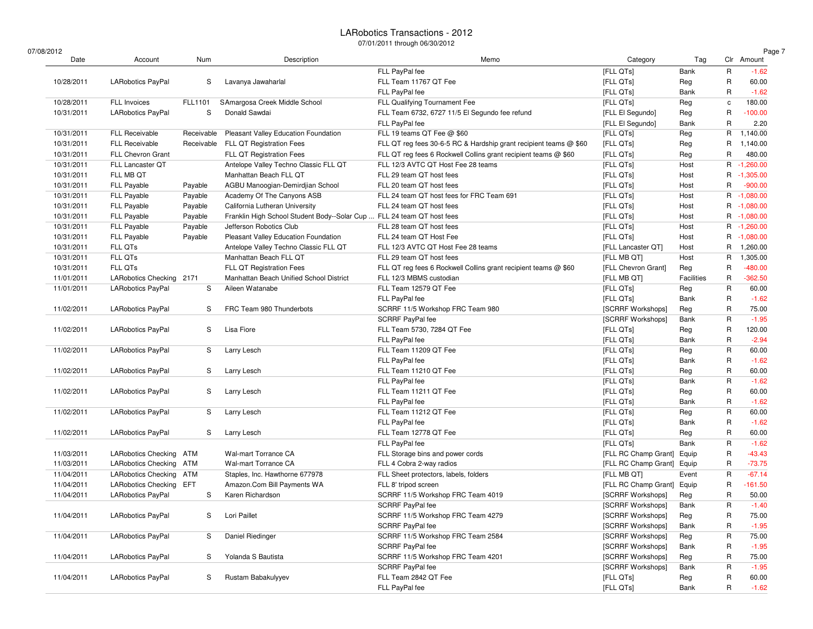07/08/2012

| /08/2012   |                            |            |                                                                        |                                                                   |                            |            |             | Page 7      |
|------------|----------------------------|------------|------------------------------------------------------------------------|-------------------------------------------------------------------|----------------------------|------------|-------------|-------------|
| Date       | Account                    | Num        | Description                                                            | Memo                                                              | Category                   | Tag        |             | Clr Amount  |
|            |                            |            |                                                                        | FLL PayPal fee                                                    | [FLL QTs]                  | Bank       | $\mathsf R$ | $-1.62$     |
| 10/28/2011 | <b>LARobotics PayPal</b>   | S          | Lavanya Jawaharlal                                                     | FLL Team 11767 QT Fee                                             | [FLL QTs]                  | Reg        | R           | 60.00       |
|            |                            |            |                                                                        | FLL PayPal fee                                                    | [FLL QTs]                  | Bank       | R           | $-1.62$     |
| 10/28/2011 | FLL Invoices               | FLL1101    | SAmargosa Creek Middle School                                          | FLL Qualifying Tournament Fee                                     | [FLL QTs]                  | Reg        | c           | 180.00      |
| 10/31/2011 | <b>LARobotics PayPal</b>   | S          | Donald Sawdai                                                          | FLL Team 6732, 6727 11/5 El Segundo fee refund                    | [FLL El Segundo]           | Reg        | R           | $-100.00$   |
|            |                            |            |                                                                        | FLL PayPal fee                                                    | [FLL El Segundo]           | Bank       | R           | 2.20        |
| 10/31/2011 | <b>FLL Receivable</b>      | Receivable | Pleasant Valley Education Foundation                                   | FLL 19 teams QT Fee @ \$60                                        | [FLL QTs]                  | Reg        | R           | 1,140.00    |
| 10/31/2011 | <b>FLL Receivable</b>      | Receivable | FLL QT Registration Fees                                               | FLL QT reg fees 30-6-5 RC & Hardship grant recipient teams @ \$60 | [FLL QTs]                  | Reg        | R           | 1,140.00    |
| 10/31/2011 | FLL Chevron Grant          |            | FLL QT Registration Fees                                               | FLL QT reg fees 6 Rockwell Collins grant recipient teams @ \$60   | [FLL QTs]                  | Reg        | R           | 480.00      |
| 10/31/2011 | FLL Lancaster QT           |            | Antelope Valley Techno Classic FLL QT                                  | FLL 12/3 AVTC QT Host Fee 28 teams                                | [FLL QTs]                  | Host       |             | R -1,260.00 |
| 10/31/2011 | FLL MB QT                  |            | Manhattan Beach FLL QT                                                 | FLL 29 team QT host fees                                          | [FLL QTs]                  | Host       |             | R -1,305.00 |
| 10/31/2011 | <b>FLL Payable</b>         | Payable    | AGBU Manoogian-Demirdjian School                                       | FLL 20 team QT host fees                                          | [FLL QTs]                  | Host       | R           | $-900.00$   |
| 10/31/2011 | FLL Payable                | Payable    | Academy Of The Canyons ASB                                             | FLL 24 team QT host fees for FRC Team 691                         | [FLL QTs]                  | Host       |             | R -1.080.00 |
| 10/31/2011 | <b>FLL Payable</b>         | Payable    | California Lutheran University                                         | FLL 24 team QT host fees                                          | [FLL QTs]                  | Host       |             | R -1,080.00 |
| 10/31/2011 | <b>FLL Payable</b>         | Payable    | Franklin High School Student Body--Solar Cup  FLL 24 team QT host fees |                                                                   | [FLL QTs]                  | Host       |             | R -1,080.00 |
| 10/31/2011 | <b>FLL Payable</b>         | Payable    | Jefferson Robotics Club                                                | FLL 28 team QT host fees                                          | [FLL QTs]                  | Host       |             | R -1,260.00 |
| 10/31/2011 | <b>FLL Payable</b>         | Payable    | Pleasant Valley Education Foundation                                   | FLL 24 team QT Host Fee                                           | [FLL QTs]                  | Host       |             | R -1,080.00 |
| 10/31/2011 | FLL QTs                    |            | Antelope Valley Techno Classic FLL QT                                  | FLL 12/3 AVTC QT Host Fee 28 teams                                | [FLL Lancaster QT]         | Host       | R           | 1,260.00    |
| 10/31/2011 | FLL QTs                    |            | Manhattan Beach FLL QT                                                 | FLL 29 team QT host fees                                          | [FLL MB QT]                | Host       | R           | 1,305.00    |
| 10/31/2011 | FLL QTs                    |            | FLL QT Registration Fees                                               | FLL QT reg fees 6 Rockwell Collins grant recipient teams @ \$60   | [FLL Chevron Grant]        | Reg        | R           | $-480.00$   |
| 11/01/2011 | LARobotics Checking 2171   |            | Manhattan Beach Unified School District                                | FLL 12/3 MBMS custodian                                           | [FLL MB QT]                | Facilities | R           | $-362.50$   |
| 11/01/2011 | <b>LARobotics PayPal</b>   | S          | Aileen Watanabe                                                        | FLL Team 12579 QT Fee                                             | [FLL QTs]                  | Reg        | R           | 60.00       |
|            |                            |            |                                                                        | FLL PayPal fee                                                    | [FLL QTs]                  | Bank       | R           | $-1.62$     |
| 11/02/2011 | LARobotics PayPal          | S          | FRC Team 980 Thunderbots                                               | SCRRF 11/5 Workshop FRC Team 980                                  | [SCRRF Workshops]          | Reg        | R           | 75.00       |
|            |                            |            |                                                                        | <b>SCRRF PayPal fee</b>                                           | [SCRRF Workshops]          | Bank       | R           | $-1.95$     |
| 11/02/2011 | <b>LARobotics PayPal</b>   | S          | Lisa Fiore                                                             | FLL Team 5730, 7284 QT Fee                                        | [FLL QTs]                  | Reg        | R           | 120.00      |
|            |                            |            |                                                                        | FLL PayPal fee                                                    | [FLL QTs]                  | Bank       | R           | $-2.94$     |
| 11/02/2011 | <b>LARobotics PayPal</b>   | S          | Larry Lesch                                                            | FLL Team 11209 QT Fee                                             | [FLL QTs]                  | Reg        | R           | 60.00       |
|            |                            |            |                                                                        | FLL PayPal fee                                                    | [FLL QTs]                  | Bank       | R           | $-1.62$     |
| 11/02/2011 | <b>LARobotics PayPal</b>   | S          | Larry Lesch                                                            | FLL Team 11210 QT Fee                                             | [FLL QTs]                  | Reg        | R           | 60.00       |
|            |                            |            |                                                                        | FLL PayPal fee                                                    | [FLL QTs]                  | Bank       | R           | $-1.62$     |
| 11/02/2011 | <b>LARobotics PayPal</b>   | S          | Larry Lesch                                                            | FLL Team 11211 QT Fee                                             | [FLL QTs]                  | Reg        | R           | 60.00       |
|            |                            |            |                                                                        | FLL PayPal fee                                                    | [FLL QTs]                  | Bank       | R           | $-1.62$     |
| 11/02/2011 | <b>LARobotics PayPal</b>   | S          | Larry Lesch                                                            | FLL Team 11212 QT Fee                                             | [FLL QTs]                  | Reg        | R           | 60.00       |
|            |                            |            |                                                                        | FLL PayPal fee                                                    | [FLL QTs]                  | Bank       | $\mathsf R$ | $-1.62$     |
| 11/02/2011 | <b>LARobotics PayPal</b>   | S          | Larry Lesch                                                            | FLL Team 12778 QT Fee                                             | [FLL QTs]                  | Reg        | R           | 60.00       |
|            |                            |            |                                                                        | FLL PayPal fee                                                    | [FLL QTs]                  | Bank       | R           | $-1.62$     |
| 11/03/2011 | <b>LARobotics Checking</b> | ATM        | Wal-mart Torrance CA                                                   | FLL Storage bins and power cords                                  | [FLL RC Champ Grant]       | Equip      | R           | $-43.43$    |
| 11/03/2011 | LARobotics Checking ATM    |            | Wal-mart Torrance CA                                                   | FLL 4 Cobra 2-way radios                                          | [FLL RC Champ Grant] Equip |            | R           | $-73.75$    |
| 11/04/2011 | LARobotics Checking ATM    |            | Staples, Inc. Hawthorne 677978                                         | FLL Sheet protectors, labels, folders                             | [FLL MB QT]                | Event      | R           | $-67.14$    |
| 11/04/2011 | LARobotics Checking EFT    |            | Amazon.Com Bill Payments WA                                            | FLL 8' tripod screen                                              | [FLL RC Champ Grant] Equip |            | R           | $-161.50$   |
| 11/04/2011 | <b>LARobotics PayPal</b>   | S          | Karen Richardson                                                       | SCRRF 11/5 Workshop FRC Team 4019                                 | [SCRRF Workshops]          | Reg        | R           | 50.00       |
|            |                            |            |                                                                        | <b>SCRRF PayPal fee</b>                                           | [SCRRF Workshops]          | Bank       | $\mathsf R$ | $-1.40$     |
| 11/04/2011 |                            | S          | Lori Paillet                                                           |                                                                   | [SCRRF Workshops]          |            | R           | 75.00       |
|            | LARobotics PayPal          |            |                                                                        | SCRRF 11/5 Workshop FRC Team 4279<br><b>SCRRF PayPal fee</b>      | [SCRRF Workshops]          | Reg        | R           | $-1.95$     |
|            |                            |            |                                                                        |                                                                   |                            | Bank       |             |             |
| 11/04/2011 | LARobotics PayPal          | S          | Daniel Riedinger                                                       | SCRRF 11/5 Workshop FRC Team 2584                                 | [SCRRF Workshops]          | Reg        | R<br>R      | 75.00       |
|            |                            |            |                                                                        | SCRRF PayPal fee                                                  | [SCRRF Workshops]          | Bank       |             | $-1.95$     |
| 11/04/2011 | <b>LARobotics PayPal</b>   | S          | Yolanda S Bautista                                                     | SCRRF 11/5 Workshop FRC Team 4201                                 | [SCRRF Workshops]          | Reg        | R           | 75.00       |
|            |                            |            |                                                                        | SCRRF PayPal fee                                                  | [SCRRF Workshops]          | Bank       | R           | $-1.95$     |
| 11/04/2011 | <b>LARobotics PayPal</b>   | S          | Rustam Babakulyyev                                                     | FLL Team 2842 QT Fee                                              | [FLL QTs]                  | Reg        | R           | 60.00       |
|            |                            |            |                                                                        | FLL PayPal fee                                                    | [FLL QTs]                  | Bank       | R           | $-1.62$     |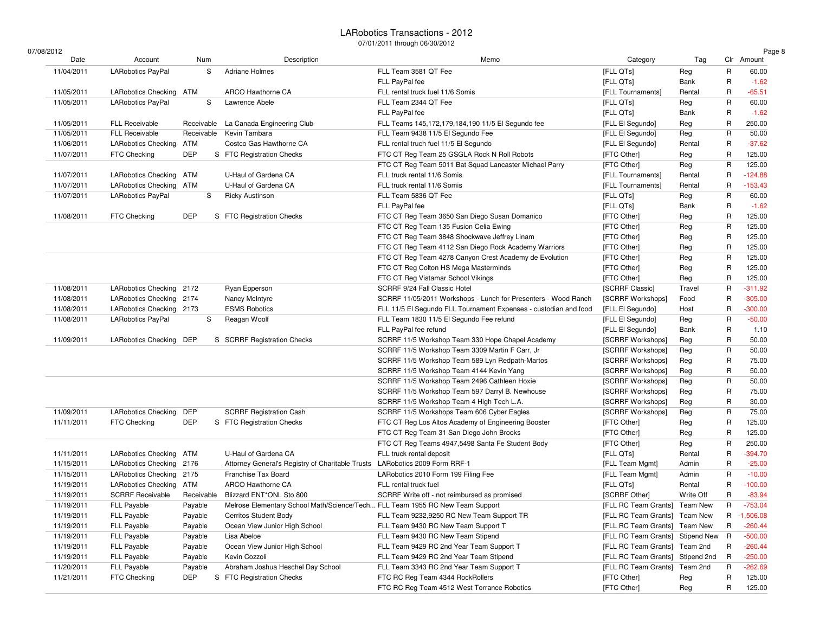$07/$ 

| /08/2012   |                            |            |                                                                               |                                                                  |                                  |           |              | Page 8      |
|------------|----------------------------|------------|-------------------------------------------------------------------------------|------------------------------------------------------------------|----------------------------------|-----------|--------------|-------------|
| Date       | Account                    | Num        | Description                                                                   | Memo                                                             | Category                         | Tag       |              | Clr Amount  |
| 11/04/2011 | LARobotics PayPal          | S          | <b>Adriane Holmes</b>                                                         | FLL Team 3581 QT Fee                                             | [FLL QTs]                        | Reg       | $\mathsf R$  | 60.00       |
|            |                            |            |                                                                               | FLL PayPal fee                                                   | [FLL QTs]                        | Bank      | R            | $-1.62$     |
| 11/05/2011 | LARobotics Checking ATM    |            | ARCO Hawthorne CA                                                             | FLL rental truck fuel 11/6 Somis                                 | [FLL Tournaments]                | Rental    | R            | $-65.51$    |
| 11/05/2011 | <b>LARobotics PayPal</b>   | S          | Lawrence Abele                                                                | FLL Team 2344 QT Fee                                             | [FLL QTs]                        | Reg       | R            | 60.00       |
|            |                            |            |                                                                               | FLL PayPal fee                                                   | [FLL QTs]                        | Bank      | R            | $-1.62$     |
| 11/05/2011 | <b>FLL Receivable</b>      | Receivable | La Canada Engineering Club                                                    | FLL Teams 145,172,179,184,190 11/5 El Segundo fee                | [FLL El Segundo]                 | Reg       | R            | 250.00      |
| 11/05/2011 | <b>FLL Receivable</b>      | Receivable | Kevin Tambara                                                                 | FLL Team 9438 11/5 El Segundo Fee                                | [FLL El Segundo]                 | Reg       | R            | 50.00       |
| 11/06/2011 | <b>LARobotics Checking</b> | <b>ATM</b> | Costco Gas Hawthorne CA                                                       | FLL rental truch fuel 11/5 El Segundo                            | [FLL El Segundo]                 | Rental    | R            | $-37.62$    |
| 11/07/2011 | FTC Checking               | <b>DEP</b> | S FTC Registration Checks                                                     | FTC CT Reg Team 25 GSGLA Rock N Roll Robots                      | [FTC Other]                      | Reg       | R            | 125.00      |
|            |                            |            |                                                                               | FTC CT Reg Team 5011 Bat Squad Lancaster Michael Parry           | [FTC Other]                      | Reg       | R            | 125.00      |
| 11/07/2011 | <b>LARobotics Checking</b> | ATM        | U-Haul of Gardena CA                                                          | FLL truck rental 11/6 Somis                                      | [FLL Tournaments]                | Rental    | R            | $-124.88$   |
| 11/07/2011 | LARobotics Checking ATM    |            | U-Haul of Gardena CA                                                          | FLL truck rental 11/6 Somis                                      | [FLL Tournaments]                | Rental    | R            | $-153.43$   |
| 11/07/2011 | <b>LARobotics PayPal</b>   | S          | <b>Ricky Austinson</b>                                                        | FLL Team 5836 QT Fee                                             | [FLL QTs]                        | Reg       | R            | 60.00       |
|            |                            |            |                                                                               | FLL PayPal fee                                                   | [FLL QTs]                        | Bank      | R            | $-1.62$     |
| 11/08/2011 | <b>FTC Checking</b>        | <b>DEP</b> | S FTC Registration Checks                                                     | FTC CT Reg Team 3650 San Diego Susan Domanico                    | [FTC Other]                      | Reg       | R            | 125.00      |
|            |                            |            |                                                                               | FTC CT Reg Team 135 Fusion Celia Ewing                           | [FTC Other]                      | Reg       | R            | 125.00      |
|            |                            |            |                                                                               | FTC CT Reg Team 3848 Shockwave Jeffrey Linam                     | [FTC Other]                      | Reg       | R            | 125.00      |
|            |                            |            |                                                                               | FTC CT Reg Team 4112 San Diego Rock Academy Warriors             | [FTC Other]                      | Reg       | R            | 125.00      |
|            |                            |            |                                                                               | FTC CT Reg Team 4278 Canyon Crest Academy de Evolution           | [FTC Other]                      | Reg       | R            | 125.00      |
|            |                            |            |                                                                               | FTC CT Reg Colton HS Mega Masterminds                            | [FTC Other]                      | Reg       | R            | 125.00      |
|            |                            |            |                                                                               | FTC CT Reg Vistamar School Vikings                               | [FTC Other]                      | Reg       | R            | 125.00      |
| 11/08/2011 | <b>LARobotics Checking</b> | 2172       | Ryan Epperson                                                                 | SCRRF 9/24 Fall Classic Hotel                                    | [SCRRF Classic]                  | Travel    | R            | $-311.92$   |
| 11/08/2011 | LARobotics Checking 2174   |            | Nancy McIntyre                                                                | SCRRF 11/05/2011 Workshops - Lunch for Presenters - Wood Ranch   | [SCRRF Workshops]                | Food      | R            | $-305.00$   |
| 11/08/2011 | LARobotics Checking 2173   |            | <b>ESMS Robotics</b>                                                          | FLL 11/5 El Segundo FLL Tournament Expenses - custodian and food | [FLL El Segundo]                 | Host      | R            | $-300.00$   |
| 11/08/2011 | <b>LARobotics PayPal</b>   | S          | Reagan Woolf                                                                  | FLL Team 1830 11/5 El Segundo Fee refund                         | [FLL El Segundo]                 | Reg       | R            | $-50.00$    |
|            |                            |            |                                                                               | FLL PayPal fee refund                                            | [FLL El Segundo]                 | Bank      | R            | 1.10        |
| 11/09/2011 | <b>LARobotics Checking</b> | DEP        | S SCRRF Registration Checks                                                   | SCRRF 11/5 Workshop Team 330 Hope Chapel Academy                 | [SCRRF Workshops]                | Reg       | R            | 50.00       |
|            |                            |            |                                                                               | SCRRF 11/5 Workshop Team 3309 Martin F Carr, Jr                  | [SCRRF Workshops]                | Reg       | R            | 50.00       |
|            |                            |            |                                                                               | SCRRF 11/5 Workshop Team 589 Lyn Redpath-Martos                  | [SCRRF Workshops]                | Reg       | R            | 75.00       |
|            |                            |            |                                                                               | SCRRF 11/5 Workshop Team 4144 Kevin Yang                         | [SCRRF Workshops]                | Reg       | R            | 50.00       |
|            |                            |            |                                                                               | SCRRF 11/5 Workshop Team 2496 Cathleen Hoxie                     | [SCRRF Workshops]                | Reg       | R            | 50.00       |
|            |                            |            |                                                                               | SCRRF 11/5 Workshop Team 597 Darryl B. Newhouse                  | [SCRRF Workshops]                | Reg       | R            | 75.00       |
|            |                            |            |                                                                               | SCRRF 11/5 Workshop Team 4 High Tech L.A.                        | [SCRRF Workshops]                | Reg       | R            | 30.00       |
| 11/09/2011 | <b>LARobotics Checking</b> | <b>DEP</b> | <b>SCRRF Registration Cash</b>                                                | SCRRF 11/5 Workshops Team 606 Cyber Eagles                       | [SCRRF Workshops]                |           | R            | 75.00       |
| 11/11/2011 | FTC Checking               | <b>DEP</b> | S FTC Registration Checks                                                     | FTC CT Reg Los Altos Academy of Engineering Booster              | [FTC Other]                      | Reg       | R            | 125.00      |
|            |                            |            |                                                                               |                                                                  |                                  | Reg       |              |             |
|            |                            |            |                                                                               | FTC CT Reg Team 31 San Diego John Brooks                         | [FTC Other]                      | Reg       | R<br>R       | 125.00      |
|            |                            |            |                                                                               | FTC CT Reg Teams 4947,5498 Santa Fe Student Body                 | [FTC Other]                      | Reg       |              | 250.00      |
| 11/11/2011 | <b>LARobotics Checking</b> | ATM        | U-Haul of Gardena CA                                                          | FLL truck rental deposit                                         | [FLL QTs]                        | Rental    | R            | $-394.70$   |
| 11/15/2011 | LARobotics Checking 2176   |            | Attorney General's Registry of Charitable Trusts LARobotics 2009 Form RRF-1   |                                                                  | [FLL Team Mgmt]                  | Admin     | R            | $-25.00$    |
| 11/15/2011 | LARobotics Checking 2175   |            | Franchise Tax Board                                                           | LARobotics 2010 Form 199 Filing Fee                              | [FLL Team Mgmt]                  | Admin     | R            | $-10.00$    |
| 11/19/2011 | <b>LARobotics Checking</b> | ATM        | ARCO Hawthorne CA                                                             | FLL rental truck fuel                                            | [FLL QTs]                        | Rental    | R            | $-100.00$   |
| 11/19/2011 | <b>SCRRF Receivable</b>    | Receivable | Blizzard ENT*ONL Sto 800                                                      | SCRRF Write off - not reimbursed as promised                     | [SCRRF Other]                    | Write Off | R            | $-83.94$    |
| 11/19/2011 | <b>FLL Payable</b>         | Payable    | Melrose Elementary School Math/Science/Tech FLL Team 1955 RC New Team Support |                                                                  | [FLL RC Team Grants] Team New    |           | R            | $-753.04$   |
| 11/19/2011 | FLL Payable                | Payable    | <b>Cerritos Student Body</b>                                                  | FLL Team 9232,9250 RC New Team Support TR                        | [FLL RC Team Grants] Team New    |           |              | R -1,506.08 |
| 11/19/2011 | FLL Payable                | Payable    | Ocean View Junior High School                                                 | FLL Team 9430 RC New Team Support T                              | [FLL RC Team Grants] Team New    |           | R            | $-260.44$   |
| 11/19/2011 | FLL Payable                | Payable    | Lisa Abeloe                                                                   | FLL Team 9430 RC New Team Stipend                                | [FLL RC Team Grants] Stipend New |           | $\mathsf{R}$ | $-500.00$   |
| 11/19/2011 | FLL Payable                | Payable    | Ocean View Junior High School                                                 | FLL Team 9429 RC 2nd Year Team Support T                         | [FLL RC Team Grants] Team 2nd    |           | R            | $-260.44$   |
| 11/19/2011 | FLL Payable                | Payable    | Kevin Cozzoli                                                                 | FLL Team 9429 RC 2nd Year Team Stipend                           | [FLL RC Team Grants] Stipend 2nd |           | R            | $-250.00$   |
| 11/20/2011 | FLL Payable                | Payable    | Abraham Joshua Heschel Day School                                             | FLL Team 3343 RC 2nd Year Team Support T                         | [FLL RC Team Grants]             | Team 2nd  | R            | $-262.69$   |
| 11/21/2011 | FTC Checking               | DEP        | S FTC Registration Checks                                                     | FTC RC Reg Team 4344 RockRollers                                 | [FTC Other]                      | Reg       | R            | 125.00      |
|            |                            |            |                                                                               | FTC RC Reg Team 4512 West Torrance Robotics                      | [FTC Other]                      | Reg       | R            | 125.00      |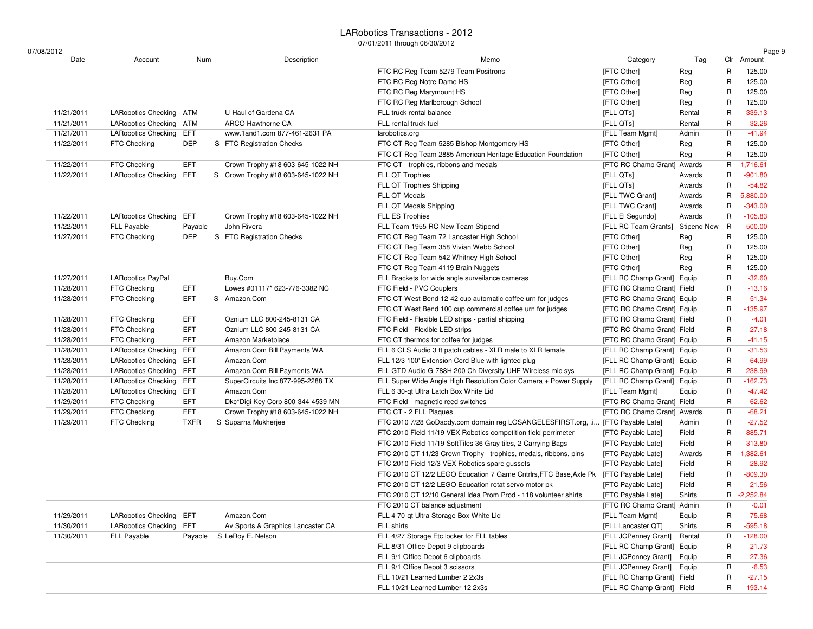| 07/08/2012<br>Date       | Account                                               | Num         | Description                        | Memo                                                                            | Category                    | Tag                |   | Page 9<br>Clr Amount |
|--------------------------|-------------------------------------------------------|-------------|------------------------------------|---------------------------------------------------------------------------------|-----------------------------|--------------------|---|----------------------|
|                          |                                                       |             |                                    |                                                                                 |                             |                    | R | 125.00               |
|                          |                                                       |             |                                    | FTC RC Reg Team 5279 Team Positrons<br>FTC RC Reg Notre Dame HS                 | [FTC Other]<br>[FTC Other]  | Reg                | R | 125.00               |
|                          |                                                       |             |                                    | FTC RC Reg Marymount HS                                                         | [FTC Other]                 | Reg<br>Reg         | R | 125.00               |
|                          |                                                       |             |                                    | FTC RC Reg Marlborough School                                                   | [FTC Other]                 | Reg                | R | 125.00               |
|                          | <b>LARobotics Checking</b>                            | ATM         | U-Haul of Gardena CA               | FLL truck rental balance                                                        |                             |                    | R | $-339.13$            |
| 11/21/2011<br>11/21/2011 |                                                       |             | ARCO Hawthorne CA                  | FLL rental truck fuel                                                           | [FLL QTs]                   | Rental             | R | $-32.26$             |
|                          | LARobotics Checking ATM<br><b>LARobotics Checking</b> | <b>EFT</b>  | www.1and1.com 877-461-2631 PA      |                                                                                 | [FLL QTs]                   | Rental             | R | $-41.94$             |
| 11/21/2011<br>11/22/2011 | FTC Checking                                          | <b>DEP</b>  |                                    | larobotics.org                                                                  | [FLL Team Mgmt]             | Admin              | R |                      |
|                          |                                                       |             | S FTC Registration Checks          | FTC CT Reg Team 5285 Bishop Montgomery HS                                       | [FTC Other]                 | Reg                |   | 125.00               |
|                          |                                                       |             |                                    | FTC CT Reg Team 2885 American Heritage Education Foundation                     | [FTC Other]                 | Reg                | R | 125.00               |
| 11/22/2011               | FTC Checking                                          | EFT.        | Crown Trophy #18 603-645-1022 NH   | FTC CT - trophies, ribbons and medals                                           | [FTC RC Champ Grant]        | Awards             | R | $-1,716.61$          |
| 11/22/2011               | <b>LARobotics Checking</b>                            | EFT         | S Crown Trophy #18 603-645-1022 NH | FLL QT Trophies                                                                 | [FLL QTs]                   | Awards             | R | $-901.80$            |
|                          |                                                       |             |                                    | FLL QT Trophies Shipping                                                        | [FLL QTs]                   | Awards             | R | $-54.82$             |
|                          |                                                       |             |                                    | FLL QT Medals                                                                   | [FLL TWC Grant]             | Awards             | R | $-5,880.00$          |
|                          |                                                       |             |                                    | FLL QT Medals Shipping                                                          | [FLL TWC Grant]             | Awards             | R | $-343.00$            |
| 11/22/2011               | <b>LARobotics Checking</b>                            | EFT         | Crown Trophy #18 603-645-1022 NH   | FLL ES Trophies                                                                 | [FLL El Segundo]            | Awards             | R | $-105.83$            |
| 11/22/2011               | <b>FLL Payable</b>                                    | Payable     | John Rivera                        | FLL Team 1955 RC New Team Stipend                                               | [FLL RC Team Grants]        | <b>Stipend New</b> | R | $-500.00$            |
| 11/27/2011               | FTC Checking                                          | <b>DEP</b>  | S FTC Registration Checks          | FTC CT Reg Team 72 Lancaster High School                                        | [FTC Other]                 | Reg                | R | 125.00               |
|                          |                                                       |             |                                    | FTC CT Reg Team 358 Vivian Webb School                                          | [FTC Other]                 | Reg                | R | 125.00               |
|                          |                                                       |             |                                    | FTC CT Reg Team 542 Whitney High School                                         | [FTC Other]                 | Reg                | R | 125.00               |
|                          |                                                       |             |                                    | FTC CT Reg Team 4119 Brain Nuggets                                              | [FTC Other]                 | Reg                | R | 125.00               |
| 11/27/2011               | <b>LARobotics PayPal</b>                              |             | Buy.Com                            | FLL Brackets for wide angle surveilance cameras                                 | [FLL RC Champ Grant] Equip  |                    | R | $-32.60$             |
| 11/28/2011               | FTC Checking                                          | <b>EFT</b>  | Lowes #01117* 623-776-3382 NC      | FTC Field - PVC Couplers                                                        | [FTC RC Champ Grant] Field  |                    | R | $-13.16$             |
| 11/28/2011               | FTC Checking                                          | <b>EFT</b>  | S Amazon.Com                       | FTC CT West Bend 12-42 cup automatic coffee urn for judges                      | [FTC RC Champ Grant] Equip  |                    | R | $-51.34$             |
|                          |                                                       |             |                                    | FTC CT West Bend 100 cup commercial coffee urn for judges                       | [FTC RC Champ Grant] Equip  |                    | R | $-135.97$            |
| 11/28/2011               | FTC Checking                                          | EFT.        | Oznium LLC 800-245-8131 CA         | FTC Field - Flexible LED strips - partial shipping                              | [FTC RC Champ Grant] Field  |                    | R | $-4.01$              |
| 11/28/2011               | FTC Checking                                          | <b>EFT</b>  | Oznium LLC 800-245-8131 CA         | FTC Field - Flexible LED strips                                                 | [FTC RC Champ Grant] Field  |                    | R | $-27.18$             |
| 11/28/2011               | FTC Checking                                          | <b>EFT</b>  | Amazon Marketplace                 | FTC CT thermos for coffee for judges                                            | [FTC RC Champ Grant] Equip  |                    | R | $-41.15$             |
| 11/28/2011               | LARobotics Checking                                   | EFT         | Amazon.Com Bill Payments WA        | FLL 6 GLS Audio 3 ft patch cables - XLR male to XLR female                      | [FLL RC Champ Grant] Equip  |                    | R | $-31.53$             |
| 11/28/2011               | <b>LARobotics Checking</b>                            | EFT         | Amazon.Com                         | FLL 12/3 100' Extension Cord Blue with lighted plug                             | [FLL RC Champ Grant] Equip  |                    | R | $-64.99$             |
| 11/28/2011               | <b>LARobotics Checking</b>                            | EFT         | Amazon.Com Bill Payments WA        | FLL GTD Audio G-788H 200 Ch Diversity UHF Wireless mic sys                      | [FLL RC Champ Grant] Equip  |                    | R | $-238.99$            |
| 11/28/2011               | <b>LARobotics Checking</b>                            | EFT         | SuperCircuits Inc 877-995-2288 TX  | FLL Super Wide Angle High Resolution Color Camera + Power Supply                | [FLL RC Champ Grant] Equip  |                    | R | $-162.73$            |
| 11/28/2011               | <b>LARobotics Checking</b>                            | EFT         | Amazon.Com                         | FLL 6 30-qt Ultra Latch Box White Lid                                           | [FLL Team Mgmt]             | Equip              | R | $-47.42$             |
| 11/29/2011               | FTC Checking                                          | EFT.        | Dkc*Digi Key Corp 800-344-4539 MN  | FTC Field - magnetic reed switches                                              | [FTC RC Champ Grant] Field  |                    | R | $-62.62$             |
| 11/29/2011               | FTC Checking                                          | <b>EFT</b>  | Crown Trophy #18 603-645-1022 NH   | FTC CT - 2 FLL Plaques                                                          | [FTC RC Champ Grant] Awards |                    | R | $-68.21$             |
| 11/29/2011               | FTC Checking                                          | <b>TXFR</b> | S Suparna Mukherjee                | FTC 2010 7/28 GoDaddy.com domain reg LOSANGELESFIRST.org, .i [FTC Payable Late] |                             | Admin              | R | $-27.52$             |
|                          |                                                       |             |                                    | FTC 2010 Field 11/19 VEX Robotics competition field perrimeter                  | [FTC Payable Late]          | Field              | R | $-885.71$            |
|                          |                                                       |             |                                    | FTC 2010 Field 11/19 SoftTiles 36 Gray tiles, 2 Carrying Bags                   | [FTC Payable Late]          | Field              | R | $-313.80$            |
|                          |                                                       |             |                                    | FTC 2010 CT 11/23 Crown Trophy - trophies, medals, ribbons, pins                | [FTC Payable Late]          | Awards             | R | $-1,382.61$          |
|                          |                                                       |             |                                    | FTC 2010 Field 12/3 VEX Robotics spare gussets                                  | [FTC Payable Late]          | Field              | R | $-28.92$             |
|                          |                                                       |             |                                    | FTC 2010 CT 12/2 LEGO Education 7 Game Cntrlrs, FTC Base, Axle Pk               | [FTC Payable Late]          | Field              | R | $-809.30$            |
|                          |                                                       |             |                                    | FTC 2010 CT 12/2 LEGO Education rotat servo motor pk                            | [FTC Payable Late]          | Field              | R | $-21.56$             |
|                          |                                                       |             |                                    | FTC 2010 CT 12/10 General Idea Prom Prod - 118 volunteer shirts                 | [FTC Payable Late]          | Shirts             | R | $-2,252.84$          |
|                          |                                                       |             |                                    | FTC 2010 CT balance adjustment                                                  | [FTC RC Champ Grant] Admin  |                    | R | $-0.01$              |
| 11/29/2011               | <b>LARobotics Checking</b>                            | EFT         | Amazon.Com                         | FLL 4 70-qt Ultra Storage Box White Lid                                         | [FLL Team Mgmt]             | Equip              | R | $-75.68$             |
| 11/30/2011               | <b>LARobotics Checking</b>                            | EFT         | Av Sports & Graphics Lancaster CA  | FLL shirts                                                                      | [FLL Lancaster QT]          | Shirts             | R | $-595.18$            |
| 11/30/2011               | FLL Payable                                           | Payable     | S LeRoy E. Nelson                  | FLL 4/27 Storage Etc locker for FLL tables                                      | [FLL JCPenney Grant] Rental |                    | R | $-128.00$            |
|                          |                                                       |             |                                    | FLL 8/31 Office Depot 9 clipboards                                              | [FLL RC Champ Grant] Equip  |                    | R | $-21.73$             |
|                          |                                                       |             |                                    |                                                                                 |                             |                    |   |                      |
|                          |                                                       |             |                                    | FLL 9/1 Office Depot 6 clipboards                                               | [FLL JCPenney Grant] Equip  |                    | R | $-27.36$             |
|                          |                                                       |             |                                    | FLL 9/1 Office Depot 3 scissors                                                 | [FLL JCPenney Grant] Equip  |                    | R | $-6.53$              |
|                          |                                                       |             |                                    | FLL 10/21 Learned Lumber 2 2x3s                                                 | [FLL RC Champ Grant] Field  |                    | R | $-27.15$             |
|                          |                                                       |             |                                    | FLL 10/21 Learned Lumber 12 2x3s                                                | [FLL RC Champ Grant] Field  |                    | R | $-193.14$            |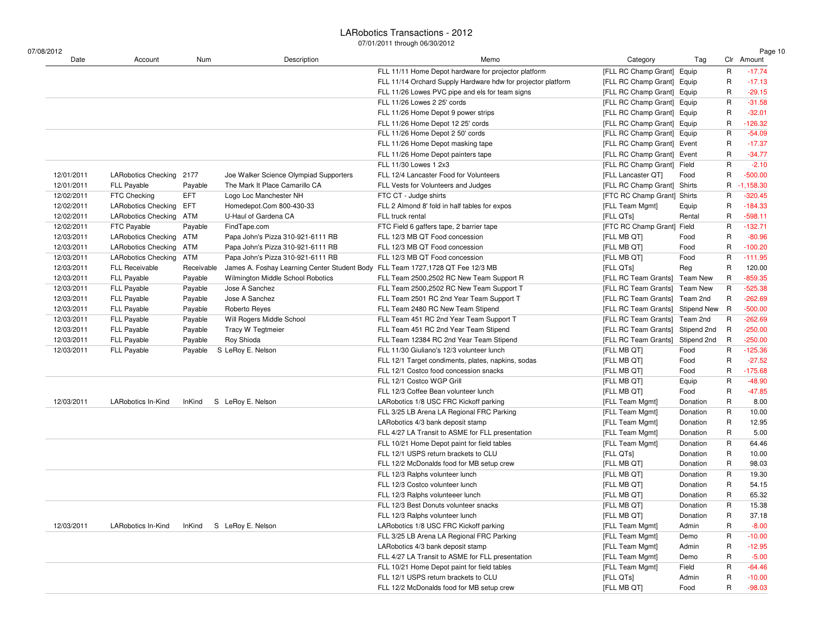$07/$ 

| /08/2012   |                            |               |                                                                                |                                                              |                                  |             |             | Page 10     |
|------------|----------------------------|---------------|--------------------------------------------------------------------------------|--------------------------------------------------------------|----------------------------------|-------------|-------------|-------------|
| Date       | Account                    | Num           | Description                                                                    | Memo                                                         | Category                         | Tag         |             | Clr Amount  |
|            |                            |               |                                                                                | FLL 11/11 Home Depot hardware for projector platform         | [FLL RC Champ Grant] Equip       |             | $\mathsf R$ | $-17.74$    |
|            |                            |               |                                                                                | FLL 11/14 Orchard Supply Hardware hdw for projector platform | [FLL RC Champ Grant] Equip       |             | R           | $-17.13$    |
|            |                            |               |                                                                                | FLL 11/26 Lowes PVC pipe and els for team signs              | [FLL RC Champ Grant] Equip       |             | R           | $-29.15$    |
|            |                            |               |                                                                                | FLL 11/26 Lowes 2 25' cords                                  | [FLL RC Champ Grant] Equip       |             | R           | $-31.58$    |
|            |                            |               |                                                                                | FLL 11/26 Home Depot 9 power strips                          | [FLL RC Champ Grant] Equip       |             | R           | $-32.01$    |
|            |                            |               |                                                                                | FLL 11/26 Home Depot 12 25' cords                            | [FLL RC Champ Grant] Equip       |             | R           | $-126.32$   |
|            |                            |               |                                                                                | FLL 11/26 Home Depot 2 50' cords                             | [FLL RC Champ Grant] Equip       |             | R           | $-54.09$    |
|            |                            |               |                                                                                | FLL 11/26 Home Depot masking tape                            | [FLL RC Champ Grant] Event       |             | R           | $-17.37$    |
|            |                            |               |                                                                                | FLL 11/26 Home Depot painters tape                           | [FLL RC Champ Grant] Event       |             | R           | $-34.77$    |
|            |                            |               |                                                                                | FLL 11/30 Lowes 1 2x3                                        | [FLL RC Champ Grant] Field       |             | R           | $-2.10$     |
| 12/01/2011 | <b>LARobotics Checking</b> | 2177          | Joe Walker Science Olympiad Supporters                                         | FLL 12/4 Lancaster Food for Volunteers                       | [FLL Lancaster QT]               | Food        | R           | $-500.00$   |
| 12/01/2011 | <b>FLL Payable</b>         | Payable       | The Mark It Place Camarillo CA                                                 | FLL Vests for Volunteers and Judges                          | [FLL RC Champ Grant] Shirts      |             | R           | $-1,158.30$ |
| 12/02/2011 | FTC Checking               | EFT           | Logo Loc Manchester NH                                                         | FTC CT - Judge shirts                                        | [FTC RC Champ Grant] Shirts      |             | R           | $-320.45$   |
| 12/02/2011 | <b>LARobotics Checking</b> | EFT           | Homedepot.Com 800-430-33                                                       | FLL 2 Almond 8' fold in half tables for expos                | [FLL Team Mgmt]                  | Equip       | R           | $-184.33$   |
| 12/02/2011 | <b>LARobotics Checking</b> | ATM           | U-Haul of Gardena CA                                                           | FLL truck rental                                             | [FLL QTs]                        | Rental      | R           | $-598.11$   |
| 12/02/2011 | FTC Payable                | Payable       | FindTape.com                                                                   | FTC Field 6 gaffers tape, 2 barrier tape                     | [FTC RC Champ Grant] Field       |             | R           | $-132.71$   |
| 12/03/2011 | <b>LARobotics Checking</b> | ATM           | Papa John's Pizza 310-921-6111 RB                                              | FLL 12/3 MB QT Food concession                               | [FLL MB QT]                      | Food        | R           | $-80.96$    |
| 12/03/2011 | <b>LARobotics Checking</b> | ATM           | Papa John's Pizza 310-921-6111 RB                                              | FLL 12/3 MB QT Food concession                               | [FLL MB QT]                      | Food        | R           | $-100.20$   |
| 12/03/2011 | <b>LARobotics Checking</b> | ATM           | Papa John's Pizza 310-921-6111 RB                                              | FLL 12/3 MB QT Food concession                               | [FLL MB QT]                      | Food        | R           | $-111.95$   |
| 12/03/2011 | <b>FLL Receivable</b>      | Receivable    | James A. Foshay Learning Center Student Body FLL Team 1727,1728 QT Fee 12/3 MB |                                                              | [FLL QTs]                        | Reg         | R           | 120.00      |
| 12/03/2011 | FLL Payable                | Payable       | Wilmington Middle School Robotics                                              | FLL Team 2500,2502 RC New Team Support R                     | [FLL RC Team Grants] Team New    |             | R           | $-859.35$   |
| 12/03/2011 | FLL Payable                | Payable       | Jose A Sanchez                                                                 | FLL Team 2500,2502 RC New Team Support T                     | [FLL RC Team Grants] Team New    |             | R           | $-525.38$   |
| 12/03/2011 | <b>FLL Payable</b>         | Payable       | Jose A Sanchez                                                                 | FLL Team 2501 RC 2nd Year Team Support T                     | [FLL RC Team Grants] Team 2nd    |             | R           | $-262.69$   |
| 12/03/2011 | FLL Payable                | Payable       | Roberto Reyes                                                                  | FLL Team 2480 RC New Team Stipend                            | [FLL RC Team Grants] Stipend New |             | R           | $-500.00$   |
| 12/03/2011 | <b>FLL Payable</b>         | Payable       | Will Rogers Middle School                                                      | FLL Team 451 RC 2nd Year Team Support T                      | [FLL RC Team Grants] Team 2nd    |             | R           | $-262.69$   |
| 12/03/2011 | FLL Payable                | Payable       | <b>Tracy W Tegtmeier</b>                                                       | FLL Team 451 RC 2nd Year Team Stipend                        | [FLL RC Team Grants] Stipend 2nd |             | R           | $-250.00$   |
| 12/03/2011 | FLL Payable                | Payable       | Roy Shioda                                                                     | FLL Team 12384 RC 2nd Year Team Stipend                      | [FLL RC Team Grants]             | Stipend 2nd | R           | $-250.00$   |
| 12/03/2011 | <b>FLL Payable</b>         | Payable       | S LeRoy E. Nelson                                                              | FLL 11/30 Giuliano's 12/3 volunteer lunch                    | [FLL MB QT]                      | Food        | R           | $-125.36$   |
|            |                            |               |                                                                                | FLL 12/1 Target condiments, plates, napkins, sodas           | [FLL MB QT]                      | Food        | R           | $-27.52$    |
|            |                            |               |                                                                                | FLL 12/1 Costco food concession snacks                       | [FLL MB QT]                      | Food        | R           | $-175.68$   |
|            |                            |               |                                                                                | FLL 12/1 Costco WGP Grill                                    |                                  |             | R           | $-48.90$    |
|            |                            |               |                                                                                |                                                              | [FLL MB QT]                      | Equip       |             |             |
|            |                            |               |                                                                                | FLL 12/3 Coffee Bean volunteer lunch                         | [FLL MB QT]                      | Food        | R           | $-47.85$    |
| 12/03/2011 | LARobotics In-Kind         | <b>InKind</b> | S LeRoy E. Nelson                                                              | LARobotics 1/8 USC FRC Kickoff parking                       | [FLL Team Mgmt]                  | Donation    | R           | 8.00        |
|            |                            |               |                                                                                | FLL 3/25 LB Arena LA Regional FRC Parking                    | [FLL Team Mgmt]                  | Donation    | R           | 10.00       |
|            |                            |               |                                                                                | LARobotics 4/3 bank deposit stamp                            | [FLL Team Mgmt]                  | Donation    | R           | 12.95       |
|            |                            |               |                                                                                | FLL 4/27 LA Transit to ASME for FLL presentation             | [FLL Team Mgmt]                  | Donation    | R           | 5.00        |
|            |                            |               |                                                                                | FLL 10/21 Home Depot paint for field tables                  | [FLL Team Mgmt]                  | Donation    | R           | 64.46       |
|            |                            |               |                                                                                | FLL 12/1 USPS return brackets to CLU                         | [FLL QTs]                        | Donation    | R           | 10.00       |
|            |                            |               |                                                                                | FLL 12/2 McDonalds food for MB setup crew                    | [FLL MB QT]                      | Donation    | R           | 98.03       |
|            |                            |               |                                                                                | FLL 12/3 Ralphs volunteer lunch                              | [FLL MB QT]                      | Donation    | R           | 19.30       |
|            |                            |               |                                                                                | FLL 12/3 Costco volunteer lunch                              | [FLL MB QT]                      | Donation    | R           | 54.15       |
|            |                            |               |                                                                                | FLL 12/3 Ralphs volunteeer lunch                             | [FLL MB QT]                      | Donation    | R           | 65.32       |
|            |                            |               |                                                                                | FLL 12/3 Best Donuts volunteer snacks                        | [FLL MB QT]                      | Donation    | R           | 15.38       |
|            |                            |               |                                                                                | FLL 12/3 Ralphs volunteer lunch                              | [FLL MB QT]                      | Donation    | R           | 37.18       |
| 12/03/2011 | LARobotics In-Kind         | InKind        | S LeRoy E. Nelson                                                              | LARobotics 1/8 USC FRC Kickoff parking                       | [FLL Team Mgmt]                  | Admin       | R           | $-8.00$     |
|            |                            |               |                                                                                | FLL 3/25 LB Arena LA Regional FRC Parking                    | [FLL Team Mgmt]                  | Demo        | R           | $-10.00$    |
|            |                            |               |                                                                                | LARobotics 4/3 bank deposit stamp                            | [FLL Team Mgmt]                  | Admin       | R           | $-12.95$    |
|            |                            |               |                                                                                | FLL 4/27 LA Transit to ASME for FLL presentation             | [FLL Team Mgmt]                  | Demo        | R           | $-5.00$     |
|            |                            |               |                                                                                | FLL 10/21 Home Depot paint for field tables                  | [FLL Team Mgmt]                  | Field       | R           | $-64.46$    |
|            |                            |               |                                                                                | FLL 12/1 USPS return brackets to CLU                         | [FLL QTs]                        | Admin       | R           | $-10.00$    |
|            |                            |               |                                                                                | FLL 12/2 McDonalds food for MB setup crew                    | [FLL MB QT]                      | Food        | R           | $-98.03$    |
|            |                            |               |                                                                                |                                                              |                                  |             |             |             |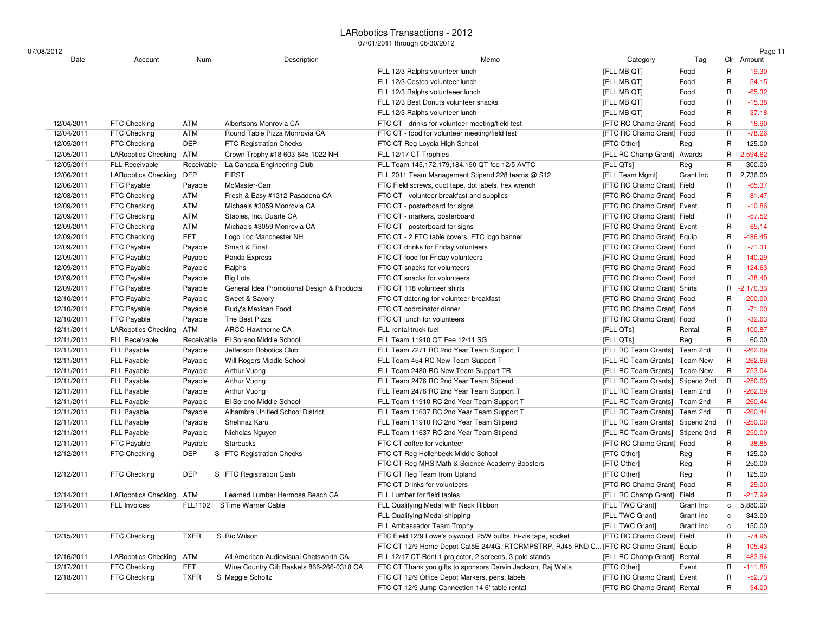| 07/08/2012<br>Date | Account                    | Num         | Description                                | Memo                                                                                  | Category                         | Tag         |              | Page 11<br>Clr Amount |
|--------------------|----------------------------|-------------|--------------------------------------------|---------------------------------------------------------------------------------------|----------------------------------|-------------|--------------|-----------------------|
|                    |                            |             |                                            | FLL 12/3 Ralphs volunteer lunch                                                       | [FLL MB QT]                      | Food        | R            | $-19.30$              |
|                    |                            |             |                                            | FLL 12/3 Costco volunteer lunch                                                       | [FLL MB QT]                      | Food        | R            | $-54.15$              |
|                    |                            |             |                                            | FLL 12/3 Ralphs volunteeer lunch                                                      | [FLL MB QT]                      | Food        | R            | $-65.32$              |
|                    |                            |             |                                            | FLL 12/3 Best Donuts volunteer snacks                                                 | [FLL MB QT]                      | Food        | R            | $-15.38$              |
|                    |                            |             |                                            | FLL 12/3 Ralphs volunteer lunch                                                       | [FLL MB QT]                      | Food        | R            | $-37.18$              |
| 12/04/2011         | FTC Checking               | ATM         | Albertsons Monrovia CA                     | FTC CT - drinks for volunteer meeting/field test                                      | [FTC RC Champ Grant] Food        |             | R            | $-16.90$              |
| 12/04/2011         | FTC Checking               | ATM         | Round Table Pizza Monrovia CA              | FTC CT - food for volunteer meeting/field test                                        | [FTC RC Champ Grant] Food        |             | R            | $-78.26$              |
| 12/05/2011         | FTC Checking               | DEP         | <b>FTC Registration Checks</b>             | FTC CT Reg Loyola High School                                                         | [FTC Other]                      | Reg         | R            | 125.00                |
| 12/05/2011         | <b>LARobotics Checking</b> | ATM         | Crown Trophy #18 603-645-1022 NH           | FLL 12/17 CT Trophies                                                                 | [FLL RC Champ Grant] Awards      |             | R            | $-2,594.62$           |
| 12/05/2011         | <b>FLL Receivable</b>      | Receivable  | La Canada Engineering Club                 | FLL Team 145,172,179,184,190 QT fee 12/5 AVTC                                         | [FLL QTs]                        | Reg         | R            | 300.00                |
| 12/06/2011         | <b>LARobotics Checking</b> | <b>DEP</b>  | <b>FIRST</b>                               | FLL 2011 Team Management Stipend 228 teams @ \$12                                     | [FLL Team Mgmt]                  | Grant Inc   | R            | 2,736.00              |
| 12/06/2011         | FTC Payable                | Payable     | McMaster-Carr                              | FTC Field screws, duct tape, dot labels, hex wrench                                   | [FTC RC Champ Grant] Field       |             | R            | $-65.37$              |
| 12/08/2011         | FTC Checking               | ATM         | Fresh & Easy #1312 Pasadena CA             | FTC CT - volunteer breakfast and supplies                                             | [FTC RC Champ Grant] Food        |             | R            | $-81.47$              |
| 12/09/2011         | FTC Checking               | ATM         | Michaels #3059 Monrovia CA                 | FTC CT - posterboard for signs                                                        | [FTC RC Champ Grant] Event       |             | R            | $-10.86$              |
| 12/09/2011         | FTC Checking               | ATM         | Staples, Inc. Duarte CA                    | FTC CT - markers, posterboard                                                         | [FTC RC Champ Grant] Field       |             | R            | $-57.52$              |
| 12/09/2011         | FTC Checking               | ATM         | Michaels #3059 Monrovia CA                 | FTC CT - posterboard for signs                                                        | [FTC RC Champ Grant] Event       |             | R            | $-65.14$              |
| 12/09/2011         | FTC Checking               | EFT.        | Logo Loc Manchester NH                     | FTC CT - 2 FTC table covers, FTC logo banner                                          | [FTC RC Champ Grant] Equip       |             | R            | $-486.45$             |
| 12/09/2011         | FTC Payable                | Payable     | Smart & Final                              | FTC CT drinks for Friday volunteers                                                   | [FTC RC Champ Grant] Food        |             | R            | $-71.31$              |
| 12/09/2011         | <b>FTC Payable</b>         | Payable     | Panda Express                              | FTC CT food for Friday volunteers                                                     | [FTC RC Champ Grant] Food        |             | R            | $-140.29$             |
| 12/09/2011         | FTC Payable                | Payable     | Ralphs                                     | FTC CT snacks for volunteers                                                          | [FTC RC Champ Grant] Food        |             | R            | $-124.63$             |
| 12/09/2011         | FTC Payable                | Payable     | <b>Big Lots</b>                            | FTC CT snacks for volunteers                                                          | [FTC RC Champ Grant] Food        |             | R            | $-38.40$              |
| 12/09/2011         | FTC Payable                | Payable     | General Idea Promotional Design & Products | FTC CT 118 volunteer shirts                                                           | [FTC RC Champ Grant] Shirts      |             | R            | $-2,170.33$           |
| 12/10/2011         | FTC Payable                | Payable     | Sweet & Savory                             | FTC CT datering for volunteer breakfast                                               | [FTC RC Champ Grant] Food        |             | R            | $-200.00$             |
| 12/10/2011         | FTC Payable                | Payable     | Rudy's Mexican Food                        | FTC CT coordinator dinner                                                             | [FTC RC Champ Grant] Food        |             | R            | $-71.00$              |
| 12/10/2011         | <b>FTC Payable</b>         | Payable     | The Best Pizza                             | FTC CT lunch for volunteers                                                           | [FTC RC Champ Grant] Food        |             | R            | $-32.63$              |
| 12/11/2011         | <b>LARobotics Checking</b> | ATM         | ARCO Hawthorne CA                          | FLL rental truck fuel                                                                 | [FLL QTs]                        | Rental      | R            | $-100.87$             |
| 12/11/2011         | <b>FLL Receivable</b>      | Receivable  | El Soreno Middle School                    | FLL Team 11910 QT Fee 12/11 SG                                                        | [FLL QTs]                        | Reg         | R            | 60.00                 |
| 12/11/2011         | <b>FLL Payable</b>         | Payable     | Jefferson Robotics Club                    | FLL Team 7271 RC 2nd Year Team Support T                                              | [FLL RC Team Grants]             | Team 2nd    | R            | $-262.69$             |
| 12/11/2011         | <b>FLL Payable</b>         | Payable     | Will Rogers Middle School                  | FLL Team 454 RC New Team Support T                                                    | [FLL RC Team Grants] Team New    |             | R            | $-262.69$             |
| 12/11/2011         | <b>FLL Payable</b>         | Payable     | Arthur Vuong                               | FLL Team 2480 RC New Team Support TR                                                  | [FLL RC Team Grants] Team New    |             | R            | $-753.04$             |
| 12/11/2011         | <b>FLL Payable</b>         | Payable     | Arthur Vuong                               | FLL Team 2476 RC 2nd Year Team Stipend                                                | [FLL RC Team Grants]             | Stipend 2nd | R            | $-250.00$             |
| 12/11/2011         | <b>FLL Payable</b>         | Payable     | Arthur Vuong                               | FLL Team 2476 RC 2nd Year Team Support T                                              | [FLL RC Team Grants] Team 2nd    |             | R            | $-262.69$             |
| 12/11/2011         | <b>FLL Payable</b>         | Payable     | El Soreno Middle School                    | FLL Team 11910 RC 2nd Year Team Support T                                             | [FLL RC Team Grants] Team 2nd    |             | R            | $-260.44$             |
| 12/11/2011         | <b>FLL Payable</b>         | Payable     | Alhambra Unified School District           | FLL Team 11637 RC 2nd Year Team Support T                                             | [FLL RC Team Grants]             | Team 2nd    | R            | $-260.44$             |
| 12/11/2011         | <b>FLL Payable</b>         | Payable     | Shehnaz Karu                               | FLL Team 11910 RC 2nd Year Team Stipend                                               | [FLL RC Team Grants] Stipend 2nd |             | R            | $-250.00$             |
| 12/11/2011         | <b>FLL Payable</b>         | Payable     | Nicholas Nguyen                            | FLL Team 11637 RC 2nd Year Team Stipend                                               | [FLL RC Team Grants] Stipend 2nd |             | R            | $-250.00$             |
| 12/11/2011         | <b>FTC Payable</b>         | Payable     | <b>Starbucks</b>                           | FTC CT coffee for volunteer                                                           | [FTC RC Champ Grant] Food        |             | R            | $-38.85$              |
| 12/12/2011         | FTC Checking               | DEP         | S FTC Registration Checks                  | FTC CT Reg Hollenbeck Middle School                                                   | [FTC Other]                      | Reg         | R            | 125.00                |
|                    |                            |             |                                            | FTC CT Reg MHS Math & Science Academy Boosters                                        | [FTC Other]                      | Reg         | R            | 250.00                |
| 12/12/2011         | FTC Checking               | <b>DEP</b>  | S FTC Registration Cash                    | FTC CT Reg Team from Upland                                                           | [FTC Other]                      | Reg         | R            | 125.00                |
|                    |                            |             |                                            | FTC CT Drinks for volunteers                                                          | [FTC RC Champ Grant] Food        |             | R            | $-25.00$              |
| 12/14/2011         | LARobotics Checking ATM    |             | Learned Lumber Hermosa Beach CA            | FLL Lumber for field tables                                                           | [FLL RC Champ Grant] Field       |             | R            | $-217.99$             |
| 12/14/2011         | FLL Invoices               |             | FLL1102 STime Warner Cable                 | FLL Qualifying Medal with Neck Ribbon                                                 | [FLL TWC Grant]                  | Grant Inc   | c            | 5,880.00              |
|                    |                            |             |                                            | FLL Qualifying Medal shipping                                                         | [FLL TWC Grant]                  | Grant Inc   | с            | 343.00                |
|                    |                            |             |                                            | FLL Ambassador Team Trophy                                                            | [FLL TWC Grant]                  | Grant Inc   | $\mathtt{c}$ | 150.00                |
| 12/15/2011         | FTC Checking               | <b>TXFR</b> | S Ric Wilson                               | FTC Field 12/9 Lowe's plywood, 25W bulbs, hi-vis tape, socket                         | [FTC RC Champ Grant] Field       |             | $\mathsf R$  | $-74.95$              |
|                    |                            |             |                                            | FTC CT 12/9 Home Depot Cat5E 24/4G, RTCRMPSTRP, RJ45 RND C [FTC RC Champ Grant] Equip |                                  |             | R            | $-105.43$             |
| 12/16/2011         | <b>LARobotics Checking</b> | ATM         | All American Audiovisual Chatsworth CA     | FLL 12/17 CT Rent 1 projector, 2 screens, 3 pole stands                               | [FLL RC Champ Grant] Rental      |             | R            | $-483.94$             |
| 12/17/2011         | <b>FTC Checking</b>        | <b>EFT</b>  | Wine Country Gift Baskets 866-266-0318 CA  | FTC CT Thank you gifts to sponsors Darvin Jackson, Raj Walia                          | [FTC Other]                      | Event       | R            | $-111.80$             |
| 12/18/2011         | FTC Checking               | <b>TXFR</b> | S Maggie Scholtz                           | FTC CT 12/9 Office Depot Markers, pens, labels                                        | [FTC RC Champ Grant] Event       |             | R            | $-52.73$              |
|                    |                            |             |                                            |                                                                                       |                                  |             |              |                       |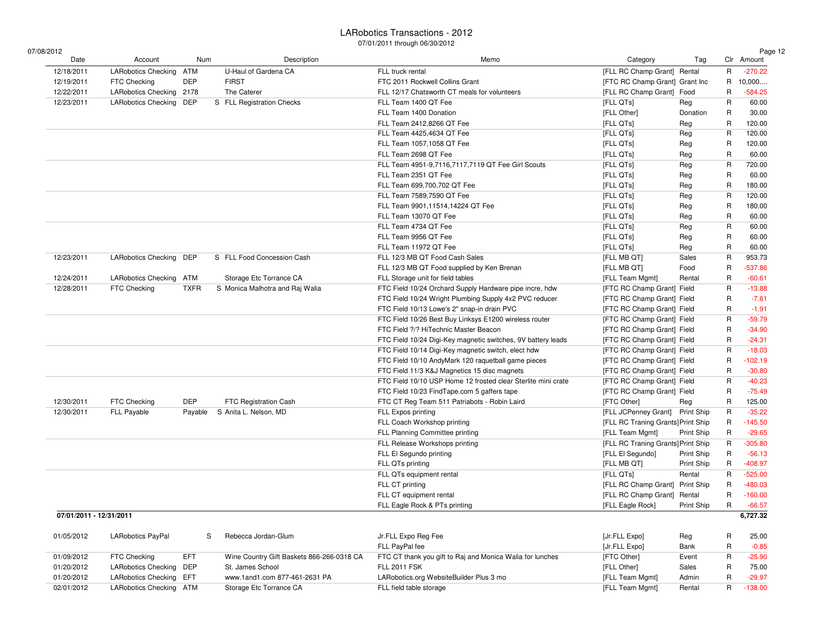$07/0$ 

| 08/2012                 |                            |             |                                           |                                                                                                               |                                    |            |             | Page 12    |
|-------------------------|----------------------------|-------------|-------------------------------------------|---------------------------------------------------------------------------------------------------------------|------------------------------------|------------|-------------|------------|
| Date                    | Account                    | Num         | Description                               | Memo                                                                                                          | Category                           | Tag        |             | Clr Amount |
| 12/18/2011              | <b>LARobotics Checking</b> | ATM         | U-Haul of Gardena CA                      | FLL truck rental                                                                                              | [FLL RC Champ Grant] Rental        |            | R           | $-270.22$  |
| 12/19/2011              | FTC Checking               | DEP         | <b>FIRST</b>                              | FTC 2011 Rockwell Collins Grant                                                                               | [FTC RC Champ Grant] Grant Inc     |            | R           | 10,000     |
| 12/22/2011              | <b>LARobotics Checking</b> | 2178        | The Caterer                               | FLL 12/17 Chatsworth CT meals for volunteers                                                                  | [FLL RC Champ Grant] Food          |            | R           | $-584.25$  |
| 12/23/2011              | <b>LARobotics Checking</b> | DEP         | S FLL Registration Checks                 | FLL Team 1400 QT Fee                                                                                          | [FLL QTs]                          | Reg        | R           | 60.00      |
|                         |                            |             |                                           | FLL Team 1400 Donation                                                                                        | [FLL Other]                        | Donation   | R           | 30.00      |
|                         |                            |             |                                           | FLL Team 2412,8266 QT Fee                                                                                     | [FLL QTs]                          | Reg        | R           | 120.00     |
|                         |                            |             |                                           | FLL Team 4425,4634 QT Fee                                                                                     | [FLL QTs]                          | Reg        | R           | 120.00     |
|                         |                            |             |                                           | FLL Team 1057,1058 QT Fee                                                                                     | [FLL QTs]                          | Reg        | R           | 120.00     |
|                         |                            |             |                                           | FLL Team 2698 QT Fee                                                                                          | [FLL QTs]                          | Reg        | R           | 60.00      |
|                         |                            |             |                                           | FLL Team 4951-9,7116,7117,7119 QT Fee Girl Scouts                                                             | [FLL QTs]                          | Reg        | R           | 720.00     |
|                         |                            |             |                                           | FLL Team 2351 QT Fee                                                                                          | [FLL QTs]                          | Reg        | R           | 60.00      |
|                         |                            |             |                                           | FLL Team 699,700,702 QT Fee                                                                                   | [FLL QTs]                          | Reg        | R           | 180.00     |
|                         |                            |             |                                           | FLL Team 7589,7590 QT Fee                                                                                     | [FLL QTs]                          | Reg        | R           | 120.00     |
|                         |                            |             |                                           | FLL Team 9901,11514,14224 QT Fee                                                                              | [FLL QTs]                          | Reg        | R           | 180.00     |
|                         |                            |             |                                           | FLL Team 13070 QT Fee                                                                                         | [FLL QTs]                          | Reg        | R           | 60.00      |
|                         |                            |             |                                           | FLL Team 4734 QT Fee                                                                                          | [FLL QTs]                          | Reg        | $\mathsf R$ | 60.00      |
|                         |                            |             |                                           | FLL Team 9956 QT Fee                                                                                          | [FLL QTs]                          | Reg        | R           | 60.00      |
|                         |                            |             |                                           | FLL Team 11972 QT Fee                                                                                         | [FLL QTs]                          | Reg        | R           | 60.00      |
| 12/23/2011              | <b>LARobotics Checking</b> | DEP         | S FLL Food Concession Cash                | FLL 12/3 MB QT Food Cash Sales                                                                                | [FLL MB QT]                        | Sales      | R           | 953.73     |
|                         |                            |             |                                           | FLL 12/3 MB QT Food supplied by Ken Brenan                                                                    | [FLL MB QT]                        | Food       | R           | $-537.86$  |
| 12/24/2011              | <b>LARobotics Checking</b> | ATM         | Storage Etc Torrance CA                   | FLL Storage unit for field tables                                                                             | [FLL Team Mgmt]                    | Rental     | R           | $-60.61$   |
| 12/28/2011              | FTC Checking               | <b>TXFR</b> | S Monica Malhotra and Raj Walia           | FTC Field 10/24 Orchard Supply Hardware pipe incre, hdw                                                       | [FTC RC Champ Grant] Field         |            | R           | $-13.88$   |
|                         |                            |             |                                           | FTC Field 10/24 Wright Plumbing Supply 4x2 PVC reducer                                                        | [FTC RC Champ Grant] Field         |            | R           | $-7.61$    |
|                         |                            |             |                                           | FTC Field 10/13 Lowe's 2" snap-in drain PVC                                                                   | [FTC RC Champ Grant] Field         |            | R           | $-1.91$    |
|                         |                            |             |                                           | FTC Field 10/26 Best Buy Linksys E1200 wireless router                                                        | [FTC RC Champ Grant] Field         |            | R           | $-59.79$   |
|                         |                            |             |                                           | FTC Field ?/? HiTechnic Master Beacon                                                                         | [FTC RC Champ Grant] Field         |            | R           | $-34.90$   |
|                         |                            |             |                                           | FTC Field 10/24 Digi-Key magnetic switches, 9V battery leads                                                  | [FTC RC Champ Grant] Field         |            | R           | $-24.31$   |
|                         |                            |             |                                           | FTC Field 10/14 Digi-Key magnetic switch, elect hdw                                                           | [FTC RC Champ Grant] Field         |            | R           | $-18.03$   |
|                         |                            |             |                                           | FTC Field 10/10 AndyMark 120 raquetball game pieces                                                           | [FTC RC Champ Grant] Field         |            | R           | $-102.19$  |
|                         |                            |             |                                           |                                                                                                               | [FTC RC Champ Grant] Field         |            | R           | $-30.80$   |
|                         |                            |             |                                           | FTC Field 11/3 K&J Magnetics 15 disc magnets<br>FTC Field 10/10 USP Home 12 frosted clear Sterlite mini crate | [FTC RC Champ Grant] Field         |            | R           | $-40.23$   |
|                         |                            |             |                                           |                                                                                                               |                                    |            | R           | $-75.49$   |
|                         |                            |             |                                           | FTC Field 10/23 FindTape.com 5 gaffers tape                                                                   | [FTC RC Champ Grant] Field         |            |             |            |
| 12/30/2011              | FTC Checking               | DEP         | FTC Registration Cash                     | FTC CT Reg Team 511 Patriabots - Robin Laird                                                                  | [FTC Other]                        | Reg        | R           | 125.00     |
| 12/30/2011              | <b>FLL Payable</b>         | Payable     | S Anita L. Nelson, MD                     | FLL Expos printing                                                                                            | [FLL JCPenney Grant] Print Ship    |            | R           | $-35.22$   |
|                         |                            |             |                                           | FLL Coach Workshop printing                                                                                   | [FLL RC Traning Grants] Print Ship |            | R           | $-145.50$  |
|                         |                            |             |                                           | FLL Planning Committee printing                                                                               | [FLL Team Mgmt]                    | Print Ship | R           | $-29.65$   |
|                         |                            |             |                                           | FLL Release Workshops printing                                                                                | [FLL RC Traning Grants] Print Ship |            | R           | $-305.80$  |
|                         |                            |             |                                           | FLL El Segundo printing                                                                                       | [FLL El Segundo]                   | Print Ship | R           | $-56.13$   |
|                         |                            |             |                                           | FLL QTs printing                                                                                              | [FLL MB QT]                        | Print Ship | R           | $-408.97$  |
|                         |                            |             |                                           | FLL QTs equipment rental                                                                                      | [FLL QTs]                          | Rental     | R           | $-525.00$  |
|                         |                            |             |                                           | FLL CT printing                                                                                               | [FLL RC Champ Grant] Print Ship    |            | R           | $-480.03$  |
|                         |                            |             |                                           | FLL CT equipment rental                                                                                       | [FLL RC Champ Grant] Rental        |            | R           | $-160.00$  |
|                         |                            |             |                                           | FLL Eagle Rock & PTs printing                                                                                 | [FLL Eagle Rock]                   | Print Ship | R           | $-66.57$   |
| 07/01/2011 - 12/31/2011 |                            |             |                                           |                                                                                                               |                                    |            |             | 6,727.32   |
| 01/05/2012              | <b>LARobotics PayPal</b>   | S           | Rebecca Jordan-Glum                       | Jr.FLL Expo Reg Fee                                                                                           | [Jr.FLL Expo]                      | Reg        | R           | 25.00      |
|                         |                            |             |                                           | FLL PayPal fee                                                                                                | [Jr.FLL Expo]                      | Bank       | R           | $-0.85$    |
| 01/09/2012              | FTC Checking               | <b>EFT</b>  | Wine Country Gift Baskets 866-266-0318 CA | FTC CT thank you gift to Raj and Monica Walia for lunches                                                     | [FTC Other]                        | Event      | R           | $-25.90$   |
| 01/20/2012              | <b>LARobotics Checking</b> | DEP         | St. James School                          | <b>FLL 2011 FSK</b>                                                                                           | [FLL Other]                        | Sales      | R           | 75.00      |
| 01/20/2012              | <b>LARobotics Checking</b> | EFT         | www.1and1.com 877-461-2631 PA             | LARobotics.org WebsiteBuilder Plus 3 mo                                                                       | [FLL Team Mgmt]                    | Admin      | R           | $-29.97$   |
| 02/01/2012              | LARobotics Checking ATM    |             | Storage Etc Torrance CA                   | FLL field table storage                                                                                       | [FLL Team Mgmt]                    | Rental     | R           | $-138.00$  |
|                         |                            |             |                                           |                                                                                                               |                                    |            |             |            |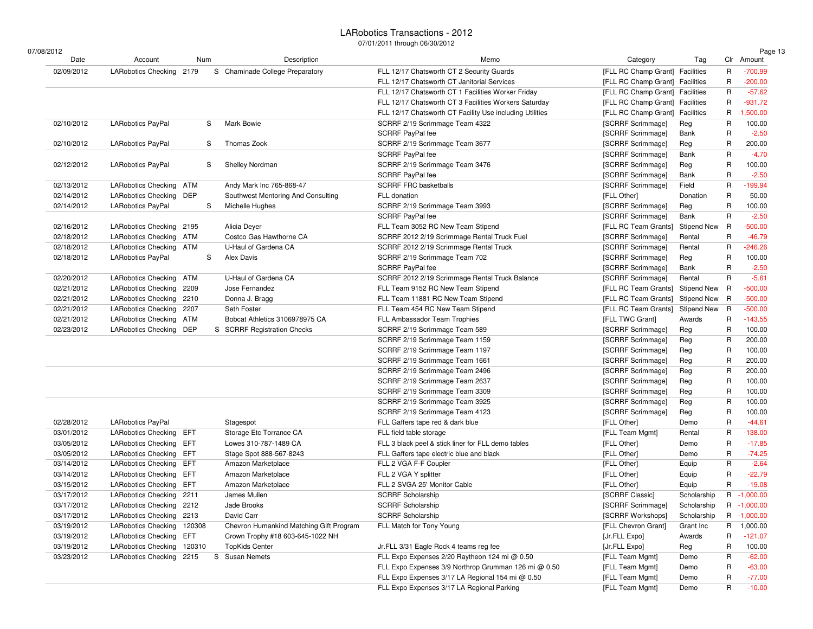| 07/08/2012<br>Date | Account                    |      | Num | Description                             | Memo                                                     | Category                        | Tag                |   | Page 13<br>Clr Amount |
|--------------------|----------------------------|------|-----|-----------------------------------------|----------------------------------------------------------|---------------------------------|--------------------|---|-----------------------|
| 02/09/2012         | LARobotics Checking 2179   |      |     | S Chaminade College Preparatory         | FLL 12/17 Chatsworth CT 2 Security Guards                | [FLL RC Champ Grant] Facilities |                    | R | $-700.99$             |
|                    |                            |      |     |                                         | FLL 12/17 Chatsworth CT Janitorial Services              | [FLL RC Champ Grant] Facilities |                    | R | $-200.00$             |
|                    |                            |      |     |                                         | FLL 12/17 Chatsworth CT 1 Facilities Worker Friday       | [FLL RC Champ Grant] Facilities |                    | R | $-57.62$              |
|                    |                            |      |     |                                         | FLL 12/17 Chatsworth CT 3 Facilities Workers Saturday    | [FLL RC Champ Grant] Facilities |                    | R | $-931.72$             |
|                    |                            |      |     |                                         | FLL 12/17 Chatsworth CT Facility Use including Utilities | [FLL RC Champ Grant] Facilities |                    | R | $-1,500.00$           |
| 02/10/2012         | <b>LARobotics PayPal</b>   |      | S   | Mark Bowie                              | SCRRF 2/19 Scrimmage Team 4322                           | [SCRRF Scrimmage]               | Reg                | R | 100.00                |
|                    |                            |      |     |                                         | SCRRF PayPal fee                                         | [SCRRF Scrimmage]               | Bank               | R | $-2.50$               |
| 02/10/2012         | <b>LARobotics PayPal</b>   |      | S   | Thomas Zook                             | SCRRF 2/19 Scrimmage Team 3677                           | [SCRRF Scrimmage]               | Reg                | R | 200.00                |
|                    |                            |      |     |                                         | SCRRF PayPal fee                                         | [SCRRF Scrimmage]               | Bank               | R | $-4.70$               |
| 02/12/2012         | LARobotics PayPal          |      | S   | <b>Shelley Nordman</b>                  | SCRRF 2/19 Scrimmage Team 3476                           | [SCRRF Scrimmage]               | Reg                | R | 100.00                |
|                    |                            |      |     |                                         | SCRRF PayPal fee                                         | [SCRRF Scrimmage]               | Bank               | R | $-2.50$               |
| 02/13/2012         | <b>LARobotics Checking</b> | ATM  |     | Andy Mark Inc 765-868-47                | <b>SCRRF FRC basketballs</b>                             | [SCRRF Scrimmage]               | Field              | R | $-199.94$             |
| 02/14/2012         | LARobotics Checking DEP    |      |     | Southwest Mentoring And Consulting      | FLL donation                                             | [FLL Other]                     | Donation           | R | 50.00                 |
| 02/14/2012         | <b>LARobotics PayPal</b>   |      | S   | Michelle Hughes                         | SCRRF 2/19 Scrimmage Team 3993                           | [SCRRF Scrimmage]               | Reg                | R | 100.00                |
|                    |                            |      |     |                                         | SCRRF PayPal fee                                         | [SCRRF Scrimmage]               | Bank               | R | $-2.50$               |
| 02/16/2012         | <b>LARobotics Checking</b> | 2195 |     | Alicia Deyer                            | FLL Team 3052 RC New Team Stipend                        | [FLL RC Team Grants]            | <b>Stipend New</b> | R | $-500.00$             |
| 02/18/2012         | LARobotics Checking ATM    |      |     | Costco Gas Hawthorne CA                 | SCRRF 2012 2/19 Scrimmage Rental Truck Fuel              | [SCRRF Scrimmage]               | Rental             | R | $-46.79$              |
| 02/18/2012         | LARobotics Checking ATM    |      |     | U-Haul of Gardena CA                    | SCRRF 2012 2/19 Scrimmage Rental Truck                   | [SCRRF Scrimmage]               | Rental             | R | $-246.26$             |
| 02/18/2012         | <b>LARobotics PayPal</b>   |      | S   | Alex Davis                              | SCRRF 2/19 Scrimmage Team 702                            | [SCRRF Scrimmage]               | Reg                | R | 100.00                |
|                    |                            |      |     |                                         | SCRRF PayPal fee                                         | [SCRRF Scrimmage]               | Bank               | R | $-2.50$               |
| 02/20/2012         | LARobotics Checking ATM    |      |     | U-Haul of Gardena CA                    | SCRRF 2012 2/19 Scrimmage Rental Truck Balance           | [SCRRF Scrimmage]               | Rental             | R | $-5.61$               |
| 02/21/2012         | <b>LARobotics Checking</b> | 2209 |     | Jose Fernandez                          | FLL Team 9152 RC New Team Stipend                        | [FLL RC Team Grants]            | Stipend New R      |   | $-500.00$             |
| 02/21/2012         | <b>LARobotics Checking</b> | 2210 |     | Donna J. Bragg                          | FLL Team 11881 RC New Team Stipend                       | [FLL RC Team Grants]            | <b>Stipend New</b> | R | $-500.00$             |
| 02/21/2012         | <b>LARobotics Checking</b> | 2207 |     | Seth Foster                             | FLL Team 454 RC New Team Stipend                         | [FLL RC Team Grants]            | <b>Stipend New</b> | R | $-500.00$             |
| 02/21/2012         | <b>LARobotics Checking</b> | ATM  |     | Bobcat Athletics 3106978975 CA          | FLL Ambassador Team Trophies                             | [FLL TWC Grant]                 | Awards             | R | $-143.55$             |
| 02/23/2012         | LARobotics Checking DEP    |      |     | S SCRRF Registration Checks             | SCRRF 2/19 Scrimmage Team 589                            | [SCRRF Scrimmage]               | Reg                | R | 100.00                |
|                    |                            |      |     |                                         | SCRRF 2/19 Scrimmage Team 1159                           | [SCRRF Scrimmage]               | Reg                | R | 200.00                |
|                    |                            |      |     |                                         | SCRRF 2/19 Scrimmage Team 1197                           | [SCRRF Scrimmage]               |                    | R | 100.00                |
|                    |                            |      |     |                                         | SCRRF 2/19 Scrimmage Team 1661                           | [SCRRF Scrimmage]               | Reg                | R | 200.00                |
|                    |                            |      |     |                                         |                                                          |                                 | Reg                |   |                       |
|                    |                            |      |     |                                         | SCRRF 2/19 Scrimmage Team 2496                           | [SCRRF Scrimmage]               | Reg                | R | 200.00                |
|                    |                            |      |     |                                         | SCRRF 2/19 Scrimmage Team 2637                           | [SCRRF Scrimmage]               | Reg                | R | 100.00                |
|                    |                            |      |     |                                         | SCRRF 2/19 Scrimmage Team 3309                           | [SCRRF Scrimmage]               | Reg                | R | 100.00                |
|                    |                            |      |     |                                         | SCRRF 2/19 Scrimmage Team 3925                           | [SCRRF Scrimmage]               | Reg                | R | 100.00                |
|                    |                            |      |     |                                         | SCRRF 2/19 Scrimmage Team 4123                           | [SCRRF Scrimmage]               | Reg                | R | 100.00                |
| 02/28/2012         | <b>LARobotics PayPal</b>   |      |     | Stagespot                               | FLL Gaffers tape red & dark blue                         | [FLL Other]                     | Demo               | R | $-44.61$              |
| 03/01/2012         | <b>LARobotics Checking</b> | EFT  |     | Storage Etc Torrance CA                 | FLL field table storage                                  | [FLL Team Mgmt]                 | Rental             | R | $-138.00$             |
| 03/05/2012         | LARobotics Checking EFT    |      |     | Lowes 310-787-1489 CA                   | FLL 3 black peel & stick liner for FLL demo tables       | [FLL Other]                     | Demo               | R | $-17.85$              |
| 03/05/2012         | LARobotics Checking EFT    |      |     | Stage Spot 888-567-8243                 | FLL Gaffers tape electric blue and black                 | [FLL Other]                     | Demo               | R | $-74.25$              |
| 03/14/2012         | <b>LARobotics Checking</b> | EFT  |     | Amazon Marketplace                      | FLL 2 VGA F-F Coupler                                    | [FLL Other]                     | Equip              | R | $-2.64$               |
| 03/14/2012         | LARobotics Checking EFT    |      |     | Amazon Marketplace                      | FLL 2 VGA Y splitter                                     | [FLL Other]                     | Equip              | R | $-22.79$              |
| 03/15/2012         | <b>LARobotics Checking</b> | EFT  |     | Amazon Marketplace                      | FLL 2 SVGA 25' Monitor Cable                             | [FLL Other]                     | Equip              | R | $-19.08$              |
| 03/17/2012         | LARobotics Checking 2211   |      |     | James Mullen                            | <b>SCRRF Scholarship</b>                                 | [SCRRF Classic]                 | Scholarship        |   | R -1,000.00           |
| 03/17/2012         | LARobotics Checking 2212   |      |     | Jade Brooks                             | <b>SCRRF Scholarship</b>                                 | [SCRRF Scrimmage]               | Scholarship        | R | $-1,000.00$           |
| 03/17/2012         | LARobotics Checking 2213   |      |     | David Carr                              | SCRRF Scholarship                                        | [SCRRF Workshops]               | Scholarship        |   | R -1,000.00           |
| 03/19/2012         | LARobotics Checking 120308 |      |     | Chevron Humankind Matching Gift Program | FLL Match for Tony Young                                 | [FLL Chevron Grant]             | Grant Inc          | R | 1,000.00              |
| 03/19/2012         | LARobotics Checking EFT    |      |     | Crown Trophy #18 603-645-1022 NH        |                                                          | [Jr.FLL Expo]                   | Awards             | R | $-121.07$             |
| 03/19/2012         | LARobotics Checking 120310 |      |     | <b>TopKids Center</b>                   | Jr.FLL 3/31 Eagle Rock 4 teams reg fee                   | [Jr.FLL Expo]                   | Reg                | R | 100.00                |
| 03/23/2012         | LARobotics Checking 2215   |      |     | S Susan Nemets                          | FLL Expo Expenses 2/20 Raytheon 124 mi @ 0.50            | [FLL Team Mgmt]                 | Demo               | R | $-62.00$              |
|                    |                            |      |     |                                         | FLL Expo Expenses 3/9 Northrop Grumman 126 mi @ 0.50     | [FLL Team Mgmt]                 | Demo               | R | $-63.00$              |
|                    |                            |      |     |                                         | FLL Expo Expenses 3/17 LA Regional 154 mi @ 0.50         | [FLL Team Mgmt]                 | Demo               | R | $-77.00$              |
|                    |                            |      |     |                                         | FLL Expo Expenses 3/17 LA Regional Parking               | [FLL Team Mgmt]                 | Demo               | R | $-10.00$              |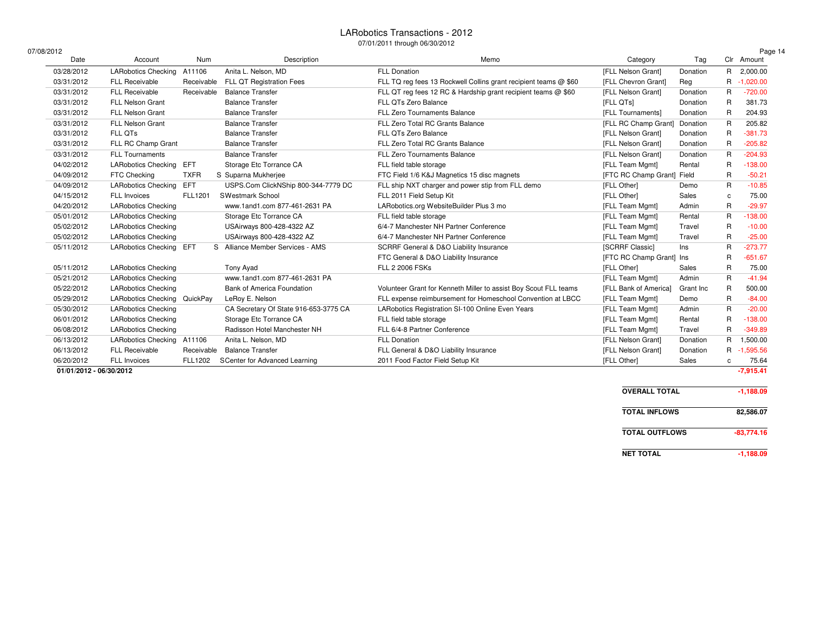$07/$ 

| /08/2012   |                              |                |                                       |                                                                  |                            |           |              | Page 14     |
|------------|------------------------------|----------------|---------------------------------------|------------------------------------------------------------------|----------------------------|-----------|--------------|-------------|
| Date       | Account                      | Num            | Description                           | Memo                                                             | Category                   | Tag       |              | Clr Amount  |
| 03/28/2012 | <b>LARobotics Checking</b>   | A11106         | Anita L. Nelson, MD                   | <b>FLL Donation</b>                                              | [FLL Nelson Grant]         | Donation  | R            | 2,000.00    |
| 03/31/2012 | <b>FLL Receivable</b>        | Receivable     | FLL QT Registration Fees              | FLL TQ reg fees 13 Rockwell Collins grant recipient teams @ \$60 | [FLL Chevron Grant]        | Reg       | R            | $-1,020.00$ |
| 03/31/2012 | <b>FLL Receivable</b>        | Receivable     | <b>Balance Transfer</b>               | FLL QT reg fees 12 RC & Hardship grant recipient teams @ \$60    | [FLL Nelson Grant]         | Donation  | R            | $-720.00$   |
| 03/31/2012 | <b>FLL Nelson Grant</b>      |                | <b>Balance Transfer</b>               | FLL QTs Zero Balance                                             | [FLL QTs]                  | Donation  | R            | 381.73      |
| 03/31/2012 | <b>FLL Nelson Grant</b>      |                | <b>Balance Transfer</b>               | <b>FLL Zero Tournaments Balance</b>                              | [FLL Tournaments]          | Donation  | R            | 204.93      |
| 03/31/2012 | <b>FLL Nelson Grant</b>      |                | <b>Balance Transfer</b>               | FLL Zero Total RC Grants Balance                                 | [FLL RC Champ Grant]       | Donation  | R            | 205.82      |
| 03/31/2012 | FLL QTs                      |                | <b>Balance Transfer</b>               | FLL QTs Zero Balance                                             | [FLL Nelson Grant]         | Donation  | R            | $-381.73$   |
| 03/31/2012 | FLL RC Champ Grant           |                | <b>Balance Transfer</b>               | FLL Zero Total RC Grants Balance                                 | [FLL Nelson Grant]         | Donation  | R            | $-205.82$   |
| 03/31/2012 | <b>FLL Tournaments</b>       |                | <b>Balance Transfer</b>               | <b>FLL Zero Tournaments Balance</b>                              | [FLL Nelson Grant]         | Donation  | R            | $-204.93$   |
| 04/02/2012 | <b>LARobotics Checking</b>   | EFT            | Storage Etc Torrance CA               | FLL field table storage                                          | [FLL Team Mgmt]            | Rental    | R            | $-138.00$   |
| 04/09/2012 | FTC Checking                 | <b>TXFR</b>    | S Suparna Mukherjee                   | FTC Field 1/6 K&J Magnetics 15 disc magnets                      | [FTC RC Champ Grant] Field |           | R            | $-50.21$    |
| 04/09/2012 | <b>LARobotics Checking</b>   | EFT            | USPS.Com ClickNShip 800-344-7779 DC   | FLL ship NXT charger and power stip from FLL demo                | [FLL Other]                | Demo      | R            | $-10.85$    |
| 04/15/2012 | <b>FLL Invoices</b>          | FLL1201        | <b>SWestmark School</b>               | FLL 2011 Field Setup Kit                                         | [FLL Other]                | Sales     | C.           | 75.00       |
| 04/20/2012 | <b>LARobotics Checking</b>   |                | www.1and1.com 877-461-2631 PA         | LARobotics.org WebsiteBuilder Plus 3 mo                          | [FLL Team Mgmt]            | Admin     | R            | $-29.97$    |
| 05/01/2012 | <b>LARobotics Checking</b>   |                | Storage Etc Torrance CA               | FLL field table storage                                          | [FLL Team Mgmt]            | Rental    | R            | $-138.00$   |
| 05/02/2012 | <b>LARobotics Checking</b>   |                | USAirways 800-428-4322 AZ             | 6/4-7 Manchester NH Partner Conference                           | [FLL Team Mgmt]            | Travel    | R            | $-10.00$    |
| 05/02/2012 | <b>LARobotics Checking</b>   |                | USAirways 800-428-4322 AZ             | 6/4-7 Manchester NH Partner Conference                           | [FLL Team Mgmt]            | Travel    | R            | $-25.00$    |
| 05/11/2012 | LARobotics Checking EFT      |                | S Alliance Member Services - AMS      | SCRRF General & D&O Liability Insurance                          | [SCRRF Classic]            | Ins       | R            | $-273.77$   |
|            |                              |                |                                       | FTC General & D&O Liability Insurance                            | [FTC RC Champ Grant] Ins   |           | R            | $-651.67$   |
| 05/11/2012 | <b>LARobotics Checking</b>   |                | Tony Ayad                             | <b>FLL 2 2006 FSKs</b>                                           | [FLL Other]                | Sales     | R            | 75.00       |
| 05/21/2012 | <b>LARobotics Checking</b>   |                | www.1and1.com 877-461-2631 PA         |                                                                  | [FLL Team Mgmt]            | Admin     | R            | $-41.94$    |
| 05/22/2012 | <b>LARobotics Checking</b>   |                | Bank of America Foundation            | Volunteer Grant for Kenneth Miller to assist Boy Scout FLL teams | [FLL Bank of America]      | Grant Inc | R            | 500.00      |
| 05/29/2012 | LARobotics Checking QuickPay |                | LeRoy E. Nelson                       | FLL expense reimbursement for Homeschool Convention at LBCC      | [FLL Team Mgmt]            | Demo      | R            | $-84.00$    |
| 05/30/2012 | <b>LARobotics Checking</b>   |                | CA Secretary Of State 916-653-3775 CA | LARobotics Registration SI-100 Online Even Years                 | [FLL Team Mgmt]            | Admin     | $\mathsf{R}$ | $-20.00$    |
| 06/01/2012 | <b>LARobotics Checking</b>   |                | Storage Etc Torrance CA               | FLL field table storage                                          | [FLL Team Mgmt]            | Rental    | R            | $-138.00$   |
| 06/08/2012 | <b>LARobotics Checking</b>   |                | Radisson Hotel Manchester NH          | FLL 6/4-8 Partner Conference                                     | [FLL Team Mgmt]            | Travel    | R            | $-349.89$   |
| 06/13/2012 | <b>LARobotics Checking</b>   | A11106         | Anita L. Nelson, MD                   | <b>FLL Donation</b>                                              | [FLL Nelson Grant]         | Donation  | R            | 1,500.00    |
| 06/13/2012 | <b>FLL Receivable</b>        | Receivable     | <b>Balance Transfer</b>               | FLL General & D&O Liability Insurance                            | [FLL Nelson Grant]         | Donation  |              | R -1,595.56 |
| 06/20/2012 | <b>FLL Invoices</b>          | <b>FLL1202</b> | SCenter for Advanced Learning         | 2011 Food Factor Field Setup Kit                                 | [FLL Other]                | Sales     | $\mathbf{C}$ | 75.64       |

**01/01/2012 - 06/30/2012-7,915.41**

| <b>OVERALL TOTAL</b>  | $-1.188.09$  |
|-----------------------|--------------|
| <b>TOTAL INFLOWS</b>  | 82.586.07    |
| <b>TOTAL OUTFLOWS</b> | $-83.774.16$ |
| <b>NET TOTAL</b>      | $-1.188.09$  |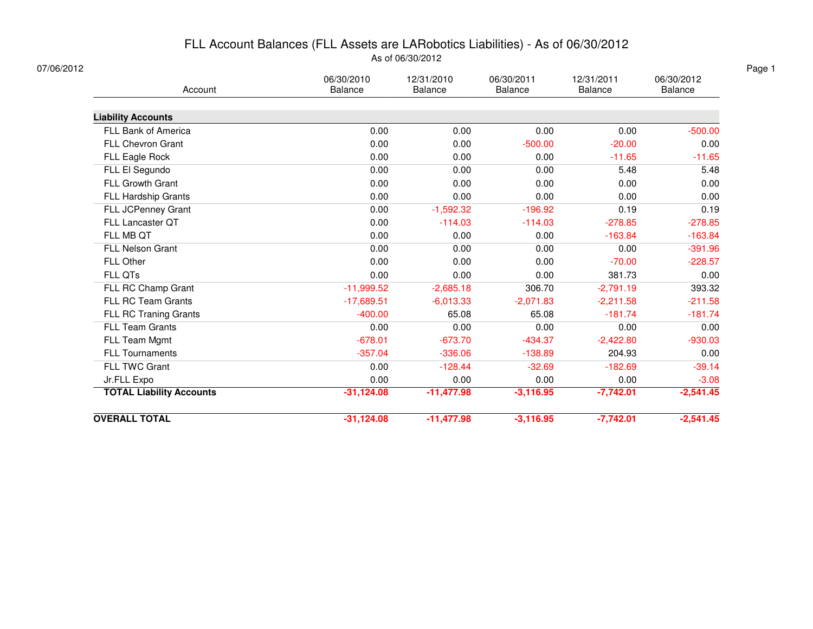### FLL Account Balances (FLL Assets are LARobotics Liabilities) - As of 06/30/2012As of 06/30/2012

| 07/06/2012                      |                              |                              |                              |                       |                       |
|---------------------------------|------------------------------|------------------------------|------------------------------|-----------------------|-----------------------|
| Account                         | 06/30/2010<br><b>Balance</b> | 12/31/2010<br><b>Balance</b> | 06/30/2011<br><b>Balance</b> | 12/31/2011<br>Balance | 06/30/2012<br>Balance |
| <b>Liability Accounts</b>       |                              |                              |                              |                       |                       |
| FLL Bank of America             | 0.00                         | 0.00                         | 0.00                         | 0.00                  | $-500.00$             |
| FLL Chevron Grant               | 0.00                         | 0.00                         | $-500.00$                    | $-20.00$              | 0.00                  |
| FLL Eagle Rock                  | 0.00                         | 0.00                         | 0.00                         | $-11.65$              | $-11.65$              |
| FLL El Segundo                  | 0.00                         | 0.00                         | 0.00                         | 5.48                  | 5.48                  |
| FLL Growth Grant                | 0.00                         | 0.00                         | 0.00                         | 0.00                  | 0.00                  |
| FLL Hardship Grants             | 0.00                         | 0.00                         | 0.00                         | 0.00                  | 0.00                  |
| FLL JCPenney Grant              | 0.00                         | $-1,592.32$                  | $-196.92$                    | 0.19                  | 0.19                  |
| FLL Lancaster QT                | 0.00                         | $-114.03$                    | $-114.03$                    | $-278.85$             | $-278.85$             |
| FLL MB QT                       | 0.00                         | 0.00                         | 0.00                         | $-163.84$             | $-163.84$             |
| <b>FLL Nelson Grant</b>         | 0.00                         | 0.00                         | 0.00                         | 0.00                  | $-391.96$             |
| FLL Other                       | 0.00                         | 0.00                         | 0.00                         | $-70.00$              | $-228.57$             |
| FLL QTs                         | 0.00                         | 0.00                         | 0.00                         | 381.73                | 0.00                  |
| FLL RC Champ Grant              | $-11,999.52$                 | $-2,685.18$                  | 306.70                       | $-2,791.19$           | 393.32                |
| FLL RC Team Grants              | $-17,689.51$                 | $-6,013.33$                  | $-2,071.83$                  | $-2,211.58$           | $-211.58$             |
| FLL RC Traning Grants           | $-400.00$                    | 65.08                        | 65.08                        | $-181.74$             | $-181.74$             |
| <b>FLL Team Grants</b>          | 0.00                         | 0.00                         | 0.00                         | 0.00                  | 0.00                  |
| FLL Team Mgmt                   | $-678.01$                    | $-673.70$                    | $-434.37$                    | $-2,422.80$           | $-930.03$             |
| <b>FLL Tournaments</b>          | $-357.04$                    | $-336.06$                    | $-138.89$                    | 204.93                | 0.00                  |
| FLL TWC Grant                   | 0.00                         | $-128.44$                    | $-32.69$                     | $-182.69$             | $-39.14$              |
| Jr.FLL Expo                     | 0.00                         | 0.00                         | 0.00                         | 0.00                  | $-3.08$               |
| <b>TOTAL Liability Accounts</b> | $-31,124.08$                 | $-11,477.98$                 | $-3,116.95$                  | $-7,742.01$           | $-2,541.45$           |
| <b>OVERALL TOTAL</b>            | $-31,124.08$                 | $-11,477.98$                 | $-3,116.95$                  | $-7,742.01$           | $-2,541.45$           |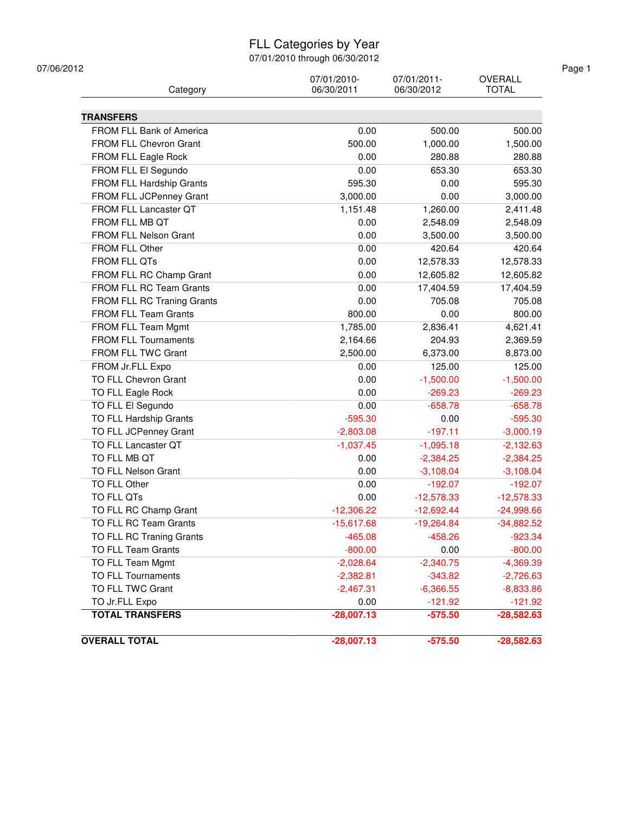### FLL Categories by Year

| Category                    | 07/01/2010-<br>06/30/2011 | 07/01/2011-<br>06/30/2012 | <b>OVERALL</b><br><b>TOTAL</b> |
|-----------------------------|---------------------------|---------------------------|--------------------------------|
|                             |                           |                           |                                |
| <b>TRANSFERS</b>            |                           |                           |                                |
| FROM FLL Bank of America    | 0.00                      | 500.00                    | 500.00                         |
| FROM FLL Chevron Grant      | 500.00                    | 1,000.00                  | 1,500.00                       |
| FROM FLL Eagle Rock         | 0.00                      | 280.88                    | 280.88                         |
| FROM FLL El Segundo         | 0.00                      | 653.30                    | 653.30                         |
| FROM FLL Hardship Grants    | 595.30                    | 0.00                      | 595.30                         |
| FROM FLL JCPenney Grant     | 3,000.00                  | 0.00                      | 3,000.00                       |
| FROM FLL Lancaster QT       | 1,151.48                  | 1,260.00                  | 2,411.48                       |
| FROM FLL MB QT              | 0.00                      | 2,548.09                  | 2,548.09                       |
| FROM FLL Nelson Grant       | 0.00                      | 3,500.00                  | 3,500.00                       |
| FROM FLL Other              | 0.00                      | 420.64                    | 420.64                         |
| <b>FROM FLL QTs</b>         | 0.00                      | 12,578.33                 | 12,578.33                      |
| FROM FLL RC Champ Grant     | 0.00                      | 12,605.82                 | 12,605.82                      |
| FROM FLL RC Team Grants     | 0.00                      | 17,404.59                 | 17,404.59                      |
| FROM FLL RC Traning Grants  | 0.00                      | 705.08                    | 705.08                         |
| <b>FROM FLL Team Grants</b> | 800.00                    | 0.00                      | 800.00                         |
| FROM FLL Team Mgmt          | 1,785.00                  | 2,836.41                  | 4,621.41                       |
| <b>FROM FLL Tournaments</b> | 2,164.66                  | 204.93                    | 2,369.59                       |
| FROM FLL TWC Grant          | 2,500.00                  | 6,373.00                  | 8,873.00                       |
| FROM Jr.FLL Expo            | 0.00                      | 125.00                    | 125.00                         |
| TO FLL Chevron Grant        | 0.00                      | $-1,500.00$               | $-1,500.00$                    |
| TO FLL Eagle Rock           | 0.00                      | $-269.23$                 | $-269.23$                      |
| TO FLL El Segundo           | 0.00                      | $-658.78$                 | $-658.78$                      |
| TO FLL Hardship Grants      | $-595.30$                 | 0.00                      | $-595.30$                      |
| TO FLL JCPenney Grant       | $-2,803.08$               | $-197.11$                 | $-3,000.19$                    |
| TO FLL Lancaster QT         | $-1,037.45$               | $-1,095.18$               | $-2,132.63$                    |
| TO FLL MB QT                | 0.00                      | $-2,384.25$               | $-2,384.25$                    |
| <b>TO FLL Nelson Grant</b>  | 0.00                      | $-3,108.04$               | $-3,108.04$                    |
| TO FLL Other                | 0.00                      | $-192.07$                 | $-192.07$                      |
| TO FLL QTs                  | 0.00                      | $-12,578.33$              | $-12,578.33$                   |
| TO FLL RC Champ Grant       | $-12,306.22$              | $-12,692.44$              | $-24,998.66$                   |
| TO FLL RC Team Grants       | -15,617.68                | $-19,264.84$              | $-34,882.52$                   |
| TO FLL RC Traning Grants    | $-465.08$                 | $-458.26$                 | $-923.34$                      |
| TO FLL Team Grants          | $-800.00$                 | 0.00                      | $-800.00$                      |
| TO FLL Team Mgmt            | $-2,028.64$               | $-2,340.75$               | $-4,369.39$                    |
| TO FLL Tournaments          | $-2,382.81$               | $-343.82$                 | $-2,726.63$                    |
| TO FLL TWC Grant            | $-2,467.31$               | $-6,366.55$               | $-8,833.86$                    |
| TO Jr.FLL Expo              | 0.00                      | $-121.92$                 | $-121.92$                      |
| <b>TOTAL TRANSFERS</b>      | $-28,007.13$              | $-575.50$                 | $-28,582.63$                   |
|                             |                           |                           |                                |
| <b>OVERALL TOTAL</b>        | $-28,007.13$              | $-575.50$                 | $-28,582.63$                   |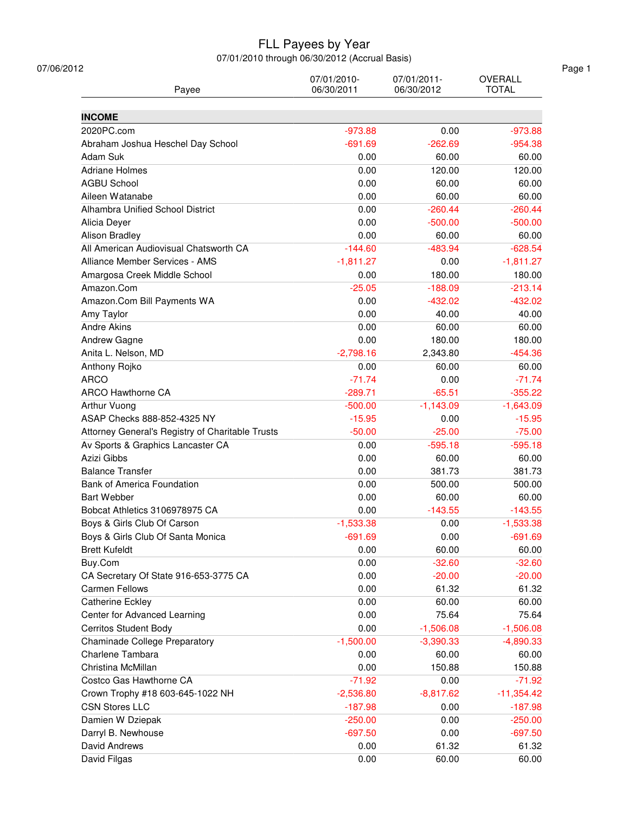| Payee                                                    | 07/01/2010-<br>06/30/2011 | 07/01/2011-<br>06/30/2012 | <b>OVERALL</b><br><b>TOTAL</b> |
|----------------------------------------------------------|---------------------------|---------------------------|--------------------------------|
| <b>INCOME</b>                                            |                           |                           |                                |
| 2020PC.com                                               | $-973.88$                 | 0.00                      | $-973.88$                      |
| Abraham Joshua Heschel Day School                        | $-691.69$                 | $-262.69$                 | $-954.38$                      |
| Adam Suk                                                 | 0.00                      | 60.00                     | 60.00                          |
| <b>Adriane Holmes</b>                                    | 0.00                      | 120.00                    | 120.00                         |
| <b>AGBU School</b>                                       | 0.00                      | 60.00                     | 60.00                          |
| Aileen Watanabe                                          | 0.00                      | 60.00                     | 60.00                          |
| Alhambra Unified School District                         | 0.00                      | $-260.44$                 | $-260.44$                      |
| Alicia Deyer                                             | 0.00                      | $-500.00$                 | $-500.00$                      |
| Alison Bradley                                           | 0.00                      | 60.00                     | 60.00                          |
| All American Audiovisual Chatsworth CA                   | $-144.60$                 | $-483.94$                 | $-628.54$                      |
| Alliance Member Services - AMS                           | $-1,811.27$               | 0.00                      | $-1,811.27$                    |
| Amargosa Creek Middle School                             | 0.00                      | 180.00                    | 180.00                         |
| Amazon.Com                                               | $-25.05$                  | $-188.09$                 | $-213.14$                      |
| Amazon.Com Bill Payments WA                              | 0.00                      | $-432.02$                 | $-432.02$                      |
| Amy Taylor                                               | 0.00                      | 40.00                     | 40.00                          |
| <b>Andre Akins</b>                                       | 0.00                      | 60.00                     | 60.00                          |
| Andrew Gagne                                             | 0.00                      | 180.00                    | 180.00                         |
| Anita L. Nelson, MD                                      | $-2,798.16$               | 2,343.80                  | $-454.36$                      |
| Anthony Rojko                                            | 0.00                      | 60.00                     | 60.00                          |
| <b>ARCO</b>                                              | $-71.74$                  | 0.00                      | $-71.74$                       |
| <b>ARCO Hawthorne CA</b>                                 | $-289.71$                 | $-65.51$                  | $-355.22$                      |
| Arthur Vuong                                             | $-500.00$                 | $-1,143.09$               | $-1,643.09$                    |
| ASAP Checks 888-852-4325 NY                              | $-15.95$                  | 0.00                      | $-15.95$                       |
| Attorney General's Registry of Charitable Trusts         | $-50.00$                  | $-25.00$                  | $-75.00$                       |
| Av Sports & Graphics Lancaster CA                        | 0.00                      | $-595.18$                 | $-595.18$                      |
| Azizi Gibbs                                              | 0.00                      | 60.00                     | 60.00                          |
| <b>Balance Transfer</b>                                  | 0.00                      | 381.73                    | 381.73                         |
| <b>Bank of America Foundation</b>                        | 0.00                      | 500.00                    | 500.00                         |
| <b>Bart Webber</b>                                       | 0.00                      | 60.00                     | 60.00                          |
| Bobcat Athletics 3106978975 CA                           | 0.00                      | $-143.55$                 | $-143.55$                      |
| Boys & Girls Club Of Carson                              | $-1,533.38$               | 0.00                      | $-1,533.38$                    |
| Boys & Girls Club Of Santa Monica                        | $-691.69$                 | 0.00                      | $-691.69$                      |
| <b>Brett Kufeldt</b>                                     | 0.00                      | 60.00                     | 60.00                          |
| Buy.Com                                                  | 0.00                      | $-32.60$                  | $-32.60$                       |
| CA Secretary Of State 916-653-3775 CA                    | 0.00                      | $-20.00$                  | $-20.00$                       |
| <b>Carmen Fellows</b>                                    | 0.00                      | 61.32                     | 61.32                          |
| Catherine Eckley                                         | 0.00                      | 60.00                     | 60.00                          |
| Center for Advanced Learning                             | 0.00                      | 75.64                     | 75.64                          |
| <b>Cerritos Student Body</b>                             | 0.00                      | $-1,506.08$               |                                |
|                                                          |                           |                           | $-1,506.08$                    |
| <b>Chaminade College Preparatory</b><br>Charlene Tambara | $-1,500.00$<br>0.00       | $-3,390.33$<br>60.00      | $-4,890.33$<br>60.00           |
|                                                          |                           |                           |                                |
| Christina McMillan                                       | 0.00                      | 150.88                    | 150.88                         |
| Costco Gas Hawthorne CA                                  | $-71.92$                  | 0.00                      | $-71.92$                       |
| Crown Trophy #18 603-645-1022 NH                         | $-2,536.80$               | $-8,817.62$               | $-11,354.42$                   |
| <b>CSN Stores LLC</b>                                    | $-187.98$                 | 0.00                      | $-187.98$                      |
| Damien W Dziepak                                         | $-250.00$                 | 0.00                      | $-250.00$                      |
| Darryl B. Newhouse                                       | $-697.50$                 | 0.00                      | $-697.50$                      |
| David Andrews                                            | 0.00                      | 61.32                     | 61.32                          |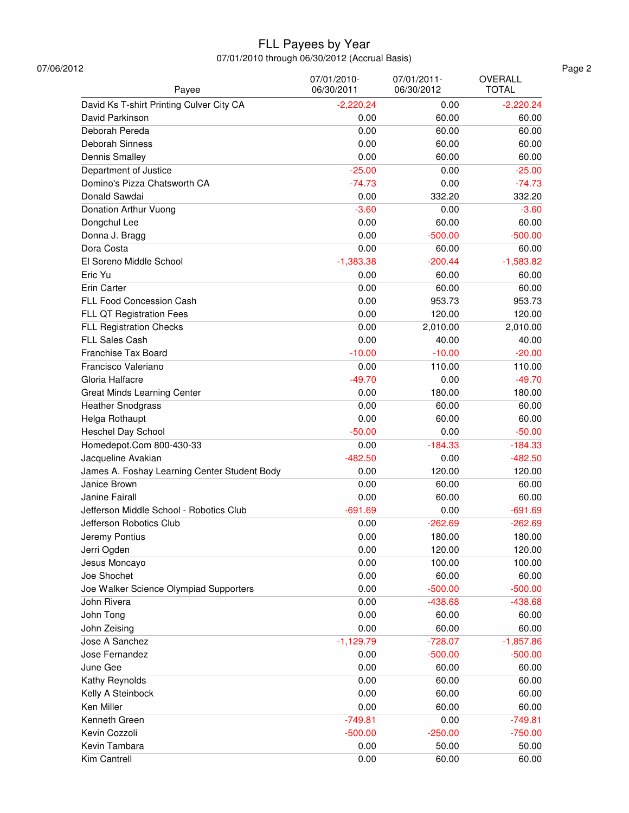| 07/06/2012<br>Payee                          | 07/01/2010-<br>06/30/2011 | 07/01/2011-<br>06/30/2012 | OVERALL<br><b>TOTAL</b> |
|----------------------------------------------|---------------------------|---------------------------|-------------------------|
| David Ks T-shirt Printing Culver City CA     | $-2,220.24$               | 0.00                      | $-2,220.24$             |
|                                              |                           |                           |                         |
| David Parkinson                              | 0.00                      | 60.00                     | 60.00                   |
| Deborah Pereda                               | 0.00                      | 60.00                     | 60.00                   |
| Deborah Sinness                              | 0.00                      | 60.00                     | 60.00                   |
| <b>Dennis Smalley</b>                        | 0.00                      | 60.00                     | 60.00                   |
| Department of Justice                        | $-25.00$                  | 0.00                      | $-25.00$                |
| Domino's Pizza Chatsworth CA                 | $-74.73$                  | 0.00                      | $-74.73$                |
| Donald Sawdai                                | 0.00                      | 332.20                    | 332.20                  |
| Donation Arthur Vuong                        | $-3.60$                   | 0.00                      | $-3.60$                 |
| Dongchul Lee                                 | 0.00                      | 60.00                     | 60.00                   |
| Donna J. Bragg                               | 0.00                      | $-500.00$                 | $-500.00$               |
| Dora Costa                                   | 0.00                      | 60.00                     | 60.00                   |
| El Soreno Middle School                      | $-1,383.38$               | $-200.44$                 | $-1,583.82$             |
| Eric Yu                                      | 0.00                      | 60.00                     | 60.00                   |
| Erin Carter                                  | 0.00                      | 60.00                     | 60.00                   |
| FLL Food Concession Cash                     | 0.00                      | 953.73                    | 953.73                  |
| FLL QT Registration Fees                     | 0.00                      | 120.00                    | 120.00                  |
| <b>FLL Registration Checks</b>               | 0.00                      | 2,010.00                  | 2,010.00                |
| FLL Sales Cash                               | 0.00                      | 40.00                     | 40.00                   |
| Franchise Tax Board                          | $-10.00$                  | $-10.00$                  | $-20.00$                |
| Francisco Valeriano                          | 0.00                      | 110.00                    | 110.00                  |
| Gloria Halfacre                              | $-49.70$                  | 0.00                      | $-49.70$                |
| <b>Great Minds Learning Center</b>           | 0.00                      | 180.00                    | 180.00                  |
|                                              |                           |                           |                         |
| <b>Heather Snodgrass</b>                     | 0.00                      | 60.00                     | 60.00                   |
| Helga Rothaupt                               | 0.00                      | 60.00                     | 60.00                   |
| Heschel Day School                           | $-50.00$                  | 0.00                      | $-50.00$                |
| Homedepot.Com 800-430-33                     | 0.00                      | $-184.33$                 | $-184.33$               |
| Jacqueline Avakian                           | $-482.50$                 | 0.00                      | $-482.50$               |
| James A. Foshay Learning Center Student Body | 0.00                      | 120.00                    | 120.00                  |
| Janice Brown                                 | 0.00                      | 60.00                     | 60.00                   |
| Janine Fairall                               | 0.00                      | 60.00                     | 60.00                   |
| Jefferson Middle School - Robotics Club      | $-691.69$                 | 0.00                      | $-691.69$               |
| Jefferson Robotics Club                      | 0.00                      | $-262.69$                 | $-262.69$               |
| Jeremy Pontius                               | 0.00                      | 180.00                    | 180.00                  |
| Jerri Ogden                                  | 0.00                      | 120.00                    | 120.00                  |
| Jesus Moncayo                                | 0.00                      | 100.00                    | 100.00                  |
| Joe Shochet                                  | 0.00                      | 60.00                     | 60.00                   |
| Joe Walker Science Olympiad Supporters       | 0.00                      | $-500.00$                 | $-500.00$               |
| John Rivera                                  | 0.00                      | $-438.68$                 | $-438.68$               |
| John Tong                                    | 0.00                      | 60.00                     | 60.00                   |
| John Zeising                                 | 0.00                      | 60.00                     | 60.00                   |
| Jose A Sanchez                               | $-1,129.79$               | $-728.07$                 | $-1,857.86$             |
| Jose Fernandez                               | 0.00                      | $-500.00$                 | $-500.00$               |
| June Gee                                     | 0.00                      | 60.00                     | 60.00                   |
| Kathy Reynolds                               | 0.00                      | 60.00                     | 60.00                   |
|                                              |                           |                           |                         |
| Kelly A Steinbock                            | 0.00                      | 60.00                     | 60.00                   |
| Ken Miller                                   | 0.00                      | 60.00                     | 60.00                   |
| Kenneth Green                                | $-749.81$                 | 0.00                      | $-749.81$               |
| Kevin Cozzoli                                | $-500.00$                 | $-250.00$                 | $-750.00$               |
| Kevin Tambara                                | 0.00                      | 50.00                     | 50.00                   |
| Kim Cantrell                                 | 0.00                      | 60.00                     | 60.00                   |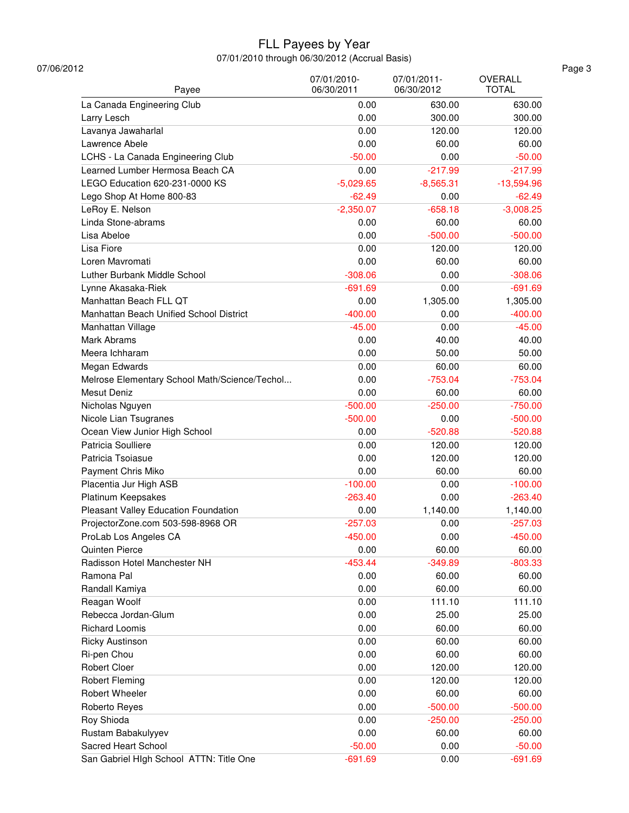| OVERALL<br><b>TOTAL</b> |
|-------------------------|
| 630.00                  |
| 300.00                  |
| 120.00                  |
| 60.00                   |
| $-50.00$                |
| $-217.99$               |
| $-13,594.96$            |
| $-62.49$                |
| $-3,008.25$             |
| 60.00                   |
| $-500.00$               |
| 120.00                  |
|                         |
| 60.00                   |
| $-308.06$               |
| $-691.69$               |
| 1,305.00                |
| $-400.00$               |
| $-45.00$                |
| 40.00                   |
| 50.00                   |
| 60.00                   |
| $-753.04$               |
| 60.00                   |
| $-750.00$               |
| $-500.00$               |
| $-520.88$               |
| 120.00                  |
| 120.00                  |
| 60.00                   |
| $-100.00$               |
| $-263.40$               |
| 1,140.00                |
|                         |
| $-257.03$               |
| $-450.00$               |
| 60.00                   |
| $-803.33$               |
| 60.00                   |
| 60.00                   |
| 111.10                  |
| 25.00                   |
| 60.00                   |
| 60.00                   |
| 60.00                   |
| 120.00                  |
| 120.00                  |
| 60.00                   |
| $-500.00$               |
| $-250.00$               |
| 60.00                   |
| $-50.00$                |
| $-691.69$               |
|                         |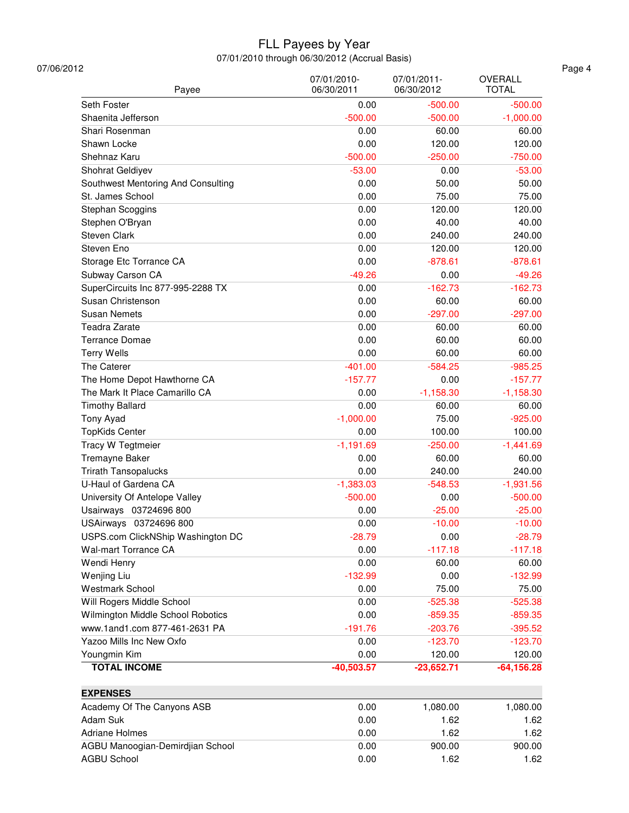| 07/06/2012                         |                           |                           |                                |
|------------------------------------|---------------------------|---------------------------|--------------------------------|
| Payee                              | 07/01/2010-<br>06/30/2011 | 07/01/2011-<br>06/30/2012 | <b>OVERALL</b><br><b>TOTAL</b> |
| Seth Foster                        | 0.00                      | $-500.00$                 | $-500.00$                      |
| Shaenita Jefferson                 | $-500.00$                 | $-500.00$                 | $-1,000.00$                    |
| Shari Rosenman                     | 0.00                      | 60.00                     | 60.00                          |
| Shawn Locke                        | 0.00                      | 120.00                    | 120.00                         |
| Shehnaz Karu                       | $-500.00$                 | $-250.00$                 | $-750.00$                      |
| Shohrat Geldiyev                   | $-53.00$                  | 0.00                      | $-53.00$                       |
| Southwest Mentoring And Consulting | 0.00                      | 50.00                     | 50.00                          |
| St. James School                   | 0.00                      | 75.00                     | 75.00                          |
| Stephan Scoggins                   | 0.00                      | 120.00                    | 120.00                         |
| Stephen O'Bryan                    | 0.00                      | 40.00                     | 40.00                          |
| Steven Clark                       | 0.00                      | 240.00                    | 240.00                         |
| Steven Eno                         | 0.00                      | 120.00                    | 120.00                         |
| Storage Etc Torrance CA            | 0.00                      | $-878.61$                 | $-878.61$                      |
|                                    |                           |                           |                                |
| Subway Carson CA                   | $-49.26$                  | 0.00                      | $-49.26$                       |
| SuperCircuits Inc 877-995-2288 TX  | 0.00                      | $-162.73$                 | $-162.73$                      |
| Susan Christenson                  | 0.00                      | 60.00                     | 60.00                          |
| <b>Susan Nemets</b>                | 0.00                      | $-297.00$                 | $-297.00$                      |
| Teadra Zarate                      | 0.00                      | 60.00                     | 60.00                          |
| <b>Terrance Domae</b>              | 0.00                      | 60.00                     | 60.00                          |
| <b>Terry Wells</b>                 | 0.00                      | 60.00                     | 60.00                          |
| The Caterer                        | $-401.00$                 | $-584.25$                 | $-985.25$                      |
| The Home Depot Hawthorne CA        | $-157.77$                 | 0.00                      | $-157.77$                      |
| The Mark It Place Camarillo CA     | 0.00                      | $-1,158.30$               | $-1,158.30$                    |
| <b>Timothy Ballard</b>             | 0.00                      | 60.00                     | 60.00                          |
| Tony Ayad                          | $-1,000.00$               | 75.00                     | $-925.00$                      |
| <b>TopKids Center</b>              | 0.00                      | 100.00                    | 100.00                         |
| Tracy W Tegtmeier                  | $-1,191.69$               | $-250.00$                 | $-1,441.69$                    |
| Tremayne Baker                     | 0.00                      | 60.00                     | 60.00                          |
| <b>Trirath Tansopalucks</b>        | 0.00                      | 240.00                    | 240.00                         |
| U-Haul of Gardena CA               | $-1,383.03$               | $-548.53$                 | $-1,931.56$                    |
| University Of Antelope Valley      | $-500.00$                 | 0.00                      | $-500.00$                      |
| Usairways 03724696 800             | 0.00                      | $-25.00$                  | $-25.00$                       |
| USAirways 03724696 800             | 0.00                      | $-10.00$                  | $-10.00$                       |
| USPS.com ClickNShip Washington DC  | $-28.79$                  | 0.00                      | $-28.79$                       |
| Wal-mart Torrance CA               | 0.00                      | $-117.18$                 | $-117.18$                      |
| Wendi Henry                        | 0.00                      | 60.00                     | 60.00                          |
| Wenjing Liu                        | $-132.99$                 | 0.00                      | $-132.99$                      |
| <b>Westmark School</b>             | 0.00                      | 75.00                     | 75.00                          |
| Will Rogers Middle School          | 0.00                      | $-525.38$                 | $-525.38$                      |
| Wilmington Middle School Robotics  | 0.00                      | $-859.35$                 | $-859.35$                      |
| www.1and1.com 877-461-2631 PA      | $-191.76$                 | $-203.76$                 | $-395.52$                      |
|                                    |                           |                           |                                |
| Yazoo Mills Inc New Oxfo           | 0.00                      | $-123.70$                 | $-123.70$                      |
| Youngmin Kim                       | 0.00                      | 120.00                    | 120.00                         |
| <b>TOTAL INCOME</b>                | $-40,503.57$              | $-23,652.71$              | $-64, 156.28$                  |
| <b>EXPENSES</b>                    |                           |                           |                                |
| Academy Of The Canyons ASB         | 0.00                      | 1,080.00                  | 1,080.00                       |
| Adam Suk                           | 0.00                      | 1.62                      | 1.62                           |
| <b>Adriane Holmes</b>              | 0.00                      | 1.62                      | 1.62                           |
| AGBU Manoogian-Demirdjian School   | 0.00                      | 900.00                    | 900.00                         |
| <b>AGBU School</b>                 | 0.00                      | 1.62                      | 1.62                           |
|                                    |                           |                           |                                |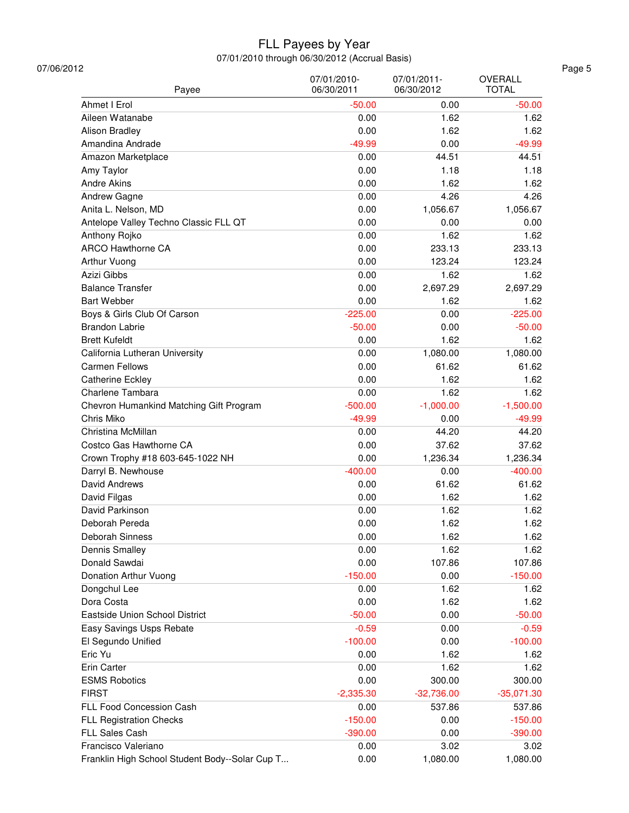| 07/06/2012<br>Payee                            | 07/01/2010-<br>06/30/2011 | 07/01/2011-<br>06/30/2012 | OVERALL<br><b>TOTAL</b> |
|------------------------------------------------|---------------------------|---------------------------|-------------------------|
| Ahmet I Erol                                   | $-50.00$                  | 0.00                      | $-50.00$                |
| Aileen Watanabe                                | 0.00                      | 1.62                      | 1.62                    |
| Alison Bradley                                 | 0.00                      | 1.62                      | 1.62                    |
| Amandina Andrade                               | $-49.99$                  | 0.00                      | $-49.99$                |
| Amazon Marketplace                             | 0.00                      | 44.51                     | 44.51                   |
| Amy Taylor                                     | 0.00                      | 1.18                      | 1.18                    |
| <b>Andre Akins</b>                             | 0.00                      | 1.62                      | 1.62                    |
| Andrew Gagne                                   | 0.00                      | 4.26                      | 4.26                    |
| Anita L. Nelson, MD                            | 0.00                      | 1,056.67                  | 1,056.67                |
| Antelope Valley Techno Classic FLL QT          | 0.00                      | 0.00                      | 0.00                    |
| Anthony Rojko                                  | 0.00                      | 1.62                      | 1.62                    |
| <b>ARCO Hawthorne CA</b>                       | 0.00                      | 233.13                    | 233.13                  |
| Arthur Vuong                                   | 0.00                      | 123.24                    | 123.24                  |
| Azizi Gibbs                                    | 0.00                      | 1.62                      | 1.62                    |
| <b>Balance Transfer</b>                        | 0.00                      | 2,697.29                  | 2,697.29                |
| <b>Bart Webber</b>                             | 0.00                      | 1.62                      | 1.62                    |
| Boys & Girls Club Of Carson                    | $-225.00$                 | 0.00                      | $-225.00$               |
| <b>Brandon Labrie</b>                          | $-50.00$                  | 0.00                      | $-50.00$                |
| <b>Brett Kufeldt</b>                           | 0.00                      | 1.62                      | 1.62                    |
| California Lutheran University                 | 0.00                      | 1,080.00                  | 1,080.00                |
| <b>Carmen Fellows</b>                          | 0.00                      | 61.62                     | 61.62                   |
| Catherine Eckley                               | 0.00                      | 1.62                      | 1.62                    |
| Charlene Tambara                               | 0.00                      | 1.62                      | 1.62                    |
| Chevron Humankind Matching Gift Program        | $-500.00$                 | $-1,000.00$               | $-1,500.00$             |
| Chris Miko                                     | $-49.99$                  | 0.00                      | $-49.99$                |
| Christina McMillan                             | 0.00                      | 44.20                     | 44.20                   |
| Costco Gas Hawthorne CA                        | 0.00                      | 37.62                     | 37.62                   |
| Crown Trophy #18 603-645-1022 NH               | 0.00                      | 1,236.34                  | 1,236.34                |
| Darryl B. Newhouse                             | $-400.00$                 | 0.00                      | $-400.00$               |
| David Andrews                                  | 0.00                      | 61.62                     | 61.62                   |
| David Filgas                                   | 0.00                      | 1.62                      | 1.62                    |
| David Parkinson                                | 0.00                      | 1.62                      | 1.62                    |
| Deborah Pereda                                 | 0.00                      | 1.62                      | 1.62                    |
| Deborah Sinness                                | 0.00                      | 1.62                      | 1.62                    |
| Dennis Smalley                                 | 0.00                      | 1.62                      | 1.62                    |
| Donald Sawdai                                  | 0.00                      | 107.86                    | 107.86                  |
| Donation Arthur Vuong                          | $-150.00$                 | 0.00                      | $-150.00$               |
| Dongchul Lee                                   | 0.00                      | 1.62                      | 1.62                    |
| Dora Costa                                     | 0.00                      | 1.62                      | 1.62                    |
| Eastside Union School District                 | $-50.00$                  | 0.00                      | $-50.00$                |
| Easy Savings Usps Rebate                       | $-0.59$                   | 0.00                      | $-0.59$                 |
| El Segundo Unified                             | $-100.00$                 | 0.00                      | $-100.00$               |
| Eric Yu                                        | 0.00                      | 1.62                      | 1.62                    |
| Erin Carter                                    | 0.00                      | 1.62                      | 1.62                    |
| <b>ESMS Robotics</b>                           | 0.00                      | 300.00                    | 300.00                  |
| <b>FIRST</b>                                   |                           |                           |                         |
| FLL Food Concession Cash                       | $-2,335.30$<br>0.00       | $-32,736.00$<br>537.86    | $-35,071.30$<br>537.86  |
|                                                |                           |                           |                         |
| <b>FLL Registration Checks</b>                 | $-150.00$                 | 0.00                      | $-150.00$               |
| <b>FLL Sales Cash</b>                          | $-390.00$                 | 0.00                      | $-390.00$               |
| Francisco Valeriano                            | 0.00                      | 3.02                      | 3.02                    |
| Franklin High School Student Body--Solar Cup T | 0.00                      | 1,080.00                  | 1,080.00                |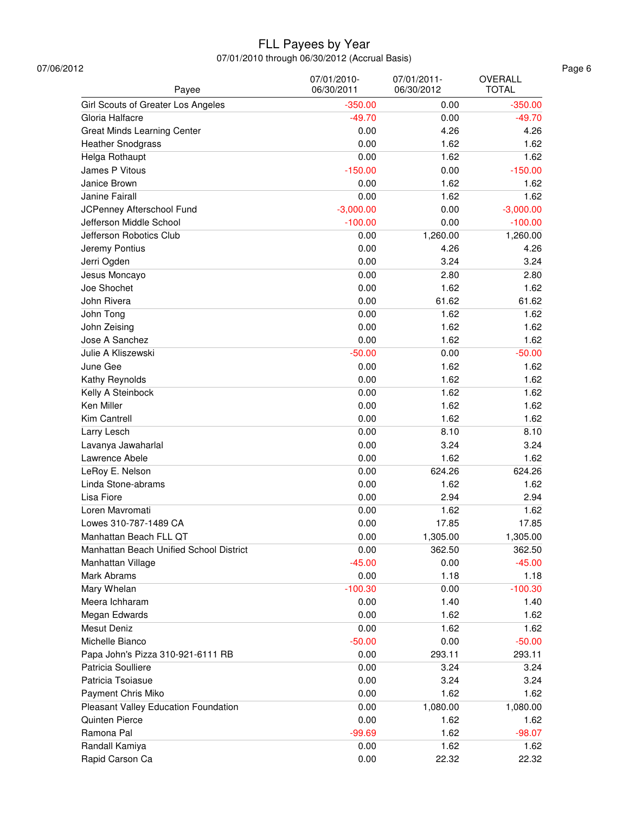| 07/06/2012<br>Payee                     | 07/01/2010-<br>06/30/2011 | 07/01/2011-<br>06/30/2012 | OVERALL<br><b>TOTAL</b> |
|-----------------------------------------|---------------------------|---------------------------|-------------------------|
| Girl Scouts of Greater Los Angeles      | $-350.00$                 | 0.00                      | $-350.00$               |
| Gloria Halfacre                         | $-49.70$                  | 0.00                      | $-49.70$                |
| Great Minds Learning Center             | 0.00                      | 4.26                      | 4.26                    |
| <b>Heather Snodgrass</b>                | 0.00                      | 1.62                      | 1.62                    |
| Helga Rothaupt                          | 0.00                      | 1.62                      | 1.62                    |
| James P Vitous                          | $-150.00$                 | 0.00                      | $-150.00$               |
| Janice Brown                            | 0.00                      | 1.62                      | 1.62                    |
| Janine Fairall                          | 0.00                      | 1.62                      | 1.62                    |
| JCPenney Afterschool Fund               | $-3,000.00$               | 0.00                      | $-3,000.00$             |
| Jefferson Middle School                 | $-100.00$                 | 0.00                      | $-100.00$               |
| Jefferson Robotics Club                 | 0.00                      | 1,260.00                  | 1,260.00                |
| Jeremy Pontius                          | 0.00                      | 4.26                      | 4.26                    |
| Jerri Ogden                             | 0.00                      | 3.24                      | 3.24                    |
|                                         | 0.00                      | 2.80                      | 2.80                    |
| Jesus Moncayo<br>Joe Shochet            | 0.00                      | 1.62                      | 1.62                    |
| John Rivera                             | 0.00                      | 61.62                     |                         |
|                                         |                           |                           | 61.62                   |
| John Tong                               | 0.00                      | 1.62                      | 1.62                    |
| John Zeising                            | 0.00                      | 1.62                      | 1.62                    |
| Jose A Sanchez                          | 0.00                      | 1.62                      | 1.62                    |
| Julie A Kliszewski                      | $-50.00$                  | 0.00                      | $-50.00$                |
| June Gee                                | 0.00                      | 1.62                      | 1.62                    |
| Kathy Reynolds                          | 0.00                      | 1.62                      | 1.62                    |
| Kelly A Steinbock                       | 0.00                      | 1.62                      | 1.62                    |
| Ken Miller                              | 0.00                      | 1.62                      | 1.62                    |
| Kim Cantrell                            | 0.00                      | 1.62                      | 1.62                    |
| Larry Lesch                             | 0.00                      | 8.10                      | 8.10                    |
| Lavanya Jawaharlal                      | 0.00                      | 3.24                      | 3.24                    |
| Lawrence Abele                          | 0.00                      | 1.62                      | 1.62                    |
| LeRoy E. Nelson                         | 0.00                      | 624.26                    | 624.26                  |
| Linda Stone-abrams                      | 0.00                      | 1.62                      | 1.62                    |
| Lisa Fiore                              | 0.00                      | 2.94                      | 2.94                    |
| Loren Mavromati                         | 0.00                      | 1.62                      | 1.62                    |
| Lowes 310-787-1489 CA                   | 0.00                      | 17.85                     | 17.85                   |
| Manhattan Beach FLL QT                  | 0.00                      | 1,305.00                  | 1,305.00                |
| Manhattan Beach Unified School District | 0.00                      | 362.50                    | 362.50                  |
| Manhattan Village                       | $-45.00$                  | 0.00                      | $-45.00$                |
| Mark Abrams                             | 0.00                      | 1.18                      | 1.18                    |
| Mary Whelan                             | $-100.30$                 | 0.00                      | $-100.30$               |
| Meera Ichharam                          | 0.00                      | 1.40                      | 1.40                    |
| Megan Edwards                           | 0.00                      | 1.62                      | 1.62                    |
| <b>Mesut Deniz</b>                      | 0.00                      | 1.62                      | 1.62                    |
| Michelle Bianco                         | $-50.00$                  | 0.00                      | $-50.00$                |
| Papa John's Pizza 310-921-6111 RB       | 0.00                      | 293.11                    | 293.11                  |
| Patricia Soulliere                      | 0.00                      | 3.24                      | 3.24                    |
|                                         |                           |                           |                         |
| Patricia Tsoiasue                       | 0.00                      | 3.24                      | 3.24                    |
| Payment Chris Miko                      | 0.00                      | 1.62                      | 1.62                    |
| Pleasant Valley Education Foundation    | 0.00                      | 1,080.00                  | 1,080.00                |
| Quinten Pierce                          | 0.00                      | 1.62                      | 1.62                    |
| Ramona Pal                              | $-99.69$                  | 1.62                      | $-98.07$                |
| Randall Kamiya                          | 0.00                      | 1.62                      | 1.62                    |
| Rapid Carson Ca                         | 0.00                      | 22.32                     | 22.32                   |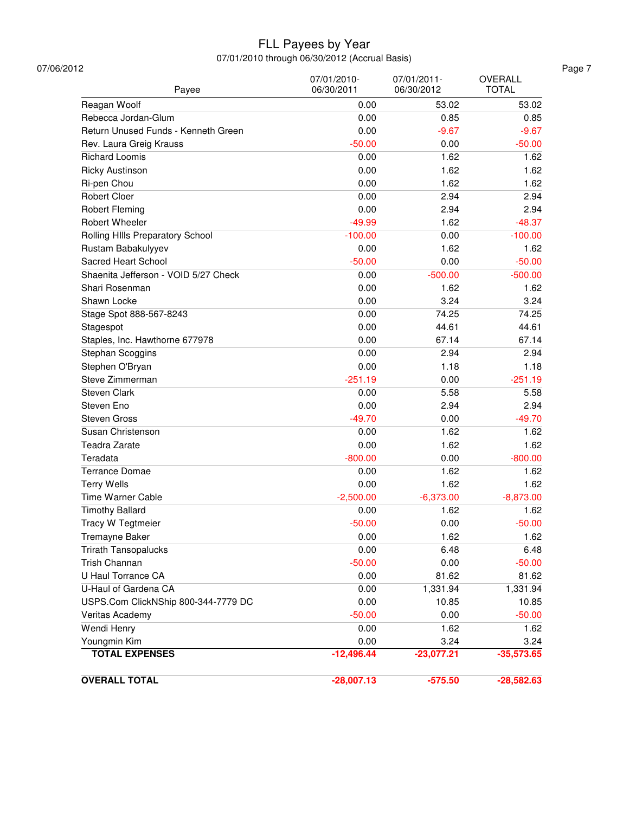| Payee                                | 07/01/2010-<br>06/30/2011 | 07/01/2011-<br>06/30/2012 | OVERALL<br><b>TOTAL</b> |
|--------------------------------------|---------------------------|---------------------------|-------------------------|
| Reagan Woolf                         | 0.00                      | 53.02                     | 53.02                   |
| Rebecca Jordan-Glum                  | 0.00                      | 0.85                      | 0.85                    |
| Return Unused Funds - Kenneth Green  | 0.00                      | $-9.67$                   | $-9.67$                 |
| Rev. Laura Greig Krauss              | $-50.00$                  | 0.00                      | $-50.00$                |
| <b>Richard Loomis</b>                | 0.00                      | 1.62                      | 1.62                    |
| <b>Ricky Austinson</b>               | 0.00                      | 1.62                      | 1.62                    |
| Ri-pen Chou                          | 0.00                      | 1.62                      | 1.62                    |
| <b>Robert Cloer</b>                  | 0.00                      | 2.94                      | 2.94                    |
| <b>Robert Fleming</b>                | 0.00                      | 2.94                      | 2.94                    |
| Robert Wheeler                       | $-49.99$                  | 1.62                      | $-48.37$                |
| Rolling HIIIs Preparatory School     | $-100.00$                 | 0.00                      | $-100.00$               |
| Rustam Babakulyyev                   | 0.00                      | 1.62                      | 1.62                    |
| Sacred Heart School                  | $-50.00$                  | 0.00                      | $-50.00$                |
| Shaenita Jefferson - VOID 5/27 Check | 0.00                      | $-500.00$                 | $-500.00$               |
| Shari Rosenman                       | 0.00                      | 1.62                      | 1.62                    |
| Shawn Locke                          | 0.00                      | 3.24                      | 3.24                    |
| Stage Spot 888-567-8243              | 0.00                      | 74.25                     | 74.25                   |
| Stagespot                            | 0.00                      | 44.61                     | 44.61                   |
| Staples, Inc. Hawthorne 677978       | 0.00                      | 67.14                     | 67.14                   |
| Stephan Scoggins                     | 0.00                      | 2.94                      | 2.94                    |
| Stephen O'Bryan                      | 0.00                      | 1.18                      | 1.18                    |
| Steve Zimmerman                      | $-251.19$                 | 0.00                      | $-251.19$               |
| Steven Clark                         | 0.00                      | 5.58                      | 5.58                    |
| Steven Eno                           | 0.00                      | 2.94                      | 2.94                    |
| <b>Steven Gross</b>                  | $-49.70$                  | 0.00                      | $-49.70$                |
| Susan Christenson                    | 0.00                      | 1.62                      | 1.62                    |
| Teadra Zarate                        | 0.00                      | 1.62                      | 1.62                    |
| Teradata                             | $-800.00$                 | 0.00                      | $-800.00$               |
| <b>Terrance Domae</b>                | 0.00                      | 1.62                      | 1.62                    |
| <b>Terry Wells</b>                   | 0.00                      | 1.62                      | 1.62                    |
| Time Warner Cable                    | $-2,500.00$               | $-6,373.00$               | $-8,873.00$             |
| <b>Timothy Ballard</b>               | 0.00                      | 1.62                      | 1.62                    |
| <b>Tracy W Tegtmeier</b>             | $-50.00$                  | 0.00                      | $-50.00$                |
| Tremayne Baker                       | 0.00                      | 1.62                      | 1.62                    |
| <b>Trirath Tansopalucks</b>          | 0.00                      | 6.48                      | 6.48                    |
| Trish Channan                        | $-50.00$                  | 0.00                      | $-50.00$                |
| U Haul Torrance CA                   | 0.00                      | 81.62                     | 81.62                   |
| U-Haul of Gardena CA                 | 0.00                      | 1,331.94                  | 1,331.94                |
| USPS.Com ClickNShip 800-344-7779 DC  | 0.00                      | 10.85                     | 10.85                   |
| Veritas Academy                      | $-50.00$                  | 0.00                      | $-50.00$                |
| Wendi Henry                          | 0.00                      | 1.62                      | 1.62                    |
| Youngmin Kim                         | 0.00                      | 3.24                      | 3.24                    |
| <b>TOTAL EXPENSES</b>                | $-12,496.44$              | $-23,077.21$              | $-35,573.65$            |
|                                      |                           |                           |                         |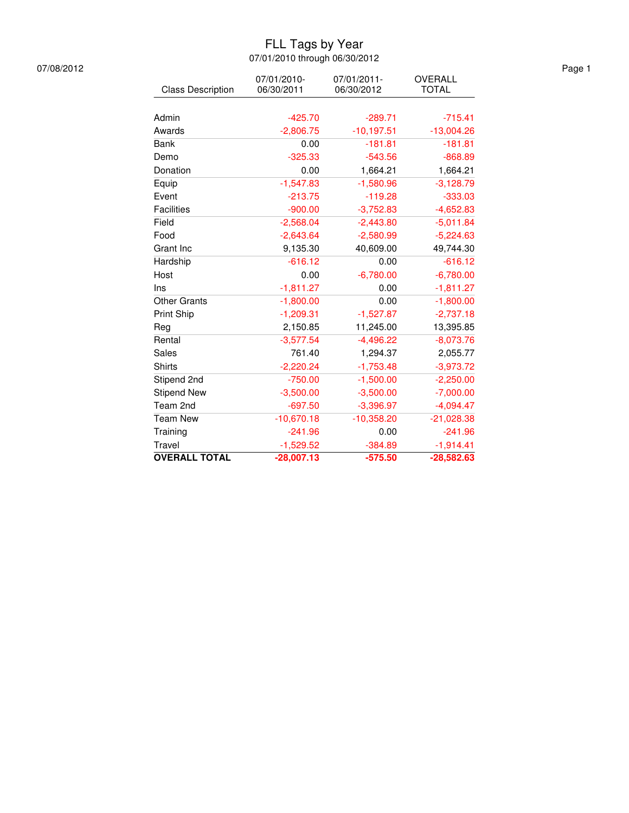### FLL Tags by Year 07/01/2010 through 06/30/2012

| 07/08/2012 |                          |                           |                           |                         |
|------------|--------------------------|---------------------------|---------------------------|-------------------------|
|            | <b>Class Description</b> | 07/01/2010-<br>06/30/2011 | 07/01/2011-<br>06/30/2012 | OVERALL<br><b>TOTAL</b> |
|            |                          |                           |                           |                         |
|            | Admin                    | $-425.70$                 | $-289.71$                 | $-715.41$               |
|            | Awards                   | $-2,806.75$               | $-10,197.51$              | $-13,004.26$            |
|            | <b>Bank</b>              | 0.00                      | $-181.81$                 | $-181.81$               |
|            | Demo                     | $-325.33$                 | $-543.56$                 | $-868.89$               |
|            | Donation                 | 0.00                      | 1,664.21                  | 1,664.21                |
|            | Equip                    | $-1,547.83$               | $-1,580.96$               | $-3,128.79$             |
|            | Event                    | $-213.75$                 | $-119.28$                 | $-333.03$               |
|            | Facilities               | $-900.00$                 | $-3,752.83$               | $-4,652.83$             |
|            | Field                    | $-2,568.04$               | $-2,443.80$               | $-5,011.84$             |
|            | Food                     | $-2,643.64$               | $-2,580.99$               | $-5,224.63$             |
|            | Grant Inc                | 9,135.30                  | 40,609.00                 | 49,744.30               |
|            | Hardship                 | $-616.12$                 | 0.00                      | $-616.12$               |
|            | Host                     | 0.00                      | $-6,780.00$               | $-6,780.00$             |
|            | Ins                      | $-1,811.27$               | 0.00                      | $-1,811.27$             |
|            | <b>Other Grants</b>      | $-1,800.00$               | 0.00                      | $-1,800.00$             |
|            | Print Ship               | $-1,209.31$               | $-1,527.87$               | $-2,737.18$             |
|            | Reg                      | 2,150.85                  | 11,245.00                 | 13,395.85               |
|            | Rental                   | $-3,577.54$               | $-4,496.22$               | $-8,073.76$             |
|            | Sales                    | 761.40                    | 1,294.37                  | 2,055.77                |
|            | <b>Shirts</b>            | $-2,220.24$               | $-1,753.48$               | $-3,973.72$             |
|            | Stipend 2nd              | $-750.00$                 | $-1,500.00$               | $-2,250.00$             |
|            | <b>Stipend New</b>       | $-3,500.00$               | $-3,500.00$               | $-7,000.00$             |
|            | Team 2nd                 | $-697.50$                 | $-3,396.97$               | $-4,094.47$             |
|            | <b>Team New</b>          | $-10,670.18$              | $-10,358.20$              | $-21,028.38$            |
|            | Training                 | $-241.96$                 | 0.00                      | $-241.96$               |
|            | Travel                   | $-1,529.52$               | $-384.89$                 | $-1,914.41$             |
|            | <b>OVERALL TOTAL</b>     | $-28,007.13$              | $-575.50$                 | $-28,582.63$            |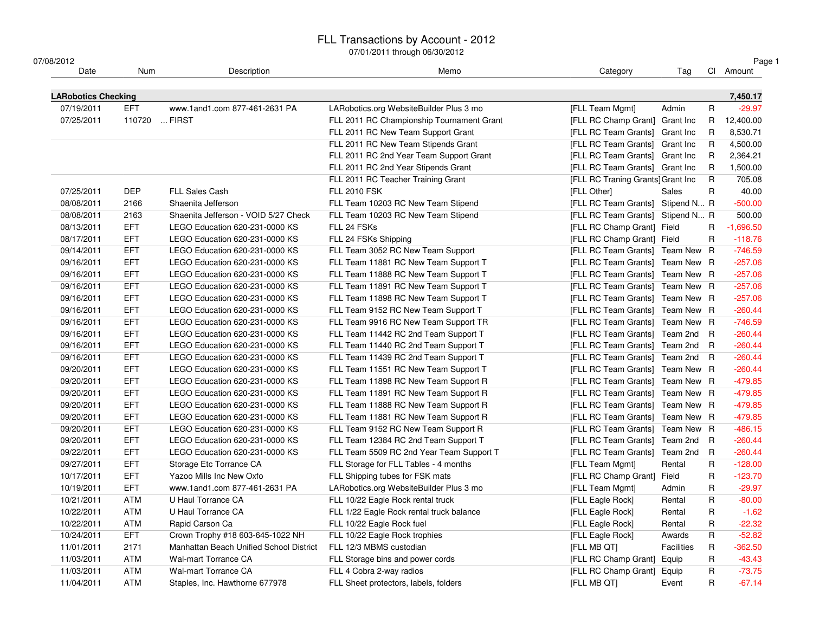| 07/08/2012                 |               |                                         |                                           |                                   |                   |                | Page 1      |
|----------------------------|---------------|-----------------------------------------|-------------------------------------------|-----------------------------------|-------------------|----------------|-------------|
| Date                       | Num           | Description                             | Memo                                      | Category                          | Tag               |                | CI Amount   |
| <b>LARobotics Checking</b> |               |                                         |                                           |                                   |                   |                | 7,450.17    |
| 07/19/2011                 | EFT           | www.1and1.com 877-461-2631 PA           | LARobotics.org WebsiteBuilder Plus 3 mo   | [FLL Team Mgmt]                   | Admin             | $\mathsf{R}$   | $-29.97$    |
| 07/25/2011                 | 110720  FIRST |                                         | FLL 2011 RC Championship Tournament Grant | [FLL RC Champ Grant] Grant Inc    |                   | R              | 12,400.00   |
|                            |               |                                         | FLL 2011 RC New Team Support Grant        | [FLL RC Team Grants] Grant Inc    |                   | R.             | 8,530.71    |
|                            |               |                                         | FLL 2011 RC New Team Stipends Grant       | [FLL RC Team Grants] Grant Inc    |                   | R              | 4,500.00    |
|                            |               |                                         | FLL 2011 RC 2nd Year Team Support Grant   | [FLL RC Team Grants] Grant Inc    |                   | R              | 2,364.21    |
|                            |               |                                         | FLL 2011 RC 2nd Year Stipends Grant       | [FLL RC Team Grants] Grant Inc    |                   | R              | 1,500.00    |
|                            |               |                                         | FLL 2011 RC Teacher Training Grant        | [FLL RC Traning Grants] Grant Inc |                   | R              | 705.08      |
| 07/25/2011                 | <b>DEP</b>    | FLL Sales Cash                          | <b>FLL 2010 FSK</b>                       | [FLL Other]                       | <b>Sales</b>      | R              | 40.00       |
| 08/08/2011                 | 2166          | Shaenita Jefferson                      | FLL Team 10203 RC New Team Stipend        | [FLL RC Team Grants] Stipend N R  |                   |                | $-500.00$   |
| 08/08/2011                 | 2163          | Shaenita Jefferson - VOID 5/27 Check    | FLL Team 10203 RC New Team Stipend        | [FLL RC Team Grants] Stipend N R  |                   |                | 500.00      |
| 08/13/2011                 | <b>EFT</b>    | LEGO Education 620-231-0000 KS          | FLL 24 FSKs                               | [FLL RC Champ Grant] Field        |                   | R              | $-1,696.50$ |
| 08/17/2011                 | <b>EFT</b>    | LEGO Education 620-231-0000 KS          | FLL 24 FSKs Shipping                      | [FLL RC Champ Grant] Field        |                   | $\mathsf{R}$   | $-118.76$   |
| 09/14/2011                 | <b>EFT</b>    | LEGO Education 620-231-0000 KS          | FLL Team 3052 RC New Team Support         | [FLL RC Team Grants] Team New R   |                   |                | $-746.59$   |
| 09/16/2011                 | <b>EFT</b>    | LEGO Education 620-231-0000 KS          | FLL Team 11881 RC New Team Support T      | [FLL RC Team Grants] Team New R   |                   |                | $-257.06$   |
| 09/16/2011                 | <b>EFT</b>    | LEGO Education 620-231-0000 KS          | FLL Team 11888 RC New Team Support T      | [FLL RC Team Grants] Team New R   |                   |                | $-257.06$   |
| 09/16/2011                 | <b>EFT</b>    | LEGO Education 620-231-0000 KS          | FLL Team 11891 RC New Team Support T      | [FLL RC Team Grants] Team New R   |                   |                | $-257.06$   |
| 09/16/2011                 | <b>EFT</b>    | LEGO Education 620-231-0000 KS          | FLL Team 11898 RC New Team Support T      | [FLL RC Team Grants] Team New R   |                   |                | $-257.06$   |
| 09/16/2011                 | <b>EFT</b>    | LEGO Education 620-231-0000 KS          | FLL Team 9152 RC New Team Support T       | [FLL RC Team Grants] Team New R   |                   |                | $-260.44$   |
| 09/16/2011                 | <b>EFT</b>    | LEGO Education 620-231-0000 KS          | FLL Team 9916 RC New Team Support TR      | [FLL RC Team Grants] Team New R   |                   |                | $-746.59$   |
| 09/16/2011                 | <b>EFT</b>    | LEGO Education 620-231-0000 KS          | FLL Team 11442 RC 2nd Team Support T      | [FLL RC Team Grants] Team 2nd R   |                   |                | $-260.44$   |
| 09/16/2011                 | <b>EFT</b>    | LEGO Education 620-231-0000 KS          | FLL Team 11440 RC 2nd Team Support T      | [FLL RC Team Grants] Team 2nd R   |                   |                | $-260.44$   |
| 09/16/2011                 | <b>EFT</b>    | LEGO Education 620-231-0000 KS          | FLL Team 11439 RC 2nd Team Support T      | [FLL RC Team Grants] Team 2nd R   |                   |                | $-260.44$   |
| 09/20/2011                 | <b>EFT</b>    | LEGO Education 620-231-0000 KS          | FLL Team 11551 RC New Team Support T      | [FLL RC Team Grants] Team New R   |                   |                | $-260.44$   |
| 09/20/2011                 | <b>EFT</b>    | LEGO Education 620-231-0000 KS          | FLL Team 11898 RC New Team Support R      | [FLL RC Team Grants] Team New R   |                   |                | $-479.85$   |
| 09/20/2011                 | <b>EFT</b>    | LEGO Education 620-231-0000 KS          | FLL Team 11891 RC New Team Support R      | [FLL RC Team Grants] Team New R   |                   |                | $-479.85$   |
| 09/20/2011                 | <b>EFT</b>    | LEGO Education 620-231-0000 KS          | FLL Team 11888 RC New Team Support R      | [FLL RC Team Grants] Team New R   |                   |                | $-479.85$   |
| 09/20/2011                 | <b>EFT</b>    | LEGO Education 620-231-0000 KS          | FLL Team 11881 RC New Team Support R      | [FLL RC Team Grants] Team New R   |                   |                | $-479.85$   |
| 09/20/2011                 | <b>EFT</b>    | LEGO Education 620-231-0000 KS          | FLL Team 9152 RC New Team Support R       | [FLL RC Team Grants] Team New R   |                   |                | $-486.15$   |
| 09/20/2011                 | <b>EFT</b>    | LEGO Education 620-231-0000 KS          | FLL Team 12384 RC 2nd Team Support T      | [FLL RC Team Grants] Team 2nd     |                   | $\overline{R}$ | $-260.44$   |
| 09/22/2011                 | <b>EFT</b>    | LEGO Education 620-231-0000 KS          | FLL Team 5509 RC 2nd Year Team Support T  | [FLL RC Team Grants] Team 2nd     |                   | R              | $-260.44$   |
| 09/27/2011                 | <b>EFT</b>    | Storage Etc Torrance CA                 | FLL Storage for FLL Tables - 4 months     | [FLL Team Mgmt]                   | Rental            | R.             | $-128.00$   |
| 10/17/2011                 | <b>EFT</b>    | Yazoo Mills Inc New Oxfo                | FLL Shipping tubes for FSK mats           | [FLL RC Champ Grant] Field        |                   | $\mathsf{R}$   | $-123.70$   |
| 10/19/2011                 | <b>EFT</b>    | www.1and1.com 877-461-2631 PA           | LARobotics.org WebsiteBuilder Plus 3 mo   | [FLL Team Mgmt]                   | Admin             | R              | $-29.97$    |
| 10/21/2011                 | <b>ATM</b>    | U Haul Torrance CA                      | FLL 10/22 Eagle Rock rental truck         | [FLL Eagle Rock]                  | Rental            | R              | $-80.00$    |
| 10/22/2011                 | <b>ATM</b>    | U Haul Torrance CA                      | FLL 1/22 Eagle Rock rental truck balance  | [FLL Eagle Rock]                  | Rental            | R              | $-1.62$     |
| 10/22/2011                 | ATM           | Rapid Carson Ca                         | FLL 10/22 Eagle Rock fuel                 | [FLL Eagle Rock]                  | Rental            | R.             | $-22.32$    |
| 10/24/2011                 | <b>EFT</b>    | Crown Trophy #18 603-645-1022 NH        | FLL 10/22 Eagle Rock trophies             | [FLL Eagle Rock]                  | Awards            | R              | $-52.82$    |
| 11/01/2011                 | 2171          | Manhattan Beach Unified School District | FLL 12/3 MBMS custodian                   | [FLL MB QT]                       | <b>Facilities</b> | R              | $-362.50$   |
| 11/03/2011                 | <b>ATM</b>    | <b>Wal-mart Torrance CA</b>             | FLL Storage bins and power cords          | [FLL RC Champ Grant] Equip        |                   | $\mathsf{R}$   | $-43.43$    |
| 11/03/2011                 | <b>ATM</b>    | <b>Wal-mart Torrance CA</b>             | FLL 4 Cobra 2-way radios                  | [FLL RC Champ Grant] Equip        |                   | $\mathsf R$    | $-73.75$    |
| 11/04/2011                 | <b>ATM</b>    | Staples, Inc. Hawthorne 677978          | FLL Sheet protectors, labels, folders     | [FLL MB QT]                       | Event             | $\mathsf{R}$   | $-67.14$    |
|                            |               |                                         |                                           |                                   |                   |                |             |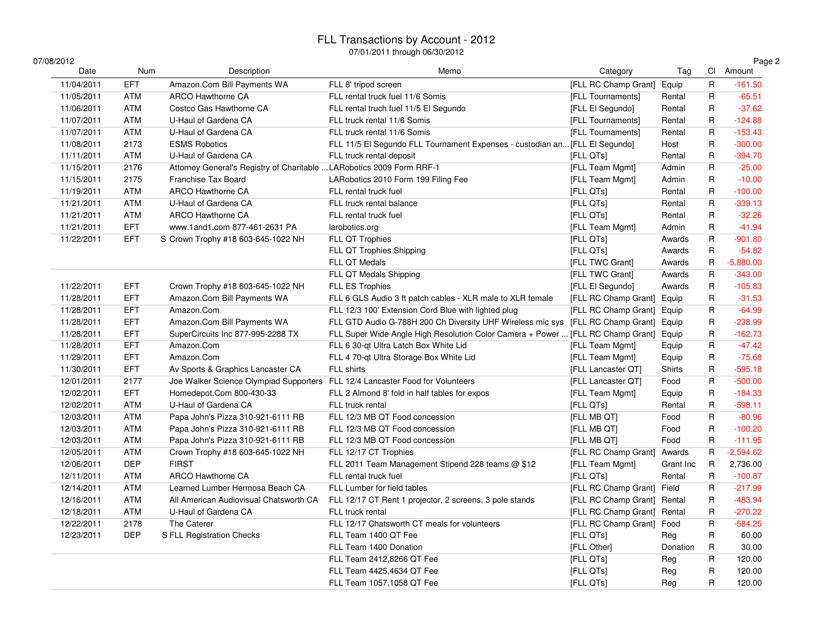### FLL Transactions by Account - 2012

| 07/08/2012 |            |                                                                       |                                                                                       |                             |               |              | Page 2      |
|------------|------------|-----------------------------------------------------------------------|---------------------------------------------------------------------------------------|-----------------------------|---------------|--------------|-------------|
| Date       | Num        | Description                                                           | Memo                                                                                  | Category                    | Tag           |              | Cl Amount   |
| 11/04/2011 | <b>EFT</b> | Amazon.Com Bill Payments WA                                           | FLL 8' tripod screen                                                                  | [FLL RC Champ Grant]        | Equip         | $\mathsf R$  | $-161.50$   |
| 11/05/2011 | <b>ATM</b> | ARCO Hawthorne CA                                                     | FLL rental truck fuel 11/6 Somis                                                      | [FLL Tournaments]           | Rental        | R            | $-65.51$    |
| 11/06/2011 | ATM        | Costco Gas Hawthorne CA                                               | FLL rental truch fuel 11/5 El Segundo                                                 | [FLL El Segundo]            | Rental        | R            | $-37.62$    |
| 11/07/2011 | ATM        | U-Haul of Gardena CA                                                  | FLL truck rental 11/6 Somis                                                           | [FLL Tournaments]           | Rental        | $\mathsf{R}$ | $-124.88$   |
| 11/07/2011 | ATM        | U-Haul of Gardena CA                                                  | FLL truck rental 11/6 Somis                                                           | [FLL Tournaments]           | Rental        | $\mathsf{R}$ | $-153.43$   |
| 11/08/2011 | 2173       | <b>ESMS Robotics</b>                                                  | FLL 11/5 El Segundo FLL Tournament Expenses - custodian an [FLL El Segundo]           |                             | Host          | R            | $-300.00$   |
| 11/11/2011 | ATM        | U-Haul of Gardena CA                                                  | FLL truck rental deposit                                                              | [FLL QTs]                   | Rental        | R            | $-394.70$   |
| 11/15/2011 | 2176       | Attorney General's Registry of Charitable  LARobotics 2009 Form RRF-1 |                                                                                       | [FLL Team Mgmt]             | Admin         | R            | $-25.00$    |
| 11/15/2011 | 2175       | Franchise Tax Board                                                   | LARobotics 2010 Form 199 Filing Fee                                                   | [FLL Team Mgmt]             | Admin         | R            | $-10.00$    |
| 11/19/2011 | ATM        | ARCO Hawthorne CA                                                     | FLL rental truck fuel                                                                 | [FLL QTs]                   | Rental        | $\mathsf{R}$ | $-100.00$   |
| 11/21/2011 | <b>ATM</b> | U-Haul of Gardena CA                                                  | FLL truck rental balance                                                              | [FLL QTs]                   | Rental        | $\mathsf R$  | $-339.13$   |
| 11/21/2011 | ATM        | ARCO Hawthorne CA                                                     | FLL rental truck fuel                                                                 | [FLL QTs]                   | Rental        | R            | $-32.26$    |
| 11/21/2011 | <b>EFT</b> | www.1and1.com 877-461-2631 PA                                         | larobotics.org                                                                        | [FLL Team Mgmt]             | Admin         | $\mathsf{R}$ | $-41.94$    |
| 11/22/2011 | <b>EFT</b> | S Crown Trophy #18 603-645-1022 NH                                    | FLL QT Trophies                                                                       | [FLL QTs]                   | Awards        | R            | $-901.80$   |
|            |            |                                                                       | FLL QT Trophies Shipping                                                              | [FLL QTs]                   | Awards        | R            | $-54.82$    |
|            |            |                                                                       | FLL QT Medals                                                                         | [FLL TWC Grant]             | Awards        | $\mathsf{R}$ | $-5,880.00$ |
|            |            |                                                                       | FLL QT Medals Shipping                                                                | [FLL TWC Grant]             | Awards        | R            | $-343.00$   |
| 11/22/2011 | <b>EFT</b> | Crown Trophy #18 603-645-1022 NH                                      | FLL ES Trophies                                                                       | [FLL El Segundo]            | Awards        | R            | $-105.83$   |
| 11/28/2011 | <b>EFT</b> | Amazon.Com Bill Payments WA                                           | FLL 6 GLS Audio 3 ft patch cables - XLR male to XLR female                            | [FLL RC Champ Grant] Equip  |               | $\mathsf{R}$ | $-31.53$    |
| 11/28/2011 | <b>EFT</b> | Amazon.Com                                                            | FLL 12/3 100' Extension Cord Blue with lighted plug                                   | [FLL RC Champ Grant] Equip  |               | $\mathsf{R}$ | $-64.99$    |
| 11/28/2011 | <b>EFT</b> | Amazon.Com Bill Payments WA                                           | FLL GTD Audio G-788H 200 Ch Diversity UHF Wireless mic sys [FLL RC Champ Grant]       |                             | Equip         | R            | $-238.99$   |
| 11/28/2011 | <b>EFT</b> | SuperCircuits Inc 877-995-2288 TX                                     | FLL Super Wide Angle High Resolution Color Camera + Power  [FLL RC Champ Grant] Equip |                             |               | R            | $-162.73$   |
| 11/28/2011 | <b>EFT</b> | Amazon.Com                                                            | FLL 6 30-qt Ultra Latch Box White Lid                                                 | [FLL Team Mgmt]             | Equip         | R            | $-47.42$    |
| 11/29/2011 | <b>EFT</b> | Amazon.Com                                                            | FLL 4 70-qt Ultra Storage Box White Lid                                               | [FLL Team Mgmt]             | Equip         | R            | $-75.68$    |
| 11/30/2011 | <b>EFT</b> | Av Sports & Graphics Lancaster CA                                     | FLL shirts                                                                            | [FLL Lancaster QT]          | <b>Shirts</b> | $\mathsf{R}$ | $-595.18$   |
| 12/01/2011 | 2177       | Joe Walker Science Olympiad Supporters                                | FLL 12/4 Lancaster Food for Volunteers                                                | [FLL Lancaster QT]          | Food          | R            | $-500.00$   |
| 12/02/2011 | <b>EFT</b> | Homedepot.Com 800-430-33                                              | FLL 2 Almond 8' fold in half tables for expos                                         | [FLL Team Mgmt]             | Equip         | R            | $-184.33$   |
| 12/02/2011 | <b>ATM</b> | U-Haul of Gardena CA                                                  | FLL truck rental                                                                      | [FLL QTs]                   | Rental        | $\mathsf{R}$ | $-598.11$   |
| 12/03/2011 | <b>ATM</b> | Papa John's Pizza 310-921-6111 RB                                     | FLL 12/3 MB QT Food concession                                                        | [FLL MB QT]                 | Food          | R            | $-80.96$    |
| 12/03/2011 | ATM        | Papa John's Pizza 310-921-6111 RB                                     | FLL 12/3 MB QT Food concession                                                        | [FLL MB QT]                 | Food          | $\mathsf R$  | $-100.20$   |
| 12/03/2011 | <b>ATM</b> | Papa John's Pizza 310-921-6111 RB                                     | FLL 12/3 MB QT Food concession                                                        | [FLL MB QT]                 | Food          | $\mathsf{R}$ | $-111.95$   |
| 12/05/2011 | <b>ATM</b> | Crown Trophy #18 603-645-1022 NH                                      | FLL 12/17 CT Trophies                                                                 | [FLL RC Champ Grant] Awards |               | R            | $-2,594.62$ |
| 12/06/2011 | <b>DEP</b> | <b>FIRST</b>                                                          | FLL 2011 Team Management Stipend 228 teams @ \$12                                     | [FLL Team Mgmt]             | Grant Inc     | R            | 2,736.00    |
| 12/11/2011 | ATM        | ARCO Hawthorne CA                                                     | FLL rental truck fuel                                                                 | [FLL QTs]                   | Rental        | $\mathsf{R}$ | $-100.87$   |
| 12/14/2011 | <b>ATM</b> | Learned Lumber Hermosa Beach CA                                       | FLL Lumber for field tables                                                           | [FLL RC Champ Grant] Field  |               | $\mathsf R$  | $-217.99$   |
| 12/16/2011 | ATM        | All American Audiovisual Chatsworth CA                                | FLL 12/17 CT Rent 1 projector, 2 screens, 3 pole stands                               | [FLL RC Champ Grant] Rental |               | $\mathsf{R}$ | $-483.94$   |
| 12/18/2011 | ATM        | U-Haul of Gardena CA                                                  | FLL truck rental                                                                      | [FLL RC Champ Grant] Rental |               | $\mathsf{R}$ | $-270.22$   |
| 12/22/2011 | 2178       | The Caterer                                                           | FLL 12/17 Chatsworth CT meals for volunteers                                          | [FLL RC Champ Grant] Food   |               | $\mathsf{R}$ | $-584.25$   |
| 12/23/2011 | <b>DEP</b> | S FLL Registration Checks                                             | FLL Team 1400 QT Fee                                                                  | [FLL QTs]                   | Rea           | R            | 60.00       |
|            |            |                                                                       | FLL Team 1400 Donation                                                                | [FLL Other]                 | Donation      | $\mathsf{R}$ | 30.00       |
|            |            |                                                                       | FLL Team 2412,8266 QT Fee                                                             | [FLL QTs]                   | Reg           | R            | 120.00      |
|            |            |                                                                       | FLL Team 4425,4634 QT Fee                                                             | [FLL QTs]                   | Reg           | $\mathsf{R}$ | 120.00      |
|            |            |                                                                       | FLL Team 1057,1058 QT Fee                                                             | [FLL QTs]                   | Reg           | R            | 120.00      |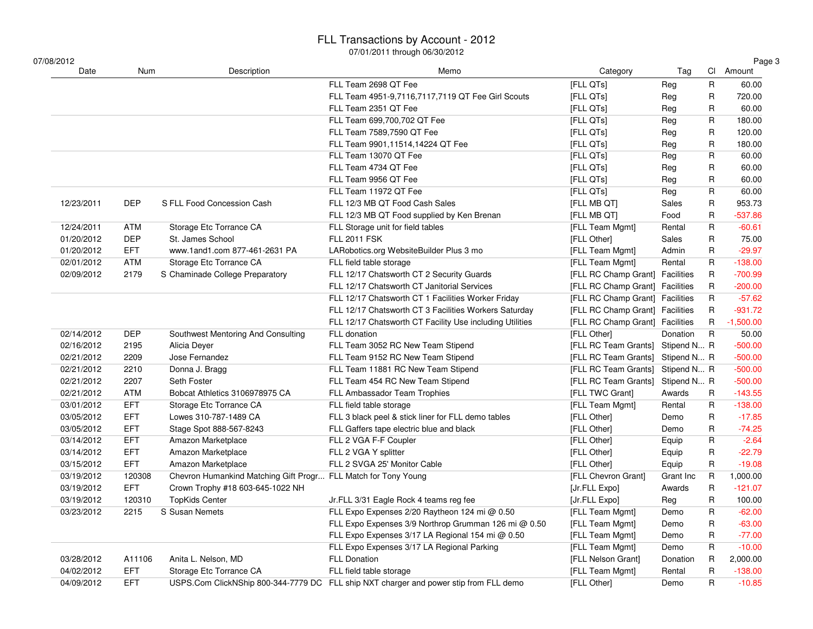| 07/08/2012 |            |                                                                | <u>07/01/2011 เที่เดินดูที่ 06/30/2012</u>                                            |                                  |             |              | Page 3      |
|------------|------------|----------------------------------------------------------------|---------------------------------------------------------------------------------------|----------------------------------|-------------|--------------|-------------|
| Date       | Num        | Description                                                    | Memo                                                                                  | Category                         | Tag         |              | Cl Amount   |
|            |            |                                                                | FLL Team 2698 QT Fee                                                                  | [FLL QTs]                        | Reg         | R            | 60.00       |
|            |            |                                                                | FLL Team 4951-9,7116,7117,7119 QT Fee Girl Scouts                                     | [FLL QTs]                        | Reg         | R            | 720.00      |
|            |            |                                                                | FLL Team 2351 QT Fee                                                                  | [FLL QTs]                        | Reg         | R            | 60.00       |
|            |            |                                                                | FLL Team 699,700,702 QT Fee                                                           | [FLL QTs]                        | Reg         | R            | 180.00      |
|            |            |                                                                | FLL Team 7589,7590 QT Fee                                                             | [FLL QTs]                        | Reg         | R            | 120.00      |
|            |            |                                                                | FLL Team 9901,11514,14224 QT Fee                                                      | [FLL QTs]                        | Reg         | R            | 180.00      |
|            |            |                                                                | FLL Team 13070 QT Fee                                                                 | [FLL QTs]                        | Reg         | R            | 60.00       |
|            |            |                                                                | FLL Team 4734 QT Fee                                                                  | [FLL QTs]                        | Reg         | R            | 60.00       |
|            |            |                                                                | FLL Team 9956 QT Fee                                                                  | [FLL QTs]                        | Reg         | R            | 60.00       |
|            |            |                                                                | FLL Team 11972 QT Fee                                                                 | [FLL QTs]                        | Reg         | R            | 60.00       |
| 12/23/2011 | <b>DEP</b> | S FLL Food Concession Cash                                     | FLL 12/3 MB QT Food Cash Sales                                                        | [FLL MB QT]                      | Sales       | R            | 953.73      |
|            |            |                                                                | FLL 12/3 MB QT Food supplied by Ken Brenan                                            | [FLL MB QT]                      | Food        | R            | $-537.86$   |
| 12/24/2011 | ATM        | Storage Etc Torrance CA                                        | FLL Storage unit for field tables                                                     | [FLL Team Mgmt]                  | Rental      | R            | $-60.61$    |
| 01/20/2012 | <b>DEP</b> | St. James School                                               | <b>FLL 2011 FSK</b>                                                                   | [FLL Other]                      | Sales       | R            | 75.00       |
| 01/20/2012 | <b>EFT</b> | www.1and1.com 877-461-2631 PA                                  | LARobotics.org WebsiteBuilder Plus 3 mo                                               | [FLL Team Mgmt]                  | Admin       | R            | $-29.97$    |
| 02/01/2012 | <b>ATM</b> | Storage Etc Torrance CA                                        | FLL field table storage                                                               | [FLL Team Mgmt]                  | Rental      | $\mathsf{R}$ | $-138.00$   |
| 02/09/2012 | 2179       | S Chaminade College Preparatory                                | FLL 12/17 Chatsworth CT 2 Security Guards                                             | [FLL RC Champ Grant] Facilities  |             | R            | $-700.99$   |
|            |            |                                                                | FLL 12/17 Chatsworth CT Janitorial Services                                           | [FLL RC Champ Grant] Facilities  |             | R            | $-200.00$   |
|            |            |                                                                | FLL 12/17 Chatsworth CT 1 Facilities Worker Friday                                    | [FLL RC Champ Grant] Facilities  |             | R            | $-57.62$    |
|            |            |                                                                | FLL 12/17 Chatsworth CT 3 Facilities Workers Saturday                                 | [FLL RC Champ Grant] Facilities  |             | R            | $-931.72$   |
|            |            |                                                                | FLL 12/17 Chatsworth CT Facility Use including Utilities                              | [FLL RC Champ Grant] Facilities  |             | R            | $-1,500.00$ |
| 02/14/2012 | <b>DEP</b> | Southwest Mentoring And Consulting                             | FLL donation                                                                          | [FLL Other]                      | Donation    | $\mathsf{R}$ | 50.00       |
| 02/16/2012 | 2195       | Alicia Deyer                                                   | FLL Team 3052 RC New Team Stipend                                                     | [FLL RC Team Grants]             | Stipend N R |              | $-500.00$   |
| 02/21/2012 | 2209       | Jose Fernandez                                                 | FLL Team 9152 RC New Team Stipend                                                     | [FLL RC Team Grants]             | Stipend N R |              | $-500.00$   |
| 02/21/2012 | 2210       | Donna J. Bragg                                                 | FLL Team 11881 RC New Team Stipend                                                    | [FLL RC Team Grants] Stipend N R |             |              | $-500.00$   |
| 02/21/2012 | 2207       | Seth Foster                                                    | FLL Team 454 RC New Team Stipend                                                      | [FLL RC Team Grants] Stipend N R |             |              | $-500.00$   |
| 02/21/2012 | ATM        | Bobcat Athletics 3106978975 CA                                 | FLL Ambassador Team Trophies                                                          | [FLL TWC Grant]                  | Awards      | R            | $-143.55$   |
| 03/01/2012 | <b>EFT</b> | Storage Etc Torrance CA                                        | FLL field table storage                                                               | [FLL Team Mgmt]                  | Rental      | R            | $-138.00$   |
| 03/05/2012 | <b>EFT</b> | Lowes 310-787-1489 CA                                          | FLL 3 black peel & stick liner for FLL demo tables                                    | [FLL Other]                      | Demo        | R            | $-17.85$    |
| 03/05/2012 | <b>EFT</b> | Stage Spot 888-567-8243                                        | FLL Gaffers tape electric blue and black                                              | [FLL Other]                      | Demo        | R            | $-74.25$    |
| 03/14/2012 | <b>EFT</b> | Amazon Marketplace                                             | FLL 2 VGA F-F Coupler                                                                 | [FLL Other]                      | Equip       | R            | $-2.64$     |
| 03/14/2012 | <b>EFT</b> | Amazon Marketplace                                             | FLL 2 VGA Y splitter                                                                  | [FLL Other]                      | Equip       | R            | $-22.79$    |
| 03/15/2012 | <b>EFT</b> | Amazon Marketplace                                             | FLL 2 SVGA 25' Monitor Cable                                                          | [FLL Other]                      | Equip       | R            | $-19.08$    |
| 03/19/2012 | 120308     | Chevron Humankind Matching Gift Progr FLL Match for Tony Young |                                                                                       | [FLL Chevron Grant]              | Grant Inc   | R            | 1,000.00    |
| 03/19/2012 | <b>EFT</b> | Crown Trophy #18 603-645-1022 NH                               |                                                                                       | [Jr.FLL Expo]                    | Awards      | $\mathsf{R}$ | $-121.07$   |
| 03/19/2012 | 120310     | <b>TopKids Center</b>                                          | Jr.FLL 3/31 Eagle Rock 4 teams reg fee                                                | [Jr.FLL Expo]                    | Reg         | $\mathsf R$  | 100.00      |
| 03/23/2012 | 2215       | S Susan Nemets                                                 | FLL Expo Expenses 2/20 Raytheon 124 mi @ 0.50                                         | [FLL Team Mgmt]                  | Demo        | R            | $-62.00$    |
|            |            |                                                                | FLL Expo Expenses 3/9 Northrop Grumman 126 mi @ 0.50                                  | [FLL Team Mgmt]                  | Demo        | R            | $-63.00$    |
|            |            |                                                                | FLL Expo Expenses 3/17 LA Regional 154 mi @ 0.50                                      | [FLL Team Mgmt]                  | Demo        | R            | $-77.00$    |
|            |            |                                                                | FLL Expo Expenses 3/17 LA Regional Parking                                            | [FLL Team Mgmt]                  | Demo        | R            | $-10.00$    |
| 03/28/2012 | A11106     | Anita L. Nelson, MD                                            | <b>FLL Donation</b>                                                                   | [FLL Nelson Grant]               | Donation    | R            | 2,000.00    |
| 04/02/2012 | <b>EFT</b> | Storage Etc Torrance CA                                        | FLL field table storage                                                               | [FLL Team Mgmt]                  | Rental      | R            | $-138.00$   |
| 04/09/2012 | <b>EFT</b> |                                                                | USPS.Com ClickNShip 800-344-7779 DC FLL ship NXT charger and power stip from FLL demo | [FLL Other]                      | Demo        | R            | $-10.85$    |
|            |            |                                                                |                                                                                       |                                  |             |              |             |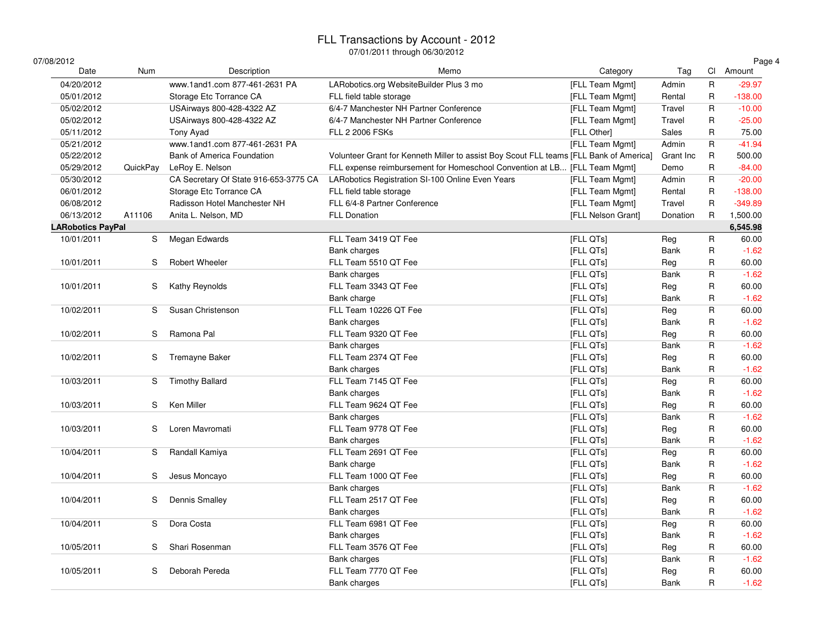| 07/08/2012               |          |                                       |                                                                                        |                    |             |              | Page 4    |
|--------------------------|----------|---------------------------------------|----------------------------------------------------------------------------------------|--------------------|-------------|--------------|-----------|
| Date                     | Num      | Description                           | Memo                                                                                   | Category           | Tag         |              | Cl Amount |
| 04/20/2012               |          | www.1and1.com 877-461-2631 PA         | LARobotics.org WebsiteBuilder Plus 3 mo                                                | [FLL Team Mgmt]    | Admin       | $\mathsf R$  | $-29.97$  |
| 05/01/2012               |          | Storage Etc Torrance CA               | FLL field table storage                                                                | [FLL Team Mgmt]    | Rental      | $\mathsf R$  | $-138.00$ |
| 05/02/2012               |          | USAirways 800-428-4322 AZ             | 6/4-7 Manchester NH Partner Conference                                                 | [FLL Team Mgmt]    | Travel      | R            | $-10.00$  |
| 05/02/2012               |          | USAirways 800-428-4322 AZ             | 6/4-7 Manchester NH Partner Conference                                                 | [FLL Team Mgmt]    | Travel      | R            | $-25.00$  |
| 05/11/2012               |          | Tony Ayad                             | <b>FLL 2 2006 FSKs</b>                                                                 | [FLL Other]        | Sales       | R            | 75.00     |
| 05/21/2012               |          | www.1and1.com 877-461-2631 PA         |                                                                                        | [FLL Team Mgmt]    | Admin       | R            | $-41.94$  |
| 05/22/2012               |          | Bank of America Foundation            | Volunteer Grant for Kenneth Miller to assist Boy Scout FLL teams [FLL Bank of America] |                    | Grant Inc   | R            | 500.00    |
| 05/29/2012               | QuickPay | LeRoy E. Nelson                       | FLL expense reimbursement for Homeschool Convention at LB [FLL Team Mgmt]              |                    | Demo        | R            | $-84.00$  |
| 05/30/2012               |          | CA Secretary Of State 916-653-3775 CA | LARobotics Registration SI-100 Online Even Years                                       | [FLL Team Mgmt]    | Admin       | $\mathsf R$  | $-20.00$  |
| 06/01/2012               |          | Storage Etc Torrance CA               | FLL field table storage                                                                | [FLL Team Mgmt]    | Rental      | $\mathsf R$  | $-138.00$ |
| 06/08/2012               |          | Radisson Hotel Manchester NH          | FLL 6/4-8 Partner Conference                                                           | [FLL Team Mgmt]    | Travel      | ${\sf R}$    | $-349.89$ |
| 06/13/2012               | A11106   | Anita L. Nelson, MD                   | <b>FLL Donation</b>                                                                    | [FLL Nelson Grant] | Donation    | $\mathsf R$  | 1,500.00  |
| <b>LARobotics PayPal</b> |          |                                       |                                                                                        |                    |             |              | 6,545.98  |
| 10/01/2011               | S        | Megan Edwards                         | FLL Team 3419 QT Fee                                                                   | [FLL QTs]          | Reg         | R            | 60.00     |
|                          |          |                                       | Bank charges                                                                           | [FLL QTs]          | Bank        | R            | $-1.62$   |
| 10/01/2011               | S        | Robert Wheeler                        | FLL Team 5510 QT Fee                                                                   | [FLL QTs]          | Reg         | $\mathsf{R}$ | 60.00     |
|                          |          |                                       | Bank charges                                                                           | [FLL QTs]          | <b>Bank</b> | R            | $-1.62$   |
| 10/01/2011               | S        | Kathy Reynolds                        | FLL Team 3343 QT Fee                                                                   | [FLL QTs]          | Reg         | R            | 60.00     |
|                          |          |                                       | Bank charge                                                                            | [FLL QTs]          | Bank        | R            | $-1.62$   |
| 10/02/2011               | S        | Susan Christenson                     | FLL Team 10226 QT Fee                                                                  | [FLL QTs]          | Reg         | R            | 60.00     |
|                          |          |                                       | <b>Bank charges</b>                                                                    | [FLL QTs]          | <b>Bank</b> | R            | $-1.62$   |
| 10/02/2011               | S        | Ramona Pal                            | FLL Team 9320 QT Fee                                                                   | [FLL QTs]          | Reg         | R            | 60.00     |
|                          |          |                                       | <b>Bank charges</b>                                                                    | [FLL QTs]          | <b>Bank</b> | R            | $-1.62$   |
| 10/02/2011               | S        | Tremayne Baker                        | FLL Team 2374 QT Fee                                                                   | [FLL QTs]          | Reg         | R            | 60.00     |
|                          |          |                                       | Bank charges                                                                           | [FLL QTs]          | <b>Bank</b> | $\mathsf{R}$ | $-1.62$   |
| 10/03/2011               | S        | <b>Timothy Ballard</b>                | FLL Team 7145 QT Fee                                                                   | [FLL QTs]          | Reg         | R            | 60.00     |
|                          |          |                                       | <b>Bank charges</b>                                                                    | [FLL QTs]          | Bank        | R            | $-1.62$   |
| 10/03/2011               | S        | Ken Miller                            | FLL Team 9624 QT Fee                                                                   | [FLL QTs]          | Reg         | $\mathsf R$  | 60.00     |
|                          |          |                                       | Bank charges                                                                           | [FLL QTs]          | <b>Bank</b> | R            | $-1.62$   |
| 10/03/2011               | S        | Loren Mavromati                       | FLL Team 9778 QT Fee                                                                   | [FLL QTs]          | Reg         | R            | 60.00     |
|                          |          |                                       | <b>Bank charges</b>                                                                    | [FLL QTs]          | <b>Bank</b> | $\mathsf{R}$ | $-1.62$   |
| 10/04/2011               | S        | Randall Kamiya                        | FLL Team 2691 QT Fee                                                                   | [FLL QTs]          | Reg         | R            | 60.00     |
|                          |          |                                       | Bank charge                                                                            | [FLL QTs]          | <b>Bank</b> | R            | $-1.62$   |
| 10/04/2011               | S        | Jesus Moncayo                         | FLL Team 1000 QT Fee                                                                   | [FLL QTs]          | Reg         | R            | 60.00     |
|                          |          |                                       | <b>Bank charges</b>                                                                    | [FLL QTs]          | Bank        | R            | $-1.62$   |
| 10/04/2011               | S        | <b>Dennis Smalley</b>                 | FLL Team 2517 QT Fee                                                                   | [FLL QTs]          | Reg         | R            | 60.00     |
|                          |          |                                       | <b>Bank charges</b>                                                                    | [FLL QTs]          | <b>Bank</b> | R            | $-1.62$   |
| 10/04/2011               | S        | Dora Costa                            | FLL Team 6981 QT Fee                                                                   | [FLL QTs]          | Reg         | R            | 60.00     |
|                          |          |                                       | <b>Bank charges</b>                                                                    | [FLL QTs]          | Bank        | R            | $-1.62$   |
| 10/05/2011               | S        | Shari Rosenman                        | FLL Team 3576 QT Fee                                                                   | [FLL QTs]          | Reg         | $\sf R$      | 60.00     |
|                          |          |                                       | Bank charges                                                                           | [FLL QTs]          | <b>Bank</b> | R            | $-1.62$   |
| 10/05/2011               | S        | Deborah Pereda                        | FLL Team 7770 QT Fee                                                                   | [FLL QTs]          | Reg         | R            | 60.00     |
|                          |          |                                       | Bank charges                                                                           | [FLL QTs]          | <b>Bank</b> | R            | $-1.62$   |
|                          |          |                                       |                                                                                        |                    |             |              |           |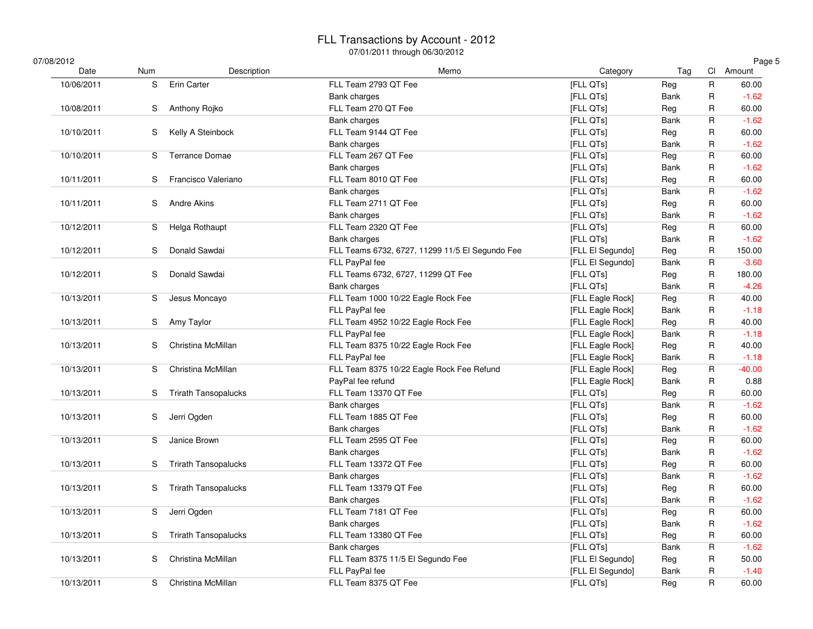| 07/08/2012 |            |     |                             |                                                 |                  |             |                         | Page 5    |
|------------|------------|-----|-----------------------------|-------------------------------------------------|------------------|-------------|-------------------------|-----------|
|            | Date       | Num | Description                 | Memo                                            | Category         | Tag         |                         | Cl Amount |
|            | 10/06/2011 | S   | <b>Erin Carter</b>          | FLL Team 2793 QT Fee                            | [FLL QTs]        | Reg         | ${\sf R}$               | 60.00     |
|            |            |     |                             | Bank charges                                    | [FLL QTs]        | Bank        | $\mathsf{R}$            | $-1.62$   |
|            | 10/08/2011 | S   | Anthony Rojko               | FLL Team 270 QT Fee                             | [FLL QTs]        | Reg         | R                       | 60.00     |
|            |            |     |                             | <b>Bank charges</b>                             | [FLL QTs]        | <b>Bank</b> | $\mathsf{R}$            | $-1.62$   |
|            | 10/10/2011 | S   | Kelly A Steinbock           | FLL Team 9144 QT Fee                            | [FLL QTs]        | Reg         | R                       | 60.00     |
|            |            |     |                             | Bank charges                                    | [FLL QTs]        | <b>Bank</b> | R                       | $-1.62$   |
|            | 10/10/2011 | S   | Terrance Domae              | FLL Team 267 QT Fee                             | [FLL QTs]        | Reg         | R                       | 60.00     |
|            |            |     |                             | Bank charges                                    | [FLL QTs]        | <b>Bank</b> | R                       | $-1.62$   |
|            | 10/11/2011 | S   | Francisco Valeriano         | FLL Team 8010 QT Fee                            | [FLL QTs]        | Reg         | R                       | 60.00     |
|            |            |     |                             | Bank charges                                    | [FLL QTs]        | Bank        | $\mathsf R$             | $-1.62$   |
|            | 10/11/2011 | S   | Andre Akins                 | FLL Team 2711 QT Fee                            | [FLL QTs]        | Reg         | ${\sf R}$               | 60.00     |
|            |            |     |                             | Bank charges                                    | [FLL QTs]        | <b>Bank</b> | R                       | $-1.62$   |
|            | 10/12/2011 | S.  | Helga Rothaupt              | FLL Team 2320 QT Fee                            | [FLL QTs]        | Reg         | $\overline{\mathsf{R}}$ | 60.00     |
|            |            |     |                             | Bank charges                                    | [FLL QTs]        | <b>Bank</b> | ${\sf R}$               | $-1.62$   |
|            | 10/12/2011 | S   | Donald Sawdai               | FLL Teams 6732, 6727, 11299 11/5 El Segundo Fee | [FLL El Segundo] | Reg         | $\mathsf{R}$            | 150.00    |
|            |            |     |                             | FLL PayPal fee                                  | [FLL El Segundo] | <b>Bank</b> | $\overline{\mathsf{R}}$ | $-3.60$   |
|            | 10/12/2011 | S   | Donald Sawdai               | FLL Teams 6732, 6727, 11299 QT Fee              | [FLL QTs]        | Reg         | $\sf R$                 | 180.00    |
|            |            |     |                             | Bank charges                                    | [FLL QTs]        | <b>Bank</b> | $\mathsf{R}$            | $-4.26$   |
|            | 10/13/2011 | S   | Jesus Moncayo               | FLL Team 1000 10/22 Eagle Rock Fee              | [FLL Eagle Rock] | Reg         | $\overline{\mathsf{R}}$ | 40.00     |
|            |            |     |                             | FLL PayPal fee                                  | [FLL Eagle Rock] | <b>Bank</b> | $\mathsf{R}$            | $-1.18$   |
|            | 10/13/2011 | S   | Amy Taylor                  | FLL Team 4952 10/22 Eagle Rock Fee              | [FLL Eagle Rock] | Reg         | $\mathsf{R}$            | 40.00     |
|            |            |     |                             | FLL PayPal fee                                  | [FLL Eagle Rock] | Bank        | $\sf R$                 | $-1.18$   |
|            | 10/13/2011 | S   | Christina McMillan          | FLL Team 8375 10/22 Eagle Rock Fee              | [FLL Eagle Rock] | Reg         | $\sf R$                 | 40.00     |
|            |            |     |                             | FLL PayPal fee                                  | [FLL Eagle Rock] | <b>Bank</b> | $\mathsf{R}$            | $-1.18$   |
|            | 10/13/2011 | S   | Christina McMillan          | FLL Team 8375 10/22 Eagle Rock Fee Refund       | [FLL Eagle Rock] | Reg         | ${\sf R}$               | $-40.00$  |
|            |            |     |                             | PayPal fee refund                               | [FLL Eagle Rock] | <b>Bank</b> | $\sf R$                 | 0.88      |
|            | 10/13/2011 | S   | <b>Trirath Tansopalucks</b> | FLL Team 13370 QT Fee                           | [FLL QTs]        | Reg         | R                       | 60.00     |
|            |            |     |                             | Bank charges                                    | [FLL QTs]        | <b>Bank</b> | $\mathsf R$             | $-1.62$   |
|            | 10/13/2011 | S   | Jerri Ogden                 | FLL Team 1885 QT Fee                            | [FLL QTs]        | Reg         | R                       | 60.00     |
|            |            |     |                             | Bank charges                                    | [FLL QTs]        | <b>Bank</b> | R                       | $-1.62$   |
|            | 10/13/2011 | S.  | Janice Brown                | FLL Team 2595 QT Fee                            | [FLL QTs]        | Reg         | R                       | 60.00     |
|            |            |     |                             | Bank charges                                    | [FLL QTs]        | <b>Bank</b> | $\mathsf R$             | $-1.62$   |
|            | 10/13/2011 | S   | <b>Trirath Tansopalucks</b> | FLL Team 13372 QT Fee                           | [FLL QTs]        | Reg         | R                       | 60.00     |
|            |            |     |                             | Bank charges                                    | [FLL QTs]        | Bank        | $\mathsf R$             | $-1.62$   |
|            | 10/13/2011 | S   | <b>Trirath Tansopalucks</b> | FLL Team 13379 QT Fee                           | [FLL QTs]        | Reg         | R                       | 60.00     |
|            |            |     |                             | Bank charges                                    | [FLL QTs]        | <b>Bank</b> | R                       | $-1.62$   |
|            | 10/13/2011 | S.  | Jerri Ogden                 | FLL Team 7181 QT Fee                            | [FLL QTs]        | Reg         | R                       | 60.00     |
|            |            |     |                             | Bank charges                                    | [FLL QTs]        | <b>Bank</b> | R                       | $-1.62$   |
|            | 10/13/2011 | S   | <b>Trirath Tansopalucks</b> | FLL Team 13380 QT Fee                           | [FLL QTs]        | Reg         | R                       | 60.00     |
|            |            |     |                             | Bank charges                                    | [FLL QTs]        | <b>Bank</b> | $\mathsf{R}$            | $-1.62$   |
|            | 10/13/2011 | S   | Christina McMillan          | FLL Team 8375 11/5 El Segundo Fee               | [FLL El Segundo] | Reg         | $\mathsf{R}$            | 50.00     |
|            |            |     |                             | FLL PayPal fee                                  | [FLL El Segundo] | Bank        | $\sf R$                 | $-1.40$   |
|            | 10/13/2011 | S   | Christina McMillan          | FLL Team 8375 QT Fee                            | [FLL QTs]        | Reg         | $\overline{\mathsf{R}}$ | 60.00     |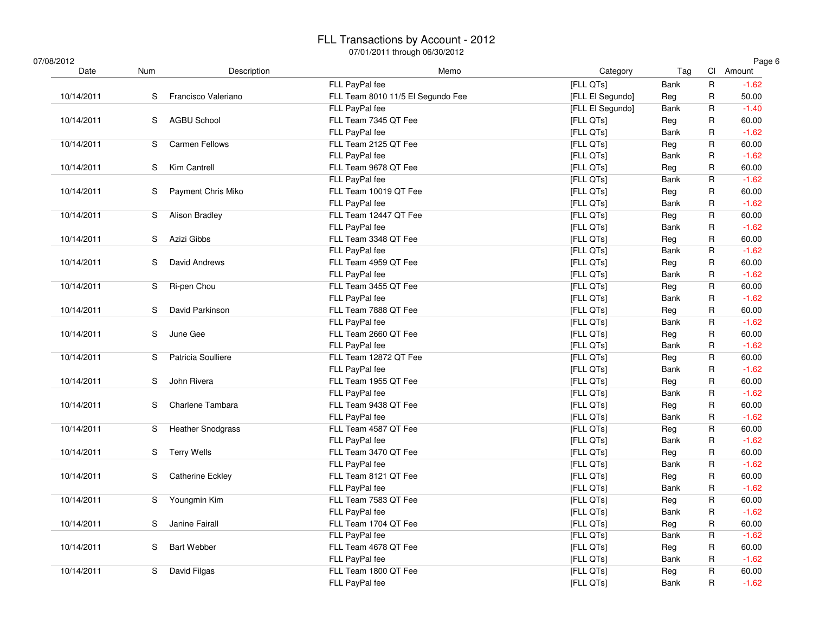| 07/08/2012<br>Date | Num | Description              | 07/01/2011 through 06/30/2012<br>Memo | Category         | Tag         |                         | Page 6<br>Cl Amount |
|--------------------|-----|--------------------------|---------------------------------------|------------------|-------------|-------------------------|---------------------|
|                    |     |                          | FLL PayPal fee                        | [FLL QTs]        | Bank        | R                       | $-1.62$             |
| 10/14/2011         | S   | Francisco Valeriano      | FLL Team 8010 11/5 El Segundo Fee     | [FLL El Segundo] | Reg         | R                       | 50.00               |
|                    |     |                          | FLL PayPal fee                        | [FLL El Segundo] | Bank        | R                       | $-1.40$             |
| 10/14/2011         | S   | <b>AGBU School</b>       | FLL Team 7345 QT Fee                  | [FLL QTs]        | Reg         | R                       | 60.00               |
|                    |     |                          | FLL PayPal fee                        | [FLL QTs]        | Bank        | R                       | $-1.62$             |
| 10/14/2011         | S   | <b>Carmen Fellows</b>    | FLL Team 2125 QT Fee                  | [FLL QTs]        | Reg         | ${\sf R}$               | 60.00               |
|                    |     |                          | FLL PayPal fee                        | [FLL QTs]        | Bank        | R                       | $-1.62$             |
| 10/14/2011         | S   | <b>Kim Cantrell</b>      | FLL Team 9678 QT Fee                  | [FLL QTs]        | Reg         | $\mathsf R$             | 60.00               |
|                    |     |                          | FLL PayPal fee                        | [FLL QTs]        | Bank        | R                       | $-1.62$             |
| 10/14/2011         | S   | Payment Chris Miko       | FLL Team 10019 QT Fee                 | [FLL QTs]        | Reg         | R                       | 60.00               |
|                    |     |                          | FLL PayPal fee                        | [FLL QTs]        | Bank        | R                       | $-1.62$             |
| 10/14/2011         | S   | <b>Alison Bradley</b>    | FLL Team 12447 QT Fee                 | [FLL QTs]        | Reg         | R                       | 60.00               |
|                    |     |                          | FLL PayPal fee                        | [FLL QTs]        | Bank        | R                       | $-1.62$             |
| 10/14/2011         | S   | Azizi Gibbs              | FLL Team 3348 QT Fee                  | [FLL QTs]        | Reg         | R                       | 60.00               |
|                    |     |                          | FLL PayPal fee                        | [FLL QTs]        | Bank        | R                       | $-1.62$             |
| 10/14/2011         | S   | David Andrews            | FLL Team 4959 QT Fee                  | [FLL QTs]        | Reg         | R                       | 60.00               |
|                    |     |                          | FLL PayPal fee                        | [FLL QTs]        | Bank        | R                       | $-1.62$             |
| 10/14/2011         | S   | Ri-pen Chou              | FLL Team 3455 QT Fee                  | [FLL QTs]        | Reg         | $\overline{\mathsf{R}}$ | 60.00               |
|                    |     |                          | FLL PayPal fee                        | [FLL QTs]        | Bank        | R                       | $-1.62$             |
| 10/14/2011         | S   | David Parkinson          | FLL Team 7888 QT Fee                  | [FLL QTs]        | Reg         | $\mathsf{R}$            | 60.00               |
|                    |     |                          | FLL PayPal fee                        | [FLL QTs]        | Bank        | $\mathsf R$             | $-1.62$             |
| 10/14/2011         | S   | June Gee                 | FLL Team 2660 QT Fee                  | [FLL QTs]        | Reg         | R                       | 60.00               |
|                    |     |                          | FLL PayPal fee                        | [FLL QTs]        | Bank        | R                       | $-1.62$             |
| 10/14/2011         | S   | Patricia Soulliere       | FLL Team 12872 QT Fee                 | [FLL QTs]        | Reg         | R                       | 60.00               |
|                    |     |                          | FLL PayPal fee                        | [FLL QTs]        | Bank        | R                       | $-1.62$             |
| 10/14/2011         | S   | John Rivera              | FLL Team 1955 QT Fee                  | [FLL QTs]        | Reg         | R                       | 60.00               |
|                    |     |                          | FLL PayPal fee                        | [FLL QTs]        | Bank        | R                       | $-1.62$             |
| 10/14/2011         | S   | Charlene Tambara         | FLL Team 9438 QT Fee                  | [FLL QTs]        | Reg         | R                       | 60.00               |
|                    |     |                          | FLL PayPal fee                        | [FLL QTs]        | <b>Bank</b> | R                       | $-1.62$             |
| 10/14/2011         | S   | <b>Heather Snodgrass</b> | FLL Team 4587 QT Fee                  | [FLL QTs]        | Reg         | R                       | 60.00               |
|                    |     |                          | FLL PayPal fee                        | [FLL QTs]        | Bank        | R                       | $-1.62$             |
| 10/14/2011         | S   | <b>Terry Wells</b>       | FLL Team 3470 QT Fee                  | [FLL QTs]        | Reg         | $\mathsf{R}$            | 60.00               |
|                    |     |                          | FLL PayPal fee                        | [FLL QTs]        | Bank        | R                       | $-1.62$             |
| 10/14/2011         | S   | <b>Catherine Eckley</b>  | FLL Team 8121 QT Fee                  | [FLL QTs]        | Reg         | R                       | 60.00               |
|                    |     |                          | FLL PayPal fee                        | [FLL QTs]        | Bank        | $\mathsf R$             | $-1.62$             |
| 10/14/2011         | S   | Youngmin Kim             | FLL Team 7583 QT Fee                  | [FLL QTs]        | Reg         | R                       | 60.00               |
|                    |     |                          | FLL PayPal fee                        | [FLL QTs]        | Bank        | R                       | $-1.62$             |
| 10/14/2011         | S   | Janine Fairall           | FLL Team 1704 QT Fee                  | [FLL QTs]        | Reg         | R                       | 60.00               |
|                    |     |                          | FLL PayPal fee                        | [FLL QTs]        | Bank        | R                       | $-1.62$             |
| 10/14/2011         | S   | <b>Bart Webber</b>       | FLL Team 4678 QT Fee                  | [FLL QTs]        | Reg         | R                       | 60.00               |
|                    |     |                          | FLL PayPal fee                        | [FLL QTs]        | Bank        | R                       | $-1.62$             |
| 10/14/2011         | S   | David Filgas             | FLL Team 1800 QT Fee                  | [FLL QTs]        | Reg         | R                       | 60.00               |
|                    |     |                          | FLL PayPal fee                        | [FLL QTs]        | Bank        | R                       | $-1.62$             |
|                    |     |                          |                                       |                  |             |                         |                     |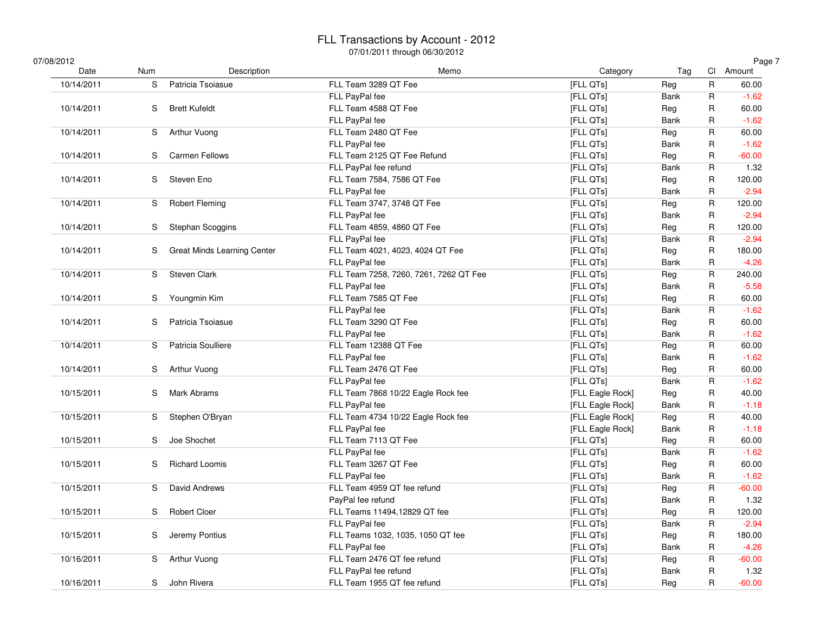### FLL Transactions by Account - 2012

| 07/08/2012<br>Date | Num | Description                        | Memo                                   | Category         | Tag         |   | Page 7<br>Cl Amount |
|--------------------|-----|------------------------------------|----------------------------------------|------------------|-------------|---|---------------------|
| 10/14/2011         | S   | Patricia Tsoiasue                  | FLL Team 3289 QT Fee                   | [FLL QTs]        | Reg         | R | 60.00               |
|                    |     |                                    | FLL PayPal fee                         | [FLL QTs]        | Bank        | R | $-1.62$             |
| 10/14/2011         | S   | <b>Brett Kufeldt</b>               | FLL Team 4588 QT Fee                   | [FLL QTs]        | Reg         | R | 60.00               |
|                    |     |                                    | FLL PayPal fee                         | [FLL QTs]        | Bank        | R | $-1.62$             |
| 10/14/2011         | S   | <b>Arthur Vuong</b>                | FLL Team 2480 QT Fee                   | [FLL QTs]        | Reg         | R | 60.00               |
|                    |     |                                    | FLL PayPal fee                         | [FLL QTs]        | Bank        | R | $-1.62$             |
| 10/14/2011         | S   | <b>Carmen Fellows</b>              | FLL Team 2125 QT Fee Refund            | [FLL QTs]        | Reg         | R | $-60.00$            |
|                    |     |                                    | FLL PayPal fee refund                  | [FLL QTs]        | <b>Bank</b> | R | 1.32                |
| 10/14/2011         | S   | Steven Eno                         | FLL Team 7584, 7586 QT Fee             | [FLL QTs]        | Reg         | R | 120.00              |
|                    |     |                                    | FLL PayPal fee                         | [FLL QTs]        | Bank        | R | $-2.94$             |
| 10/14/2011         | S   | <b>Robert Fleming</b>              | FLL Team 3747, 3748 QT Fee             | [FLL QTs]        | Reg         | R | 120.00              |
|                    |     |                                    | FLL PayPal fee                         | [FLL QTs]        | Bank        | R | $-2.94$             |
| 10/14/2011         | S   | Stephan Scoggins                   | FLL Team 4859, 4860 QT Fee             | [FLL QTs]        | Reg         | R | 120.00              |
|                    |     |                                    | FLL PayPal fee                         | [FLL QTs]        | Bank        | R | $-2.94$             |
| 10/14/2011         | S   | <b>Great Minds Learning Center</b> | FLL Team 4021, 4023, 4024 QT Fee       | [FLL QTs]        | Reg         | R | 180.00              |
|                    |     |                                    | FLL PayPal fee                         | [FLL QTs]        | Bank        | R | $-4.26$             |
| 10/14/2011         | S   | Steven Clark                       | FLL Team 7258, 7260, 7261, 7262 QT Fee | [FLL QTs]        | Reg         | R | 240.00              |
|                    |     |                                    | FLL PayPal fee                         | [FLL QTs]        | Bank        | R | $-5.58$             |
| 10/14/2011         | S   | Youngmin Kim                       | FLL Team 7585 QT Fee                   | [FLL QTs]        | Reg         | R | 60.00               |
|                    |     |                                    | FLL PayPal fee                         | [FLL QTs]        | Bank        | R | $-1.62$             |
| 10/14/2011         | S   | Patricia Tsoiasue                  | FLL Team 3290 QT Fee                   | [FLL QTs]        | Reg         | R | 60.00               |
|                    |     |                                    | FLL PayPal fee                         | [FLL QTs]        | Bank        | R | $-1.62$             |
| 10/14/2011         | S   | Patricia Soulliere                 | FLL Team 12388 QT Fee                  | [FLL QTs]        | Reg         | R | 60.00               |
|                    |     |                                    | FLL PayPal fee                         | [FLL QTs]        | Bank        | R | $-1.62$             |
| 10/14/2011         | S   | Arthur Vuong                       | FLL Team 2476 QT Fee                   | [FLL QTs]        | Reg         | R | 60.00               |
|                    |     |                                    | FLL PayPal fee                         | [FLL QTs]        | Bank        | R | $-1.62$             |
| 10/15/2011         | S   | <b>Mark Abrams</b>                 | FLL Team 7868 10/22 Eagle Rock fee     | [FLL Eagle Rock] | Reg         | R | 40.00               |
|                    |     |                                    | FLL PayPal fee                         | [FLL Eagle Rock] | Bank        | R | $-1.18$             |
| 10/15/2011         | S   | Stephen O'Bryan                    | FLL Team 4734 10/22 Eagle Rock fee     | [FLL Eagle Rock] | Reg         | R | 40.00               |
|                    |     |                                    | FLL PayPal fee                         | [FLL Eagle Rock] | Bank        | R | $-1.18$             |
| 10/15/2011         | S   | Joe Shochet                        | FLL Team 7113 QT Fee                   | [FLL QTs]        | Reg         | R | 60.00               |
|                    |     |                                    | FLL PayPal fee                         | [FLL QTs]        | Bank        | R | $-1.62$             |
| 10/15/2011         | S   | <b>Richard Loomis</b>              | FLL Team 3267 QT Fee                   | [FLL QTs]        | Reg         | R | 60.00               |
|                    |     |                                    | FLL PayPal fee                         | [FLL QTs]        | Bank        | R | $-1.62$             |
| 10/15/2011         | S   | David Andrews                      | FLL Team 4959 QT fee refund            | [FLL QTs]        |             | R | $-60.00$            |
|                    |     |                                    |                                        |                  | Reg         |   |                     |
|                    | S.  |                                    | PayPal fee refund                      | [FLL QTs]        | Bank        | R | 1.32                |
| 10/15/2011         |     | <b>Robert Cloer</b>                | FLL Teams 11494,12829 QT fee           | [FLL QTs]        | Reg         | R | 120.00              |
|                    |     |                                    | FLL PayPal fee                         | [FLL QTs]        | Bank        | R | $-2.94$             |
| 10/15/2011         | S   | Jeremy Pontius                     | FLL Teams 1032, 1035, 1050 QT fee      | [FLL QTs]        | Reg         | R | 180.00              |
|                    |     |                                    | FLL PayPal fee                         | [FLL QTs]        | Bank        | R | $-4.26$             |
| 10/16/2011         | S   | Arthur Vuong                       | FLL Team 2476 QT fee refund            | [FLL QTs]        | Reg         | R | $-60.00$            |
|                    |     |                                    | FLL PayPal fee refund                  | [FLL QTs]        | Bank        | R | 1.32                |
| 10/16/2011         | S   | John Rivera                        | FLL Team 1955 QT fee refund            | [FLL QTs]        | Reg         | R | $-60.00$            |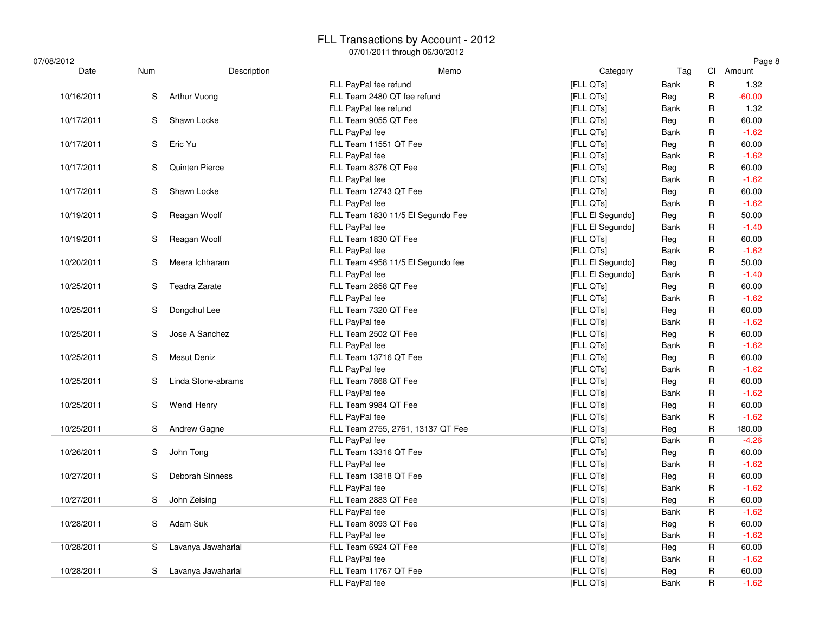| 07/08/2012 |            |                    |                                   |                  |             |                         | Page 8    |
|------------|------------|--------------------|-----------------------------------|------------------|-------------|-------------------------|-----------|
| Date       | <b>Num</b> | Description        | Memo                              | Category         | Tag         |                         | Cl Amount |
|            |            |                    | FLL PayPal fee refund             | [FLL QTs]        | <b>Bank</b> | $\mathsf R$             | 1.32      |
| 10/16/2011 | S.         | Arthur Vuong       | FLL Team 2480 QT fee refund       | [FLL QTs]        | Reg         | $\mathsf{R}$            | $-60.00$  |
|            |            |                    | FLL PayPal fee refund             | [FLL QTs]        | <b>Bank</b> | R                       | 1.32      |
| 10/17/2011 | S          | Shawn Locke        | FLL Team 9055 QT Fee              | [FLL QTs]        | Reg         | $\mathsf R$             | 60.00     |
|            |            |                    | FLL PayPal fee                    | [FLL QTs]        | <b>Bank</b> | $\mathsf R$             | $-1.62$   |
| 10/17/2011 | S.         | Eric Yu            | FLL Team 11551 QT Fee             | [FLL QTs]        | Reg         | R                       | 60.00     |
|            |            |                    | FLL PayPal fee                    | [FLL QTs]        | <b>Bank</b> | $\mathsf{R}$            | $-1.62$   |
| 10/17/2011 | S.         | Quinten Pierce     | FLL Team 8376 QT Fee              | [FLL QTs]        | Reg         | R                       | 60.00     |
|            |            |                    | FLL PayPal fee                    | [FLL QTs]        | <b>Bank</b> | R                       | $-1.62$   |
| 10/17/2011 | S          | Shawn Locke        | FLL Team 12743 QT Fee             | [FLL QTs]        | Reg         | $\mathsf R$             | 60.00     |
|            |            |                    | FLL PayPal fee                    | [FLL QTs]        | Bank        | $\mathsf R$             | $-1.62$   |
| 10/19/2011 | S          | Reagan Woolf       | FLL Team 1830 11/5 El Segundo Fee | [FLL El Segundo] | Reg         | R                       | 50.00     |
|            |            |                    | FLL PayPal fee                    | [FLL El Segundo] | <b>Bank</b> | R                       | $-1.40$   |
| 10/19/2011 | S.         | Reagan Woolf       | FLL Team 1830 QT Fee              | [FLL QTs]        | Reg         | R                       | 60.00     |
|            |            |                    | FLL PayPal fee                    | [FLL QTs]        | <b>Bank</b> | R                       | $-1.62$   |
| 10/20/2011 | S          | Meera Ichharam     | FLL Team 4958 11/5 El Segundo fee | [FLL El Segundo] | Reg         | $\mathsf R$             | 50.00     |
|            |            |                    | FLL PayPal fee                    | [FLL El Segundo] | Bank        | $\mathsf R$             | $-1.40$   |
| 10/25/2011 | S          | Teadra Zarate      | FLL Team 2858 QT Fee              | [FLL QTs]        | Reg         | R                       | 60.00     |
|            |            |                    | FLL PayPal fee                    | [FLL QTs]        | <b>Bank</b> | R                       | $-1.62$   |
| 10/25/2011 | S          | Dongchul Lee       | FLL Team 7320 QT Fee              | [FLL QTs]        | Reg         | $\mathsf{R}$            | 60.00     |
|            |            |                    | FLL PayPal fee                    | [FLL QTs]        | <b>Bank</b> | R                       | $-1.62$   |
| 10/25/2011 | S          | Jose A Sanchez     | FLL Team 2502 QT Fee              | [FLL QTs]        | Reg         | $\mathsf R$             | 60.00     |
|            |            |                    | FLL PayPal fee                    | [FLL QTs]        | <b>Bank</b> | $\mathsf R$             | $-1.62$   |
| 10/25/2011 | S          | <b>Mesut Deniz</b> | FLL Team 13716 QT Fee             | [FLL QTs]        | Reg         | R                       | 60.00     |
|            |            |                    | FLL PayPal fee                    | [FLL QTs]        | Bank        | $\mathsf R$             | $-1.62$   |
| 10/25/2011 | S          | Linda Stone-abrams | FLL Team 7868 QT Fee              | [FLL QTs]        | Reg         | $\mathsf{R}$            | 60.00     |
|            |            |                    | FLL PayPal fee                    | [FLL QTs]        | <b>Bank</b> | R                       | $-1.62$   |
| 10/25/2011 | S.         | Wendi Henry        | FLL Team 9984 QT Fee              | [FLL QTs]        | Reg         | $\mathsf R$             | 60.00     |
|            |            |                    | FLL PayPal fee                    | [FLL QTs]        | <b>Bank</b> | $\mathsf R$             | $-1.62$   |
| 10/25/2011 | S.         | Andrew Gagne       | FLL Team 2755, 2761, 13137 QT Fee | [FLL QTs]        | Reg         | R                       | 180.00    |
|            |            |                    | FLL PayPal fee                    | [FLL QTs]        | Bank        | $\mathsf R$             | $-4.26$   |
| 10/26/2011 | S          | John Tong          | FLL Team 13316 QT Fee             | [FLL QTs]        | Reg         | $\mathsf R$             | 60.00     |
|            |            |                    | FLL PayPal fee                    | [FLL QTs]        | Bank        | R                       | $-1.62$   |
| 10/27/2011 | S.         | Deborah Sinness    | FLL Team 13818 QT Fee             | [FLL QTs]        | Reg         | $\overline{\mathsf{R}}$ | 60.00     |
|            |            |                    | FLL PayPal fee                    | [FLL QTs]        | <b>Bank</b> | R                       | $-1.62$   |
| 10/27/2011 | S          | John Zeising       | FLL Team 2883 QT Fee              | [FLL QTs]        | Reg         | R                       | 60.00     |
|            |            |                    | FLL PayPal fee                    | [FLL QTs]        | <b>Bank</b> | R                       | $-1.62$   |
| 10/28/2011 | S          | Adam Suk           | FLL Team 8093 QT Fee              | [FLL QTs]        | Reg         | R                       | 60.00     |
|            |            |                    | FLL PayPal fee                    | [FLL QTs]        | Bank        | R                       | $-1.62$   |
| 10/28/2011 | S.         | Lavanya Jawaharlal | FLL Team 6924 QT Fee              | [FLL QTs]        | Reg         | $\overline{\mathsf{R}}$ | 60.00     |
|            |            |                    | FLL PayPal fee                    | [FLL QTs]        | <b>Bank</b> | R                       | $-1.62$   |
| 10/28/2011 | S.         | Lavanya Jawaharlal | FLL Team 11767 QT Fee             | [FLL QTs]        | Reg         | R                       | 60.00     |
|            |            |                    | FLL PayPal fee                    | [FLL QTs]        | Bank        | $\mathsf{R}$            | $-1.62$   |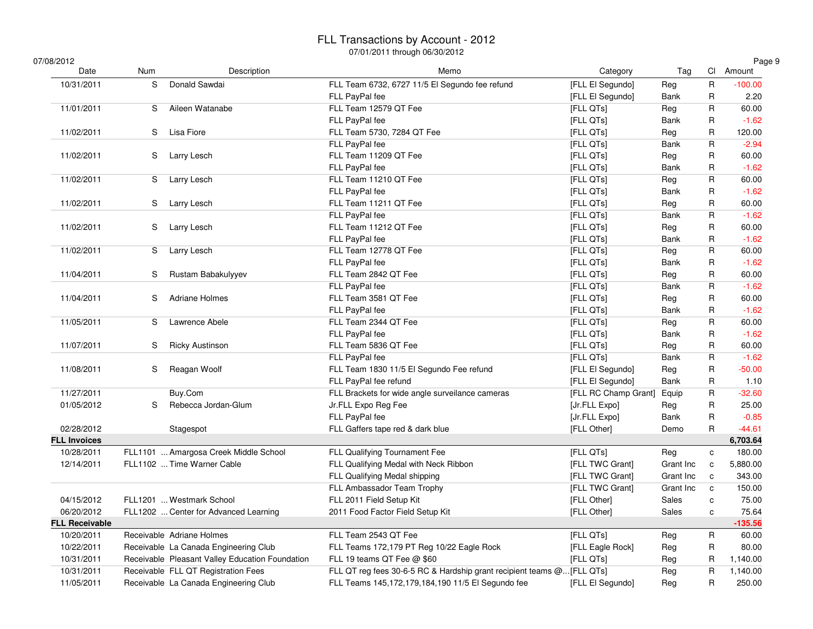### FLL Transactions by Account - 2012

| 07/08/2012            |     |                                                 | $U/ U / U $ if though $U_0/ U / U $                                    |                      |             |                         | Page 9    |
|-----------------------|-----|-------------------------------------------------|------------------------------------------------------------------------|----------------------|-------------|-------------------------|-----------|
| Date                  | Num | Description                                     | Memo                                                                   | Category             | Tag         |                         | Cl Amount |
| 10/31/2011            | S   | Donald Sawdai                                   | FLL Team 6732, 6727 11/5 El Segundo fee refund                         | [FLL El Segundo]     | Reg         | $\mathsf R$             | $-100.00$ |
|                       |     |                                                 | FLL PayPal fee                                                         | [FLL El Segundo]     | <b>Bank</b> | $\mathsf R$             | 2.20      |
| 11/01/2011            | S   | Aileen Watanabe                                 | FLL Team 12579 QT Fee                                                  | [FLL QTs]            | Reg         | $\mathsf R$             | 60.00     |
|                       |     |                                                 | FLL PayPal fee                                                         | [FLL QTs]            | Bank        | R                       | $-1.62$   |
| 11/02/2011            | S   | Lisa Fiore                                      | FLL Team 5730, 7284 QT Fee                                             | [FLL QTs]            | Reg         | $\mathsf{R}$            | 120.00    |
|                       |     |                                                 | FLL PayPal fee                                                         | [FLL QTs]            | Bank        | $\mathsf{R}$            | $-2.94$   |
| 11/02/2011            | S   | Larry Lesch                                     | FLL Team 11209 QT Fee                                                  | [FLL QTs]            | Reg         | R                       | 60.00     |
|                       |     |                                                 | FLL PayPal fee                                                         | [FLL QTs]            | Bank        | R                       | $-1.62$   |
| 11/02/2011            | S   | Larry Lesch                                     | FLL Team 11210 QT Fee                                                  | [FLL QTs]            | Reg         | R                       | 60.00     |
|                       |     |                                                 | FLL PayPal fee                                                         | [FLL QTs]            | Bank        | R                       | $-1.62$   |
| 11/02/2011            | S   | Larry Lesch                                     | FLL Team 11211 QT Fee                                                  | [FLL QTs]            | Reg         | $\mathsf{R}$            | 60.00     |
|                       |     |                                                 | FLL PayPal fee                                                         | [FLL QTs]            | Bank        | R                       | $-1.62$   |
| 11/02/2011            | S   | Larry Lesch                                     | FLL Team 11212 QT Fee                                                  | [FLL QTs]            | Reg         | R                       | 60.00     |
|                       |     |                                                 | FLL PayPal fee                                                         | [FLL QTs]            | Bank        | $\mathsf{R}$            | $-1.62$   |
| 11/02/2011            | S   | Larry Lesch                                     | FLL Team 12778 QT Fee                                                  | [FLL QTs]            | Reg         | $\sf R$                 | 60.00     |
|                       |     |                                                 | FLL PayPal fee                                                         | [FLL QTs]            | Bank        | R                       | $-1.62$   |
| 11/04/2011            | S   | Rustam Babakulyyev                              | FLL Team 2842 QT Fee                                                   | [FLL QTs]            | Reg         | R                       | 60.00     |
|                       |     |                                                 | FLL PayPal fee                                                         | [FLL QTs]            | Bank        | R                       | $-1.62$   |
| 11/04/2011            | S   | <b>Adriane Holmes</b>                           | FLL Team 3581 QT Fee                                                   | [FLL QTs]            | Reg         | R                       | 60.00     |
|                       |     |                                                 | FLL PayPal fee                                                         | [FLL QTs]            | Bank        | $\mathsf{R}$            | $-1.62$   |
| 11/05/2011            | S   | Lawrence Abele                                  | FLL Team 2344 QT Fee                                                   | [FLL QTs]            | Reg         | $\overline{\mathsf{R}}$ | 60.00     |
|                       |     |                                                 | FLL PayPal fee                                                         | [FLL QTs]            | Bank        | R                       | $-1.62$   |
| 11/07/2011            | S   | <b>Ricky Austinson</b>                          | FLL Team 5836 QT Fee                                                   | [FLL QTs]            | Reg         | R                       | 60.00     |
|                       |     |                                                 | FLL PayPal fee                                                         | [FLL QTs]            | Bank        | R                       | $-1.62$   |
| 11/08/2011            | S   | Reagan Woolf                                    | FLL Team 1830 11/5 El Segundo Fee refund                               | [FLL El Segundo]     | Reg         | R                       | $-50.00$  |
|                       |     |                                                 | FLL PayPal fee refund                                                  | [FLL El Segundo]     | Bank        | $\mathsf R$             | 1.10      |
| 11/27/2011            |     | Buy.Com                                         | FLL Brackets for wide angle surveilance cameras                        | [FLL RC Champ Grant] | Equip       | R                       | $-32.60$  |
| 01/05/2012            | S   | Rebecca Jordan-Glum                             | Jr.FLL Expo Reg Fee                                                    | [Jr.FLL Expo]        | Reg         | R                       | 25.00     |
|                       |     |                                                 | FLL PayPal fee                                                         | [Jr.FLL Expo]        | Bank        | R                       | $-0.85$   |
| 02/28/2012            |     | Stagespot                                       | FLL Gaffers tape red & dark blue                                       | [FLL Other]          | Demo        | R                       | $-44.61$  |
| <b>FLL Invoices</b>   |     |                                                 |                                                                        |                      |             |                         | 6,703.64  |
| 10/28/2011            |     | FLL1101  Amargosa Creek Middle School           | FLL Qualifying Tournament Fee                                          | [FLL QTs]            | Reg         | c                       | 180.00    |
| 12/14/2011            |     | FLL1102  Time Warner Cable                      | FLL Qualifying Medal with Neck Ribbon                                  | [FLL TWC Grant]      | Grant Inc   | $\mathbf c$             | 5,880.00  |
|                       |     |                                                 | FLL Qualifying Medal shipping                                          | [FLL TWC Grant]      | Grant Inc   | $\mathbf{C}$            | 343.00    |
|                       |     |                                                 | FLL Ambassador Team Trophy                                             | [FLL TWC Grant]      | Grant Inc   | $\mathtt{C}$            | 150.00    |
| 04/15/2012            |     | FLL1201  Westmark School                        | FLL 2011 Field Setup Kit                                               | [FLL Other]          | Sales       | c                       | 75.00     |
| 06/20/2012            |     | FLL1202  Center for Advanced Learning           | 2011 Food Factor Field Setup Kit                                       | [FLL Other]          | Sales       | C                       | 75.64     |
| <b>FLL Receivable</b> |     |                                                 |                                                                        |                      |             |                         | $-135.56$ |
| 10/20/2011            |     | Receivable Adriane Holmes                       | FLL Team 2543 QT Fee                                                   | [FLL QTs]            | Reg         | $\mathsf R$             | 60.00     |
| 10/22/2011            |     | Receivable La Canada Engineering Club           | FLL Teams 172,179 PT Reg 10/22 Eagle Rock                              | [FLL Eagle Rock]     | Reg         | $\mathsf{R}$            | 80.00     |
| 10/31/2011            |     | Receivable Pleasant Valley Education Foundation | FLL 19 teams QT Fee $@$ \$60                                           | [FLL QTs]            | Reg         | R                       | 1,140.00  |
| 10/31/2011            |     | Receivable FLL QT Registration Fees             | FLL QT reg fees 30-6-5 RC & Hardship grant recipient teams @ [FLL QTs] |                      | Reg         | $\mathsf R$             | 1,140.00  |
|                       |     |                                                 |                                                                        |                      |             |                         |           |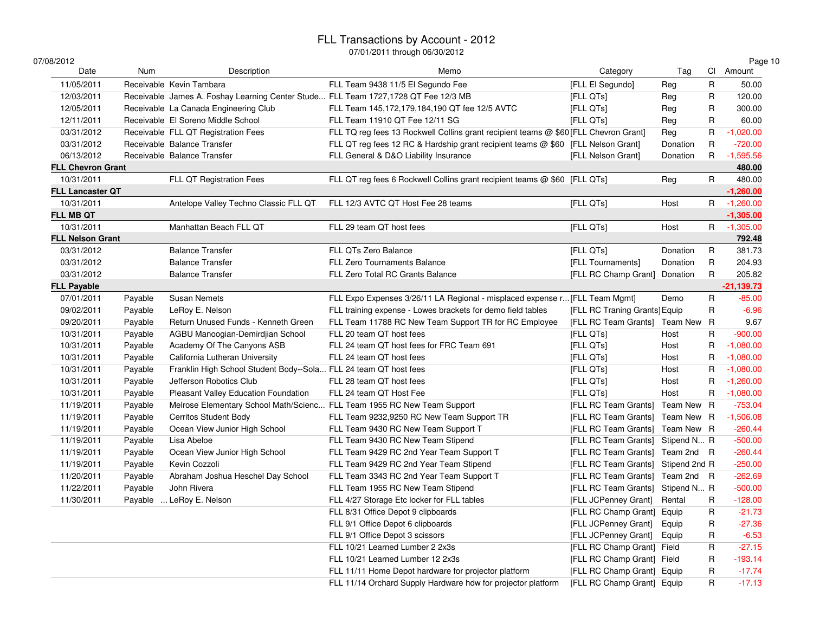| 07/08/2012               |         |                                                                                    |                                                                                      |                                    |            |              | Page 10      |
|--------------------------|---------|------------------------------------------------------------------------------------|--------------------------------------------------------------------------------------|------------------------------------|------------|--------------|--------------|
| Date                     | Num     | Description                                                                        | Memo                                                                                 | Category                           | Tag        |              | Cl Amount    |
| 11/05/2011               |         | Receivable Kevin Tambara                                                           | FLL Team 9438 11/5 El Segundo Fee                                                    | [FLL El Segundo]                   | Reg        | R            | 50.00        |
| 12/03/2011               |         | Receivable James A. Foshay Learning Center Stude FLL Team 1727,1728 QT Fee 12/3 MB |                                                                                      | [FLL QTs]                          | Reg        | R            | 120.00       |
| 12/05/2011               |         | Receivable La Canada Engineering Club                                              | FLL Team 145,172,179,184,190 QT fee 12/5 AVTC                                        | [FLL QTs]                          | Reg        | R            | 300.00       |
| 12/11/2011               |         | Receivable El Soreno Middle School                                                 | FLL Team 11910 QT Fee 12/11 SG                                                       | [FLL QTs]                          | Reg        | R            | 60.00        |
| 03/31/2012               |         | Receivable FLL QT Registration Fees                                                | FLL TQ reg fees 13 Rockwell Collins grant recipient teams @ \$60 [FLL Chevron Grant] |                                    | Reg        | R            | $-1,020.00$  |
| 03/31/2012               |         | Receivable Balance Transfer                                                        | FLL QT reg fees 12 RC & Hardship grant recipient teams @ \$60 [FLL Nelson Grant]     |                                    | Donation   | R            | $-720.00$    |
| 06/13/2012               |         | Receivable Balance Transfer                                                        | FLL General & D&O Liability Insurance                                                | [FLL Nelson Grant]                 | Donation   | R.           | $-1,595.56$  |
| <b>FLL Chevron Grant</b> |         |                                                                                    |                                                                                      |                                    |            |              | 480.00       |
| 10/31/2011               |         | FLL QT Registration Fees                                                           | FLL QT reg fees 6 Rockwell Collins grant recipient teams @ \$60 [FLL QTs]            |                                    | Reg        | R            | 480.00       |
| <b>FLL Lancaster QT</b>  |         |                                                                                    |                                                                                      |                                    |            |              | $-1,260.00$  |
| 10/31/2011               |         | Antelope Valley Techno Classic FLL QT                                              | FLL 12/3 AVTC QT Host Fee 28 teams                                                   | [FLL QTs]                          | Host       | R.           | $-1,260.00$  |
| <b>FLL MB QT</b>         |         |                                                                                    |                                                                                      |                                    |            |              | $-1,305.00$  |
| 10/31/2011               |         | Manhattan Beach FLL QT                                                             | FLL 29 team QT host fees                                                             | [FLL QTs]                          | Host       |              | R -1,305.00  |
| <b>FLL Nelson Grant</b>  |         |                                                                                    |                                                                                      |                                    |            |              | 792.48       |
| 03/31/2012               |         | <b>Balance Transfer</b>                                                            | FLL QTs Zero Balance                                                                 | [FLL QTs]                          | Donation   | R            | 381.73       |
| 03/31/2012               |         | <b>Balance Transfer</b>                                                            | <b>FLL Zero Tournaments Balance</b>                                                  | [FLL Tournaments]                  | Donation   | R            | 204.93       |
| 03/31/2012               |         | <b>Balance Transfer</b>                                                            | FLL Zero Total RC Grants Balance                                                     | [FLL RC Champ Grant] Donation      |            | R            | 205.82       |
| <b>FLL Payable</b>       |         |                                                                                    |                                                                                      |                                    |            |              | $-21,139.73$ |
| 07/01/2011               | Payable | <b>Susan Nemets</b>                                                                | FLL Expo Expenses 3/26/11 LA Regional - misplaced expense r [FLL Team Mgmt]          |                                    | Demo       | R            | $-85.00$     |
| 09/02/2011               | Payable | LeRoy E. Nelson                                                                    | FLL training expense - Lowes brackets for demo field tables                          | [FLL RC Traning Grants] Equip      |            | R            | $-6.96$      |
| 09/20/2011               | Payable | Return Unused Funds - Kenneth Green                                                | FLL Team 11788 RC New Team Support TR for RC Employee                                | [FLL RC Team Grants] Team New R    |            |              | 9.67         |
| 10/31/2011               | Payable | AGBU Manoogian-Demirdjian School                                                   | FLL 20 team QT host fees                                                             | [FLL QTs]                          | Host       | R            | $-900.00$    |
| 10/31/2011               | Payable | Academy Of The Canyons ASB                                                         | FLL 24 team QT host fees for FRC Team 691                                            | [FLL QTs]                          | Host       | R            | $-1,080.00$  |
| 10/31/2011               | Payable | California Lutheran University                                                     | FLL 24 team QT host fees                                                             | [FLL QTs]                          | Host       | R            | $-1,080.00$  |
| 10/31/2011               | Payable | Franklin High School Student Body--Sola FLL 24 team QT host fees                   |                                                                                      | [FLL QTs]                          | Host       | R            | $-1,080.00$  |
| 10/31/2011               | Payable | Jefferson Robotics Club                                                            | FLL 28 team QT host fees                                                             | [FLL QTs]                          | Host       | R            | $-1,260.00$  |
| 10/31/2011               | Payable | Pleasant Valley Education Foundation                                               | FLL 24 team QT Host Fee                                                              | [FLL QTs]                          | Host       | R            | $-1,080.00$  |
| 11/19/2011               | Payable | Melrose Elementary School Math/Scienc FLL Team 1955 RC New Team Support            |                                                                                      | [FLL RC Team Grants]               | Team New R |              | $-753.04$    |
| 11/19/2011               | Payable | <b>Cerritos Student Body</b>                                                       | FLL Team 9232,9250 RC New Team Support TR                                            | [FLL RC Team Grants] Team New R    |            |              | $-1,506.08$  |
| 11/19/2011               | Payable | Ocean View Junior High School                                                      | FLL Team 9430 RC New Team Support T                                                  | [FLL RC Team Grants] Team New R    |            |              | $-260.44$    |
| 11/19/2011               | Payable | Lisa Abeloe                                                                        | FLL Team 9430 RC New Team Stipend                                                    | [FLL RC Team Grants] Stipend N R   |            |              | $-500.00$    |
| 11/19/2011               | Payable | Ocean View Junior High School                                                      | FLL Team 9429 RC 2nd Year Team Support T                                             | [FLL RC Team Grants] Team 2nd R    |            |              | $-260.44$    |
| 11/19/2011               | Payable | Kevin Cozzoli                                                                      | FLL Team 9429 RC 2nd Year Team Stipend                                               | [FLL RC Team Grants] Stipend 2nd R |            |              | $-250.00$    |
| 11/20/2011               | Payable | Abraham Joshua Heschel Day School                                                  | FLL Team 3343 RC 2nd Year Team Support T                                             | [FLL RC Team Grants] Team 2nd R    |            |              | $-262.69$    |
| 11/22/2011               | Payable | John Rivera                                                                        | FLL Team 1955 RC New Team Stipend                                                    | [FLL RC Team Grants] Stipend N R   |            |              | $-500.00$    |
| 11/30/2011               | Payable | LeRoy E. Nelson                                                                    | FLL 4/27 Storage Etc locker for FLL tables                                           | [FLL JCPenney Grant]               | Rental     | $\mathsf{R}$ | $-128.00$    |
|                          |         |                                                                                    | FLL 8/31 Office Depot 9 clipboards                                                   | [FLL RC Champ Grant]               | Equip      | R            | $-21.73$     |
|                          |         |                                                                                    | FLL 9/1 Office Depot 6 clipboards                                                    | [FLL JCPenney Grant]               | Equip      | R            | $-27.36$     |
|                          |         |                                                                                    | FLL 9/1 Office Depot 3 scissors                                                      | [FLL JCPenney Grant]               | Equip      | R            | $-6.53$      |
|                          |         |                                                                                    | FLL 10/21 Learned Lumber 2 2x3s                                                      | [FLL RC Champ Grant] Field         |            | R            | $-27.15$     |
|                          |         |                                                                                    | FLL 10/21 Learned Lumber 12 2x3s                                                     | [FLL RC Champ Grant] Field         |            | R            | $-193.14$    |
|                          |         |                                                                                    | FLL 11/11 Home Depot hardware for projector platform                                 | [FLL RC Champ Grant]               | Equip      | R            | $-17.74$     |
|                          |         |                                                                                    | FLL 11/14 Orchard Supply Hardware hdw for projector platform                         | [FLL RC Champ Grant] Equip         |            | R            | $-17.13$     |
|                          |         |                                                                                    |                                                                                      |                                    |            |              |              |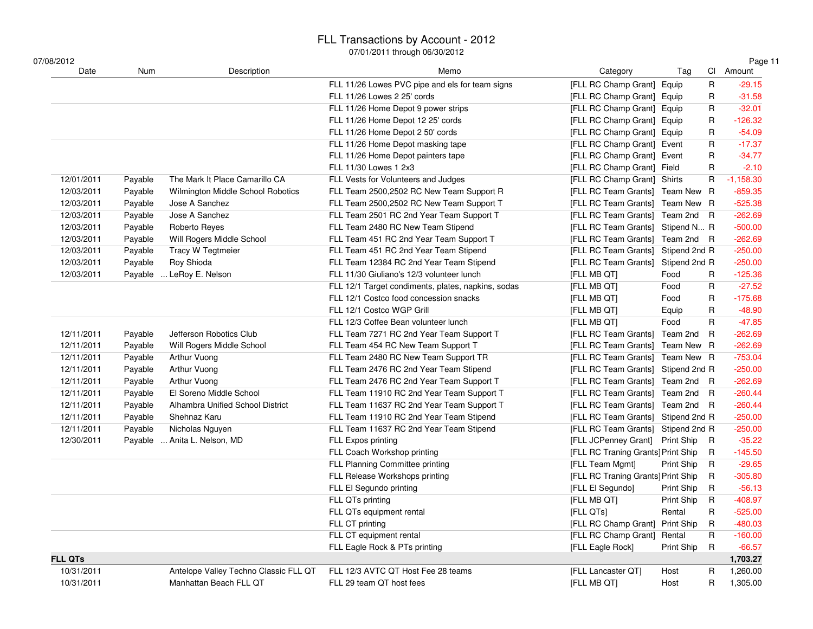### FLL Transactions by Account - 2012

| 07/08/2012     |         |                                       |                                                    |                                    |            |                         | Page 11     |
|----------------|---------|---------------------------------------|----------------------------------------------------|------------------------------------|------------|-------------------------|-------------|
| Date           | Num     | Description                           | Memo                                               | Category                           | Tag        |                         | Cl Amount   |
|                |         |                                       | FLL 11/26 Lowes PVC pipe and els for team signs    | [FLL RC Champ Grant] Equip         |            | $\mathsf{R}$            | $-29.15$    |
|                |         |                                       | FLL 11/26 Lowes 2 25' cords                        | [FLL RC Champ Grant] Equip         |            | R                       | $-31.58$    |
|                |         |                                       | FLL 11/26 Home Depot 9 power strips                | [FLL RC Champ Grant] Equip         |            | R                       | $-32.01$    |
|                |         |                                       | FLL 11/26 Home Depot 12 25' cords                  | [FLL RC Champ Grant] Equip         |            | R                       | $-126.32$   |
|                |         |                                       | FLL 11/26 Home Depot 2 50' cords                   | [FLL RC Champ Grant] Equip         |            | R                       | $-54.09$    |
|                |         |                                       | FLL 11/26 Home Depot masking tape                  | [FLL RC Champ Grant] Event         |            | $\mathsf{R}$            | $-17.37$    |
|                |         |                                       | FLL 11/26 Home Depot painters tape                 | [FLL RC Champ Grant] Event         |            | R                       | $-34.77$    |
|                |         |                                       | FLL 11/30 Lowes 1 2x3                              | [FLL RC Champ Grant] Field         |            | R                       | $-2.10$     |
| 12/01/2011     | Payable | The Mark It Place Camarillo CA        | FLL Vests for Volunteers and Judges                | [FLL RC Champ Grant] Shirts        |            | $\mathsf{R}$            | $-1,158.30$ |
| 12/03/2011     | Payable | Wilmington Middle School Robotics     | FLL Team 2500,2502 RC New Team Support R           | [FLL RC Team Grants] Team New R    |            |                         | $-859.35$   |
| 12/03/2011     | Payable | Jose A Sanchez                        | FLL Team 2500,2502 RC New Team Support T           | [FLL RC Team Grants] Team New R    |            |                         | $-525.38$   |
| 12/03/2011     | Payable | Jose A Sanchez                        | FLL Team 2501 RC 2nd Year Team Support T           | [FLL RC Team Grants] Team 2nd R    |            |                         | $-262.69$   |
| 12/03/2011     | Payable | Roberto Reyes                         | FLL Team 2480 RC New Team Stipend                  | [FLL RC Team Grants] Stipend N R   |            |                         | $-500.00$   |
| 12/03/2011     | Payable | Will Rogers Middle School             | FLL Team 451 RC 2nd Year Team Support T            | [FLL RC Team Grants] Team 2nd R    |            |                         | $-262.69$   |
| 12/03/2011     | Payable | Tracy W Tegtmeier                     | FLL Team 451 RC 2nd Year Team Stipend              | [FLL RC Team Grants] Stipend 2nd R |            |                         | $-250.00$   |
| 12/03/2011     | Payable | Roy Shioda                            | FLL Team 12384 RC 2nd Year Team Stipend            | [FLL RC Team Grants] Stipend 2nd R |            |                         | $-250.00$   |
| 12/03/2011     | Payable | LeRoy E. Nelson                       | FLL 11/30 Giuliano's 12/3 volunteer lunch          | [FLL MB QT]                        | Food       | R                       | $-125.36$   |
|                |         |                                       | FLL 12/1 Target condiments, plates, napkins, sodas | [FLL MB QT]                        | Food       | R                       | $-27.52$    |
|                |         |                                       | FLL 12/1 Costco food concession snacks             | [FLL MB QT]                        | Food       | R                       | $-175.68$   |
|                |         |                                       | FLL 12/1 Costco WGP Grill                          | [FLL MB QT]                        | Equip      | R                       | $-48.90$    |
|                |         |                                       | FLL 12/3 Coffee Bean volunteer lunch               | [FLL MB QT]                        | Food       | R                       | $-47.85$    |
| 12/11/2011     | Payable | Jefferson Robotics Club               | FLL Team 7271 RC 2nd Year Team Support T           | [FLL RC Team Grants] Team 2nd      |            | $\overline{\mathsf{R}}$ | $-262.69$   |
| 12/11/2011     | Payable | Will Rogers Middle School             | FLL Team 454 RC New Team Support T                 | [FLL RC Team Grants] Team New R    |            |                         | $-262.69$   |
| 12/11/2011     | Payable | Arthur Vuong                          | FLL Team 2480 RC New Team Support TR               | [FLL RC Team Grants] Team New R    |            |                         | $-753.04$   |
| 12/11/2011     | Payable | Arthur Vuong                          | FLL Team 2476 RC 2nd Year Team Stipend             | [FLL RC Team Grants] Stipend 2nd R |            |                         | $-250.00$   |
| 12/11/2011     | Payable | Arthur Vuong                          | FLL Team 2476 RC 2nd Year Team Support T           | [FLL RC Team Grants] Team 2nd R    |            |                         | $-262.69$   |
| 12/11/2011     | Payable | El Soreno Middle School               | FLL Team 11910 RC 2nd Year Team Support T          | [FLL RC Team Grants] Team 2nd R    |            |                         | $-260.44$   |
| 12/11/2011     | Payable | Alhambra Unified School District      | FLL Team 11637 RC 2nd Year Team Support T          | [FLL RC Team Grants] Team 2nd R    |            |                         | $-260.44$   |
| 12/11/2011     | Payable | Shehnaz Karu                          | FLL Team 11910 RC 2nd Year Team Stipend            | [FLL RC Team Grants] Stipend 2nd R |            |                         | $-250.00$   |
| 12/11/2011     | Payable | Nicholas Nguyen                       | FLL Team 11637 RC 2nd Year Team Stipend            | [FLL RC Team Grants] Stipend 2nd R |            |                         | $-250.00$   |
| 12/30/2011     | Payable | . Anita L. Nelson, MD                 | FLL Expos printing                                 | [FLL JCPenney Grant] Print Ship R  |            |                         | $-35.22$    |
|                |         |                                       | FLL Coach Workshop printing                        | [FLL RC Traning Grants] Print Ship |            | R                       | $-145.50$   |
|                |         |                                       | FLL Planning Committee printing                    | [FLL Team Mgmt]                    | Print Ship | R                       | $-29.65$    |
|                |         |                                       | FLL Release Workshops printing                     | [FLL RC Traning Grants] Print Ship |            | R.                      | $-305.80$   |
|                |         |                                       | FLL El Segundo printing                            | [FLL El Segundo]                   | Print Ship | R                       | $-56.13$    |
|                |         |                                       | FLL QTs printing                                   | [FLL MB QT]                        | Print Ship | $\mathsf{R}$            | $-408.97$   |
|                |         |                                       | FLL QTs equipment rental                           | [FLL QTs]                          | Rental     | R                       | $-525.00$   |
|                |         |                                       | FLL CT printing                                    | [FLL RC Champ Grant] Print Ship    |            | $\mathsf{R}$            | $-480.03$   |
|                |         |                                       | FLL CT equipment rental                            | [FLL RC Champ Grant] Rental        |            | $\mathsf{R}$            | $-160.00$   |
|                |         |                                       | FLL Eagle Rock & PTs printing                      | [FLL Eagle Rock]                   | Print Ship | $\mathsf{R}$            | $-66.57$    |
| <b>FLL QTs</b> |         |                                       |                                                    |                                    |            |                         | 1,703.27    |
| 10/31/2011     |         | Antelope Valley Techno Classic FLL QT | FLL 12/3 AVTC QT Host Fee 28 teams                 | [FLL Lancaster QT]                 | Host       | R                       | 1,260.00    |
| 10/31/2011     |         | Manhattan Beach FLL QT                | FLL 29 team QT host fees                           | [FLL MB QT]                        | Host       | $\mathsf{R}$            | 1,305.00    |
|                |         |                                       |                                                    |                                    |            |                         |             |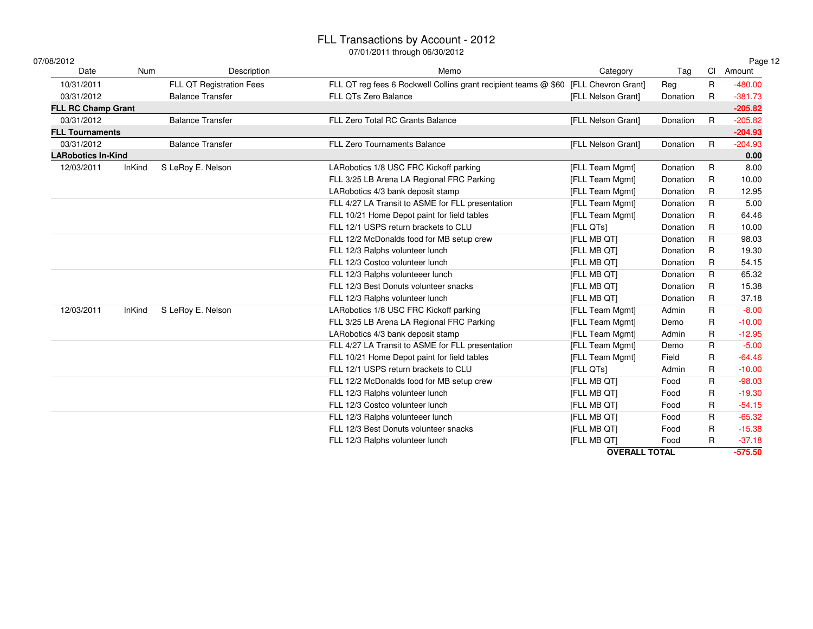### FLL Transactions by Account - 2012

| 07/08/2012                |               |                          | <u>07/01/2011 แแบนนูเเ บิ๊บ/อับ/Z012</u>                                            |                      |          |              | Page 12   |
|---------------------------|---------------|--------------------------|-------------------------------------------------------------------------------------|----------------------|----------|--------------|-----------|
| Date                      | <b>Num</b>    | Description              | Memo                                                                                | Category             | Tag      | <b>CI</b>    | Amount    |
| 10/31/2011                |               | FLL QT Registration Fees | FLL QT reg fees 6 Rockwell Collins grant recipient teams @ \$60 [FLL Chevron Grant] |                      | Reg      | $\mathsf{R}$ | $-480.00$ |
| 03/31/2012                |               | <b>Balance Transfer</b>  | FLL QTs Zero Balance                                                                | [FLL Nelson Grant]   | Donation | R            | $-381.73$ |
| <b>FLL RC Champ Grant</b> |               |                          |                                                                                     |                      |          |              | $-205.82$ |
| 03/31/2012                |               | <b>Balance Transfer</b>  | FLL Zero Total RC Grants Balance                                                    | [FLL Nelson Grant]   | Donation | $\mathsf{R}$ | $-205.82$ |
| <b>FLL Tournaments</b>    |               |                          |                                                                                     |                      |          |              | $-204.93$ |
| 03/31/2012                |               | <b>Balance Transfer</b>  | FLL Zero Tournaments Balance                                                        | [FLL Nelson Grant]   | Donation | $\mathsf{R}$ | $-204.93$ |
| <b>LARobotics In-Kind</b> |               |                          |                                                                                     |                      |          |              | 0.00      |
| 12/03/2011                | <b>InKind</b> | S LeRoy E. Nelson        | LARobotics 1/8 USC FRC Kickoff parking                                              | [FLL Team Mgmt]      | Donation | $\mathsf{R}$ | 8.00      |
|                           |               |                          | FLL 3/25 LB Arena LA Regional FRC Parking                                           | [FLL Team Mgmt]      | Donation | R            | 10.00     |
|                           |               |                          | LARobotics 4/3 bank deposit stamp                                                   | [FLL Team Mgmt]      | Donation | R            | 12.95     |
|                           |               |                          | FLL 4/27 LA Transit to ASME for FLL presentation                                    | [FLL Team Mgmt]      | Donation | R            | 5.00      |
|                           |               |                          | FLL 10/21 Home Depot paint for field tables                                         | [FLL Team Mgmt]      | Donation | R            | 64.46     |
|                           |               |                          | FLL 12/1 USPS return brackets to CLU                                                | [FLL QTs]            | Donation | R            | 10.00     |
|                           |               |                          | FLL 12/2 McDonalds food for MB setup crew                                           | [FLL MB QT]          | Donation | R            | 98.03     |
|                           |               |                          | FLL 12/3 Ralphs volunteer lunch                                                     | [FLL MB QT]          | Donation | R            | 19.30     |
|                           |               |                          | FLL 12/3 Costco volunteer lunch                                                     | [FLL MB QT]          | Donation | R            | 54.15     |
|                           |               |                          | FLL 12/3 Ralphs volunteeer lunch                                                    | [FLL MB QT]          | Donation | R            | 65.32     |
|                           |               |                          | FLL 12/3 Best Donuts volunteer snacks                                               | [FLL MB QT]          | Donation | R            | 15.38     |
|                           |               |                          | FLL 12/3 Ralphs volunteer lunch                                                     | [FLL MB QT]          | Donation | R            | 37.18     |
| 12/03/2011                | <b>InKind</b> | S LeRoy E. Nelson        | LARobotics 1/8 USC FRC Kickoff parking                                              | [FLL Team Mgmt]      | Admin    | R            | $-8.00$   |
|                           |               |                          | FLL 3/25 LB Arena LA Regional FRC Parking                                           | [FLL Team Mgmt]      | Demo     | R            | $-10.00$  |
|                           |               |                          | LARobotics 4/3 bank deposit stamp                                                   | [FLL Team Mgmt]      | Admin    | R            | $-12.95$  |
|                           |               |                          | FLL 4/27 LA Transit to ASME for FLL presentation                                    | [FLL Team Mgmt]      | Demo     | R            | $-5.00$   |
|                           |               |                          | FLL 10/21 Home Depot paint for field tables                                         | [FLL Team Mgmt]      | Field    | R            | $-64.46$  |
|                           |               |                          | FLL 12/1 USPS return brackets to CLU                                                | [FLL QTs]            | Admin    | R            | $-10.00$  |
|                           |               |                          | FLL 12/2 McDonalds food for MB setup crew                                           | [FLL MB QT]          | Food     | $\mathsf R$  | $-98.03$  |
|                           |               |                          | FLL 12/3 Ralphs volunteer lunch                                                     | [FLL MB QT]          | Food     | R            | $-19.30$  |
|                           |               |                          | FLL 12/3 Costco volunteer lunch                                                     | [FLL MB QT]          | Food     | R            | $-54.15$  |
|                           |               |                          | FLL 12/3 Ralphs volunteeer lunch                                                    | [FLL MB QT]          | Food     | R            | $-65.32$  |
|                           |               |                          | FLL 12/3 Best Donuts volunteer snacks                                               | [FLL MB QT]          | Food     | R            | $-15.38$  |
|                           |               |                          | FLL 12/3 Ralphs volunteer lunch                                                     | [FLL MB QT]          | Food     | R            | $-37.18$  |
|                           |               |                          |                                                                                     | <b>OVERALL TOTAL</b> |          |              | $-575.50$ |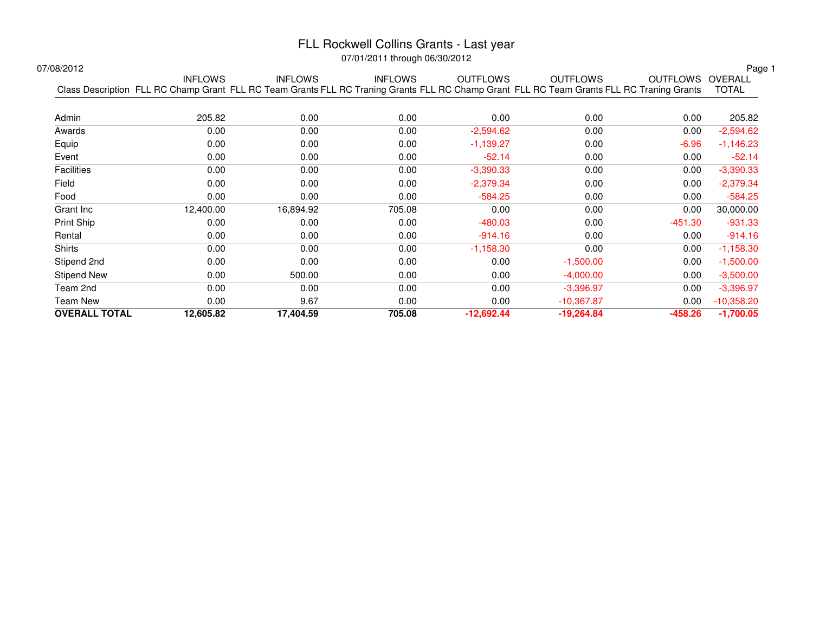### FLL Rockwell Collins Grants - Last year

07/01/2011 through 06/30/2012

| /08/2012             |                                                                                                                                                             |                |                |                 |                 |                  | Page <sup>-</sup> |
|----------------------|-------------------------------------------------------------------------------------------------------------------------------------------------------------|----------------|----------------|-----------------|-----------------|------------------|-------------------|
|                      | <b>INFLOWS</b><br>Class Description FLL RC Champ Grant FLL RC Team Grants FLL RC Traning Grants FLL RC Champ Grant FLL RC Team Grants FLL RC Traning Grants | <b>INFLOWS</b> | <b>INFLOWS</b> | <b>OUTFLOWS</b> | <b>OUTFLOWS</b> | OUTFLOWS OVERALL | <b>TOTAL</b>      |
|                      |                                                                                                                                                             |                |                |                 |                 |                  |                   |
| Admin                | 205.82                                                                                                                                                      | 0.00           | 0.00           | 0.00            | 0.00            | 0.00             | 205.82            |
| Awards               | 0.00                                                                                                                                                        | 0.00           | 0.00           | $-2,594.62$     | 0.00            | 0.00             | $-2,594.62$       |
| Equip                | 0.00                                                                                                                                                        | 0.00           | 0.00           | $-1,139.27$     | 0.00            | $-6.96$          | $-1,146.23$       |
| Event                | 0.00                                                                                                                                                        | 0.00           | 0.00           | $-52.14$        | 0.00            | 0.00             | $-52.14$          |
| <b>Facilities</b>    | 0.00                                                                                                                                                        | 0.00           | 0.00           | $-3,390.33$     | 0.00            | 0.00             | $-3,390.33$       |
| Field                | 0.00                                                                                                                                                        | 0.00           | 0.00           | $-2,379.34$     | 0.00            | 0.00             | $-2,379.34$       |
| Food                 | 0.00                                                                                                                                                        | 0.00           | 0.00           | $-584.25$       | 0.00            | 0.00             | $-584.25$         |
| Grant Inc            | 12,400.00                                                                                                                                                   | 16,894.92      | 705.08         | 0.00            | 0.00            | 0.00             | 30,000.00         |
| Print Ship           | 0.00                                                                                                                                                        | 0.00           | 0.00           | $-480.03$       | 0.00            | $-451.30$        | $-931.33$         |
| Rental               | 0.00                                                                                                                                                        | 0.00           | 0.00           | $-914.16$       | 0.00            | 0.00             | $-914.16$         |
| Shirts               | 0.00                                                                                                                                                        | 0.00           | 0.00           | $-1,158.30$     | 0.00            | 0.00             | $-1,158.30$       |
| Stipend 2nd          | 0.00                                                                                                                                                        | 0.00           | 0.00           | 0.00            | $-1,500.00$     | 0.00             | $-1,500.00$       |
| <b>Stipend New</b>   | 0.00                                                                                                                                                        | 500.00         | 0.00           | 0.00            | $-4,000.00$     | 0.00             | $-3,500.00$       |
| Team 2nd             | 0.00                                                                                                                                                        | 0.00           | 0.00           | 0.00            | $-3,396.97$     | 0.00             | $-3,396.97$       |
| Team New             | 0.00                                                                                                                                                        | 9.67           | 0.00           | 0.00            | $-10,367.87$    | 0.00             | $-10,358.20$      |
| <b>OVERALL TOTAL</b> | 12,605.82                                                                                                                                                   | 17,404.59      | 705.08         | $-12,692.44$    | $-19,264.84$    | $-458.26$        | $-1,700.05$       |
|                      |                                                                                                                                                             |                |                |                 |                 |                  |                   |

07/08/2012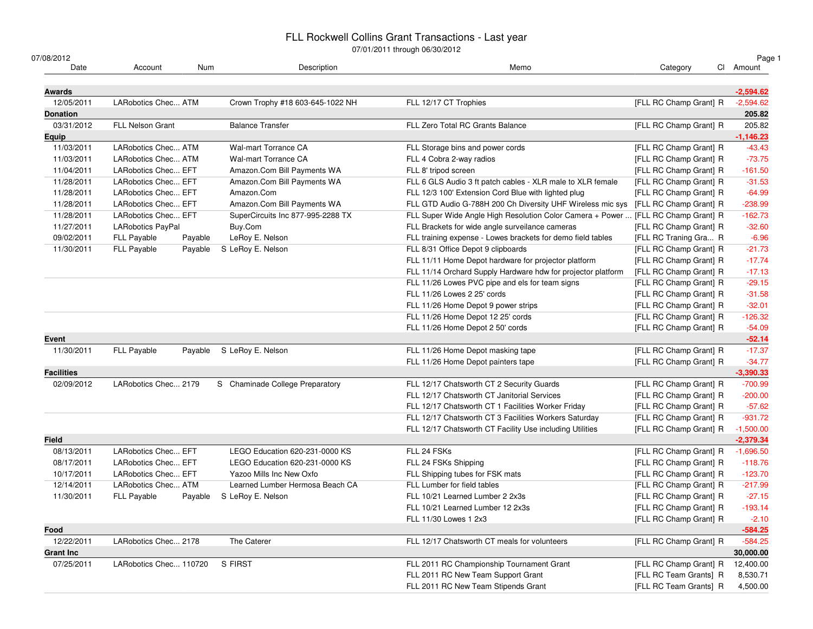### FLL Rockwell Collins Grant Transactions - Last year

| 07/08/2012        |                          |         |                                   | U7/U1/2011 through 00/30/2012                                                     |                        | Page 1      |
|-------------------|--------------------------|---------|-----------------------------------|-----------------------------------------------------------------------------------|------------------------|-------------|
| Date              | Account                  | Num     | Description                       | Memo                                                                              | Category               | Cl Amount   |
| Awards            |                          |         |                                   |                                                                                   |                        | $-2,594.62$ |
| 12/05/2011        | LARobotics Chec ATM      |         | Crown Trophy #18 603-645-1022 NH  | FLL 12/17 CT Trophies                                                             | [FLL RC Champ Grant] R | $-2,594.62$ |
| <b>Donation</b>   |                          |         |                                   |                                                                                   |                        | 205.82      |
| 03/31/2012        | <b>FLL Nelson Grant</b>  |         | <b>Balance Transfer</b>           | FLL Zero Total RC Grants Balance                                                  | [FLL RC Champ Grant] R | 205.82      |
| Equip             |                          |         |                                   |                                                                                   |                        | $-1,146.23$ |
| 11/03/2011        | LARobotics Chec ATM      |         | <b>Wal-mart Torrance CA</b>       | FLL Storage bins and power cords                                                  | [FLL RC Champ Grant] R | $-43.43$    |
| 11/03/2011        | LARobotics Chec ATM      |         | <b>Wal-mart Torrance CA</b>       | FLL 4 Cobra 2-way radios                                                          | [FLL RC Champ Grant] R | $-73.75$    |
| 11/04/2011        | LARobotics Chec EFT      |         | Amazon.Com Bill Payments WA       | FLL 8' tripod screen                                                              | [FLL RC Champ Grant] R | $-161.50$   |
| 11/28/2011        | LARobotics Chec EFT      |         | Amazon.Com Bill Payments WA       | FLL 6 GLS Audio 3 ft patch cables - XLR male to XLR female                        | [FLL RC Champ Grant] R | $-31.53$    |
| 11/28/2011        | LARobotics Chec EFT      |         | Amazon.Com                        | FLL 12/3 100' Extension Cord Blue with lighted plug                               | [FLL RC Champ Grant] R | $-64.99$    |
| 11/28/2011        | LARobotics Chec EFT      |         | Amazon.Com Bill Payments WA       | FLL GTD Audio G-788H 200 Ch Diversity UHF Wireless mic sys                        | [FLL RC Champ Grant] R | $-238.99$   |
| 11/28/2011        | LARobotics Chec EFT      |         | SuperCircuits Inc 877-995-2288 TX | FLL Super Wide Angle High Resolution Color Camera + Power  [FLL RC Champ Grant] R |                        | $-162.73$   |
| 11/27/2011        | <b>LARobotics PayPal</b> |         | Buy.Com                           | FLL Brackets for wide angle surveilance cameras                                   | [FLL RC Champ Grant] R | $-32.60$    |
| 09/02/2011        | FLL Payable              | Payable | LeRoy E. Nelson                   | FLL training expense - Lowes brackets for demo field tables                       | [FLL RC Traning Gra R  | $-6.96$     |
| 11/30/2011        | FLL Payable              | Payable | S LeRoy E. Nelson                 | FLL 8/31 Office Depot 9 clipboards                                                | [FLL RC Champ Grant] R | $-21.73$    |
|                   |                          |         |                                   | FLL 11/11 Home Depot hardware for projector platform                              | [FLL RC Champ Grant] R | $-17.74$    |
|                   |                          |         |                                   | FLL 11/14 Orchard Supply Hardware hdw for projector platform                      | [FLL RC Champ Grant] R | $-17.13$    |
|                   |                          |         |                                   | FLL 11/26 Lowes PVC pipe and els for team signs                                   | [FLL RC Champ Grant] R | $-29.15$    |
|                   |                          |         |                                   | FLL 11/26 Lowes 2 25' cords                                                       | [FLL RC Champ Grant] R | $-31.58$    |
|                   |                          |         |                                   | FLL 11/26 Home Depot 9 power strips                                               | [FLL RC Champ Grant] R | $-32.01$    |
|                   |                          |         |                                   | FLL 11/26 Home Depot 12 25' cords                                                 | [FLL RC Champ Grant] R | $-126.32$   |
|                   |                          |         |                                   | FLL 11/26 Home Depot 2 50' cords                                                  | [FLL RC Champ Grant] R | $-54.09$    |
| Event             |                          |         |                                   |                                                                                   |                        | $-52.14$    |
| 11/30/2011        | <b>FLL Payable</b>       |         | Payable S LeRoy E. Nelson         | FLL 11/26 Home Depot masking tape                                                 | [FLL RC Champ Grant] R | $-17.37$    |
|                   |                          |         |                                   | FLL 11/26 Home Depot painters tape                                                | [FLL RC Champ Grant] R | $-34.77$    |
| <b>Facilities</b> |                          |         |                                   |                                                                                   |                        | $-3,390.33$ |
| 02/09/2012        | LARobotics Chec 2179     |         | S Chaminade College Preparatory   | FLL 12/17 Chatsworth CT 2 Security Guards                                         | [FLL RC Champ Grant] R | $-700.99$   |
|                   |                          |         |                                   | FLL 12/17 Chatsworth CT Janitorial Services                                       | [FLL RC Champ Grant] R | $-200.00$   |
|                   |                          |         |                                   | FLL 12/17 Chatsworth CT 1 Facilities Worker Friday                                | [FLL RC Champ Grant] R | $-57.62$    |
|                   |                          |         |                                   | FLL 12/17 Chatsworth CT 3 Facilities Workers Saturday                             | [FLL RC Champ Grant] R | $-931.72$   |
|                   |                          |         |                                   | FLL 12/17 Chatsworth CT Facility Use including Utilities                          | [FLL RC Champ Grant] R | $-1,500.00$ |
| Field             |                          |         |                                   |                                                                                   |                        | $-2,379.34$ |
| 08/13/2011        | LARobotics Chec EFT      |         | LEGO Education 620-231-0000 KS    | FLL 24 FSKs                                                                       | [FLL RC Champ Grant] R | $-1,696.50$ |
| 08/17/2011        | LARobotics Chec EFT      |         | LEGO Education 620-231-0000 KS    | FLL 24 FSKs Shipping                                                              | [FLL RC Champ Grant] R | $-118.76$   |
| 10/17/2011        | LARobotics Chec EFT      |         | Yazoo Mills Inc New Oxfo          | FLL Shipping tubes for FSK mats                                                   | [FLL RC Champ Grant] R | $-123.70$   |
| 12/14/2011        | LARobotics Chec ATM      |         | Learned Lumber Hermosa Beach CA   | FLL Lumber for field tables                                                       | [FLL RC Champ Grant] R | $-217.99$   |
| 11/30/2011        | <b>FLL Payable</b>       | Payable | S LeRoy E. Nelson                 | FLL 10/21 Learned Lumber 2 2x3s                                                   | [FLL RC Champ Grant] R | $-27.15$    |
|                   |                          |         |                                   | FLL 10/21 Learned Lumber 12 2x3s                                                  | [FLL RC Champ Grant] R | $-193.14$   |
|                   |                          |         |                                   | FLL 11/30 Lowes 1 2x3                                                             | [FLL RC Champ Grant] R | $-2.10$     |
| Food              |                          |         |                                   |                                                                                   |                        | $-584.25$   |
| 12/22/2011        | LARobotics Chec 2178     |         | The Caterer                       | FLL 12/17 Chatsworth CT meals for volunteers                                      | [FLL RC Champ Grant] R | $-584.25$   |
| <b>Grant Inc</b>  |                          |         |                                   |                                                                                   |                        | 30,000.00   |
| 07/25/2011        | LARobotics Chec 110720   |         | S FIRST                           | FLL 2011 RC Championship Tournament Grant                                         | [FLL RC Champ Grant] R | 12,400.00   |
|                   |                          |         |                                   | FLL 2011 RC New Team Support Grant                                                | [FLL RC Team Grants] R | 8,530.71    |
|                   |                          |         |                                   | FLL 2011 RC New Team Stipends Grant                                               | [FLL RC Team Grants] R | 4,500.00    |
|                   |                          |         |                                   |                                                                                   |                        |             |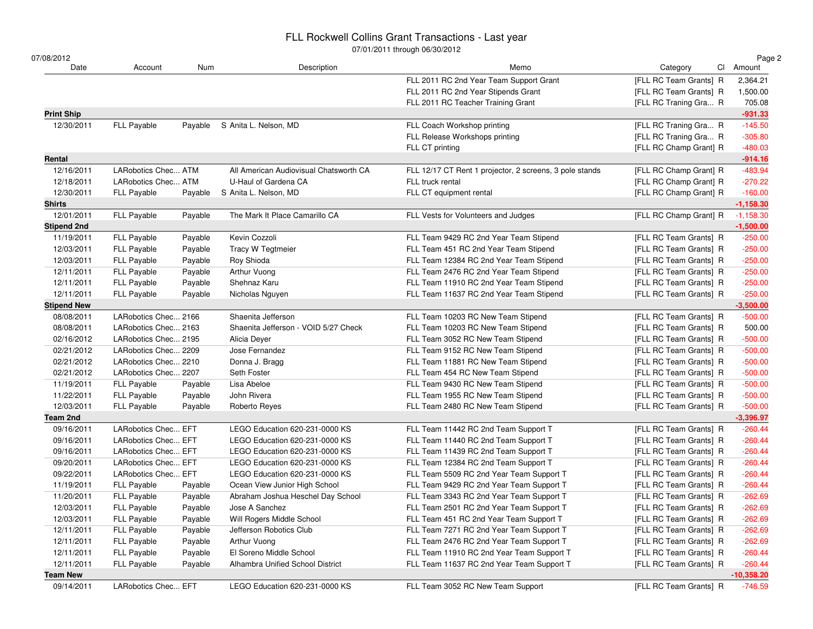### FLL Rockwell Collins Grant Transactions - Last year

| 07/08/2012         |                      |         |                                        | <u>07/01/2011 แกบนนุก 00/00/2012</u>                    |                        | Page 2       |
|--------------------|----------------------|---------|----------------------------------------|---------------------------------------------------------|------------------------|--------------|
| Date               | Account              | Num     | Description                            | Memo                                                    | Category               | Cl Amount    |
|                    |                      |         |                                        | FLL 2011 RC 2nd Year Team Support Grant                 | [FLL RC Team Grants] R | 2,364.21     |
|                    |                      |         |                                        | FLL 2011 RC 2nd Year Stipends Grant                     | [FLL RC Team Grants] R | 1,500.00     |
|                    |                      |         |                                        | FLL 2011 RC Teacher Training Grant                      | [FLL RC Traning Gra R  | 705.08       |
| <b>Print Ship</b>  |                      |         |                                        |                                                         |                        | $-931.33$    |
| 12/30/2011         | <b>FLL Payable</b>   | Payable | S Anita L. Nelson, MD                  | FLL Coach Workshop printing                             | [FLL RC Traning Gra R  | $-145.50$    |
|                    |                      |         |                                        | FLL Release Workshops printing                          | [FLL RC Traning Gra R  | $-305.80$    |
|                    |                      |         |                                        | FLL CT printing                                         | [FLL RC Champ Grant] R | $-480.03$    |
| Rental             |                      |         |                                        |                                                         |                        | $-914.16$    |
| 12/16/2011         | LARobotics Chec ATM  |         | All American Audiovisual Chatsworth CA | FLL 12/17 CT Rent 1 projector, 2 screens, 3 pole stands | [FLL RC Champ Grant] R | $-483.94$    |
| 12/18/2011         | LARobotics Chec ATM  |         | U-Haul of Gardena CA                   | FLL truck rental                                        | [FLL RC Champ Grant] R | $-270.22$    |
| 12/30/2011         | <b>FLL Payable</b>   | Payable | S Anita L. Nelson, MD                  | FLL CT equipment rental                                 | [FLL RC Champ Grant] R | $-160.00$    |
| Shirts             |                      |         |                                        |                                                         |                        | $-1,158.30$  |
| 12/01/2011         | FLL Payable          | Payable | The Mark It Place Camarillo CA         | FLL Vests for Volunteers and Judges                     | [FLL RC Champ Grant] R | $-1,158.30$  |
| <b>Stipend 2nd</b> |                      |         |                                        |                                                         |                        | $-1,500.00$  |
| 11/19/2011         | FLL Payable          | Payable | Kevin Cozzoli                          | FLL Team 9429 RC 2nd Year Team Stipend                  | [FLL RC Team Grants] R | $-250.00$    |
| 12/03/2011         | FLL Payable          | Payable | Tracy W Tegtmeier                      | FLL Team 451 RC 2nd Year Team Stipend                   | [FLL RC Team Grants] R | $-250.00$    |
| 12/03/2011         | FLL Payable          | Payable | Roy Shioda                             | FLL Team 12384 RC 2nd Year Team Stipend                 | [FLL RC Team Grants] R | $-250.00$    |
| 12/11/2011         | FLL Payable          | Payable | Arthur Vuong                           | FLL Team 2476 RC 2nd Year Team Stipend                  | [FLL RC Team Grants] R | $-250.00$    |
| 12/11/2011         | FLL Payable          | Payable | Shehnaz Karu                           | FLL Team 11910 RC 2nd Year Team Stipend                 | [FLL RC Team Grants] R | $-250.00$    |
| 12/11/2011         | FLL Payable          | Payable | Nicholas Nguyen                        | FLL Team 11637 RC 2nd Year Team Stipend                 | [FLL RC Team Grants] R | $-250.00$    |
| <b>Stipend New</b> |                      |         |                                        |                                                         |                        | $-3,500.00$  |
| 08/08/2011         | LARobotics Chec 2166 |         | Shaenita Jefferson                     | FLL Team 10203 RC New Team Stipend                      | [FLL RC Team Grants] R | $-500.00$    |
| 08/08/2011         | LARobotics Chec 2163 |         | Shaenita Jefferson - VOID 5/27 Check   | FLL Team 10203 RC New Team Stipend                      | [FLL RC Team Grants] R | 500.00       |
| 02/16/2012         | LARobotics Chec 2195 |         | Alicia Deyer                           | FLL Team 3052 RC New Team Stipend                       | [FLL RC Team Grants] R | $-500.00$    |
| 02/21/2012         | LARobotics Chec 2209 |         | Jose Fernandez                         | FLL Team 9152 RC New Team Stipend                       | [FLL RC Team Grants] R | $-500.00$    |
| 02/21/2012         | LARobotics Chec 2210 |         | Donna J. Bragg                         | FLL Team 11881 RC New Team Stipend                      | [FLL RC Team Grants] R | $-500.00$    |
| 02/21/2012         | LARobotics Chec 2207 |         | Seth Foster                            | FLL Team 454 RC New Team Stipend                        | [FLL RC Team Grants] R | $-500.00$    |
| 11/19/2011         | FLL Payable          | Payable | Lisa Abeloe                            | FLL Team 9430 RC New Team Stipend                       | [FLL RC Team Grants] R | $-500.00$    |
| 11/22/2011         | FLL Payable          | Payable | John Rivera                            | FLL Team 1955 RC New Team Stipend                       | [FLL RC Team Grants] R | $-500.00$    |
| 12/03/2011         | FLL Payable          | Payable | Roberto Reyes                          | FLL Team 2480 RC New Team Stipend                       | [FLL RC Team Grants] R | $-500.00$    |
| Team 2nd           |                      |         |                                        |                                                         |                        | $-3,396.97$  |
| 09/16/2011         | LARobotics Chec EFT  |         | LEGO Education 620-231-0000 KS         | FLL Team 11442 RC 2nd Team Support T                    | [FLL RC Team Grants] R | $-260.44$    |
| 09/16/2011         | LARobotics Chec EFT  |         | LEGO Education 620-231-0000 KS         | FLL Team 11440 RC 2nd Team Support T                    | [FLL RC Team Grants] R | $-260.44$    |
| 09/16/2011         | LARobotics Chec EFT  |         | LEGO Education 620-231-0000 KS         | FLL Team 11439 RC 2nd Team Support T                    | [FLL RC Team Grants] R | $-260.44$    |
| 09/20/2011         | LARobotics Chec EFT  |         | LEGO Education 620-231-0000 KS         | FLL Team 12384 RC 2nd Team Support T                    | [FLL RC Team Grants] R | $-260.44$    |
| 09/22/2011         | LARobotics Chec EFT  |         | LEGO Education 620-231-0000 KS         | FLL Team 5509 RC 2nd Year Team Support T                | [FLL RC Team Grants] R | $-260.44$    |
| 11/19/2011         | FLL Payable          | Payable | Ocean View Junior High School          | FLL Team 9429 RC 2nd Year Team Support T                | [FLL RC Team Grants] R | $-260.44$    |
| 11/20/2011         | FLL Payable          | Payable | Abraham Joshua Heschel Day School      | FLL Team 3343 RC 2nd Year Team Support T                | [FLL RC Team Grants] R | $-262.69$    |
| 12/03/2011         | FLL Payable          | Payable | Jose A Sanchez                         | FLL Team 2501 RC 2nd Year Team Support T                | [FLL RC Team Grants] R | $-262.69$    |
| 12/03/2011         | FLL Payable          | Payable | Will Rogers Middle School              | FLL Team 451 RC 2nd Year Team Support T                 | [FLL RC Team Grants] R | $-262.69$    |
| 12/11/2011         | FLL Payable          | Payable | Jefferson Robotics Club                | FLL Team 7271 RC 2nd Year Team Support T                | [FLL RC Team Grants] R | $-262.69$    |
| 12/11/2011         | FLL Payable          | Payable | Arthur Vuong                           | FLL Team 2476 RC 2nd Year Team Support T                | [FLL RC Team Grants] R | $-262.69$    |
| 12/11/2011         | FLL Payable          | Payable | El Soreno Middle School                | FLL Team 11910 RC 2nd Year Team Support T               | [FLL RC Team Grants] R | $-260.44$    |
| 12/11/2011         | FLL Payable          | Payable | Alhambra Unified School District       | FLL Team 11637 RC 2nd Year Team Support T               | [FLL RC Team Grants] R | $-260.44$    |
| <b>Team New</b>    |                      |         |                                        |                                                         |                        | $-10,358.20$ |
| 09/14/2011         | LARobotics Chec EFT  |         | LEGO Education 620-231-0000 KS         | FLL Team 3052 RC New Team Support                       | [FLL RC Team Grants] R | $-746.59$    |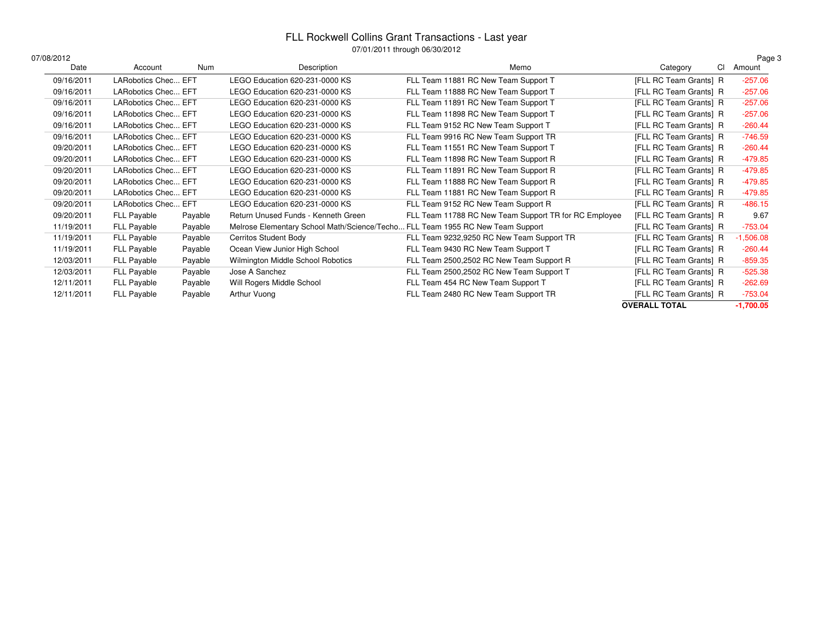## FLL Rockwell Collins Grant Transactions - Last year 07/01/2011 through 06/30/2012

| 07/08/2012 |                     |         |                                                                                | $0.701$ $1.2011$ and $0.00100$ and $0.001$            |                        | Page 3      |
|------------|---------------------|---------|--------------------------------------------------------------------------------|-------------------------------------------------------|------------------------|-------------|
| Date       | Account             | Num     | Description                                                                    | Memo                                                  | <b>CI</b><br>Category  | Amount      |
| 09/16/2011 | LARobotics Chec EFT |         | LEGO Education 620-231-0000 KS                                                 | FLL Team 11881 RC New Team Support T                  | [FLL RC Team Grants] R | $-257.06$   |
| 09/16/2011 | LARobotics Chec EFT |         | LEGO Education 620-231-0000 KS                                                 | FLL Team 11888 RC New Team Support T                  | [FLL RC Team Grants] R | $-257.06$   |
| 09/16/2011 | LARobotics Chec EFT |         | LEGO Education 620-231-0000 KS                                                 | FLL Team 11891 RC New Team Support T                  | [FLL RC Team Grants] R | $-257.06$   |
| 09/16/2011 | LARobotics Chec EFT |         | LEGO Education 620-231-0000 KS                                                 | FLL Team 11898 RC New Team Support T                  | [FLL RC Team Grants] R | $-257.06$   |
| 09/16/2011 | LARobotics Chec EFT |         | LEGO Education 620-231-0000 KS                                                 | FLL Team 9152 RC New Team Support T                   | [FLL RC Team Grants] R | $-260.44$   |
| 09/16/2011 | LARobotics Chec EFT |         | LEGO Education 620-231-0000 KS                                                 | FLL Team 9916 RC New Team Support TR                  | [FLL RC Team Grants] R | $-746.59$   |
| 09/20/2011 | LARobotics Chec EFT |         | LEGO Education 620-231-0000 KS                                                 | FLL Team 11551 RC New Team Support T                  | [FLL RC Team Grants] R | $-260.44$   |
| 09/20/2011 | LARobotics Chec EFT |         | LEGO Education 620-231-0000 KS                                                 | FLL Team 11898 RC New Team Support R                  | [FLL RC Team Grants] R | -479.85     |
| 09/20/2011 | LARobotics Chec EFT |         | LEGO Education 620-231-0000 KS                                                 | FLL Team 11891 RC New Team Support R                  | [FLL RC Team Grants] R | $-479.85$   |
| 09/20/2011 | LARobotics Chec EFT |         | LEGO Education 620-231-0000 KS                                                 | FLL Team 11888 RC New Team Support R                  | [FLL RC Team Grants] R | $-479.85$   |
| 09/20/2011 | LARobotics Chec EFT |         | LEGO Education 620-231-0000 KS                                                 | FLL Team 11881 RC New Team Support R                  | [FLL RC Team Grants] R | -479.85     |
| 09/20/2011 | LARobotics Chec EFT |         | LEGO Education 620-231-0000 KS                                                 | FLL Team 9152 RC New Team Support R                   | [FLL RC Team Grants] R | $-486.15$   |
| 09/20/2011 | FLL Payable         | Payable | Return Unused Funds - Kenneth Green                                            | FLL Team 11788 RC New Team Support TR for RC Employee | [FLL RC Team Grants] R | 9.67        |
| 11/19/2011 | FLL Payable         | Payable | Melrose Elementary School Math/Science/Techo FLL Team 1955 RC New Team Support |                                                       | [FLL RC Team Grants] R | $-753.04$   |
| 11/19/2011 | FLL Payable         | Payable | <b>Cerritos Student Body</b>                                                   | FLL Team 9232,9250 RC New Team Support TR             | [FLL RC Team Grants] R | $-1,506.08$ |
| 11/19/2011 | FLL Payable         | Payable | Ocean View Junior High School                                                  | FLL Team 9430 RC New Team Support T                   | [FLL RC Team Grants] R | $-260.44$   |
| 12/03/2011 | FLL Payable         | Payable | Wilmington Middle School Robotics                                              | FLL Team 2500,2502 RC New Team Support R              | [FLL RC Team Grants] R | $-859.35$   |
| 12/03/2011 | FLL Payable         | Payable | Jose A Sanchez                                                                 | FLL Team 2500,2502 RC New Team Support T              | [FLL RC Team Grants] R | $-525.38$   |
| 12/11/2011 | FLL Payable         | Payable | Will Rogers Middle School                                                      | FLL Team 454 RC New Team Support T                    | [FLL RC Team Grants] R | $-262.69$   |
| 12/11/2011 | <b>FLL Payable</b>  | Payable | Arthur Vuong                                                                   | FLL Team 2480 RC New Team Support TR                  | [FLL RC Team Grants] R | $-753.04$   |
|            |                     |         |                                                                                |                                                       | <b>OVERALL TOTAL</b>   | $-1,700.05$ |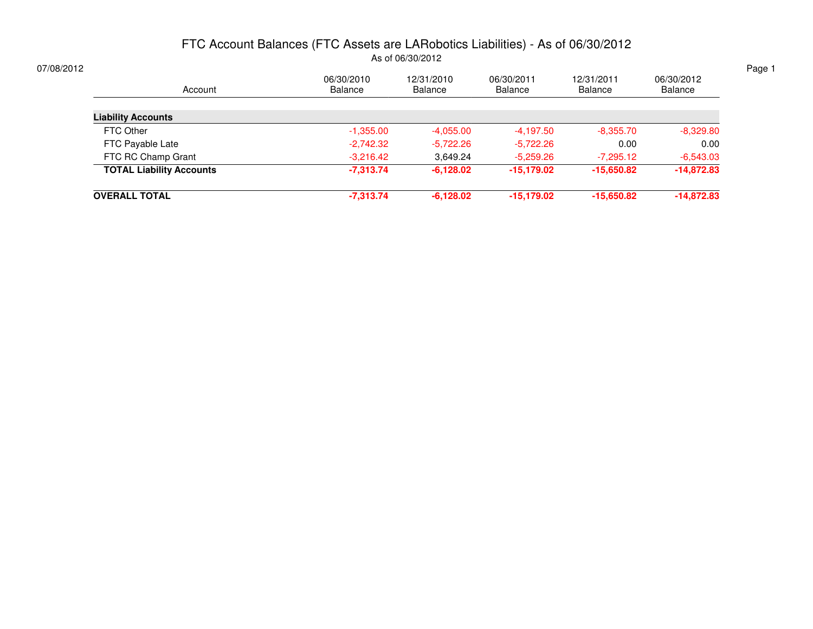### FTC Account Balances (FTC Assets are LARobotics Liabilities) - As of 06/30/2012As of 06/30/2012

| Account                         | 06/30/2010<br>Balance | 12/31/2010<br>Balance | 06/30/2011<br>Balance | 12/31/2011<br>Balance | 06/30/2012<br>Balance |
|---------------------------------|-----------------------|-----------------------|-----------------------|-----------------------|-----------------------|
| <b>Liability Accounts</b>       |                       |                       |                       |                       |                       |
| FTC Other                       | $-1,355.00$           | $-4,055.00$           | $-4,197.50$           | $-8,355.70$           | $-8,329.80$           |
| FTC Payable Late                | $-2,742.32$           | $-5,722.26$           | $-5,722.26$           | 0.00                  | 0.00                  |
| FTC RC Champ Grant              | $-3,216.42$           | 3.649.24              | $-5,259.26$           | $-7,295.12$           | $-6,543.03$           |
| <b>TOTAL Liability Accounts</b> | $-7,313.74$           | $-6,128.02$           | $-15,179.02$          | $-15,650.82$          | $-14,872.83$          |
| <b>OVERALL TOTAL</b>            | $-7,313.74$           | $-6,128.02$           | $-15,179.02$          | $-15,650.82$          | $-14,872.83$          |
|                                 |                       |                       |                       |                       |                       |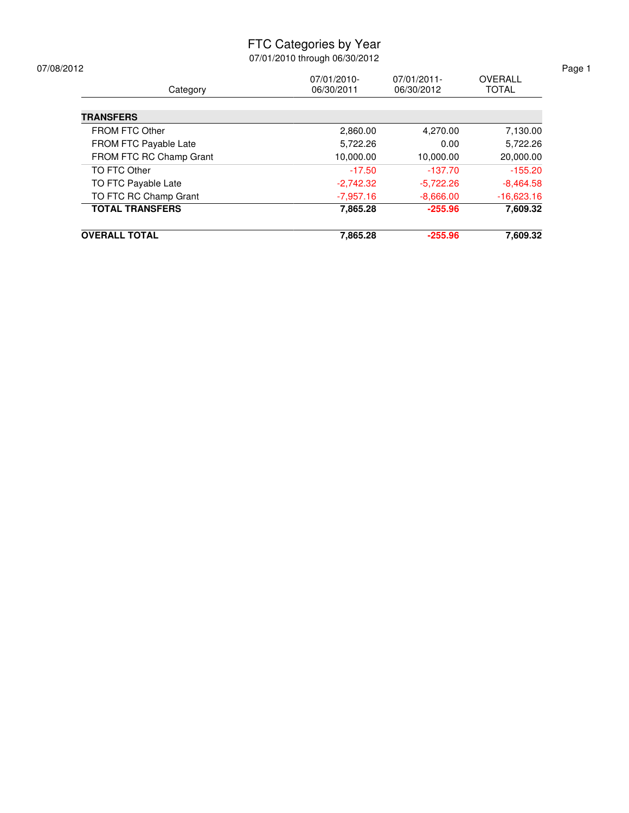### FTC Categories by Year

| <b>OVERALL TOTAL</b>    | 7,865.28    | $-255.96$   | 7,609.32       |
|-------------------------|-------------|-------------|----------------|
| <b>TOTAL TRANSFERS</b>  | 7,865.28    | $-255.96$   | 7,609.32       |
| TO FTC RC Champ Grant   | $-7,957.16$ | $-8,666.00$ | $-16,623.16$   |
| TO FTC Payable Late     | $-2,742.32$ | $-5,722.26$ | $-8,464.58$    |
| TO FTC Other            | $-17.50$    | $-137.70$   | $-155.20$      |
| FROM FTC RC Champ Grant | 10,000.00   | 10,000.00   | 20,000.00      |
| FROM FTC Payable Late   | 5,722.26    | 0.00        | 5,722.26       |
| <b>FROM FTC Other</b>   | 2,860.00    | 4,270.00    | 7,130.00       |
| <b>TRANSFERS</b>        |             |             |                |
| Category                | 06/30/2011  | 06/30/2012  | <b>TOTAL</b>   |
| 07/08/2012              | 07/01/2010- | 07/01/2011- | <b>OVERALL</b> |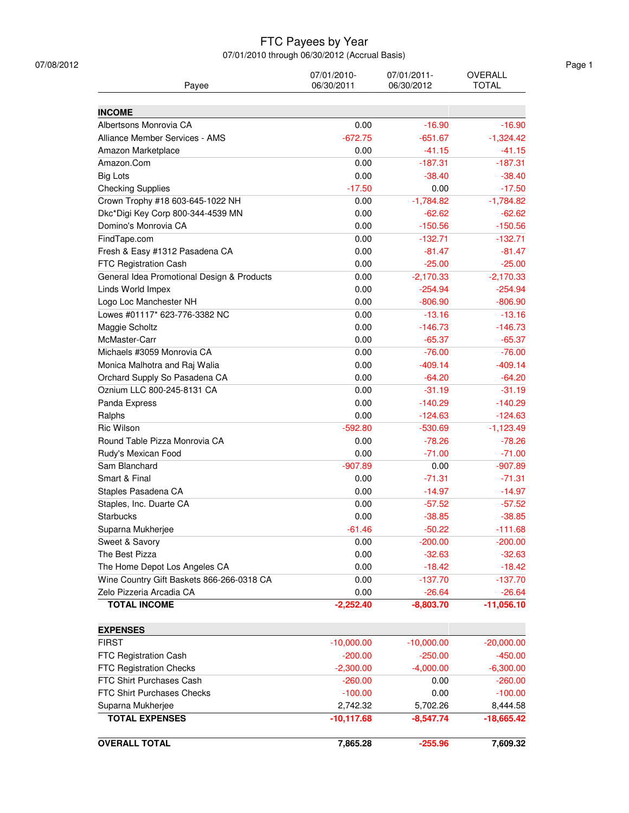### FTC Payees by Year

| Payee                                      | 07/01/2010-<br>06/30/2011 | 07/01/2011-<br>06/30/2012 | OVERALL<br><b>TOTAL</b> |
|--------------------------------------------|---------------------------|---------------------------|-------------------------|
| <b>INCOME</b>                              |                           |                           |                         |
| Albertsons Monrovia CA                     | 0.00                      | $-16.90$                  | $-16.90$                |
| Alliance Member Services - AMS             | $-672.75$                 | $-651.67$                 | $-1,324.42$             |
| Amazon Marketplace                         | 0.00                      | $-41.15$                  | $-41.15$                |
| Amazon.Com                                 | 0.00                      | $-187.31$                 | $-187.31$               |
| <b>Big Lots</b>                            | 0.00                      | $-38.40$                  | $-38.40$                |
| <b>Checking Supplies</b>                   | $-17.50$                  | 0.00                      | $-17.50$                |
| Crown Trophy #18 603-645-1022 NH           | 0.00                      | $-1,784.82$               | $-1,784.82$             |
| Dkc*Digi Key Corp 800-344-4539 MN          | 0.00                      | $-62.62$                  | $-62.62$                |
| Domino's Monrovia CA                       | 0.00                      | $-150.56$                 | $-150.56$               |
| FindTape.com                               | 0.00                      | $-132.71$                 | $-132.71$               |
| Fresh & Easy #1312 Pasadena CA             | 0.00                      | $-81.47$                  | $-81.47$                |
| <b>FTC Registration Cash</b>               | 0.00                      | $-25.00$                  | $-25.00$                |
| General Idea Promotional Design & Products | 0.00                      | $-2,170.33$               | $-2,170.33$             |
| Linds World Impex                          | 0.00                      | $-254.94$                 | $-254.94$               |
| Logo Loc Manchester NH                     | 0.00                      | $-806.90$                 | $-806.90$               |
| Lowes #01117* 623-776-3382 NC              | 0.00                      | $-13.16$                  | $-13.16$                |
| Maggie Scholtz                             | 0.00                      | $-146.73$                 | $-146.73$               |
| McMaster-Carr                              | 0.00                      | $-65.37$                  |                         |
|                                            |                           |                           | $-65.37$                |
| Michaels #3059 Monrovia CA                 | 0.00                      | $-76.00$                  | $-76.00$                |
| Monica Malhotra and Raj Walia              | 0.00                      | $-409.14$                 | $-409.14$               |
| Orchard Supply So Pasadena CA              | 0.00                      | $-64.20$                  | $-64.20$                |
| Oznium LLC 800-245-8131 CA                 | 0.00                      | $-31.19$                  | $-31.19$                |
| Panda Express                              | 0.00                      | $-140.29$                 | $-140.29$               |
| Ralphs                                     | 0.00                      | $-124.63$                 | $-124.63$               |
| Ric Wilson                                 | $-592.80$                 | $-530.69$                 | $-1,123.49$             |
| Round Table Pizza Monrovia CA              | 0.00                      | $-78.26$                  | $-78.26$                |
| Rudy's Mexican Food                        | 0.00                      | $-71.00$                  | $-71.00$                |
| Sam Blanchard                              | $-907.89$                 | 0.00                      | $-907.89$               |
| Smart & Final                              | 0.00                      | $-71.31$                  | $-71.31$                |
| Staples Pasadena CA                        | 0.00                      | $-14.97$                  | $-14.97$                |
| Staples, Inc. Duarte CA                    | 0.00                      | $-57.52$                  | $-57.52$                |
| Starbucks                                  | 0.00                      | $-38.85$                  | $-38.85$                |
| Suparna Mukherjee                          | $-61.46$                  | $-50.22$                  | $-111.68$               |
| Sweet & Savory                             | 0.00                      | $-200.00$                 | $-200.00$               |
| The Best Pizza                             | 0.00                      | $-32.63$                  | $-32.63$                |
| The Home Depot Los Angeles CA              | 0.00                      | $-18.42$                  | $-18.42$                |
| Wine Country Gift Baskets 866-266-0318 CA  | 0.00                      | $-137.70$                 | $-137.70$               |
| Zelo Pizzeria Arcadia CA                   | 0.00                      | $-26.64$                  | $-26.64$                |
| <b>TOTAL INCOME</b>                        | $-2,252.40$               | $-8,803.70$               | $-11,056.10$            |
| <b>EXPENSES</b>                            |                           |                           |                         |
| <b>FIRST</b>                               | $-10,000.00$              | $-10,000.00$              | $-20,000.00$            |
| FTC Registration Cash                      | $-200.00$                 | $-250.00$                 | $-450.00$               |
| FTC Registration Checks                    | $-2,300.00$               | $-4,000.00$               | $-6,300.00$             |
| FTC Shirt Purchases Cash                   | $-260.00$                 | 0.00                      | $-260.00$               |
| FTC Shirt Purchases Checks                 | $-100.00$                 | 0.00                      | $-100.00$               |
| Suparna Mukherjee                          | 2,742.32                  | 5,702.26                  | 8,444.58                |
| <b>TOTAL EXPENSES</b>                      | $-10,117.68$              | $-8,547.74$               | $-18,665.42$            |
|                                            |                           |                           |                         |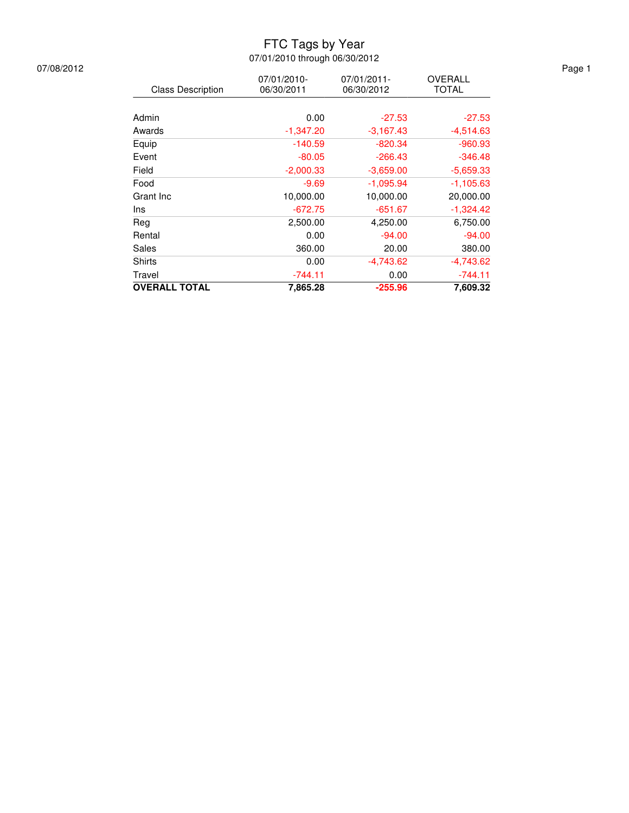### FTC Tags by Year

07/01/2010 through 06/30/2012

|                          | 07/01/2010- | 07/01/2011- | OVERALL      |
|--------------------------|-------------|-------------|--------------|
| <b>Class Description</b> | 06/30/2011  | 06/30/2012  | <b>TOTAL</b> |
|                          |             |             |              |
| Admin                    | 0.00        | $-27.53$    | $-27.53$     |
| Awards                   | $-1,347.20$ | $-3,167.43$ | -4,514.63    |
| Equip                    | $-140.59$   | $-820.34$   | $-960.93$    |
| Event                    | $-80.05$    | $-266.43$   | $-346.48$    |
| Field                    | $-2,000.33$ | $-3,659.00$ | $-5,659.33$  |
| Food                     | $-9.69$     | $-1,095.94$ | $-1,105.63$  |
| Grant Inc                | 10,000.00   | 10,000.00   | 20,000.00    |
| Ins                      | $-672.75$   | $-651.67$   | $-1,324.42$  |
| Rea                      | 2,500.00    | 4,250.00    | 6,750.00     |
| Rental                   | 0.00        | $-94.00$    | $-94.00$     |
| Sales                    | 360.00      | 20.00       | 380.00       |
| Shirts                   | 0.00        | $-4,743.62$ | -4,743.62    |
| Travel                   | $-744.11$   | 0.00        | $-744.11$    |
| <b>OVERALL TOTAL</b>     | 7.865.28    | $-255.96$   | 7.609.32     |

07/08/2012 Page 1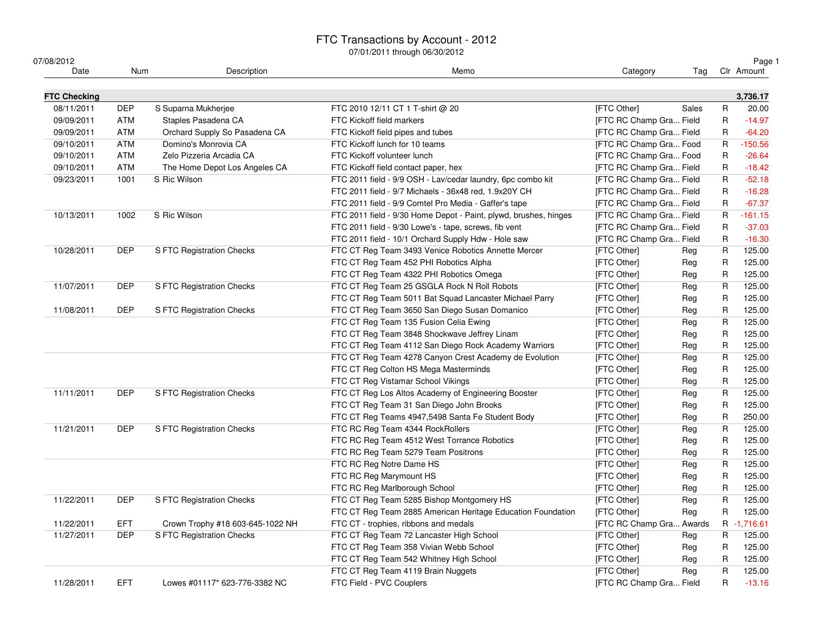### FTC Transactions by Account - 2012

| 07/08/2012          |            |                                  |                                                                  |                          |       |              | Page 1      |
|---------------------|------------|----------------------------------|------------------------------------------------------------------|--------------------------|-------|--------------|-------------|
| Date                | Num        | Description                      | Memo                                                             | Category                 | Tag   |              | Clr Amount  |
| <b>FTC Checking</b> |            |                                  |                                                                  |                          |       |              | 3,736.17    |
| 08/11/2011          | <b>DEP</b> | S Suparna Mukherjee              | FTC 2010 12/11 CT 1 T-shirt @ 20                                 | [FTC Other]              | Sales | R            | 20.00       |
| 09/09/2011          | <b>ATM</b> | Staples Pasadena CA              | FTC Kickoff field markers                                        | [FTC RC Champ Gra Field  |       | $\mathsf{R}$ | $-14.97$    |
| 09/09/2011          | <b>ATM</b> | Orchard Supply So Pasadena CA    | FTC Kickoff field pipes and tubes                                | [FTC RC Champ Gra Field  |       | R            | $-64.20$    |
| 09/10/2011          | <b>ATM</b> | Domino's Monrovia CA             | FTC Kickoff lunch for 10 teams                                   | [FTC RC Champ Gra Food   |       | R            | $-150.56$   |
| 09/10/2011          | ATM        | Zelo Pizzeria Arcadia CA         | FTC Kickoff volunteer lunch                                      | [FTC RC Champ Gra Food   |       | R            | $-26.64$    |
| 09/10/2011          | <b>ATM</b> | The Home Depot Los Angeles CA    | FTC Kickoff field contact paper, hex                             | [FTC RC Champ Gra Field  |       | R            | $-18.42$    |
| 09/23/2011          | 1001       | S Ric Wilson                     | FTC 2011 field - 9/9 OSH - Lav/cedar laundry, 6pc combo kit      | [FTC RC Champ Gra Field  |       | R            | $-52.18$    |
|                     |            |                                  | FTC 2011 field - 9/7 Michaels - 36x48 red, 1.9x20Y CH            | [FTC RC Champ Gra Field  |       | R            | $-16.28$    |
|                     |            |                                  | FTC 2011 field - 9/9 Comtel Pro Media - Gaffer's tape            | [FTC RC Champ Gra Field  |       | R            | $-67.37$    |
| 10/13/2011          | 1002       | S Ric Wilson                     | FTC 2011 field - 9/30 Home Depot - Paint, plywd, brushes, hinges | [FTC RC Champ Gra Field  |       | $\mathsf{R}$ | $-161.15$   |
|                     |            |                                  | FTC 2011 field - 9/30 Lowe's - tape, screws, fib vent            | [FTC RC Champ Gra Field  |       | R            | $-37.03$    |
|                     |            |                                  | FTC 2011 field - 10/1 Orchard Supply Hdw - Hole saw              | [FTC RC Champ Gra Field  |       | R            | $-16.30$    |
| 10/28/2011          | <b>DEP</b> | S FTC Registration Checks        | FTC CT Reg Team 3493 Venice Robotics Annette Mercer              | [FTC Other]              | Reg   | R            | 125.00      |
|                     |            |                                  | FTC CT Reg Team 452 PHI Robotics Alpha                           | [FTC Other]              | Reg   | R            | 125.00      |
|                     |            |                                  | FTC CT Reg Team 4322 PHI Robotics Omega                          | [FTC Other]              | Reg   | $\mathsf R$  | 125.00      |
| 11/07/2011          | <b>DEP</b> | S FTC Registration Checks        | FTC CT Reg Team 25 GSGLA Rock N Roll Robots                      | [FTC Other]              | Reg   | $\mathsf R$  | 125.00      |
|                     |            |                                  | FTC CT Reg Team 5011 Bat Squad Lancaster Michael Parry           | [FTC Other]              | Reg   | R            | 125.00      |
| 11/08/2011          | <b>DEP</b> | S FTC Registration Checks        | FTC CT Reg Team 3650 San Diego Susan Domanico                    | [FTC Other]              | Reg   | R            | 125.00      |
|                     |            |                                  | FTC CT Reg Team 135 Fusion Celia Ewing                           | [FTC Other]              | Reg   | R            | 125.00      |
|                     |            |                                  | FTC CT Reg Team 3848 Shockwave Jeffrey Linam                     | [FTC Other]              | Reg   | R            | 125.00      |
|                     |            |                                  | FTC CT Reg Team 4112 San Diego Rock Academy Warriors             | [FTC Other]              | Reg   | R            | 125.00      |
|                     |            |                                  | FTC CT Reg Team 4278 Canyon Crest Academy de Evolution           | [FTC Other]              | Reg   | R            | 125.00      |
|                     |            |                                  | FTC CT Reg Colton HS Mega Masterminds                            | [FTC Other]              | Reg   | $\mathsf{R}$ | 125.00      |
|                     |            |                                  | FTC CT Reg Vistamar School Vikings                               | [FTC Other]              | Reg   | R            | 125.00      |
| 11/11/2011          | <b>DEP</b> | S FTC Registration Checks        | FTC CT Reg Los Altos Academy of Engineering Booster              | [FTC Other]              | Reg   | R            | 125.00      |
|                     |            |                                  | FTC CT Reg Team 31 San Diego John Brooks                         | [FTC Other]              | Reg   | R            | 125.00      |
|                     |            |                                  | FTC CT Reg Teams 4947,5498 Santa Fe Student Body                 | [FTC Other]              | Reg   | R            | 250.00      |
| 11/21/2011          | <b>DEP</b> | S FTC Registration Checks        | FTC RC Reg Team 4344 RockRollers                                 | [FTC Other]              | Reg   | $\mathsf R$  | 125.00      |
|                     |            |                                  | FTC RC Reg Team 4512 West Torrance Robotics                      | [FTC Other]              | Reg   | $\mathsf{R}$ | 125.00      |
|                     |            |                                  | FTC RC Reg Team 5279 Team Positrons                              | [FTC Other]              | Reg   | R            | 125.00      |
|                     |            |                                  | FTC RC Reg Notre Dame HS                                         | [FTC Other]              | Reg   | R            | 125.00      |
|                     |            |                                  | FTC RC Reg Marymount HS                                          | [FTC Other]              | Reg   | R            | 125.00      |
|                     |            |                                  | FTC RC Reg Marlborough School                                    | [FTC Other]              | Reg   | R            | 125.00      |
| 11/22/2011          | <b>DEP</b> | S FTC Registration Checks        | FTC CT Reg Team 5285 Bishop Montgomery HS                        | [FTC Other]              | Reg   | $\mathsf{R}$ | 125.00      |
|                     |            |                                  | FTC CT Reg Team 2885 American Heritage Education Foundation      | [FTC Other]              | Reg   | $\mathsf R$  | 125.00      |
| 11/22/2011          | EFT.       | Crown Trophy #18 603-645-1022 NH | FTC CT - trophies, ribbons and medals                            | [FTC RC Champ Gra Awards |       |              | R -1,716.61 |
| 11/27/2011          | <b>DEP</b> | S FTC Registration Checks        | FTC CT Reg Team 72 Lancaster High School                         | [FTC Other]              | Reg   | R            | 125.00      |
|                     |            |                                  | FTC CT Reg Team 358 Vivian Webb School                           | [FTC Other]              | Reg   | R            | 125.00      |
|                     |            |                                  | FTC CT Reg Team 542 Whitney High School                          | [FTC Other]              | Reg   | R            | 125.00      |
|                     |            |                                  | FTC CT Reg Team 4119 Brain Nuggets                               | [FTC Other]              | Reg   | $\mathsf{R}$ | 125.00      |
| 11/28/2011          | <b>EFT</b> | Lowes #01117* 623-776-3382 NC    | FTC Field - PVC Couplers                                         | [FTC RC Champ Gra Field  |       | R            | $-13.16$    |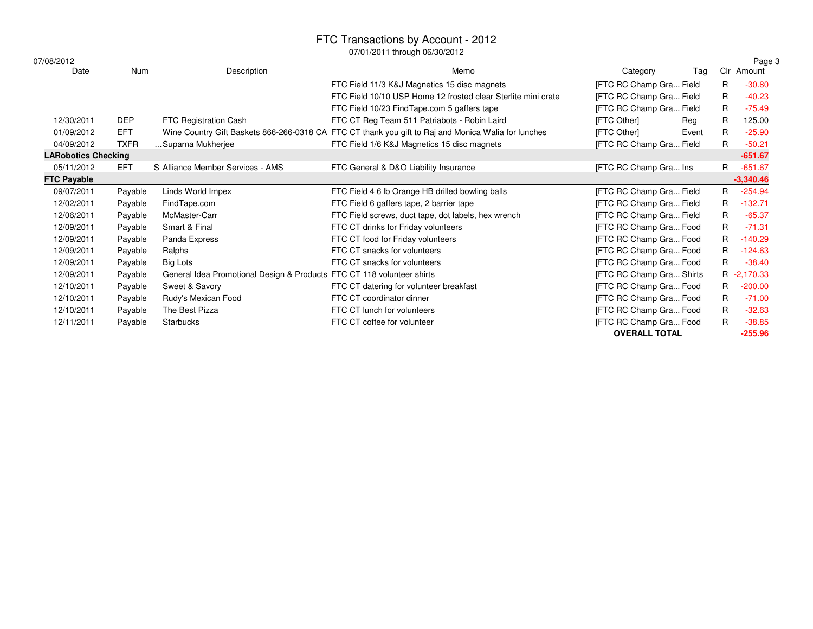| 07/08/2012                 |             |                                                                        |                                                                                                     |                          |       |     | Page 3      |
|----------------------------|-------------|------------------------------------------------------------------------|-----------------------------------------------------------------------------------------------------|--------------------------|-------|-----|-------------|
| Date                       | Num         | Description                                                            | Memo                                                                                                | Category                 | Tag   | Clr | Amount      |
|                            |             |                                                                        | FTC Field 11/3 K&J Magnetics 15 disc magnets                                                        | [FTC RC Champ Gra Field  |       | R   | $-30.80$    |
|                            |             |                                                                        | FTC Field 10/10 USP Home 12 frosted clear Sterlite mini crate                                       | [FTC RC Champ Gra Field  |       | R   | $-40.23$    |
|                            |             |                                                                        | FTC Field 10/23 FindTape.com 5 gaffers tape                                                         | [FTC RC Champ Gra Field  |       | R   | $-75.49$    |
| 12/30/2011                 | <b>DEP</b>  | FTC Registration Cash                                                  | FTC CT Reg Team 511 Patriabots - Robin Laird                                                        | [FTC Other]              | Reg   | R   | 125.00      |
| 01/09/2012                 | <b>EFT</b>  |                                                                        | Wine Country Gift Baskets 866-266-0318 CA FTC CT thank you gift to Raj and Monica Walia for lunches | [FTC Other]              | Event | R   | $-25.90$    |
| 04/09/2012                 | <b>TXFR</b> | Suparna Mukherjee                                                      | FTC Field 1/6 K&J Magnetics 15 disc magnets                                                         | [FTC RC Champ Gra Field  |       | R   | $-50.21$    |
| <b>LARobotics Checking</b> |             |                                                                        |                                                                                                     |                          |       |     | $-651.67$   |
| 05/11/2012                 | <b>EFT</b>  | S Alliance Member Services - AMS                                       | FTC General & D&O Liability Insurance                                                               | [FTC RC Champ Gra Ins    |       | R   | $-651.67$   |
| <b>FTC Payable</b>         |             |                                                                        |                                                                                                     |                          |       |     | $-3,340.46$ |
| 09/07/2011                 | Payable     | Linds World Impex                                                      | FTC Field 4 6 lb Orange HB drilled bowling balls                                                    | [FTC RC Champ Gra Field  |       | R   | $-254.94$   |
| 12/02/2011                 | Payable     | FindTape.com                                                           | FTC Field 6 gaffers tape, 2 barrier tape                                                            | [FTC RC Champ Gra Field  |       | R   | $-132.71$   |
| 12/06/2011                 | Payable     | McMaster-Carr                                                          | FTC Field screws, duct tape, dot labels, hex wrench                                                 | [FTC RC Champ Gra Field  |       | R   | $-65.37$    |
| 12/09/2011                 | Payable     | Smart & Final                                                          | FTC CT drinks for Friday volunteers                                                                 | [FTC RC Champ Gra Food   |       | R   | $-71.31$    |
| 12/09/2011                 | Payable     | Panda Express                                                          | FTC CT food for Friday volunteers                                                                   | [FTC RC Champ Gra Food   |       | R   | $-140.29$   |
| 12/09/2011                 | Payable     | Ralphs                                                                 | FTC CT snacks for volunteers                                                                        | [FTC RC Champ Gra Food   |       | R   | $-124.63$   |
| 12/09/2011                 | Payable     | Big Lots                                                               | FTC CT snacks for volunteers                                                                        | [FTC RC Champ Gra Food   |       | R   | $-38.40$    |
| 12/09/2011                 | Payable     | General Idea Promotional Design & Products FTC CT 118 volunteer shirts |                                                                                                     | [FTC RC Champ Gra Shirts |       | R   | $-2,170.33$ |
| 12/10/2011                 | Payable     | Sweet & Savory                                                         | FTC CT datering for volunteer breakfast                                                             | [FTC RC Champ Gra Food   |       | R   | $-200.00$   |
| 12/10/2011                 | Payable     | Rudy's Mexican Food                                                    | FTC CT coordinator dinner                                                                           | [FTC RC Champ Gra Food   |       | R   | $-71.00$    |
| 12/10/2011                 | Payable     | The Best Pizza                                                         | FTC CT lunch for volunteers                                                                         | [FTC RC Champ Gra Food   |       | R   | $-32.63$    |
| 12/11/2011                 | Payable     | Starbucks                                                              | FTC CT coffee for volunteer                                                                         | [FTC RC Champ Gra Food   |       | R   | $-38.85$    |
|                            |             |                                                                        |                                                                                                     | <b>OVERALL TOTAL</b>     |       |     | $-255.96$   |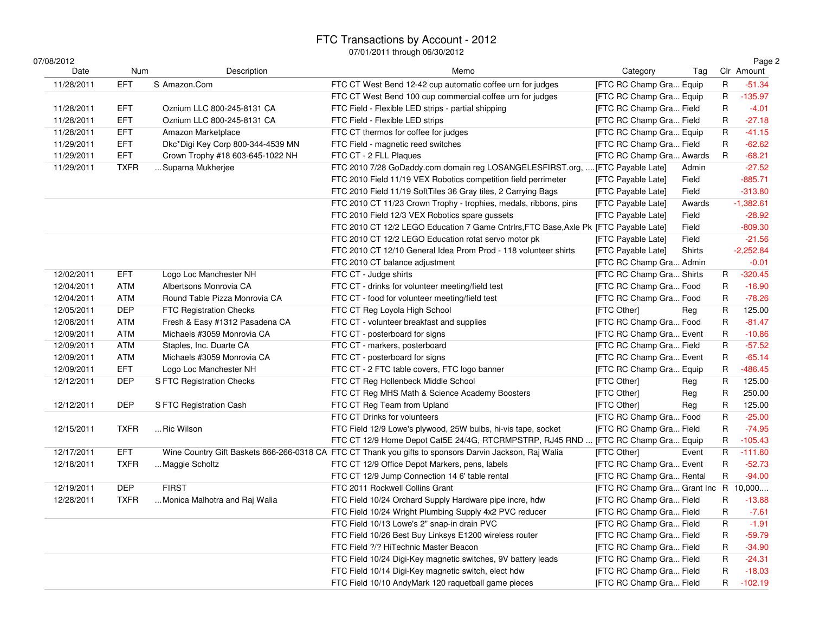### FTC Transactions by Account - 2012

| 07/08/2012 |             |                                   | , o 1, Lo 1 1 trinoagh oo, oo,                                                                         |                                      |        |              | Page 2      |
|------------|-------------|-----------------------------------|--------------------------------------------------------------------------------------------------------|--------------------------------------|--------|--------------|-------------|
| Date       | Num         | Description                       | Memo                                                                                                   | Category                             | Tag    |              | Clr Amount  |
| 11/28/2011 | <b>EFT</b>  | S Amazon.Com                      | FTC CT West Bend 12-42 cup automatic coffee urn for judges                                             | [FTC RC Champ Gra Equip              |        | $\mathsf R$  | $-51.34$    |
|            |             |                                   | FTC CT West Bend 100 cup commercial coffee urn for judges                                              | <b>IFTC RC Champ Gra Equip</b>       |        | $\mathsf{R}$ | $-135.97$   |
| 11/28/2011 | <b>EFT</b>  | Oznium LLC 800-245-8131 CA        | FTC Field - Flexible LED strips - partial shipping                                                     | [FTC RC Champ Gra Field              |        | R            | $-4.01$     |
| 11/28/2011 | <b>EFT</b>  | Oznium LLC 800-245-8131 CA        | FTC Field - Flexible LED strips                                                                        | [FTC RC Champ Gra Field              |        | R            | $-27.18$    |
| 11/28/2011 | <b>EFT</b>  | Amazon Marketplace                | FTC CT thermos for coffee for judges                                                                   | [FTC RC Champ Gra Equip              |        | R            | $-41.15$    |
| 11/29/2011 | <b>EFT</b>  | Dkc*Digi Key Corp 800-344-4539 MN | FTC Field - magnetic reed switches                                                                     | [FTC RC Champ Gra Field              |        | R            | $-62.62$    |
| 11/29/2011 | <b>EFT</b>  | Crown Trophy #18 603-645-1022 NH  | FTC CT - 2 FLL Plaques                                                                                 | [FTC RC Champ Gra Awards             |        | R            | $-68.21$    |
| 11/29/2011 | <b>TXFR</b> | Suparna Mukherjee                 | FTC 2010 7/28 GoDaddy.com domain reg LOSANGELESFIRST.org,  [FTC Payable Late]                          |                                      | Admin  |              | $-27.52$    |
|            |             |                                   | FTC 2010 Field 11/19 VEX Robotics competition field perrimeter                                         | [FTC Payable Late]                   | Field  |              | $-885.71$   |
|            |             |                                   | FTC 2010 Field 11/19 SoftTiles 36 Gray tiles, 2 Carrying Bags                                          | [FTC Payable Late]                   | Field  |              | $-313.80$   |
|            |             |                                   | FTC 2010 CT 11/23 Crown Trophy - trophies, medals, ribbons, pins                                       | [FTC Payable Late]                   | Awards |              | $-1,382.61$ |
|            |             |                                   | FTC 2010 Field 12/3 VEX Robotics spare gussets                                                         | [FTC Payable Late]                   | Field  |              | $-28.92$    |
|            |             |                                   | FTC 2010 CT 12/2 LEGO Education 7 Game Cntrlrs, FTC Base, Axle Pk [FTC Payable Late]                   |                                      | Field  |              | $-809.30$   |
|            |             |                                   | FTC 2010 CT 12/2 LEGO Education rotat servo motor pk                                                   | [FTC Payable Late]                   | Field  |              | $-21.56$    |
|            |             |                                   | FTC 2010 CT 12/10 General Idea Prom Prod - 118 volunteer shirts                                        | [FTC Payable Late]                   | Shirts |              | $-2,252.84$ |
|            |             |                                   | FTC 2010 CT balance adjustment                                                                         | [FTC RC Champ Gra Admin              |        |              | $-0.01$     |
| 12/02/2011 | <b>EFT</b>  | Logo Loc Manchester NH            | FTC CT - Judge shirts                                                                                  | [FTC RC Champ Gra Shirts             |        | R            | $-320.45$   |
| 12/04/2011 | ATM         | Albertsons Monrovia CA            | FTC CT - drinks for volunteer meeting/field test                                                       | [FTC RC Champ Gra Food               |        | R            | $-16.90$    |
| 12/04/2011 | <b>ATM</b>  | Round Table Pizza Monrovia CA     | FTC CT - food for volunteer meeting/field test                                                         | [FTC RC Champ Gra Food               |        | R            | $-78.26$    |
| 12/05/2011 | <b>DEP</b>  | <b>FTC Registration Checks</b>    | FTC CT Reg Loyola High School                                                                          | [FTC Other]                          | Reg    | R            | 125.00      |
| 12/08/2011 | ATM         | Fresh & Easy #1312 Pasadena CA    | FTC CT - volunteer breakfast and supplies                                                              | [FTC RC Champ Gra Food               |        | R            | $-81.47$    |
| 12/09/2011 | <b>ATM</b>  | Michaels #3059 Monrovia CA        | FTC CT - posterboard for signs                                                                         | [FTC RC Champ Gra Event              |        | R            | $-10.86$    |
| 12/09/2011 | ATM         | Staples, Inc. Duarte CA           | FTC CT - markers, posterboard                                                                          | [FTC RC Champ Gra Field              |        | R            | $-57.52$    |
| 12/09/2011 | ATM         | Michaels #3059 Monrovia CA        | FTC CT - posterboard for signs                                                                         | [FTC RC Champ Gra Event              |        | R            | $-65.14$    |
| 12/09/2011 | <b>EFT</b>  | Logo Loc Manchester NH            | FTC CT - 2 FTC table covers, FTC logo banner                                                           | [FTC RC Champ Gra Equip              |        | R            | $-486.45$   |
| 12/12/2011 | <b>DEP</b>  | S FTC Registration Checks         | FTC CT Reg Hollenbeck Middle School                                                                    | [FTC Other]                          | Reg    | R            | 125.00      |
|            |             |                                   | FTC CT Reg MHS Math & Science Academy Boosters                                                         | [FTC Other]                          | Reg    | R            | 250.00      |
| 12/12/2011 | <b>DEP</b>  | S FTC Registration Cash           | FTC CT Reg Team from Upland                                                                            | [FTC Other]                          | Reg    | R            | 125.00      |
|            |             |                                   | FTC CT Drinks for volunteers                                                                           | [FTC RC Champ Gra Food               |        | R            | $-25.00$    |
| 12/15/2011 | <b>TXFR</b> | Ric Wilson                        | FTC Field 12/9 Lowe's plywood, 25W bulbs, hi-vis tape, socket                                          | [FTC RC Champ Gra Field              |        | R            | $-74.95$    |
|            |             |                                   | FTC CT 12/9 Home Depot Cat5E 24/4G, RTCRMPSTRP, RJ45 RND  [FTC RC Champ Gra Equip                      |                                      |        | R            | $-105.43$   |
| 12/17/2011 | <b>EFT</b>  |                                   | Wine Country Gift Baskets 866-266-0318 CA FTC CT Thank you gifts to sponsors Darvin Jackson, Raj Walia | [FTC Other]                          | Event  | R            | $-111.80$   |
| 12/18/2011 | <b>TXFR</b> | Maggie Scholtz                    | FTC CT 12/9 Office Depot Markers, pens, labels                                                         | [FTC RC Champ Gra Event              |        | R            | $-52.73$    |
|            |             |                                   | FTC CT 12/9 Jump Connection 14 6' table rental                                                         | [FTC RC Champ Gra Rental             |        | R            | $-94.00$    |
| 12/19/2011 | <b>DEP</b>  | <b>FIRST</b>                      | FTC 2011 Rockwell Collins Grant                                                                        | [FTC RC Champ Gra Grant Inc R 10,000 |        |              |             |
| 12/28/2011 | <b>TXFR</b> | Monica Malhotra and Raj Walia     | FTC Field 10/24 Orchard Supply Hardware pipe incre, hdw                                                | [FTC RC Champ Gra Field              |        | R            | $-13.88$    |
|            |             |                                   | FTC Field 10/24 Wright Plumbing Supply 4x2 PVC reducer                                                 | [FTC RC Champ Gra Field              |        | R            | $-7.61$     |
|            |             |                                   | FTC Field 10/13 Lowe's 2" snap-in drain PVC                                                            | [FTC RC Champ Gra Field              |        | R            | $-1.91$     |
|            |             |                                   | FTC Field 10/26 Best Buy Linksys E1200 wireless router                                                 | [FTC RC Champ Gra Field              |        | R            | $-59.79$    |
|            |             |                                   | FTC Field ?/? HiTechnic Master Beacon                                                                  | [FTC RC Champ Gra Field              |        | R            | $-34.90$    |
|            |             |                                   | FTC Field 10/24 Digi-Key magnetic switches, 9V battery leads                                           | [FTC RC Champ Gra Field              |        | R            | $-24.31$    |
|            |             |                                   | FTC Field 10/14 Digi-Key magnetic switch, elect hdw                                                    | [FTC RC Champ Gra Field              |        | $\mathsf R$  | $-18.03$    |
|            |             |                                   | FTC Field 10/10 AndyMark 120 raquetball game pieces                                                    | [FTC RC Champ Gra Field              |        | R            | $-102.19$   |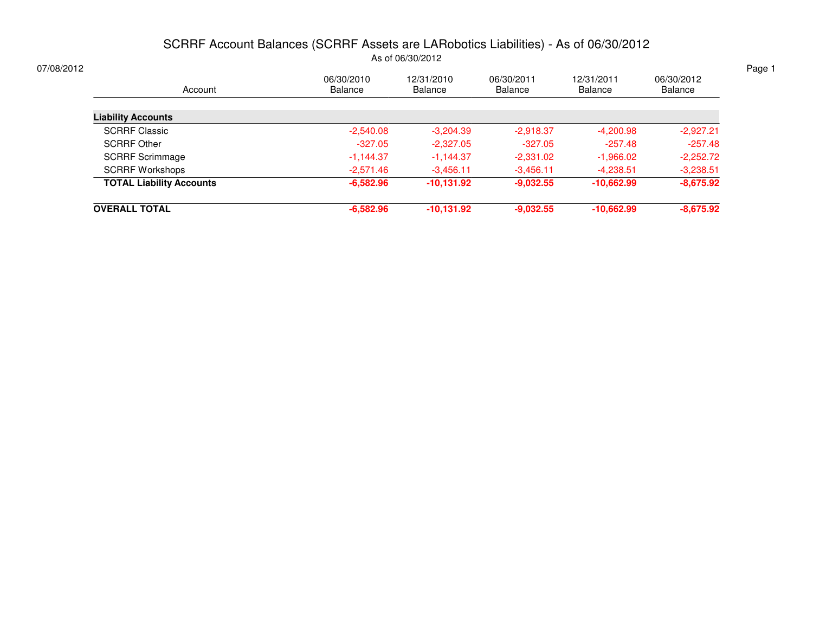### SCRRF Account Balances (SCRRF Assets are LARobotics Liabilities) - As of 06/30/2012As of 06/30/2012

| 06/30/2010<br><b>Balance</b> | 12/31/2010<br><b>Balance</b> | 06/30/2011<br><b>Balance</b> | 12/31/2011<br>Balance | 06/30/2012<br>Balance |
|------------------------------|------------------------------|------------------------------|-----------------------|-----------------------|
|                              |                              |                              |                       |                       |
| $-2,540.08$                  | $-3.204.39$                  | $-2,918.37$                  | $-4,200.98$           | $-2,927.21$           |
| $-327.05$                    | $-2,327.05$                  | $-327.05$                    | $-257.48$             | $-257.48$             |
| $-1,144.37$                  | $-1,144.37$                  | $-2,331.02$                  | $-1,966.02$           | $-2,252.72$           |
| $-2.571.46$                  | $-3,456.11$                  | $-3.456.11$                  | $-4,238.51$           | $-3,238.51$           |
| $-6.582.96$                  | $-10,131.92$                 | $-9,032.55$                  | $-10,662.99$          | $-8,675.92$           |
| $-6,582.96$                  | $-10,131.92$                 | $-9,032.55$                  | $-10,662.99$          | $-8,675.92$           |
|                              |                              |                              |                       |                       |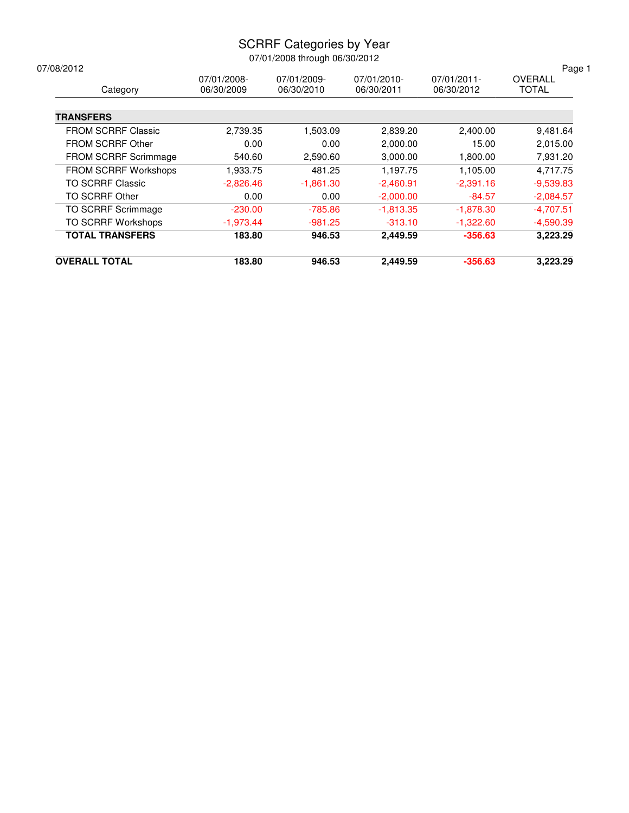### SCRRF Categories by Year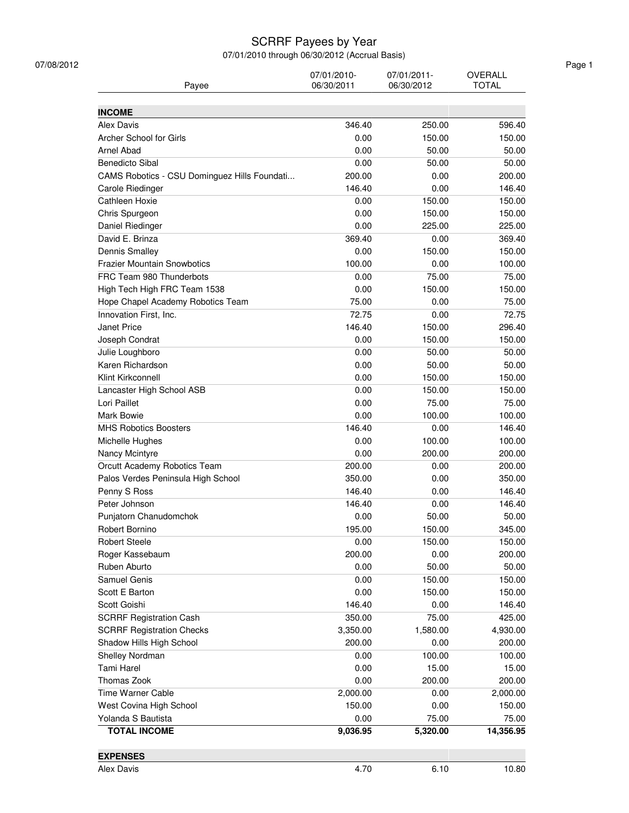#### SCRRF Payees by Year

| Payee                                        | 07/01/2010-<br>06/30/2011 | 07/01/2011-<br>06/30/2012 | OVERALL<br><b>TOTAL</b> |
|----------------------------------------------|---------------------------|---------------------------|-------------------------|
| <b>INCOME</b>                                |                           |                           |                         |
| Alex Davis                                   | 346.40                    | 250.00                    | 596.40                  |
| Archer School for Girls                      | 0.00                      | 150.00                    | 150.00                  |
| Arnel Abad                                   | 0.00                      | 50.00                     | 50.00                   |
| <b>Benedicto Sibal</b>                       | 0.00                      | 50.00                     | 50.00                   |
| CAMS Robotics - CSU Dominguez Hills Foundati | 200.00                    | 0.00                      | 200.00                  |
| Carole Riedinger                             | 146.40                    | 0.00                      | 146.40                  |
| Cathleen Hoxie                               | 0.00                      | 150.00                    | 150.00                  |
| Chris Spurgeon                               | 0.00                      | 150.00                    | 150.00                  |
| Daniel Riedinger                             | 0.00                      | 225.00                    | 225.00                  |
| David E. Brinza                              | 369.40                    | 0.00                      | 369.40                  |
| <b>Dennis Smalley</b>                        | 0.00                      | 150.00                    | 150.00                  |
| <b>Frazier Mountain Snowbotics</b>           | 100.00                    | 0.00                      | 100.00                  |
| FRC Team 980 Thunderbots                     | 0.00                      | 75.00                     | 75.00                   |
| High Tech High FRC Team 1538                 | 0.00                      | 150.00                    | 150.00                  |
| Hope Chapel Academy Robotics Team            | 75.00                     | 0.00                      | 75.00                   |
| Innovation First, Inc.                       | 72.75                     | 0.00                      | 72.75                   |
| Janet Price                                  | 146.40                    | 150.00                    | 296.40                  |
| Joseph Condrat                               | 0.00                      | 150.00                    | 150.00                  |
| Julie Loughboro                              | 0.00                      | 50.00                     | 50.00                   |
| Karen Richardson                             | 0.00                      | 50.00                     | 50.00                   |
| Klint Kirkconnell                            | 0.00                      | 150.00                    | 150.00                  |
| Lancaster High School ASB                    | 0.00                      | 150.00                    | 150.00                  |
| Lori Paillet                                 | 0.00                      | 75.00                     | 75.00                   |
| Mark Bowie                                   | 0.00                      | 100.00                    | 100.00                  |
| <b>MHS Robotics Boosters</b>                 | 146.40                    | 0.00                      | 146.40                  |
| Michelle Hughes                              | 0.00                      | 100.00                    | 100.00                  |
| Nancy Mcintyre                               | 0.00                      | 200.00                    | 200.00                  |
| Orcutt Academy Robotics Team                 | 200.00                    | 0.00                      | 200.00                  |
| Palos Verdes Peninsula High School           | 350.00                    | 0.00                      | 350.00                  |
| Penny S Ross                                 | 146.40                    | 0.00                      | 146.40                  |
| Peter Johnson                                | 146.40                    | 0.00                      | 146.40                  |
| Punjatorn Chanudomchok                       | 0.00                      | 50.00                     | 50.00                   |
| Robert Bornino                               | 195.00                    | 150.00                    | 345.00                  |
| <b>Robert Steele</b>                         | 0.00                      | 150.00                    | 150.00                  |
| Roger Kassebaum                              | 200.00                    | 0.00                      | 200.00                  |
| Ruben Aburto                                 | 0.00                      | 50.00                     | 50.00                   |
| Samuel Genis                                 | 0.00                      | 150.00                    | 150.00                  |
| Scott E Barton                               | 0.00                      | 150.00                    | 150.00                  |
| Scott Goishi                                 | 146.40                    | 0.00                      | 146.40                  |
| <b>SCRRF Registration Cash</b>               | 350.00                    | 75.00                     | 425.00                  |
| <b>SCRRF Registration Checks</b>             | 3,350.00                  | 1,580.00                  | 4,930.00                |
| Shadow Hills High School                     | 200.00                    | 0.00                      | 200.00                  |
| Shelley Nordman                              | 0.00                      | 100.00                    | 100.00                  |
| <b>Tami Harel</b>                            | 0.00                      | 15.00                     | 15.00                   |
| Thomas Zook                                  | 0.00                      | 200.00                    | 200.00                  |
| <b>Time Warner Cable</b>                     | 2,000.00                  | 0.00                      | 2,000.00                |
| West Covina High School                      | 150.00                    | 0.00                      | 150.00                  |
| Yolanda S Bautista                           | 0.00                      | 75.00                     | 75.00                   |
| <b>TOTAL INCOME</b>                          | 9,036.95                  | 5,320.00                  | 14,356.95               |
|                                              |                           |                           |                         |
| <b>EXPENSES</b>                              |                           |                           |                         |
| Alex Davis                                   | 4.70                      | 6.10                      | 10.80                   |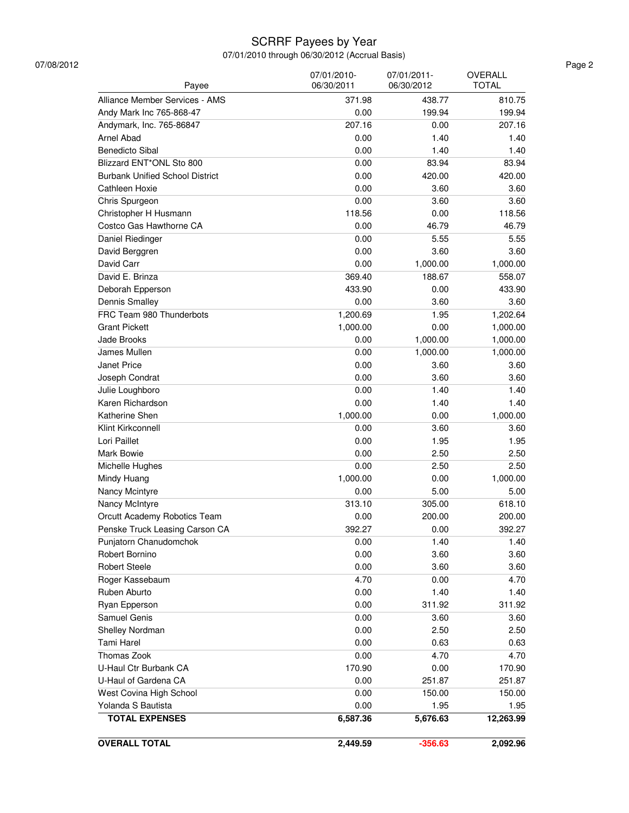### SCRRF Payees by Year

| U-Haul Ctr Burbank CA<br>U-Haul of Gardena CA<br>West Covina High School<br>Yolanda S Bautista<br><b>TOTAL EXPENSES</b> | 0.00<br>0.00<br>0.00<br>6,587.36 | 251.87<br>150.00<br>1.95<br>5,676.63 | 150.00<br>1.95<br>12,263.99 |
|-------------------------------------------------------------------------------------------------------------------------|----------------------------------|--------------------------------------|-----------------------------|
|                                                                                                                         |                                  |                                      |                             |
|                                                                                                                         |                                  |                                      |                             |
|                                                                                                                         |                                  |                                      |                             |
|                                                                                                                         |                                  |                                      | 251.87                      |
|                                                                                                                         | 170.90                           | 0.00                                 | 170.90                      |
| Thomas Zook                                                                                                             | 0.00                             | 4.70                                 | 4.70                        |
| Tami Harel                                                                                                              | 0.00                             | 0.63                                 | 0.63                        |
| Shelley Nordman                                                                                                         | 0.00                             | 2.50                                 | 2.50                        |
| Samuel Genis                                                                                                            | 0.00                             | 3.60                                 | 3.60                        |
| Ryan Epperson                                                                                                           | 0.00                             | 311.92                               | 311.92                      |
| Ruben Aburto                                                                                                            | 0.00                             | 1.40                                 | 1.40                        |
| Roger Kassebaum                                                                                                         | 4.70                             | 0.00                                 | 4.70                        |
| <b>Robert Steele</b>                                                                                                    | 0.00                             | 3.60                                 | 3.60                        |
| Robert Bornino                                                                                                          | 0.00                             | 3.60                                 | 3.60                        |
| Punjatorn Chanudomchok                                                                                                  | 0.00                             | 1.40                                 | 1.40                        |
| Penske Truck Leasing Carson CA                                                                                          | 392.27                           | 0.00                                 | 392.27                      |
| Orcutt Academy Robotics Team                                                                                            | 0.00                             | 200.00                               | 200.00                      |
| Nancy McIntyre                                                                                                          | 313.10                           | 305.00                               | 618.10                      |
| Nancy Mcintyre                                                                                                          | 0.00                             | 5.00                                 | 5.00                        |
| Mindy Huang                                                                                                             | 1,000.00                         | 0.00                                 | 1,000.00                    |
| Michelle Hughes                                                                                                         | 0.00                             | 2.50                                 | 2.50                        |
| Mark Bowie                                                                                                              | 0.00                             | 2.50                                 | 2.50                        |
| Lori Paillet                                                                                                            | 0.00                             | 1.95                                 | 1.95                        |
| Klint Kirkconnell                                                                                                       | 0.00                             | 3.60                                 | 3.60                        |
| Katherine Shen                                                                                                          | 1,000.00                         | 0.00                                 | 1,000.00                    |
| Karen Richardson                                                                                                        | 0.00                             | 1.40                                 | 1.40                        |
| Julie Loughboro                                                                                                         | 0.00                             | 1.40                                 | 1.40                        |
| Joseph Condrat                                                                                                          | 0.00                             | 3.60                                 | 3.60                        |
| Janet Price                                                                                                             | 0.00                             | 3.60                                 | 3.60                        |
| James Mullen                                                                                                            | 0.00                             | 1,000.00                             | 1,000.00                    |
| Jade Brooks                                                                                                             | 0.00                             | 1,000.00                             | 1,000.00                    |
| <b>Grant Pickett</b>                                                                                                    | 1,000.00                         | 0.00                                 | 1,000.00                    |
| FRC Team 980 Thunderbots                                                                                                | 1,200.69                         | 1.95                                 | 1,202.64                    |
| Dennis Smalley                                                                                                          | 0.00                             | 3.60                                 | 3.60                        |
| Deborah Epperson                                                                                                        | 433.90                           | 0.00                                 | 433.90                      |
| David E. Brinza                                                                                                         | 369.40                           | 188.67                               | 558.07                      |
| David Carr                                                                                                              | 0.00                             | 1,000.00                             | 1,000.00                    |
| David Berggren                                                                                                          | 0.00                             | 3.60                                 | 3.60                        |
| Daniel Riedinger                                                                                                        | 0.00                             | 5.55                                 | 5.55                        |
| Costco Gas Hawthorne CA                                                                                                 | 0.00                             | 46.79                                | 46.79                       |
| Christopher H Husmann                                                                                                   | 118.56                           | 0.00                                 | 118.56                      |
| Chris Spurgeon                                                                                                          | 0.00                             | 3.60                                 | 3.60                        |
| Cathleen Hoxie                                                                                                          | 0.00                             | 3.60                                 | 3.60                        |
| <b>Burbank Unified School District</b>                                                                                  | 0.00                             | 420.00                               | 420.00                      |
| Blizzard ENT*ONL Sto 800                                                                                                | 0.00                             | 83.94                                | 83.94                       |
| <b>Benedicto Sibal</b>                                                                                                  | 0.00                             | 1.40                                 | 1.40                        |
| Arnel Abad                                                                                                              | 0.00                             | 1.40                                 | 1.40                        |
| Andymark, Inc. 765-86847                                                                                                | 207.16                           | 0.00                                 | 207.16                      |
| Andy Mark Inc 765-868-47                                                                                                | 0.00                             | 199.94                               | 199.94                      |
| Alliance Member Services - AMS                                                                                          | 371.98                           | 438.77                               | 810.75                      |
| Payee                                                                                                                   | 07/01/2010-<br>06/30/2011        | 07/01/2011-<br>06/30/2012            | OVERALL<br><b>TOTAL</b>     |
|                                                                                                                         |                                  |                                      |                             |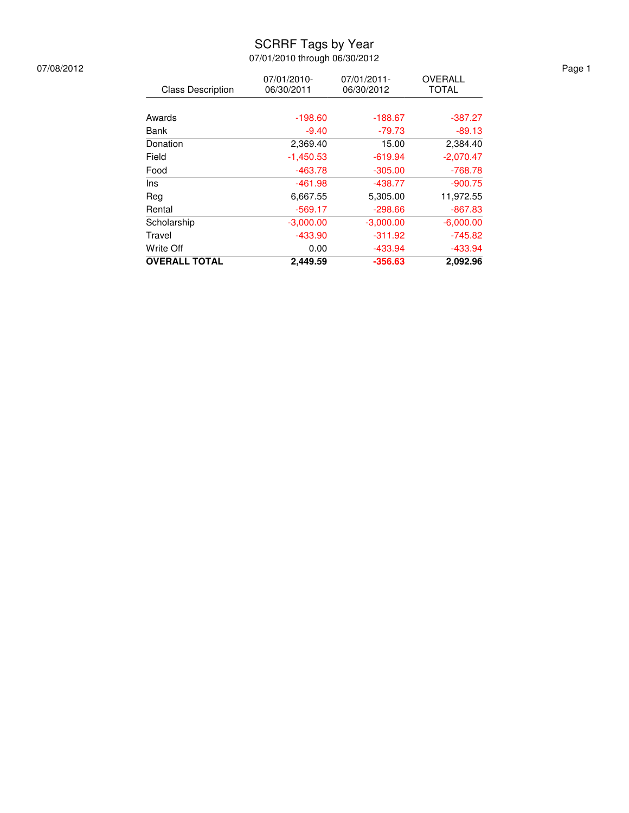### SCRRF Tags by Year

07/01/2010 through 06/30/2012

| <b>OVERALL TOTAL</b>     | 2.449.59                  | $-356.63$                 | 2.092.96                |
|--------------------------|---------------------------|---------------------------|-------------------------|
| Write Off                | 0.00                      | $-433.94$                 | $-433.94$               |
| Travel                   | $-433.90$                 | $-311.92$                 | $-745.82$               |
| Scholarship              | $-3,000.00$               | $-3,000.00$               | $-6,000.00$             |
| Rental                   | $-569.17$                 | $-298.66$                 | $-867.83$               |
| Reg                      | 6,667.55                  | 5,305.00                  | 11,972.55               |
| Ins                      | $-461.98$                 | $-438.77$                 | $-900.75$               |
| Food                     | $-463.78$                 | $-305.00$                 | $-768.78$               |
| Field                    | $-1,450.53$               | $-619.94$                 | $-2,070.47$             |
| Donation                 | 2,369.40                  | 15.00                     | 2,384.40                |
| <b>Bank</b>              | $-9.40$                   | -79.73                    | $-89.13$                |
| Awards                   | $-198.60$                 | $-188.67$                 | $-387.27$               |
|                          |                           |                           |                         |
| <b>Class Description</b> | 07/01/2010-<br>06/30/2011 | 07/01/2011-<br>06/30/2012 | OVERALL<br><b>TOTAL</b> |

07/08/2012 Page 1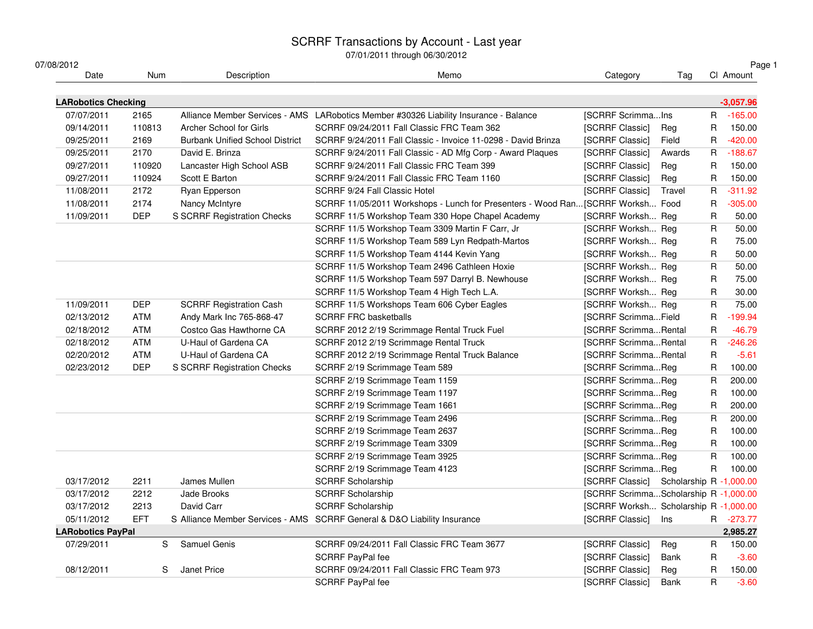# SCRRF Transactions by Account - Last year 07/01/2011 through 06/30/2012

| Tag<br>[SCRRF ScrimmaIns<br>R<br>R<br>Reg<br>R.<br>Field<br>$\mathsf R$<br>Awards<br>R<br>Reg<br>$\mathsf R$<br>Reg<br>R<br>Travel<br>SCRRF 11/05/2011 Workshops - Lunch for Presenters - Wood Ran [SCRRF Worksh Food<br>$\mathsf R$<br>[SCRRF Worksh Reg<br>R<br>${\sf R}$<br>[SCRRF Worksh Reg<br>${\sf R}$<br>[SCRRF Worksh Reg<br>R<br>[SCRRF Worksh Reg | Page 1<br>CI Amount<br>$-3,057.96$<br>$-165.00$<br>150.00<br>$-420.00$<br>$-188.67$<br>150.00<br>150.00<br>$-311.92$<br>$-305.00$<br>50.00<br>50.00<br>75.00 |
|--------------------------------------------------------------------------------------------------------------------------------------------------------------------------------------------------------------------------------------------------------------------------------------------------------------------------------------------------------------|--------------------------------------------------------------------------------------------------------------------------------------------------------------|
|                                                                                                                                                                                                                                                                                                                                                              |                                                                                                                                                              |
|                                                                                                                                                                                                                                                                                                                                                              |                                                                                                                                                              |
|                                                                                                                                                                                                                                                                                                                                                              |                                                                                                                                                              |
|                                                                                                                                                                                                                                                                                                                                                              |                                                                                                                                                              |
|                                                                                                                                                                                                                                                                                                                                                              |                                                                                                                                                              |
|                                                                                                                                                                                                                                                                                                                                                              |                                                                                                                                                              |
|                                                                                                                                                                                                                                                                                                                                                              |                                                                                                                                                              |
|                                                                                                                                                                                                                                                                                                                                                              |                                                                                                                                                              |
|                                                                                                                                                                                                                                                                                                                                                              |                                                                                                                                                              |
|                                                                                                                                                                                                                                                                                                                                                              |                                                                                                                                                              |
|                                                                                                                                                                                                                                                                                                                                                              |                                                                                                                                                              |
|                                                                                                                                                                                                                                                                                                                                                              |                                                                                                                                                              |
|                                                                                                                                                                                                                                                                                                                                                              |                                                                                                                                                              |
|                                                                                                                                                                                                                                                                                                                                                              | 50.00                                                                                                                                                        |
| $\mathsf R$<br>[SCRRF Worksh Reg                                                                                                                                                                                                                                                                                                                             | 50.00                                                                                                                                                        |
| R<br>[SCRRF Worksh Reg                                                                                                                                                                                                                                                                                                                                       | 75.00                                                                                                                                                        |
| R<br>[SCRRF Worksh Reg                                                                                                                                                                                                                                                                                                                                       | 30.00                                                                                                                                                        |
| [SCRRF Worksh Reg<br>R                                                                                                                                                                                                                                                                                                                                       | 75.00                                                                                                                                                        |
| R<br>[SCRRF ScrimmaField                                                                                                                                                                                                                                                                                                                                     | $-199.94$                                                                                                                                                    |
| [SCRRF ScrimmaRental<br>R                                                                                                                                                                                                                                                                                                                                    | $-46.79$                                                                                                                                                     |
| $\mathsf R$<br>[SCRRF ScrimmaRental                                                                                                                                                                                                                                                                                                                          | $-246.26$                                                                                                                                                    |
| [SCRRF ScrimmaRental<br>R                                                                                                                                                                                                                                                                                                                                    | $-5.61$                                                                                                                                                      |
| [SCRRF ScrimmaReg<br>$\mathsf R$                                                                                                                                                                                                                                                                                                                             | 100.00                                                                                                                                                       |
| [SCRRF ScrimmaReg<br>$\mathsf{R}$                                                                                                                                                                                                                                                                                                                            | 200.00                                                                                                                                                       |
| $\mathsf{R}$<br>[SCRRF ScrimmaReg                                                                                                                                                                                                                                                                                                                            | 100.00                                                                                                                                                       |
| [SCRRF ScrimmaReg<br>R                                                                                                                                                                                                                                                                                                                                       | 200.00                                                                                                                                                       |
| [SCRRF ScrimmaReg<br>R                                                                                                                                                                                                                                                                                                                                       | 200.00                                                                                                                                                       |
| [SCRRF ScrimmaReg<br>$\mathsf{R}$                                                                                                                                                                                                                                                                                                                            | 100.00                                                                                                                                                       |
| $\mathsf{R}$<br>[SCRRF ScrimmaReg                                                                                                                                                                                                                                                                                                                            | 100.00                                                                                                                                                       |
| $\mathsf{R}$<br>[SCRRF ScrimmaReg                                                                                                                                                                                                                                                                                                                            | 100.00                                                                                                                                                       |
| R<br>[SCRRF ScrimmaReg                                                                                                                                                                                                                                                                                                                                       | 100.00                                                                                                                                                       |
| [SCRRF Classic] Scholarship R -1,000.00                                                                                                                                                                                                                                                                                                                      |                                                                                                                                                              |
| [SCRRF ScrimmaScholarship R-1,000.00                                                                                                                                                                                                                                                                                                                         |                                                                                                                                                              |
| [SCRRF Worksh Scholarship R -1,000.00                                                                                                                                                                                                                                                                                                                        |                                                                                                                                                              |
| Ins                                                                                                                                                                                                                                                                                                                                                          | R -273.77                                                                                                                                                    |
|                                                                                                                                                                                                                                                                                                                                                              | 2,985.27                                                                                                                                                     |
| R<br>Reg                                                                                                                                                                                                                                                                                                                                                     | 150.00                                                                                                                                                       |
| R<br>Bank                                                                                                                                                                                                                                                                                                                                                    | $-3.60$                                                                                                                                                      |
| R<br>Reg                                                                                                                                                                                                                                                                                                                                                     | 150.00                                                                                                                                                       |
|                                                                                                                                                                                                                                                                                                                                                              | $-3.60$                                                                                                                                                      |
|                                                                                                                                                                                                                                                                                                                                                              | $\mathsf{R}$<br>Bank                                                                                                                                         |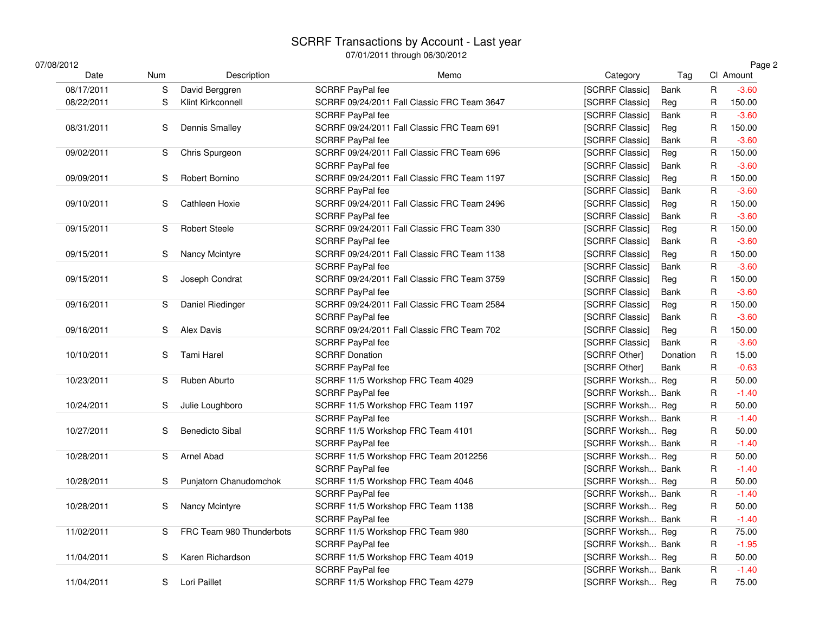# SCRRF Transactions by Account - Last year 07/01/2011 through 06/30/2012

| 07/08/2012 |     |                          | <u>07/01/4011 เมษัญญี่ปี 00/00/4014</u>     |                           |          |              | Page 2    |
|------------|-----|--------------------------|---------------------------------------------|---------------------------|----------|--------------|-----------|
| Date       | Num | Description              | Memo                                        | Category                  | Tag      |              | CI Amount |
| 08/17/2011 | S   | David Berggren           | SCRRF PayPal fee                            | [SCRRF Classic]           | Bank     | $\mathsf R$  | $-3.60$   |
| 08/22/2011 | S   | Klint Kirkconnell        | SCRRF 09/24/2011 Fall Classic FRC Team 3647 | [SCRRF Classic]           | Reg      | R            | 150.00    |
|            |     |                          | SCRRF PayPal fee                            | [SCRRF Classic]           | Bank     | $\mathsf R$  | $-3.60$   |
| 08/31/2011 | S   | Dennis Smalley           | SCRRF 09/24/2011 Fall Classic FRC Team 691  | [SCRRF Classic]           | Reg      | R            | 150.00    |
|            |     |                          | SCRRF PayPal fee                            | [SCRRF Classic]           | Bank     | $\mathsf R$  | $-3.60$   |
| 09/02/2011 | S   | <b>Chris Spurgeon</b>    | SCRRF 09/24/2011 Fall Classic FRC Team 696  | [SCRRF Classic]           | Reg      | $\mathsf R$  | 150.00    |
|            |     |                          | SCRRF PayPal fee                            | [SCRRF Classic]           | Bank     | R            | $-3.60$   |
| 09/09/2011 | S   | Robert Bornino           | SCRRF 09/24/2011 Fall Classic FRC Team 1197 | [SCRRF Classic]           | Reg      | $\mathsf R$  | 150.00    |
|            |     |                          | SCRRF PayPal fee                            | [SCRRF Classic]           | Bank     | $\mathsf R$  | $-3.60$   |
| 09/10/2011 | S   | Cathleen Hoxie           | SCRRF 09/24/2011 Fall Classic FRC Team 2496 | [SCRRF Classic]           | Reg      | $\mathsf R$  | 150.00    |
|            |     |                          | SCRRF PayPal fee                            | [SCRRF Classic]           | Bank     | $\mathsf R$  | $-3.60$   |
| 09/15/2011 | S   | <b>Robert Steele</b>     | SCRRF 09/24/2011 Fall Classic FRC Team 330  | [SCRRF Classic]           | Reg      | $\mathsf R$  | 150.00    |
|            |     |                          | SCRRF PayPal fee                            | [SCRRF Classic]           | Bank     | $\mathsf R$  | $-3.60$   |
| 09/15/2011 | S   | Nancy Mcintyre           | SCRRF 09/24/2011 Fall Classic FRC Team 1138 | [SCRRF Classic]           | Reg      | R            | 150.00    |
|            |     |                          | SCRRF PayPal fee                            | [SCRRF Classic]           | Bank     | $\mathsf R$  | $-3.60$   |
| 09/15/2011 | S   | Joseph Condrat           | SCRRF 09/24/2011 Fall Classic FRC Team 3759 | [SCRRF Classic]           | Reg      | R            | 150.00    |
|            |     |                          | SCRRF PayPal fee                            | [SCRRF Classic]           | Bank     | $\mathsf R$  | $-3.60$   |
| 09/16/2011 | S   | Daniel Riedinger         | SCRRF 09/24/2011 Fall Classic FRC Team 2584 | [SCRRF Classic]           | Reg      | R            | 150.00    |
|            |     |                          | SCRRF PayPal fee                            | [SCRRF Classic]           | Bank     | R            | $-3.60$   |
| 09/16/2011 | S   | Alex Davis               | SCRRF 09/24/2011 Fall Classic FRC Team 702  | [SCRRF Classic]           | Reg      | R            | 150.00    |
|            |     |                          | SCRRF PayPal fee                            | [SCRRF Classic]           | Bank     | $\mathsf R$  | $-3.60$   |
| 10/10/2011 | S   | <b>Tami Harel</b>        | <b>SCRRF Donation</b>                       | [SCRRF Other]             | Donation | $\mathsf R$  | 15.00     |
|            |     |                          | SCRRF PayPal fee                            | [SCRRF Other]             | Bank     | $\mathsf R$  | $-0.63$   |
| 10/23/2011 | S   | Ruben Aburto             | SCRRF 11/5 Workshop FRC Team 4029           | [SCRRF Worksh Reg         |          | $\sf R$      | 50.00     |
|            |     |                          | SCRRF PayPal fee                            | [SCRRF Worksh Bank        |          | R            | $-1.40$   |
| 10/24/2011 | S   | Julie Loughboro          | SCRRF 11/5 Workshop FRC Team 1197           | [SCRRF Worksh Reg         |          | $\mathsf R$  | 50.00     |
|            |     |                          | SCRRF PayPal fee                            | [SCRRF Worksh Bank        |          | R            | $-1.40$   |
| 10/27/2011 | S   | <b>Benedicto Sibal</b>   | SCRRF 11/5 Workshop FRC Team 4101           | [SCRRF Worksh Reg         |          | $\mathsf R$  | 50.00     |
|            |     |                          | SCRRF PayPal fee                            | [SCRRF Worksh Bank        |          | R            | $-1.40$   |
| 10/28/2011 | S   | Arnel Abad               | SCRRF 11/5 Workshop FRC Team 2012256        | [SCRRF Worksh Reg         |          | $\sf R$      | 50.00     |
|            |     |                          | SCRRF PayPal fee                            | [SCRRF Worksh Bank        |          | R            | $-1.40$   |
| 10/28/2011 | S   | Punjatorn Chanudomchok   | SCRRF 11/5 Workshop FRC Team 4046           | [SCRRF Worksh Reg         |          | $\mathsf R$  | 50.00     |
|            |     |                          | SCRRF PayPal fee                            | [SCRRF Worksh Bank        |          | $\mathsf{R}$ | $-1.40$   |
| 10/28/2011 | S   | Nancy Mcintyre           | SCRRF 11/5 Workshop FRC Team 1138           | [SCRRF Worksh Reg         |          | R            | 50.00     |
|            |     |                          | SCRRF PayPal fee                            | <b>ISCRRF Worksh Bank</b> |          | R            | $-1.40$   |
| 11/02/2011 | S   | FRC Team 980 Thunderbots | SCRRF 11/5 Workshop FRC Team 980            | [SCRRF Worksh Reg         |          | R            | 75.00     |
|            |     |                          | SCRRF PayPal fee                            | <b>ISCRRF Worksh Bank</b> |          | $\mathsf R$  | $-1.95$   |
| 11/04/2011 | S   | Karen Richardson         | SCRRF 11/5 Workshop FRC Team 4019           | [SCRRF Worksh Reg         |          | $\mathsf R$  | 50.00     |
|            |     |                          | SCRRF PayPal fee                            | <b>ISCRRF Worksh Bank</b> |          | $\mathsf R$  | $-1.40$   |
| 11/04/2011 | S   | Lori Paillet             | SCRRF 11/5 Workshop FRC Team 4279           | [SCRRF Worksh Reg         |          | R            | 75.00     |
|            |     |                          |                                             |                           |          |              |           |